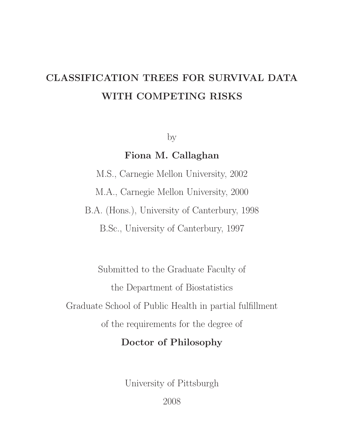# CLASSIFICATION TREES FOR SURVIVAL DATA WITH COMPETING RISKS

by

# Fiona M. Callaghan

M.S., Carnegie Mellon University, 2002 M.A., Carnegie Mellon University, 2000 B.A. (Hons.), University of Canterbury, 1998 B.Sc., University of Canterbury, 1997

Submitted to the Graduate Faculty of the Department of Biostatistics Graduate School of Public Health in partial fulfillment of the requirements for the degree of

# Doctor of Philosophy

University of Pittsburgh

2008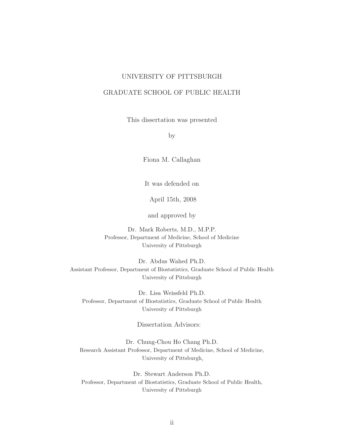# UNIVERSITY OF PITTSBURGH

### GRADUATE SCHOOL OF PUBLIC HEALTH

This dissertation was presented

by

Fiona M. Callaghan

It was defended on

April 15th, 2008

and approved by

Dr. Mark Roberts, M.D., M.P.P. Professor, Department of Medicine, School of Medicine University of Pittsburgh

Dr. Abdus Wahed Ph.D. Assistant Professor, Department of Biostatistics, Graduate School of Public Health University of Pittsburgh

Dr. Lisa Weissfeld Ph.D. Professor, Department of Biostatistics, Graduate School of Public Health University of Pittsburgh

Dissertation Advisors:

, University of Pittsburgh Dr. Chung-Chou Ho Chang Ph.D. Research Assistant Professor, Department of Medicine, School of Medicine,

Dr. Stewart Anderson Ph.D. Professor, Department of Biostatistics, Graduate School of Public Health, University of Pittsburgh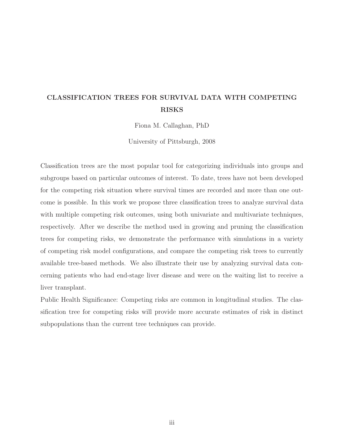# CLASSIFICATION TREES FOR SURVIVAL DATA WITH COMPETING RISKS

Fiona M. Callaghan, PhD

University of Pittsburgh, 2008

Classification trees are the most popular tool for categorizing individuals into groups and subgroups based on particular outcomes of interest. To date, trees have not been developed for the competing risk situation where survival times are recorded and more than one outcome is possible. In this work we propose three classification trees to analyze survival data with multiple competing risk outcomes, using both univariate and multivariate techniques, respectively. After we describe the method used in growing and pruning the classification trees for competing risks, we demonstrate the performance with simulations in a variety of competing risk model configurations, and compare the competing risk trees to currently available tree-based methods. We also illustrate their use by analyzing survival data concerning patients who had end-stage liver disease and were on the waiting list to receive a liver transplant.

Public Health Significance: Competing risks are common in longitudinal studies. The classification tree for competing risks will provide more accurate estimates of risk in distinct subpopulations than the current tree techniques can provide.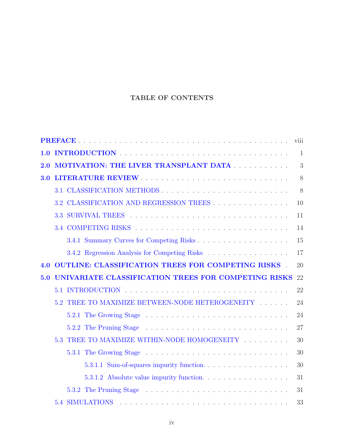### TABLE OF CONTENTS

|     |     |                                                           | viii         |
|-----|-----|-----------------------------------------------------------|--------------|
| 1.0 |     |                                                           | $\mathbf{1}$ |
| 2.0 |     | MOTIVATION: THE LIVER TRANSPLANT DATA                     | 3            |
| 3.0 |     | LITERATURE REVIEW                                         | 8            |
|     |     | 3.1 CLASSIFICATION METHODS                                | 8            |
|     |     | 3.2 CLASSIFICATION AND REGRESSION TREES                   | 10           |
|     | 3.3 |                                                           | 11           |
|     |     |                                                           | 14           |
|     |     |                                                           | 15           |
|     |     | 3.4.2 Regression Analysis for Competing Risks             | 17           |
| 4.0 |     | <b>OUTLINE: CLASSIFICATION TREES FOR COMPETING RISKS.</b> | 20           |
| 5.0 |     | UNIVARIATE CLASSIFICATION TREES FOR COMPETING RISKS       | 22           |
|     |     |                                                           |              |
|     |     |                                                           | 22           |
|     | 5.2 | TREE TO MAXIMIZE BETWEEN-NODE HETEROGENEITY               | 24           |
|     |     |                                                           | 24           |
|     |     |                                                           | 27           |
|     | 5.3 | TREE TO MAXIMIZE WITHIN-NODE HOMOGENEITY                  | 30           |
|     |     |                                                           | 30           |
|     |     | 5.3.1.1 Sum-of-squares impurity function                  | 30           |
|     |     | 5.3.1.2 Absolute value impurity function                  | 31           |
|     |     |                                                           | 31           |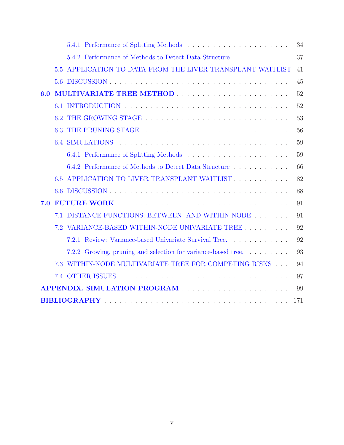|                                                              | 34  |
|--------------------------------------------------------------|-----|
| 5.4.2 Performance of Methods to Detect Data Structure        | 37  |
| 5.5 APPLICATION TO DATA FROM THE LIVER TRANSPLANT WAITLIST   | 41  |
|                                                              | 45  |
| 6.0                                                          | 52  |
| 6.1                                                          | 52  |
| 6.2                                                          | 53  |
| 6.3                                                          | 56  |
|                                                              | 59  |
|                                                              | 59  |
| 6.4.2 Performance of Methods to Detect Data Structure        | 66  |
| APPLICATION TO LIVER TRANSPLANT WAITLIST<br>6.5              | 82  |
| 6.6                                                          | 88  |
| 7.0                                                          | 91  |
| 7.1 DISTANCE FUNCTIONS: BETWEEN- AND WITHIN-NODE             | 91  |
| 7.2 VARIANCE-BASED WITHIN-NODE UNIVARIATE TREE               | 92  |
| 7.2.1 Review: Variance-based Univariate Survival Tree.       | 92  |
| 7.2.2 Growing, pruning and selection for variance-based tree | 93  |
| WITHIN-NODE MULTIVARIATE TREE FOR COMPETING RISKS<br>7.3     | 94  |
| 7.4                                                          | 97  |
|                                                              | 99  |
|                                                              | 171 |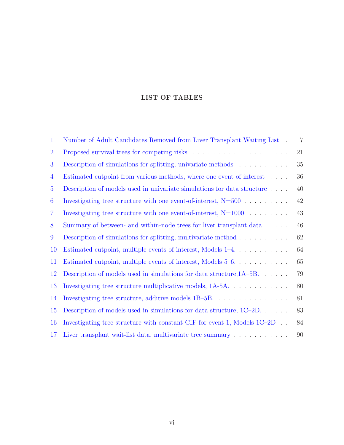### LIST OF TABLES

| $\mathbf{1}$   | Number of Adult Candidates Removed from Liver Transplant Waiting List             | $\overline{7}$ |
|----------------|-----------------------------------------------------------------------------------|----------------|
| $\overline{2}$ |                                                                                   | 21             |
| 3              | Description of simulations for splitting, univariate methods $\dots \dots \dots$  | $35\,$         |
| $\overline{4}$ | Estimated cutpoint from various methods, where one event of interest              | 36             |
| $\overline{5}$ | Description of models used in univariate simulations for data structure           | 40             |
| 6              | Investigating tree structure with one event-of-interest, $N=500$                  | $42\,$         |
| $\overline{7}$ | Investigating tree structure with one event-of-interest, $N=1000$                 | 43             |
| 8              | Summary of between- and within-node trees for liver transplant data               | 46             |
| 9              | Description of simulations for splitting, multivariate method $\dots \dots \dots$ | 62             |
| 10             | Estimated cutpoint, multiple events of interest, Models 1–4.                      | 64             |
| 11             | Estimated cutpoint, multiple events of interest, Models 5–6.                      | 65             |
| 12             | Description of models used in simulations for data structure, $1A-5B$ .           | 79             |
| 13             |                                                                                   | 80             |
| 14             | Investigating tree structure, additive models 1B-5B.                              | 81             |
| 15             | Description of models used in simulations for data structure, $1C-2D$             | 83             |
| 16             | Investigating tree structure with constant CIF for event 1, Models $1C-2D$ .      | 84             |
| 17             | Liver transplant wait-list data, multivariate tree summary $\dots \dots \dots$    | 90             |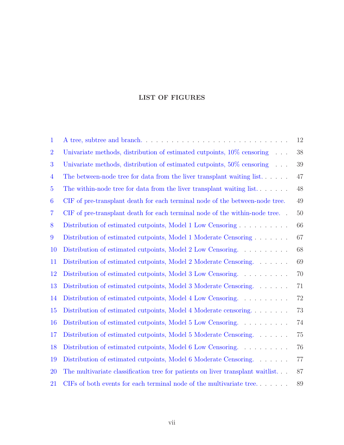### LIST OF FIGURES

| $\mathbf{1}$   | A tree, subtree and branch                                                     | 12     |
|----------------|--------------------------------------------------------------------------------|--------|
| $\overline{2}$ | Univariate methods, distribution of estimated cutpoints, 10% censoring         | $38\,$ |
| 3              | Univariate methods, distribution of estimated cutpoints, 50% censoring         | 39     |
| $\overline{4}$ | The between-node tree for data from the liver transplant waiting list          | 47     |
| $\overline{5}$ | The within-node tree for data from the liver transplant waiting list           | 48     |
| 6              | CIF of pre-transplant death for each terminal node of the between-node tree.   | 49     |
| $\overline{7}$ | CIF of pre-transplant death for each terminal node of the within-node tree     | 50     |
| 8              | Distribution of estimated cutpoints, Model 1 Low Censoring                     | 66     |
| 9              | Distribution of estimated cutpoints, Model 1 Moderate Censoring                | 67     |
| 10             | Distribution of estimated cutpoints, Model 2 Low Censoring.                    | 68     |
| 11             | Distribution of estimated cutpoints, Model 2 Moderate Censoring.               | 69     |
| <sup>12</sup>  | Distribution of estimated cutpoints, Model 3 Low Censoring.                    | 70     |
| 13             | Distribution of estimated cutpoints, Model 3 Moderate Censoring.               | 71     |
| 14             | Distribution of estimated cutpoints, Model 4 Low Censoring.                    | 72     |
| 15             | Distribution of estimated cutpoints, Model 4 Moderate censoring                | 73     |
| 16             | Distribution of estimated cutpoints, Model 5 Low Censoring.                    | 74     |
| 17             | Distribution of estimated cutpoints, Model 5 Moderate Censoring                | 75     |
| 18             | Distribution of estimated cutpoints, Model 6 Low Censoring.                    | 76     |
| 19             | Distribution of estimated cutpoints, Model 6 Moderate Censoring.               | 77     |
| 20             | The multivariate classification tree for patients on liver transplant waitlist | 87     |
| 21             | CIFs of both events for each terminal node of the multivariate tree            | 89     |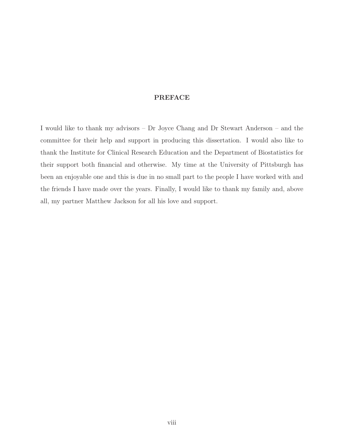#### PREFACE

<span id="page-7-0"></span>I would like to thank my advisors – Dr Joyce Chang and Dr Stewart Anderson – and the committee for their help and support in producing this dissertation. I would also like to thank the Institute for Clinical Research Education and the Department of Biostatistics for their support both financial and otherwise. My time at the University of Pittsburgh has been an enjoyable one and this is due in no small part to the people I have worked with and the friends I have made over the years. Finally, I would like to thank my family and, above all, my partner Matthew Jackson for all his love and support.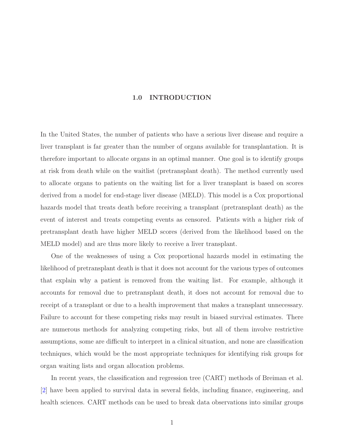#### 1.0 INTRODUCTION

<span id="page-8-0"></span>In the United States, the number of patients who have a serious liver disease and require a liver transplant is far greater than the number of organs available for transplantation. It is therefore important to allocate organs in an optimal manner. One goal is to identify groups at risk from death while on the waitlist (pretransplant death). The method currently used to allocate organs to patients on the waiting list for a liver transplant is based on scores derived from a model for end-stage liver disease (MELD). This model is a Cox proportional hazards model that treats death before receiving a transplant (pretransplant death) as the event of interest and treats competing events as censored. Patients with a higher risk of pretransplant death have higher MELD scores (derived from the likelihood based on the MELD model) and are thus more likely to receive a liver transplant.

One of the weaknesses of using a Cox proportional hazards model in estimating the likelihood of pretransplant death is that it does not account for the various types of outcomes that explain why a patient is removed from the waiting list. For example, although it accounts for removal due to pretransplant death, it does not account for removal due to receipt of a transplant or due to a health improvement that makes a transplant unnecessary. Failure to account for these competing risks may result in biased survival estimates. There are numerous methods for analyzing competing risks, but all of them involve restrictive assumptions, some are difficult to interpret in a clinical situation, and none are classification techniques, which would be the most appropriate techniques for identifying risk groups for organ waiting lists and organ allocation problems.

In recent years, the classification and regression tree (CART) methods of Breiman et al. [\[2\]](#page-178-1) have been applied to survival data in several fields, including finance, engineering, and health sciences. CART methods can be used to break data observations into similar groups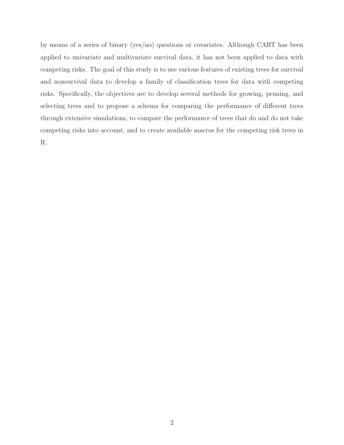by means of a series of binary (yes/no) questions or covariates. Although CART has been applied to univariate and multivariate survival data, it has not been applied to data with competing risks. The goal of this study is to use various features of existing trees for survival and nonsurvival data to develop a family of classification trees for data with competing risks. Specifically, the objectives are to develop several methods for growing, pruning, and selecting trees and to propose a schema for comparing the performance of different trees through extensive simulations, to compare the performance of trees that do and do not take competing risks into account, and to create available macros for the competing risk trees in R.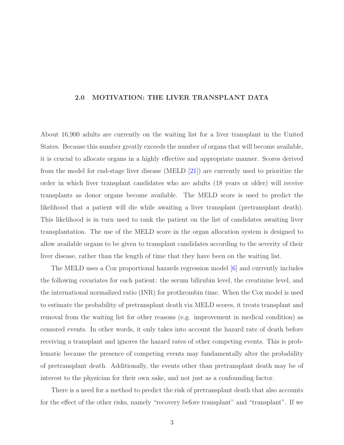#### <span id="page-10-0"></span>2.0 MOTIVATION: THE LIVER TRANSPLANT DATA

About 16,900 adults are currently on the waiting list for a liver transplant in the United States. Because this number greatly exceeds the number of organs that will become available, it is crucial to allocate organs in a highly effective and appropriate manner. Scores derived from the model for end-stage liver disease (MELD [\[21\]](#page-179-0)) are currently used to prioritize the order in which liver transplant candidates who are adults (18 years or older) will receive transplants as donor organs become available. The MELD score is used to predict the likelihood that a patient will die while awaiting a liver transplant (pretransplant death). This likelihood is in turn used to rank the patient on the list of candidates awaiting liver transplantation. The use of the MELD score in the organ allocation system is designed to allow available organs to be given to transplant candidates according to the severity of their liver disease, rather than the length of time that they have been on the waiting list.

The MELD uses a Cox proportional hazards regression model [\[6\]](#page-178-2) and currently includes the following covariates for each patient: the serum bilirubin level, the creatinine level, and the international normalized ratio (INR) for prothrombin time. When the Cox model is used to estimate the probability of pretransplant death via MELD scores, it treats transplant and removal from the waiting list for other reasons (e.g. improvement in medical condition) as censored events. In other words, it only takes into account the hazard rate of death before receiving a transplant and ignores the hazard rates of other competing events. This is problematic because the presence of competing events may fundamentally alter the probability of pretransplant death. Additionally, the events other than pretransplant death may be of interest to the physician for their own sake, and not just as a confounding factor.

There is a need for a method to predict the risk of pretransplant death that also accounts for the effect of the other risks, namely "recovery before transplant" and "transplant". If we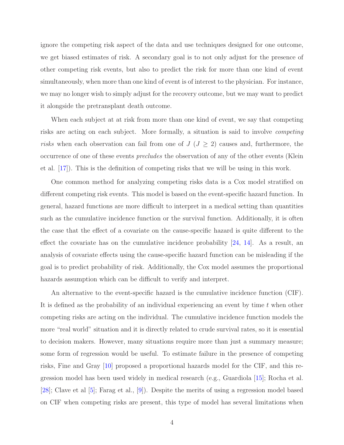ignore the competing risk aspect of the data and use techniques designed for one outcome, we get biased estimates of risk. A secondary goal is to not only adjust for the presence of other competing risk events, but also to predict the risk for more than one kind of event simultaneously, when more than one kind of event is of interest to the physician. For instance, we may no longer wish to simply adjust for the recovery outcome, but we may want to predict it alongside the pretransplant death outcome.

When each subject at at risk from more than one kind of event, we say that competing risks are acting on each subject. More formally, a situation is said to involve competing risks when each observation can fail from one of  $J (J \geq 2)$  causes and, furthermore, the occurrence of one of these events precludes the observation of any of the other events (Klein et al. [\[17\]](#page-179-1)). This is the definition of competing risks that we will be using in this work.

One common method for analyzing competing risks data is a Cox model stratified on different competing risk events. This model is based on the event-specific hazard function. In general, hazard functions are more difficult to interpret in a medical setting than quantities such as the cumulative incidence function or the survival function. Additionally, it is often the case that the effect of a covariate on the cause-specific hazard is quite different to the effect the covariate has on the cumulative incidence probability  $[24, 14]$  $[24, 14]$ . As a result, an analysis of covariate effects using the cause-specific hazard function can be misleading if the goal is to predict probability of risk. Additionally, the Cox model assumes the proportional hazards assumption which can be difficult to verify and interpret.

An alternative to the event-specific hazard is the cumulative incidence function (CIF). It is defined as the probability of an individual experiencing an event by time t when other competing risks are acting on the individual. The cumulative incidence function models the more "real world" situation and it is directly related to crude survival rates, so it is essential to decision makers. However, many situations require more than just a summary measure; some form of regression would be useful. To estimate failure in the presence of competing risks, Fine and Gray [\[10\]](#page-179-4) proposed a proportional hazards model for the CIF, and this regression model has been used widely in medical research (e.g., Guardiola [\[15\]](#page-179-5); Rocha et al. [\[28\]](#page-180-0); Clave et al [\[5\]](#page-178-3); Farag et al., [\[9\]](#page-178-4)). Despite the merits of using a regression model based on CIF when competing risks are present, this type of model has several limitations when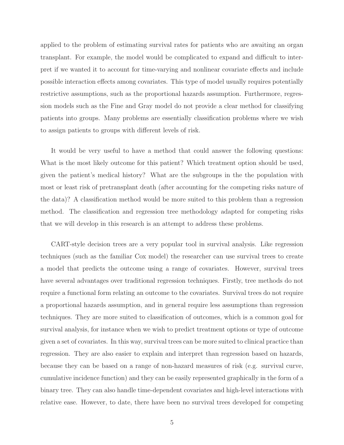applied to the problem of estimating survival rates for patients who are awaiting an organ transplant. For example, the model would be complicated to expand and difficult to interpret if we wanted it to account for time-varying and nonlinear covariate effects and include possible interaction effects among covariates. This type of model usually requires potentially restrictive assumptions, such as the proportional hazards assumption. Furthermore, regression models such as the Fine and Gray model do not provide a clear method for classifying patients into groups. Many problems are essentially classification problems where we wish to assign patients to groups with different levels of risk.

It would be very useful to have a method that could answer the following questions: What is the most likely outcome for this patient? Which treatment option should be used, given the patient's medical history? What are the subgroups in the the population with most or least risk of pretransplant death (after accounting for the competing risks nature of the data)? A classification method would be more suited to this problem than a regression method. The classification and regression tree methodology adapted for competing risks that we will develop in this research is an attempt to address these problems.

CART-style decision trees are a very popular tool in survival analysis. Like regression techniques (such as the familiar Cox model) the researcher can use survival trees to create a model that predicts the outcome using a range of covariates. However, survival trees have several advantages over traditional regression techniques. Firstly, tree methods do not require a functional form relating an outcome to the covariates. Survival trees do not require a proportional hazards assumption, and in general require less assumptions than regression techniques. They are more suited to classification of outcomes, which is a common goal for survival analysis, for instance when we wish to predict treatment options or type of outcome given a set of covariates. In this way, survival trees can be more suited to clinical practice than regression. They are also easier to explain and interpret than regression based on hazards, because they can be based on a range of non-hazard measures of risk (e.g. survival curve, cumulative incidence function) and they can be easily represented graphically in the form of a binary tree. They can also handle time-dependent covariates and high-level interactions with relative ease. However, to date, there have been no survival trees developed for competing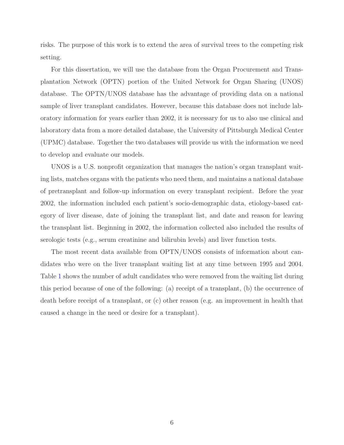risks. The purpose of this work is to extend the area of survival trees to the competing risk setting.

For this dissertation, we will use the database from the Organ Procurement and Transplantation Network (OPTN) portion of the United Network for Organ Sharing (UNOS) database. The OPTN/UNOS database has the advantage of providing data on a national sample of liver transplant candidates. However, because this database does not include laboratory information for years earlier than 2002, it is necessary for us to also use clinical and laboratory data from a more detailed database, the University of Pittsburgh Medical Center (UPMC) database. Together the two databases will provide us with the information we need to develop and evaluate our models.

UNOS is a U.S. nonprofit organization that manages the nation's organ transplant waiting lists, matches organs with the patients who need them, and maintains a national database of pretransplant and follow-up information on every transplant recipient. Before the year 2002, the information included each patient's socio-demographic data, etiology-based category of liver disease, date of joining the transplant list, and date and reason for leaving the transplant list. Beginning in 2002, the information collected also included the results of serologic tests (e.g., serum creatinine and bilirubin levels) and liver function tests.

The most recent data available from OPTN/UNOS consists of information about candidates who were on the liver transplant waiting list at any time between 1995 and 2004. Table [1](#page-14-0) shows the number of adult candidates who were removed from the waiting list during this period because of one of the following: (a) receipt of a transplant, (b) the occurrence of death before receipt of a transplant, or (c) other reason (e.g. an improvement in health that caused a change in the need or desire for a transplant).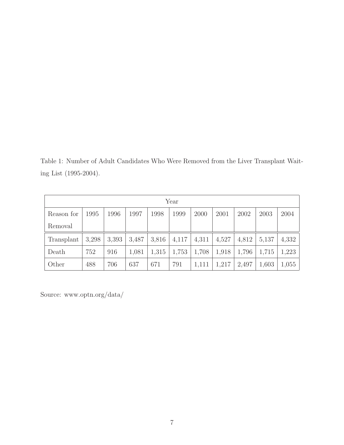<span id="page-14-0"></span>Table 1: Number of Adult Candidates Who Were Removed from the Liver Transplant Waiting List (1995-2004).

| Year       |       |       |       |       |       |       |       |       |       |       |
|------------|-------|-------|-------|-------|-------|-------|-------|-------|-------|-------|
| Reason for | 1995  | 1996  | 1997  | 1998  | 1999  | 2000  | 2001  | 2002  | 2003  | 2004  |
| Removal    |       |       |       |       |       |       |       |       |       |       |
| Transplant | 3,298 | 3,393 | 3,487 | 3,816 | 4,117 | 4,311 | 4,527 | 4,812 | 5,137 | 4,332 |
| Death      | 752   | 916   | 1,081 | 1,315 | 1,753 | 1,708 | 1,918 | 1,796 | 1,715 | 1,223 |
| Other      | 488   | 706   | 637   | 671   | 791   | 1,111 | 1,217 | 2,497 | 1,603 | 1,055 |

Source: www.optn.org/data/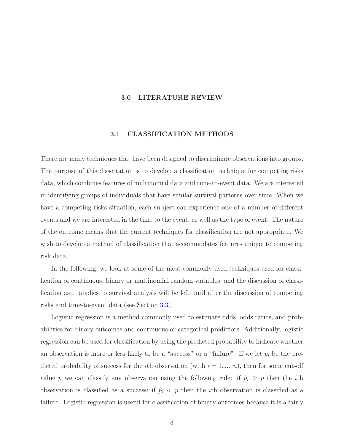#### 3.0 LITERATURE REVIEW

#### 3.1 CLASSIFICATION METHODS

<span id="page-15-1"></span><span id="page-15-0"></span>There are many techniques that have been designed to discriminate observations into groups. The purpose of this dissertation is to develop a classification technique for competing risks data, which combines features of multinomial data and time-to-event data. We are interested in identifying groups of individuals that have similar survival patterns over time. When we have a competing risks situation, each subject can experience one of a number of different events and we are interested in the time to the event, as well as the type of event. The nature of the outcome means that the current techniques for classification are not appropriate. We wish to develop a method of classification that accommodates features unique to competing risk data.

In the following, we look at some of the most commonly used techniques used for classification of continuous, binary or multinomial random variables, and the discussion of classification as it applies to survival analysis will be left until after the discussion of competing risks and time-to-event data (see Section [3.3\)](#page-18-0).

Logistic regression is a method commonly used to estimate odds, odds ratios, and probabilities for binary outcomes and continuous or categorical predictors. Additionally, logistic regression can be used for classification by using the predicted probability to indicate whether an observation is more or less likely to be a "success" or a "failure". If we let  $p_i$  be the predicted probability of success for the *i*th observation (with  $i = 1, ..., n$ ), then for some cut-off value p we can classify any observation using the following rule: if  $\hat{p}_i \geq p$  then the *i*th observation is classified as a success; if  $\hat{p}_i$  < p then the *i*th observation is classified as a failure. Logistic regression is useful for classification of binary outcomes because it is a fairly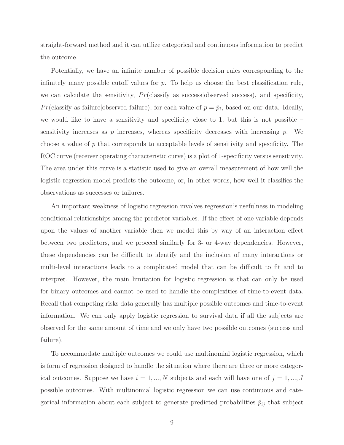straight-forward method and it can utilize categorical and continuous information to predict the outcome.

Potentially, we have an infinite number of possible decision rules corresponding to the infinitely many possible cutoff values for  $p$ . To help us choose the best classification rule, we can calculate the sensitivity,  $Pr(\text{classify as success}|\text{observed success})$ , and specificity, Pr(classify as failure observed failure), for each value of  $p = \hat{p}_i$ , based on our data. Ideally, we would like to have a sensitivity and specificity close to 1, but this is not possible  $$ sensitivity increases as  $p$  increases, whereas specificity decreases with increasing  $p$ . We choose a value of  $p$  that corresponds to acceptable levels of sensitivity and specificity. The ROC curve (receiver operating characteristic curve) is a plot of 1-specificity versus sensitivity. The area under this curve is a statistic used to give an overall measurement of how well the logistic regression model predicts the outcome, or, in other words, how well it classifies the observations as successes or failures.

An important weakness of logistic regression involves regression's usefulness in modeling conditional relationships among the predictor variables. If the effect of one variable depends upon the values of another variable then we model this by way of an interaction effect between two predictors, and we proceed similarly for 3- or 4-way dependencies. However, these dependencies can be difficult to identify and the inclusion of many interactions or multi-level interactions leads to a complicated model that can be difficult to fit and to interpret. However, the main limitation for logistic regression is that can only be used for binary outcomes and cannot be used to handle the complexities of time-to-event data. Recall that competing risks data generally has multiple possible outcomes and time-to-event information. We can only apply logistic regression to survival data if all the subjects are observed for the same amount of time and we only have two possible outcomes (success and failure).

To accommodate multiple outcomes we could use multinomial logistic regression, which is form of regression designed to handle the situation where there are three or more categorical outcomes. Suppose we have  $i = 1, ..., N$  subjects and each will have one of  $j = 1, ..., J$ possible outcomes. With multinomial logistic regression we can use continuous and categorical information about each subject to generate predicted probabilities  $\hat{p}_{ij}$  that subject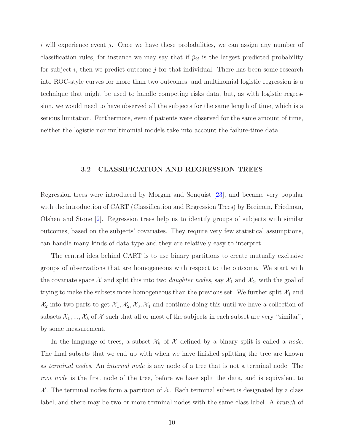i will experience event j. Once we have these probabilities, we can assign any number of classification rules, for instance we may say that if  $\hat{p}_{ij}$  is the largest predicted probability for subject i, then we predict outcome j for that individual. There has been some research into ROC-style curves for more than two outcomes, and multinomial logistic regression is a technique that might be used to handle competing risks data, but, as with logistic regression, we would need to have observed all the subjects for the same length of time, which is a serious limitation. Furthermore, even if patients were observed for the same amount of time, neither the logistic nor multinomial models take into account the failure-time data.

#### 3.2 CLASSIFICATION AND REGRESSION TREES

<span id="page-17-0"></span>Regression trees were introduced by Morgan and Sonquist [\[23\]](#page-179-6), and became very popular with the introduction of CART (Classification and Regression Trees) by Breiman, Friedman, Olshen and Stone [\[2\]](#page-178-1). Regression trees help us to identify groups of subjects with similar outcomes, based on the subjects' covariates. They require very few statistical assumptions, can handle many kinds of data type and they are relatively easy to interpret.

The central idea behind CART is to use binary partitions to create mutually exclusive groups of observations that are homogeneous with respect to the outcome. We start with the covariate space X and split this into two *daughter nodes*, say  $\mathcal{X}_1$  and  $\mathcal{X}_2$ , with the goal of trying to make the subsets more homogeneous than the previous set. We further split  $\mathcal{X}_1$  and  $\mathcal{X}_2$  into two parts to get  $\mathcal{X}_1, \mathcal{X}_2, \mathcal{X}_3, \mathcal{X}_4$  and continue doing this until we have a collection of subsets  $\mathcal{X}_1, ..., \mathcal{X}_k$  of  $\mathcal X$  such that all or most of the subjects in each subset are very "similar", by some measurement.

In the language of trees, a subset  $\mathcal{X}_k$  of  $\mathcal X$  defined by a binary split is called a node. The final subsets that we end up with when we have finished splitting the tree are known as terminal nodes. An internal node is any node of a tree that is not a terminal node. The root node is the first node of the tree, before we have split the data, and is equivalent to  $X$ . The terminal nodes form a partition of X. Each terminal subset is designated by a class label, and there may be two or more terminal nodes with the same class label. A *branch* of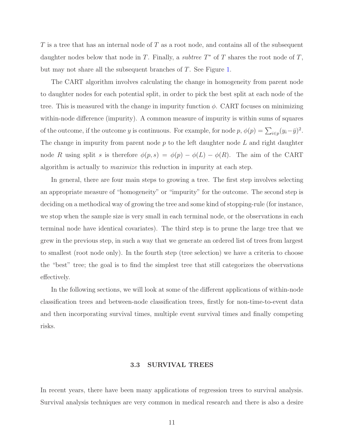T is a tree that has an internal node of T as a root node, and contains all of the subsequent daughter nodes below that node in T. Finally, a *subtree*  $T^*$  of T shares the root node of T, but may not share all the subsequent branches of T. See Figure [1.](#page-19-0)

The CART algorithm involves calculating the change in homogeneity from parent node to daughter nodes for each potential split, in order to pick the best split at each node of the tree. This is measured with the change in impurity function  $\phi$ . CART focuses on minimizing within-node difference (impurity). A common measure of impurity is within sums of squares of the outcome, if the outcome y is continuous. For example, for node  $p$ ,  $\phi(p) = \sum_{i \in p} (y_i - \bar{y})^2$ . The change in impurity from parent node  $p$  to the left daughter node  $L$  and right daughter node R using split s is therefore  $\phi(p,s) = \phi(p) - \phi(L) - \phi(R)$ . The aim of the CART algorithm is actually to maximize this reduction in impurity at each step.

In general, there are four main steps to growing a tree. The first step involves selecting an appropriate measure of "homogeneity" or "impurity" for the outcome. The second step is deciding on a methodical way of growing the tree and some kind of stopping-rule (for instance, we stop when the sample size is very small in each terminal node, or the observations in each terminal node have identical covariates). The third step is to prune the large tree that we grew in the previous step, in such a way that we generate an ordered list of trees from largest to smallest (root node only). In the fourth step (tree selection) we have a criteria to choose the "best" tree; the goal is to find the simplest tree that still categorizes the observations effectively.

In the following sections, we will look at some of the different applications of within-node classification trees and between-node classification trees, firstly for non-time-to-event data and then incorporating survival times, multiple event survival times and finally competing risks.

#### 3.3 SURVIVAL TREES

<span id="page-18-0"></span>In recent years, there have been many applications of regression trees to survival analysis. Survival analysis techniques are very common in medical research and there is also a desire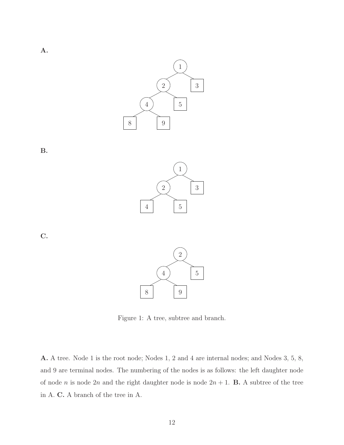



A.



C.



<span id="page-19-0"></span>Figure 1: A tree, subtree and branch.

A. A tree. Node 1 is the root node; Nodes 1, 2 and 4 are internal nodes; and Nodes 3, 5, 8, and 9 are terminal nodes. The numbering of the nodes is as follows: the left daughter node of node n is node 2n and the right daughter node is node  $2n + 1$ . **B.** A subtree of the tree in A. C. A branch of the tree in A.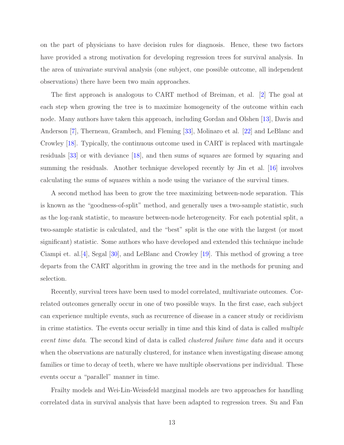on the part of physicians to have decision rules for diagnosis. Hence, these two factors have provided a strong motivation for developing regression trees for survival analysis. In the area of univariate survival analysis (one subject, one possible outcome, all independent observations) there have been two main approaches.

The first approach is analogous to CART method of Breiman, et al. [\[2\]](#page-178-1) The goal at each step when growing the tree is to maximize homogeneity of the outcome within each node. Many authors have taken this approach, including Gordan and Olshen [\[13\]](#page-179-7), Davis and Anderson [\[7\]](#page-178-5), Therneau, Grambsch, and Fleming [\[33\]](#page-180-1), Molinaro et al. [\[22\]](#page-179-8) and LeBlanc and Crowley [\[18\]](#page-179-9). Typically, the continuous outcome used in CART is replaced with martingale residuals [\[33\]](#page-180-1) or with deviance [\[18\]](#page-179-9), and then sums of squares are formed by squaring and summing the residuals. Another technique developed recently by Jin et al. [\[16\]](#page-179-10) involves calculating the sums of squares within a node using the variance of the survival times.

A second method has been to grow the tree maximizing between-node separation. This is known as the "goodness-of-split" method, and generally uses a two-sample statistic, such as the log-rank statistic, to measure between-node heterogeneity. For each potential split, a two-sample statistic is calculated, and the "best" split is the one with the largest (or most significant) statistic. Some authors who have developed and extended this technique include Ciampi et. al.[\[4\]](#page-178-6), Segal [\[30\]](#page-180-2), and LeBlanc and Crowley [\[19\]](#page-179-11). This method of growing a tree departs from the CART algorithm in growing the tree and in the methods for pruning and selection.

Recently, survival trees have been used to model correlated, multivariate outcomes. Correlated outcomes generally occur in one of two possible ways. In the first case, each subject can experience multiple events, such as recurrence of disease in a cancer study or recidivism in crime statistics. The events occur serially in time and this kind of data is called multiple event time data. The second kind of data is called *clustered failure time data* and it occurs when the observations are naturally clustered, for instance when investigating disease among families or time to decay of teeth, where we have multiple observations per individual. These events occur a "parallel" manner in time.

Frailty models and Wei-Lin-Weissfeld marginal models are two approaches for handling correlated data in survival analysis that have been adapted to regression trees. Su and Fan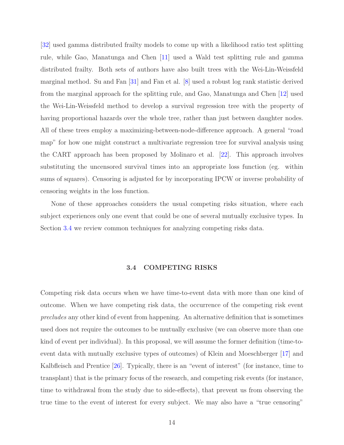[\[32\]](#page-180-3) used gamma distributed frailty models to come up with a likelihood ratio test splitting rule, while Gao, Manatunga and Chen [\[11\]](#page-179-12) used a Wald test splitting rule and gamma distributed frailty. Both sets of authors have also built trees with the Wei-Lin-Weissfeld marginal method. Su and Fan [\[31\]](#page-180-4) and Fan et al. [\[8\]](#page-178-7) used a robust log rank statistic derived from the marginal approach for the splitting rule, and Gao, Manatunga and Chen [\[12\]](#page-179-13) used the Wei-Lin-Weissfeld method to develop a survival regression tree with the property of having proportional hazards over the whole tree, rather than just between daughter nodes. All of these trees employ a maximizing-between-node-difference approach. A general "road map" for how one might construct a multivariate regression tree for survival analysis using the CART approach has been proposed by Molinaro et al. [\[22\]](#page-179-8). This approach involves substituting the uncensored survival times into an appropriate loss function (eg. within sums of squares). Censoring is adjusted for by incorporating IPCW or inverse probability of censoring weights in the loss function.

None of these approaches considers the usual competing risks situation, where each subject experiences only one event that could be one of several mutually exclusive types. In Section [3.4](#page-21-0) we review common techniques for analyzing competing risks data.

#### 3.4 COMPETING RISKS

<span id="page-21-0"></span>Competing risk data occurs when we have time-to-event data with more than one kind of outcome. When we have competing risk data, the occurrence of the competing risk event precludes any other kind of event from happening. An alternative definition that is sometimes used does not require the outcomes to be mutually exclusive (we can observe more than one kind of event per individual). In this proposal, we will assume the former definition (time-toevent data with mutually exclusive types of outcomes) of Klein and Moeschberger [\[17\]](#page-179-1) and Kalbfleisch and Prentice [\[26\]](#page-180-5). Typically, there is an "event of interest" (for instance, time to transplant) that is the primary focus of the research, and competing risk events (for instance, time to withdrawal from the study due to side-effects), that prevent us from observing the true time to the event of interest for every subject. We may also have a "true censoring"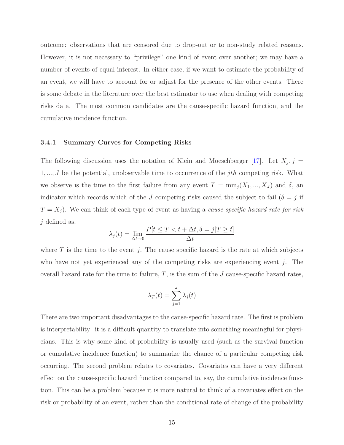outcome: observations that are censored due to drop-out or to non-study related reasons. However, it is not necessary to "privilege" one kind of event over another; we may have a number of events of equal interest. In either case, if we want to estimate the probability of an event, we will have to account for or adjust for the presence of the other events. There is some debate in the literature over the best estimator to use when dealing with competing risks data. The most common candidates are the cause-specific hazard function, and the cumulative incidence function.

#### <span id="page-22-0"></span>3.4.1 Summary Curves for Competing Risks

The following discussion uses the notation of Klein and Moeschberger [\[17\]](#page-179-1). Let  $X_j$ ,  $j =$  $1, \ldots, J$  be the potential, unobservable time to occurrence of the *j*th competing risk. What we observe is the time to the first failure from any event  $T = \min_j (X_1, ..., X_J)$  and  $\delta$ , an indicator which records which of the J competing risks caused the subject to fail ( $\delta = j$  if  $T = X_j$ ). We can think of each type of event as having a *cause-specific hazard rate for risk*  $j$  defined as,

$$
\lambda_j(t) = \lim_{\Delta t \to 0} \frac{P[t \le T < t + \Delta t, \delta = j | T \ge t]}{\Delta t}
$$

where  $T$  is the time to the event j. The cause specific hazard is the rate at which subjects who have not yet experienced any of the competing risks are experiencing event  $j$ . The overall hazard rate for the time to failure,  $T$ , is the sum of the  $J$  cause-specific hazard rates,

$$
\lambda_T(t) = \sum_{j=1}^J \lambda_j(t)
$$

There are two important disadvantages to the cause-specific hazard rate. The first is problem is interpretability: it is a difficult quantity to translate into something meaningful for physicians. This is why some kind of probability is usually used (such as the survival function or cumulative incidence function) to summarize the chance of a particular competing risk occurring. The second problem relates to covariates. Covariates can have a very different effect on the cause-specific hazard function compared to, say, the cumulative incidence function. This can be a problem because it is more natural to think of a covariates effect on the risk or probability of an event, rather than the conditional rate of change of the probability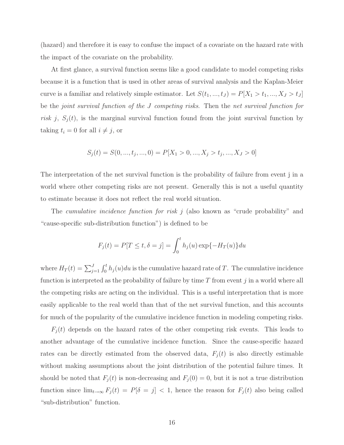(hazard) and therefore it is easy to confuse the impact of a covariate on the hazard rate with the impact of the covariate on the probability.

At first glance, a survival function seems like a good candidate to model competing risks because it is a function that is used in other areas of survival analysis and the Kaplan-Meier curve is a familiar and relatively simple estimator. Let  $S(t_1, ..., t_J) = P[X_1 > t_1, ..., X_J > t_J]$ be the joint survival function of the J competing risks. Then the net survival function for risk j,  $S_j(t)$ , is the marginal survival function found from the joint survival function by taking  $t_i = 0$  for all  $i \neq j$ , or

$$
S_j(t) = S(0, ..., t_j, ..., 0) = P[X_1 > 0, ..., X_j > t_j, ..., X_J > 0]
$$

The interpretation of the net survival function is the probability of failure from event j in a world where other competing risks are not present. Generally this is not a useful quantity to estimate because it does not reflect the real world situation.

The *cumulative incidence function for risk j* (also known as "crude probability" and "cause-specific sub-distribution function") is defined to be

$$
F_j(t) = P[T \le t, \delta = j] = \int_0^t h_j(u) \exp\{-H_T(u)\} du
$$

where  $H_T(t) = \sum_{j=1}^J \int_0^t h_j(u) du$  is the cumulative hazard rate of T. The cumulative incidence function is interpreted as the probability of failure by time  $T$  from event  $j$  in a world where all the competing risks are acting on the individual. This is a useful interpretation that is more easily applicable to the real world than that of the net survival function, and this accounts for much of the popularity of the cumulative incidence function in modeling competing risks.

 $F_j(t)$  depends on the hazard rates of the other competing risk events. This leads to another advantage of the cumulative incidence function. Since the cause-specific hazard rates can be directly estimated from the observed data,  $F_j(t)$  is also directly estimable without making assumptions about the joint distribution of the potential failure times. It should be noted that  $F_j(t)$  is non-decreasing and  $F_j(0) = 0$ , but it is not a true distribution function since  $\lim_{t\to\infty} F_j(t) = P[\delta = j] < 1$ , hence the reason for  $F_j(t)$  also being called "sub-distribution" function.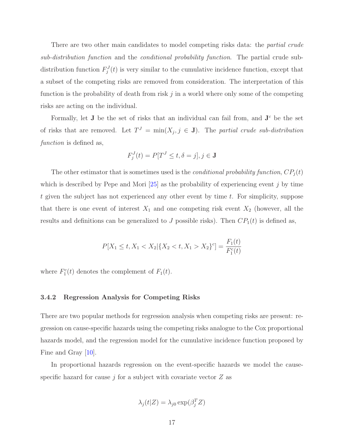There are two other main candidates to model competing risks data: the *partial crude* sub-distribution function and the conditional probability function. The partial crude subdistribution function  $F_j^J(t)$  is very similar to the cumulative incidence function, except that a subset of the competing risks are removed from consideration. The interpretation of this function is the probability of death from risk  $j$  in a world where only some of the competing risks are acting on the individual.

Formally, let  $J$  be the set of risks that an individual can fail from, and  $J<sup>c</sup>$  be the set of risks that are removed. Let  $T<sup>J</sup> = min(X<sub>j</sub>, j \in J)$ . The partial crude sub-distribution function is defined as,

$$
F_j^J(t) = P[T^J \le t, \delta = j], j \in \mathbf{J}
$$

The other estimator that is sometimes used is the *conditional probability function*,  $CP<sub>j</sub>(t)$ which is described by Pepe and Mori  $[25]$  as the probability of experiencing event j by time t given the subject has not experienced any other event by time  $t$ . For simplicity, suppose that there is one event of interest  $X_1$  and one competing risk event  $X_2$  (however, all the results and definitions can be generalized to J possible risks). Then  $CP<sub>1</sub>(t)$  is defined as,

$$
P[X_1 \le t, X_1 < X_2 | \{X_2 < t, X_1 > X_2\}^c] = \frac{F_1(t)}{F_1^c(t)}
$$

<span id="page-24-0"></span>where  $F_1^c(t)$  denotes the complement of  $F_1(t)$ .

#### 3.4.2 Regression Analysis for Competing Risks

There are two popular methods for regression analysis when competing risks are present: regression on cause-specific hazards using the competing risks analogue to the Cox proportional hazards model, and the regression model for the cumulative incidence function proposed by Fine and Gray [\[10\]](#page-179-4).

In proportional hazards regression on the event-specific hazards we model the causespecific hazard for cause  $j$  for a subject with covariate vector  $Z$  as

$$
\lambda_j(t|Z) = \lambda_{j0} \exp(\beta_j^T Z)
$$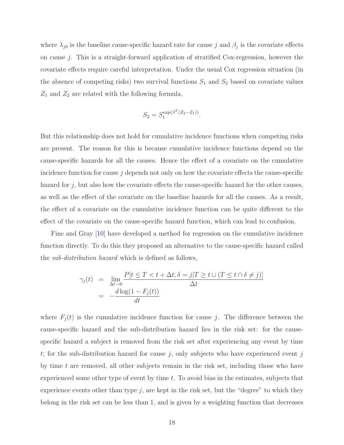where  $\lambda_{j0}$  is the baseline cause-specific hazard rate for cause j and  $\beta_j$  is the covariate effects on cause j. This is a straight-forward application of stratified Cox-regression, however the covariate effects require careful interpretation. Under the usual Cox regression situation (in the absence of competing risks) two survival functions  $S_1$  and  $S_2$  based on covariate values  $Z_1$  and  $Z_2$  are related with the following formula,

$$
S_2 = S_1^{\exp(\beta^T (Z_2 - Z_1))}.
$$

But this relationship does not hold for cumulative incidence functions when competing risks are present. The reason for this is because cumulative incidence functions depend on the cause-specific hazards for all the causes. Hence the effect of a covariate on the cumulative incidence function for cause  $j$  depends not only on how the covariate effects the cause-specific hazard for  $j$ , but also how the covariate effects the cause-specific hazard for the other causes, as well as the effect of the covariate on the baseline hazards for all the causes. As a result, the effect of a covariate on the cumulative incidence function can be quite different to the effect of the covariate on the cause-specific hazard function, which can lead to confusion.

Fine and Gray [\[10\]](#page-179-4) have developed a method for regression on the cumulative incidence function directly. To do this they proposed an alternative to the cause-specific hazard called the sub-distribution hazard which is defined as follows,

$$
\gamma_j(t) = \lim_{\Delta t \to 0} \frac{P[t \le T < t + \Delta t, \delta = j | T \ge t \cup (T \le t \cap \delta \ne j)]}{\Delta t}
$$
\n
$$
= -\frac{d \log(1 - F_j(t))}{dt}
$$

where  $F_j(t)$  is the cumulative incidence function for cause j. The difference between the cause-specific hazard and the sub-distribution hazard lies in the risk set: for the causespecific hazard a subject is removed from the risk set after experiencing any event by time t; for the sub-distribution hazard for cause  $j$ , only subjects who have experienced event  $j$ by time t are removed, all other subjects remain in the risk set, including those who have experienced some other type of event by time  $t$ . To avoid bias in the estimates, subjects that experience events other than type  $j$ , are kept in the risk set, but the "degree" to which they belong in the risk set can be less than 1, and is given by a weighting function that decreases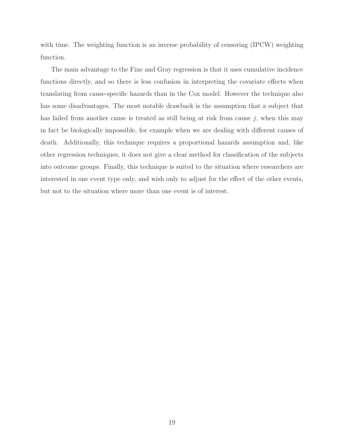with time. The weighting function is an inverse probability of censoring (IPCW) weighting function.

The main advantage to the Fine and Gray regression is that it uses cumulative incidence functions directly, and so there is less confusion in interpreting the covariate effects when translating from cause-specific hazards than in the Cox model. However the technique also has some disadvantages. The most notable drawback is the assumption that a subject that has failed from another cause is treated as still being at risk from cause  $j$ , when this may in fact be biologically impossible, for example when we are dealing with different causes of death. Additionally, this technique requires a proportional hazards assumption and, like other regression techniques, it does not give a clear method for classification of the subjects into outcome groups. Finally, this technique is suited to the situation where researchers are interested in one event type only, and wish only to adjust for the effect of the other events, but not to the situation where more than one event is of interest.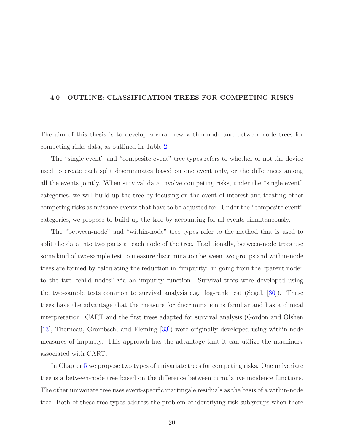#### <span id="page-27-0"></span>4.0 OUTLINE: CLASSIFICATION TREES FOR COMPETING RISKS

The aim of this thesis is to develop several new within-node and between-node trees for competing risks data, as outlined in Table [2.](#page-28-0)

The "single event" and "composite event" tree types refers to whether or not the device used to create each split discriminates based on one event only, or the differences among all the events jointly. When survival data involve competing risks, under the "single event" categories, we will build up the tree by focusing on the event of interest and treating other competing risks as nuisance events that have to be adjusted for. Under the "composite event" categories, we propose to build up the tree by accounting for all events simultaneously.

The "between-node" and "within-node" tree types refer to the method that is used to split the data into two parts at each node of the tree. Traditionally, between-node trees use some kind of two-sample test to measure discrimination between two groups and within-node trees are formed by calculating the reduction in "impurity" in going from the "parent node" to the two "child nodes" via an impurity function. Survival trees were developed using the two-sample tests common to survival analysis e.g. log-rank test (Segal, [\[30\]](#page-180-2)). These trees have the advantage that the measure for discrimination is familiar and has a clinical interpretation. CART and the first trees adapted for survival analysis (Gordon and Olshen [\[13\]](#page-179-7), Therneau, Grambsch, and Fleming [\[33\]](#page-180-1)) were originally developed using within-node measures of impurity. This approach has the advantage that it can utilize the machinery associated with CART.

In Chapter [5](#page-29-0) we propose two types of univariate trees for competing risks. One univariate tree is a between-node tree based on the difference between cumulative incidence functions. The other univariate tree uses event-specific martingale residuals as the basis of a within-node tree. Both of these tree types address the problem of identifying risk subgroups when there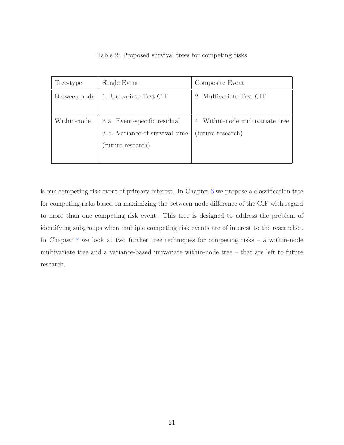| Tree-type    | Single Event                                                                        | Composite Event                                       |  |  |  |
|--------------|-------------------------------------------------------------------------------------|-------------------------------------------------------|--|--|--|
| Between-node | 1. Univariate Test CIF                                                              | 2. Multivariate Test CIF                              |  |  |  |
| Within-node  | 3 a. Event-specific residual<br>3 b. Variance of survival time<br>(future research) | 4. Within-node multivariate tree<br>(future research) |  |  |  |

<span id="page-28-0"></span>Table 2: Proposed survival trees for competing risks

is one competing risk event of primary interest. In Chapter [6](#page-59-0) we propose a classification tree for competing risks based on maximizing the between-node difference of the CIF with regard to more than one competing risk event. This tree is designed to address the problem of identifying subgroups when multiple competing risk events are of interest to the researcher. In Chapter [7](#page-98-0) we look at two further tree techniques for competing risks – a within-node multivariate tree and a variance-based univariate within-node tree – that are left to future research.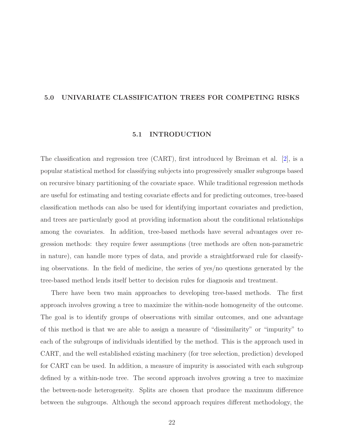#### <span id="page-29-1"></span><span id="page-29-0"></span>5.0 UNIVARIATE CLASSIFICATION TREES FOR COMPETING RISKS

#### 5.1 INTRODUCTION

The classification and regression tree (CART), first introduced by Breiman et al. [\[2\]](#page-178-1), is a popular statistical method for classifying subjects into progressively smaller subgroups based on recursive binary partitioning of the covariate space. While traditional regression methods are useful for estimating and testing covariate effects and for predicting outcomes, tree-based classification methods can also be used for identifying important covariates and prediction, and trees are particularly good at providing information about the conditional relationships among the covariates. In addition, tree-based methods have several advantages over regression methods: they require fewer assumptions (tree methods are often non-parametric in nature), can handle more types of data, and provide a straightforward rule for classifying observations. In the field of medicine, the series of yes/no questions generated by the tree-based method lends itself better to decision rules for diagnosis and treatment.

There have been two main approaches to developing tree-based methods. The first approach involves growing a tree to maximize the within-node homogeneity of the outcome. The goal is to identify groups of observations with similar outcomes, and one advantage of this method is that we are able to assign a measure of "dissimilarity" or "impurity" to each of the subgroups of individuals identified by the method. This is the approach used in CART, and the well established existing machinery (for tree selection, prediction) developed for CART can be used. In addition, a measure of impurity is associated with each subgroup defined by a within-node tree. The second approach involves growing a tree to maximize the between-node heterogeneity. Splits are chosen that produce the maximum difference between the subgroups. Although the second approach requires different methodology, the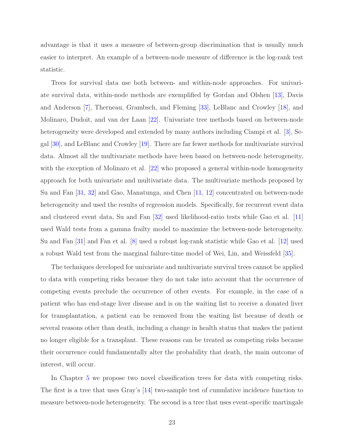advantage is that it uses a measure of between-group discrimination that is usually much easier to interpret. An example of a between-node measure of difference is the log-rank test statistic.

Trees for survival data use both between- and within-node approaches. For univariate survival data, within-node methods are exemplified by Gordan and Olshen [\[13\]](#page-179-7), Davis and Anderson [\[7\]](#page-178-5), Therneau, Grambsch, and Fleming [\[33\]](#page-180-1), LeBlanc and Crowley [\[18\]](#page-179-9), and Molinaro, Dudoit, and van der Laan [\[22\]](#page-179-8). Univariate tree methods based on between-node heterogeneity were developed and extended by many authors including Ciampi et al. [\[3\]](#page-178-8), Segal [\[30\]](#page-180-2), and LeBlanc and Crowley [\[19\]](#page-179-11). There are far fewer methods for multivariate survival data. Almost all the multivariate methods have been based on between-node heterogeneity, with the exception of Molinaro et al. [\[22\]](#page-179-8) who proposed a general within-node homogeneity approach for both univariate and multivariate data. The multivariate methods proposed by Su and Fan [\[31,](#page-180-4) [32\]](#page-180-3) and Gao, Manatunga, and Chen [\[11,](#page-179-12) [12\]](#page-179-13) concentrated on between-node heterogeneity and used the results of regression models. Specifically, for recurrent event data and clustered event data, Su and Fan [\[32\]](#page-180-3) used likelihood-ratio tests while Gao et al. [\[11\]](#page-179-12) used Wald tests from a gamma frailty model to maximize the between-node heterogeneity. Su and Fan [\[31\]](#page-180-4) and Fan et al. [\[8\]](#page-178-7) used a robust log-rank statistic while Gao et al. [\[12\]](#page-179-13) used a robust Wald test from the marginal failure-time model of Wei, Lin, and Weissfeld [\[35\]](#page-180-7).

The techniques developed for univariate and multivariate survival trees cannot be applied to data with competing risks because they do not take into account that the occurrence of competing events preclude the occurrence of other events. For example, in the case of a patient who has end-stage liver disease and is on the waiting list to receive a donated liver for transplantation, a patient can be removed from the waiting list because of death or several reasons other than death, including a change in health status that makes the patient no longer eligible for a transplant. These reasons can be treated as competing risks because their occurrence could fundamentally alter the probability that death, the main outcome of interest, will occur.

In Chapter [5](#page-29-0) we propose two novel classification trees for data with competing risks. The first is a tree that uses Gray's [\[14\]](#page-179-3) two-sample test of cumulative incidence function to measure between-node heterogeneity. The second is a tree that uses event-specific martingale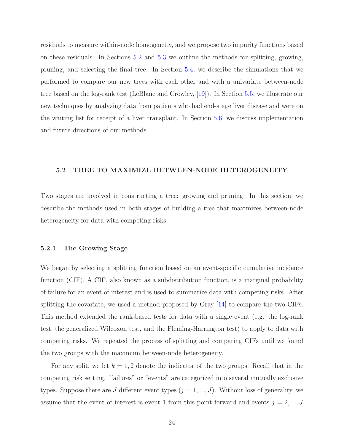residuals to measure within-node homogeneity, and we propose two impurity functions based on these residuals. In Sections [5.2](#page-31-0) and [5.3](#page-37-0) we outline the methods for splitting, growing, pruning, and selecting the final tree. In Section [5.4,](#page-40-0) we describe the simulations that we performed to compare our new trees with each other and with a univariate between-node tree based on the log-rank test (LeBlanc and Crowley, [\[19\]](#page-179-11)). In Section [5.5,](#page-48-0) we illustrate our new techniques by analyzing data from patients who had end-stage liver disease and were on the waiting list for receipt of a liver transplant. In Section [5.6,](#page-52-0) we discuss implementation and future directions of our methods.

#### <span id="page-31-0"></span>5.2 TREE TO MAXIMIZE BETWEEN-NODE HETEROGENEITY

Two stages are involved in constructing a tree: growing and pruning. In this section, we describe the methods used in both stages of building a tree that maximizes between-node heterogeneity for data with competing risks.

#### <span id="page-31-1"></span>5.2.1 The Growing Stage

We began by selecting a splitting function based on an event-specific cumulative incidence function (CIF). A CIF, also known as a subdistribution function, is a marginal probability of failure for an event of interest and is used to summarize data with competing risks. After splitting the covariate, we used a method proposed by Gray [\[14\]](#page-179-3) to compare the two CIFs. This method extended the rank-based tests for data with a single event (e.g. the log-rank test, the generalized Wilcoxon test, and the Fleming-Harrington test) to apply to data with competing risks. We repeated the process of splitting and comparing CIFs until we found the two groups with the maximum between-node heterogeneity.

For any split, we let  $k = 1, 2$  denote the indicator of the two groups. Recall that in the competing risk setting, "failures" or "events" are categorized into several mutually exclusive types. Suppose there are J different event types  $(j = 1, ..., J)$ . Without loss of generality, we assume that the event of interest is event 1 from this point forward and events  $j = 2, ..., J$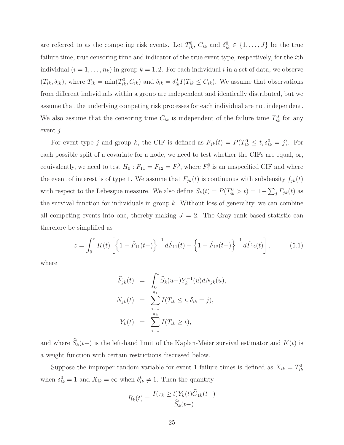are referred to as the competing risk events. Let  $T_{ik}^0$ ,  $C_{ik}$  and  $\delta_{ik}^0 \in \{1, \ldots, J\}$  be the true failure time, true censoring time and indicator of the true event type, respectively, for the *i*th individual  $(i = 1, \ldots, n_k)$  in group  $k = 1, 2$ . For each individual i in a set of data, we observe  $(T_{ik}, \delta_{ik})$ , where  $T_{ik} = \min(T_{ik}^0, C_{ik})$  and  $\delta_{ik} = \delta_{ik}^0 I(T_{ik} \leq C_{ik})$ . We assume that observations from different individuals within a group are independent and identically distributed, but we assume that the underlying competing risk processes for each individual are not independent. We also assume that the censoring time  $C_{ik}$  is independent of the failure time  $T_{ik}^0$  for any event j.

For event type j and group k, the CIF is defined as  $F_{jk}(t) = P(T_{ik}^0 \le t, \delta_{ik}^0 = j)$ . For each possible split of a covariate for a node, we need to test whether the CIFs are equal, or, equivalently, we need to test  $H_0: F_{11} = F_{12} = F_1^0$ , where  $F_1^0$  is an unspecified CIF and where the event of interest is of type 1. We assume that  $F_{jk}(t)$  is continuous with subdensity  $f_{jk}(t)$ with respect to the Lebesgue measure. We also define  $S_k(t) = P(T_{ik}^0 > t) = 1 - \sum_j F_{jk}(t)$  as the survival function for individuals in group  $k$ . Without loss of generality, we can combine all competing events into one, thereby making  $J = 2$ . The Gray rank-based statistic can therefore be simplified as

<span id="page-32-0"></span>
$$
z = \int_0^{\tau} K(t) \left[ \left\{ 1 - \hat{F}_{11}(t-) \right\}^{-1} d\hat{F}_{11}(t) - \left\{ 1 - \hat{F}_{12}(t-) \right\}^{-1} d\hat{F}_{12}(t) \right],
$$
 (5.1)

where

$$
\widehat{F}_{jk}(t) = \int_0^t \widehat{S}_k(u-) Y_k^{-1}(u) dN_{jk}(u),
$$
  
\n
$$
N_{jk}(t) = \sum_{i=1}^{n_k} I(T_{ik} \le t, \delta_{ik} = j),
$$
  
\n
$$
Y_k(t) = \sum_{i=1}^{n_k} I(T_{ik} \ge t),
$$

and where  $\widehat{S}_k(t-)$  is the left-hand limit of the Kaplan-Meier survival estimator and  $K(t)$  is a weight function with certain restrictions discussed below.

Suppose the improper random variable for event 1 failure times is defined as  $X_{ik} = T_{ik}^0$ when  $\delta_{ik}^0 = 1$  and  $X_{ik} = \infty$  when  $\delta_{ik}^0 \neq 1$ . Then the quantity

$$
R_k(t) = \frac{I(\tau_k \ge t)Y_k(t)\dot{G}_{1k}(t-)}{\hat{S}_k(t-)}
$$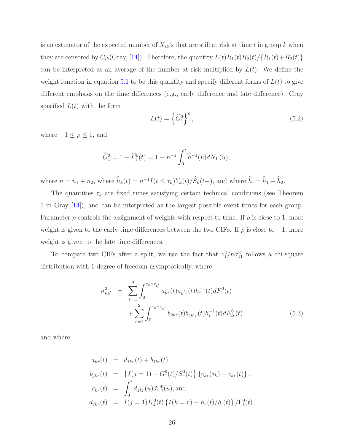is an estimator of the expected number of  $X_{ik}$ 's that are still at risk at time t in group k when they are censored by  $C_{ik}$ (Gray, [\[14\]](#page-179-3)). Therefore, the quantity  $L(t)R_1(t)R_2(t)/\{R_1(t)+R_2(t)\}$ can be interpreted as an average of the number at risk multiplied by  $L(t)$ . We define the weight function in equation [5.1](#page-32-0) to be this quantity and specify different forms of  $L(t)$  to give different emphasis on the time differences (e.g., early difference and late difference). Gray specified  $L(t)$  with the form

$$
L(t) = \left\{\widehat{G}_1^0\right\}^\rho,\tag{5.2}
$$

where  $-1 \leq \rho \leq 1$ , and

$$
\widehat{G}_1^0 = 1 - \widehat{F}_1^0(t) = 1 - n^{-1} \int_0^t \widehat{h}_1^{-1}(u) dN_{1}(u),
$$

where  $n = n_1 + n_2$ , where  $\hat{h}_k(t) = n^{-1}I(t \leq \tau_k)Y_k(t)/\hat{S}_k(t-)$ , and where  $\hat{h}_k = \hat{h}_1 + \hat{h}_2$ .

The quantities  $\tau_k$  are fixed times satisfying certain technical conditions (see Theorem 1 in Gray [\[14\]](#page-179-3)), and can be interpreted as the largest possible event times for each group. Parameter  $\rho$  controls the assignment of weights with respect to time. If  $\rho$  is close to 1, more weight is given to the early time differences between the two CIFs. If  $\rho$  is close to  $-1$ , more weight is given to the late time differences.

To compare two CIFs after a split, we use the fact that  $z_1^2/n\sigma_{11}^2$  follows a chi-square distribution with 1 degree of freedom asymptotically, where

$$
\sigma_{kk'}^2 = \sum_{r=1}^2 \int_0^{\tau_k \wedge \tau_{k'}} a_{kr}(t) a_{k'r}(t) h_r^{-1}(t) dF_1^0(t)
$$
  
+ 
$$
\sum_{r=1}^2 \int_0^{\tau_k \wedge \tau_{k'}} b_{2kr}(t) b_{2k'r}(t) h_r^{-1}(t) dF_{2r}^0(t)
$$
(5.3)

and where

$$
a_{kr}(t) = d_{1kr}(t) + b_{1kr}(t),
$$
  
\n
$$
b_{jkr}(t) = \{I(j = 1) - G_1^0(t)/S_r^0(t)\} \{c_{kr}(\tau_k) - c_{kr}(t)\},
$$
  
\n
$$
c_{kr}(t) = \int_0^t d_{1kr}(u) d\Gamma_1^0(u),
$$
 and  
\n
$$
d_{jkr}(t) = I(j = 1)K_k^0(t) \{I(k = r) - h_r(t)/h_r(t)\} / \Gamma_1^0(t).
$$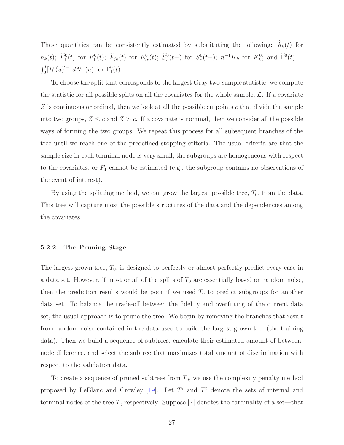These quantities can be consistently estimated by substituting the following:  $\hat{h}_k(t)$  for  $h_k(t)$ ;  $\hat{F}_1^0(t)$  for  $F_1^0(t)$ ;  $\hat{F}_{jk}(t)$  for  $F_{2r}^0(t)$ ;  $\hat{S}_r^0(t-)$  for  $S_r^0(t-)$ ;  $n^{-1}K_k$  for  $K_k^0$ ; and  $\hat{\Gamma}_1^0(t)$  =  $\int_0^t [R_\cdot(u)]^{-1} dN_1(u)$  for  $\Gamma_1^0(t)$ .

To choose the split that corresponds to the largest Gray two-sample statistic, we compute the statistic for all possible splits on all the covariates for the whole sample,  $\mathcal{L}$ . If a covariate  $Z$  is continuous or ordinal, then we look at all the possible cutpoints  $c$  that divide the sample into two groups,  $Z \leq c$  and  $Z > c$ . If a covariate is nominal, then we consider all the possible ways of forming the two groups. We repeat this process for all subsequent branches of the tree until we reach one of the predefined stopping criteria. The usual criteria are that the sample size in each terminal node is very small, the subgroups are homogeneous with respect to the covariates, or  $F_1$  cannot be estimated (e.g., the subgroup contains no observations of the event of interest).

By using the splitting method, we can grow the largest possible tree,  $T_0$ , from the data. This tree will capture most the possible structures of the data and the dependencies among the covariates.

#### <span id="page-34-0"></span>5.2.2 The Pruning Stage

The largest grown tree,  $T_0$ , is designed to perfectly or almost perfectly predict every case in a data set. However, if most or all of the splits of  $T_0$  are essentially based on random noise, then the prediction results would be poor if we used  $T_0$  to predict subgroups for another data set. To balance the trade-off between the fidelity and overfitting of the current data set, the usual approach is to prune the tree. We begin by removing the branches that result from random noise contained in the data used to build the largest grown tree (the training data). Then we build a sequence of subtrees, calculate their estimated amount of betweennode difference, and select the subtree that maximizes total amount of discrimination with respect to the validation data.

To create a sequence of pruned subtrees from  $T_0$ , we use the complexity penalty method proposed by LeBlanc and Crowley [\[19\]](#page-179-11). Let  $T<sup>i</sup>$  and  $T<sup>t</sup>$  denote the sets of internal and terminal nodes of the tree T, respectively. Suppose  $|\cdot|$  denotes the cardinality of a set—that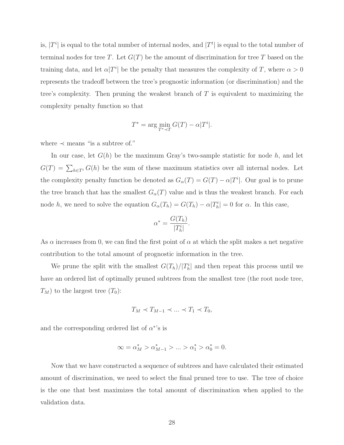is,  $|T^i|$  is equal to the total number of internal nodes, and  $|T^t|$  is equal to the total number of terminal nodes for tree T. Let  $G(T)$  be the amount of discrimination for tree T based on the training data, and let  $\alpha|T^i|$  be the penalty that measures the complexity of T, where  $\alpha > 0$ represents the tradeoff between the tree's prognostic information (or discrimination) and the tree's complexity. Then pruning the weakest branch of  $T$  is equivalent to maximizing the complexity penalty function so that

$$
T^* = \arg\min_{T^* \prec T} G(T) - \alpha |T^i|.
$$

where  $\prec$  means "is a subtree of."

In our case, let  $G(h)$  be the maximum Gray's two-sample statistic for node h, and let  $G(T) = \sum_{h \in T^i} G(h)$  be the sum of these maximum statistics over all internal nodes. Let the complexity penalty function be denoted as  $G_{\alpha}(T) = G(T) - \alpha |T^{i}|$ . Our goal is to prune the tree branch that has the smallest  $G_{\alpha}(T)$  value and is thus the weakest branch. For each node h, we need to solve the equation  $G_{\alpha}(T_h) = G(T_h) - \alpha |T_h^i| = 0$  for  $\alpha$ . In this case,

$$
\alpha^* = \frac{G(T_h)}{|T_h^i|}.
$$

As  $\alpha$  increases from 0, we can find the first point of  $\alpha$  at which the split makes a net negative contribution to the total amount of prognostic information in the tree.

We prune the split with the smallest  $G(T_h)/|T_h^i|$  and then repeat this process until we have an ordered list of optimally pruned subtrees from the smallest tree (the root node tree,  $T_M$ ) to the largest tree  $(T_0)$ :

$$
T_M \prec T_{M-1} \prec \ldots \prec T_1 \prec T_0,
$$

and the corresponding ordered list of  $\alpha^*$ 's is

$$
\infty = \alpha_M^* > \alpha_{M-1}^* > \dots > \alpha_1^* > \alpha_0^* = 0.
$$

Now that we have constructed a sequence of subtrees and have calculated their estimated amount of discrimination, we need to select the final pruned tree to use. The tree of choice is the one that best maximizes the total amount of discrimination when applied to the validation data.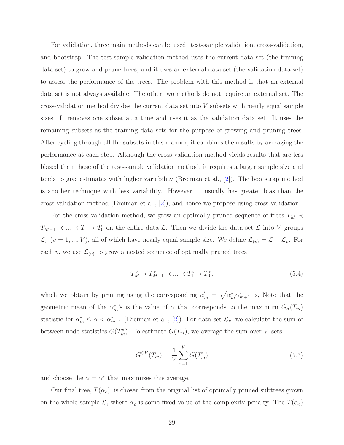For validation, three main methods can be used: test-sample validation, cross-validation, and bootstrap. The test-sample validation method uses the current data set (the training data set) to grow and prune trees, and it uses an external data set (the validation data set) to assess the performance of the trees. The problem with this method is that an external data set is not always available. The other two methods do not require an external set. The cross-validation method divides the current data set into V subsets with nearly equal sample sizes. It removes one subset at a time and uses it as the validation data set. It uses the remaining subsets as the training data sets for the purpose of growing and pruning trees. After cycling through all the subsets in this manner, it combines the results by averaging the performance at each step. Although the cross-validation method yields results that are less biased than those of the test-sample validation method, it requires a larger sample size and tends to give estimates with higher variability (Breiman et al., [\[2\]](#page-178-0)). The bootstrap method is another technique with less variability. However, it usually has greater bias than the cross-validation method (Breiman et al., [\[2\]](#page-178-0)), and hence we propose using cross-validation.

For the cross-validation method, we grow an optimally pruned sequence of trees  $T_M \prec$  $T_{M-1} \prec ... \prec T_1 \prec T_0$  on the entire data  $\mathcal{L}$ . Then we divide the data set  $\mathcal{L}$  into V groups  $\mathcal{L}_v$  ( $v = 1,...,V$ ), all of which have nearly equal sample size. We define  $\mathcal{L}_{(v)} = \mathcal{L} - \mathcal{L}_v$ . For each v, we use  $\mathcal{L}_{(v)}$  to grow a nested sequence of optimally pruned trees

$$
T_M^v \prec T_{M-1}^v \prec \dots \prec T_1^v \prec T_0^v,\tag{5.4}
$$

which we obtain by pruning using the corresponding  $\alpha'_m = \sqrt{\alpha_m^* \alpha_{m+1}^*}$  's, Note that the geometric mean of the  $\alpha_m^*$ 's is the value of  $\alpha$  that corresponds to the maximum  $G_{\alpha}(T_m)$ statistic for  $\alpha_m^* \leq \alpha < \alpha_{m+1}^*$  (Breiman et al., [\[2\]](#page-178-0)). For data set  $\mathcal{L}_v$ , we calculate the sum of between-node statistics  $G(T_m^v)$ . To estimate  $G(T_m)$ , we average the sum over V sets

$$
G^{CV}(T_m) = \frac{1}{V} \sum_{v=1}^{V} G(T_m^v)
$$
\n(5.5)

and choose the  $\alpha = \alpha^*$  that maximizes this average.

Our final tree,  $T(\alpha_c)$ , is chosen from the original list of optimally pruned subtrees grown on the whole sample  $\mathcal{L}$ , where  $\alpha_c$  is some fixed value of the complexity penalty. The  $T(\alpha_c)$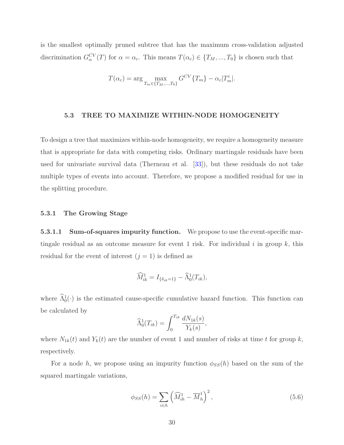is the smallest optimally pruned subtree that has the maximum cross-validation adjusted discrimination  $G_{\alpha}^{CV}(T)$  for  $\alpha = \alpha_c$ . This means  $T(\alpha_c) \in \{T_M, ..., T_0\}$  is chosen such that

$$
T(\alpha_c) = \arg \max_{T_m \in \{T_M, ..., T_0\}} G^{CV} \{T_m\} - \alpha_c |T_m^i|.
$$

#### 5.3 TREE TO MAXIMIZE WITHIN-NODE HOMOGENEITY

To design a tree that maximizes within-node homogeneity, we require a homogeneity measure that is appropriate for data with competing risks. Ordinary martingale residuals have been used for univariate survival data (Therneau et al. [\[33\]](#page-180-0)), but these residuals do not take multiple types of events into account. Therefore, we propose a modified residual for use in the splitting procedure.

#### 5.3.1 The Growing Stage

5.3.1.1 Sum-of-squares impurity function. We propose to use the event-specific martingale residual as an outcome measure for event 1 risk. For individual i in group  $k$ , this residual for the event of interest  $(j = 1)$  is defined as

$$
\widehat{M}_{ik}^1 = I_{\{\delta_{ik}=1\}} - \widehat{\Lambda}_0^1(T_{ik}),
$$

where  $\hat{\Lambda}^1_0(\cdot)$  is the estimated cause-specific cumulative hazard function. This function can be calculated by

$$
\widehat{\Lambda}_0^1(T_{ik}) = \int_0^{T_{ik}} \frac{dN_{1k}(s)}{Y_k(s)},
$$

where  $N_{1k}(t)$  and  $Y_k(t)$  are the number of event 1 and number of risks at time t for group k, respectively.

For a node h, we propose using an impurity function  $\phi_{SS}(h)$  based on the sum of the squared martingale variations,

$$
\phi_{SS}(h) = \sum_{i \in h} \left( \widehat{M}_{ih}^1 - \overline{M}_h^1 \right)^2, \tag{5.6}
$$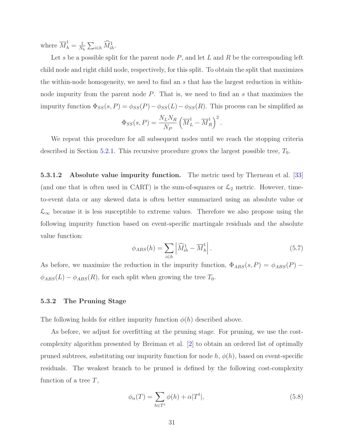where  $\overline{M}_h^1 = \frac{1}{N}$  $\frac{1}{N_h}\sum_{i\in h}\widehat{M}_{ih}^1.$ 

Let s be a possible split for the parent node  $P$ , and let  $L$  and  $R$  be the corresponding left child node and right child node, respectively, for this split. To obtain the split that maximizes the within-node homogeneity, we need to find an s that has the largest reduction in withinnode impurity from the parent node  $P$ . That is, we need to find an s that maximizes the impurity function  $\Phi_{SS}(s, P) = \phi_{SS}(P) - \phi_{SS}(L) - \phi_{SS}(R)$ . This process can be simplified as

$$
\Phi_{SS}(s, P) = \frac{N_L N_R}{N_P} \left( \overline{M}_L^1 - \overline{M}_R^1 \right)^2.
$$

We repeat this procedure for all subsequent nodes until we reach the stopping criteria described in Section [5.2.1.](#page-31-0) This recursive procedure grows the largest possible tree,  $T_0$ .

5.3.1.2 Absolute value impurity function. The metric used by Therneau et al. [\[33\]](#page-180-0) (and one that is often used in CART) is the sum-of-squares or  $\mathcal{L}_2$  metric. However, timeto-event data or any skewed data is often better summarized using an absolute value or  $\mathcal{L}_{\infty}$  because it is less susceptible to extreme values. Therefore we also propose using the following impurity function based on event-specific martingale residuals and the absolute value function:

$$
\phi_{ABS}(h) = \sum_{i \in h} \left| \widehat{M}_{ih}^1 - \overline{M}_h^1 \right|.
$$
\n(5.7)

As before, we maximize the reduction in the impurity function,  $\Phi_{ABS}(s,P) = \phi_{ABS}(P)$  –  $\phi_{ABS}(L) - \phi_{ABS}(R)$ , for each split when growing the tree  $T_0$ .

# 5.3.2 The Pruning Stage

The following holds for either impurity function  $\phi(h)$  described above.

As before, we adjust for overfitting at the pruning stage. For pruning, we use the costcomplexity algorithm presented by Breiman et al. [\[2\]](#page-178-0) to obtain an ordered list of optimally pruned subtrees, substituting our impurity function for node  $h, \phi(h)$ , based on event-specific residuals. The weakest branch to be pruned is defined by the following cost-complexity function of a tree  $T$ ,

<span id="page-38-0"></span>
$$
\phi_{\alpha}(T) = \sum_{h \in T^t} \phi(h) + \alpha |T^t|,\tag{5.8}
$$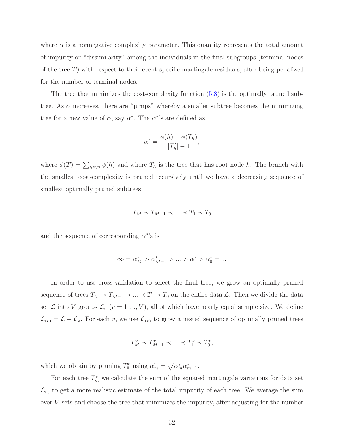where  $\alpha$  is a nonnegative complexity parameter. This quantity represents the total amount of impurity or "dissimilarity" among the individuals in the final subgroups (terminal nodes of the tree T) with respect to their event-specific martingale residuals, after being penalized for the number of terminal nodes.

The tree that minimizes the cost-complexity function [\(5.8\)](#page-38-0) is the optimally pruned subtree. As  $\alpha$  increases, there are "jumps" whereby a smaller subtree becomes the minimizing tree for a new value of  $\alpha$ , say  $\alpha^*$ . The  $\alpha^*$ 's are defined as

$$
\alpha^* = \frac{\phi(h) - \phi(T_h)}{|T_h^t| - 1},
$$

where  $\phi(T) = \sum_{h \in T^t} \phi(h)$  and where  $T_h$  is the tree that has root node h. The branch with the smallest cost-complexity is pruned recursively until we have a decreasing sequence of smallest optimally pruned subtrees

$$
T_M \prec T_{M-1} \prec \dots \prec T_1 \prec T_0
$$

and the sequence of corresponding  $\alpha^*$ 's is

$$
\infty = \alpha_M^* > \alpha_{M-1}^* > \ldots > \alpha_1^* > \alpha_0^* = 0.
$$

In order to use cross-validation to select the final tree, we grow an optimally pruned sequence of trees  $T_M \prec T_{M-1} \prec ... \prec T_1 \prec T_0$  on the entire data  $\mathcal{L}$ . Then we divide the data set  $\mathcal L$  into V groups  $\mathcal L_v$   $(v = 1, ..., V)$ , all of which have nearly equal sample size. We define  $\mathcal{L}_{(v)} = \mathcal{L} - \mathcal{L}_v$ . For each v, we use  $\mathcal{L}_{(v)}$  to grow a nested sequence of optimally pruned trees

$$
T^v_M\prec T^v_{M-1}\prec\ldots\prec T^v_1\prec T^v_0,
$$

which we obtain by pruning  $T_0^v$  using  $\alpha'_m = \sqrt{\alpha_m^* \alpha_{m+1}^*}$ .

For each tree  $T_m^v$  we calculate the sum of the squared martingale variations for data set  $\mathcal{L}_v$ , to get a more realistic estimate of the total impurity of each tree. We average the sum over V sets and choose the tree that minimizes the impurity, after adjusting for the number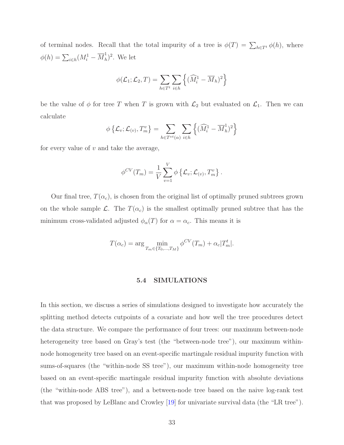of terminal nodes. Recall that the total impurity of a tree is  $\phi(T) = \sum_{h \in T^t} \phi(h)$ , where  $\phi(h) = \sum_{i \in h} (M_i^1 - \overline{M}_h^1)$  $\binom{n}{h}^2$ . We let

$$
\phi(\mathcal{L}_1; \mathcal{L}_2, T) = \sum_{h \in T^t} \sum_{i \in h} \left\{ (\widehat{M}_i^1 - \overline{M}_h)^2 \right\}
$$

be the value of  $\phi$  for tree T when T is grown with  $\mathcal{L}_2$  but evaluated on  $\mathcal{L}_1$ . Then we can calculate

$$
\phi\left\{\mathcal{L}_v; \mathcal{L}_{(v)}, T_m^v\right\} = \sum_{h \in T^{vt}(\alpha)} \sum_{i \in h} \left\{ (\widehat{M}_i^1 - \overline{M}_h^1)^2 \right\}
$$

for every value of  $v$  and take the average,

$$
\phi^{CV}(T_m) = \frac{1}{V} \sum_{v=1}^{V} \phi \left\{ \mathcal{L}_v; \mathcal{L}_{(v)}, T_m^v \right\}.
$$

Our final tree,  $T(\alpha_c)$ , is chosen from the original list of optimally pruned subtrees grown on the whole sample L. The  $T(\alpha_c)$  is the smallest optimally pruned subtree that has the minimum cross-validated adjusted  $\phi_{\alpha}(T)$  for  $\alpha = \alpha_c$ . This means it is

$$
T(\alpha_c) = \arg\min_{T_m \in \{T_0, \dots, T_M\}} \phi^{CV}(T_m) + \alpha_c |T_m^t|.
$$

#### 5.4 SIMULATIONS

In this section, we discuss a series of simulations designed to investigate how accurately the splitting method detects cutpoints of a covariate and how well the tree procedures detect the data structure. We compare the performance of four trees: our maximum between-node heterogeneity tree based on Gray's test (the "between-node tree"), our maximum withinnode homogeneity tree based on an event-specific martingale residual impurity function with sums-of-squares (the "within-node SS tree"), our maximum within-node homogeneity tree based on an event-specific martingale residual impurity function with absolute deviations (the "within-node ABS tree"), and a between-node tree based on the naive log-rank test that was proposed by LeBlanc and Crowley [\[19\]](#page-179-0) for univariate survival data (the "LR tree").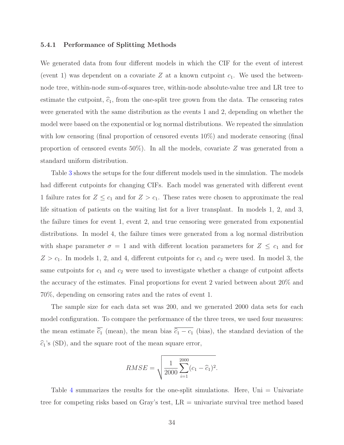#### 5.4.1 Performance of Splitting Methods

We generated data from four different models in which the CIF for the event of interest (event 1) was dependent on a covariate  $Z$  at a known cutpoint  $c_1$ . We used the betweennode tree, within-node sum-of-squares tree, within-node absolute-value tree and LR tree to estimate the cutpoint,  $\hat{c}_1$ , from the one-split tree grown from the data. The censoring rates were generated with the same distribution as the events 1 and 2, depending on whether the model were based on the exponential or log normal distributions. We repeated the simulation with low censoring (final proportion of censored events 10%) and moderate censoring (final proportion of censored events 50%). In all the models, covariate  $Z$  was generated from a standard uniform distribution.

Table [3](#page-42-0) shows the setups for the four different models used in the simulation. The models had different cutpoints for changing CIFs. Each model was generated with different event 1 failure rates for  $Z \leq c_1$  and for  $Z > c_1$ . These rates were chosen to approximate the real life situation of patients on the waiting list for a liver transplant. In models 1, 2, and 3, the failure times for event 1, event 2, and true censoring were generated from exponential distributions. In model 4, the failure times were generated from a log normal distribution with shape parameter  $\sigma = 1$  and with different location parameters for  $Z \leq c_1$  and for  $Z > c_1$ . In models 1, 2, and 4, different cutpoints for  $c_1$  and  $c_2$  were used. In model 3, the same cutpoints for  $c_1$  and  $c_2$  were used to investigate whether a change of cutpoint affects the accuracy of the estimates. Final proportions for event 2 varied between about 20% and 70%, depending on censoring rates and the rates of event 1.

The sample size for each data set was 200, and we generated 2000 data sets for each model configuration. To compare the performance of the three trees, we used four measures: the mean estimate  $\overline{\hat{c}_1}$  (mean), the mean bias  $\overline{\hat{c}_1 - c_1}$  (bias), the standard deviation of the  $\hat{c}_1$ 's (SD), and the square root of the mean square error,

$$
RMSE = \sqrt{\frac{1}{2000} \sum_{i=1}^{2000} (c_1 - \widehat{c}_1)^2}.
$$

Table [4](#page-43-0) summarizes the results for the one-split simulations. Here,  $Uni = Univariate$ tree for competing risks based on Gray's test,  $LR =$  univariate survival tree method based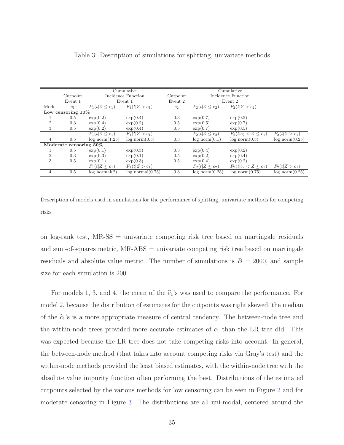|                |                        |                     | Cumulative         |                |                     |                           |                |
|----------------|------------------------|---------------------|--------------------|----------------|---------------------|---------------------------|----------------|
|                | Cutpoint               |                     | Incidence Function | Cutpoint       |                     | Incidence Function        |                |
|                | Event 1                |                     | Event 1            | Event 2        |                     | Event 2                   |                |
| Model          | c <sub>1</sub>         | $F_1(t Z \leq c_1)$ | $F_1(t Z>c_1)$     | c <sub>2</sub> | $F_2(t Z \leq c_2)$ | $F_2(t Z>c_2)$            |                |
|                | Low censoring $10\%$   |                     |                    |                |                     |                           |                |
|                | 0.5                    | $\exp(0.2)$         | $\exp(0.4)$        | 0.3            | $\exp(0.7)$         | $\exp(0.5)$               |                |
| $\overline{2}$ | 0.3                    | $\exp(0.4)$         | $\exp(0.2)$        | 0.5            | $\exp(0.5)$         | $\exp(0.7)$               |                |
| 3              | 0.5                    | $\exp(0.2)$         | $\exp(0.4)$        | 0.5            | $\exp(0.7)$         | $\exp(0.5)$               |                |
|                |                        | $F_1(t Z \leq c_1)$ | $F_1(t Z>c_1)$     |                | $F_2(t Z \leq c_2)$ | $F_2(t c_2 < Z \leq c_1)$ | $F_2(t Z>c_1)$ |
| 4              | 0.5                    | log norm(1.25)      | log norm(0.5)      | 0.3            | log norm(0.1)       | log norm(0.5)             | log norm(0.25) |
|                | Moderate censoring 50% |                     |                    |                |                     |                           |                |
|                | 0.5                    | $\exp(0.1)$         | $\exp(0.3)$        | 0.3            | $\exp(0.4)$         | $\exp(0.2)$               |                |
| $\overline{2}$ | 0.3                    | $\exp(0.3)$         | $\exp(0.1)$        | 0.5            | $\exp(0.2)$         | $\exp(0.4)$               |                |
| 3              | 0.5                    | $\exp(0.1)$         | $\exp(0.3)$        | 0.5            | $\exp(0.4)$         | $\exp(0.2)$               |                |
|                |                        | $F_1(t Z \leq c_1)$ | $F_1(t Z>c_1)$     |                | $F_2(t Z \leq c_2)$ | $F_2(t c_2 < Z \leq c_1)$ | $F_2(t Z>c_1)$ |
| $\overline{4}$ | 0.5                    | lognormal(2)        | lognormal(0.75)    | 0.3            | log norm(0.25)      | log norm(0.75)            | log norm(0.25) |

#### <span id="page-42-0"></span>Table 3: Description of simulations for splitting, univariate methods

Description of models used in simulations for the performance of splitting, univariate methods for competing risks

on log-rank test, MR-SS = univariate competing risk tree based on martingale residuals and sum-of-squares metric, MR-ABS = univariate competing risk tree based on martingale residuals and absolute value metric. The number of simulations is  $B = 2000$ , and sample size for each simulation is 200.

For models 1, 3, and 4, the mean of the  $\hat{c}_1$ 's was used to compare the performance. For model 2, because the distribution of estimates for the cutpoints was right skewed, the median of the  $\hat{c}_1$ 's is a more appropriate measure of central tendency. The between-node tree and the within-node trees provided more accurate estimates of  $c_1$  than the LR tree did. This was expected because the LR tree does not take competing risks into account. In general, the between-node method (that takes into account competing risks via Gray's test) and the within-node methods provided the least biased estimates, with the within-node tree with the absolute value impurity function often performing the best. Distributions of the estimated cutpoints selected by the various methods for low censoring can be seen in Figure [2](#page-45-0) and for moderate censoring in Figure [3.](#page-46-0) The distributions are all uni-modal, centered around the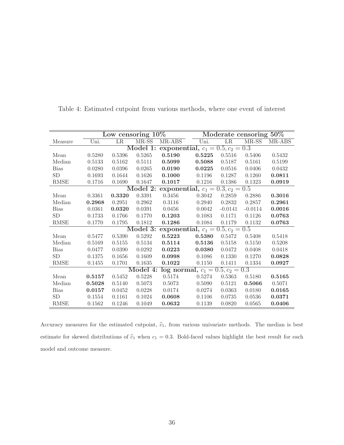|                                                 |        | Low censoring $10\%$ |                           |        |                                                     | Moderate censoring 50% |           |        |  |  |  |
|-------------------------------------------------|--------|----------------------|---------------------------|--------|-----------------------------------------------------|------------------------|-----------|--------|--|--|--|
| Measure                                         | Uni.   | LR                   | $\overline{\text{MR-SS}}$ | MR-ABS | Uni.                                                | LR                     | $MR-SS$   | MR-ABS |  |  |  |
|                                                 |        |                      |                           |        | <b>Model 1: exponential,</b> $c_1 = 0.5, c_2 = 0.3$ |                        |           |        |  |  |  |
| Mean                                            | 0.5280 | 0.5396               | 0.5265                    | 0.5190 | 0.5225                                              | 0.5516                 | 0.5406    | 0.5432 |  |  |  |
| Median                                          | 0.5133 | 0.5162               | 0.5111                    | 0.5099 | 0.5088                                              | 0.5187                 | 0.5161    | 0.5199 |  |  |  |
| <b>Bias</b>                                     | 0.0280 | 0.0396               | 0.0265                    | 0.0190 | 0.0225                                              | 0.0516                 | 0.0406    | 0.0432 |  |  |  |
| SD                                              | 0.1693 | 0.1644               | 0.1626                    | 0.1000 | 0.1196                                              | 0.1287                 | 0.1260    | 0.0811 |  |  |  |
| $\operatorname{RMSE}$                           | 0.1716 | 0.1690               | 0.1647                    | 0.1017 | 0.1216                                              | 0.1386                 | 0.1323    | 0.0919 |  |  |  |
| Model 2:<br>exponential, $c_1 = 0.3, c_2 = 0.5$ |        |                      |                           |        |                                                     |                        |           |        |  |  |  |
| Mean                                            | 0.3361 | 0.3320               | 0.3391                    | 0.3456 | 0.3042                                              | 0.2859                 | 0.2886    | 0.3016 |  |  |  |
| Median                                          | 0.2968 | 0.2951               | 0.2962                    | 0.3116 | 0.2940                                              | 0.2832                 | 0.2857    | 0.2961 |  |  |  |
| <b>Bias</b>                                     | 0.0361 | 0.0320               | 0.0391                    | 0.0456 | 0.0042                                              | $-0.0141$              | $-0.0114$ | 0.0016 |  |  |  |
| SD                                              | 0.1733 | 0.1766               | 0.1770                    | 0.1203 | 0.1083                                              | 0.1171                 | 0.1126    | 0.0763 |  |  |  |
| <b>RMSE</b>                                     | 0.1770 | 0.1795               | 0.1812                    | 0.1286 | 0.1084                                              | 0.1179                 | 0.1132    | 0.0763 |  |  |  |
|                                                 |        |                      | Model 3:                  |        | exponential, $c_1 = 0.5, c_2 = 0.5$                 |                        |           |        |  |  |  |
| Mean                                            | 0.5477 | 0.5390               | 0.5292                    | 0.5223 | 0.5380                                              | 0.5472                 | 0.5408    | 0.5418 |  |  |  |
| Median                                          | 0.5169 | 0.5155               | 0.5134                    | 0.5114 | 0.5136                                              | 0.5158                 | 0.5150    | 0.5208 |  |  |  |
| <b>Bias</b>                                     | 0.0477 | 0.0390               | 0.0292                    | 0.0223 | 0.0380                                              | 0.0472                 | 0.0408    | 0.0418 |  |  |  |
| <b>SD</b>                                       | 0.1375 | 0.1656               | 0.1609                    | 0.0998 | 0.1086                                              | 0.1330                 | 0.1270    | 0.0828 |  |  |  |
| RMSE                                            | 0.1455 | 0.1701               | 0.1635                    | 0.1022 | 0.1150                                              | 0.1411                 | 0.1334    | 0.0927 |  |  |  |
|                                                 |        |                      | Model 4:                  |        | $log$ normal, $c_1 = 0.5, c_2 = 0.3$                |                        |           |        |  |  |  |
| Mean                                            | 0.5157 | 0.5452               | 0.5228                    | 0.5174 | 0.5274                                              | 0.5363                 | 0.5180    | 0.5165 |  |  |  |
| Median                                          | 0.5028 | 0.5140               | 0.5073                    | 0.5073 | 0.5090                                              | 0.5121                 | 0.5066    | 0.5071 |  |  |  |
| <b>Bias</b>                                     | 0.0157 | 0.0452               | 0.0228                    | 0.0174 | 0.0274                                              | 0.0363                 | 0.0180    | 0.0165 |  |  |  |
| <b>SD</b>                                       | 0.1554 | 0.1161               | 0.1024                    | 0.0608 | 0.1106                                              | 0.0735                 | 0.0536    | 0.0371 |  |  |  |
| <b>RMSE</b>                                     | 0.1562 | 0.1246               | 0.1049                    | 0.0632 | 0.1139                                              | 0.0820                 | 0.0565    | 0.0406 |  |  |  |

<span id="page-43-0"></span>Table 4: Estimated cutpoint from various methods, where one event of interest

Accuracy measures for the estimated cutpoint,  $\hat{c}_1$ , from various univariate methods. The median is best estimate for skewed distributions of  $\hat{c}_1$  when  $c_1 = 0.3$ . Bold-faced values highlight the best result for each model and outcome measure.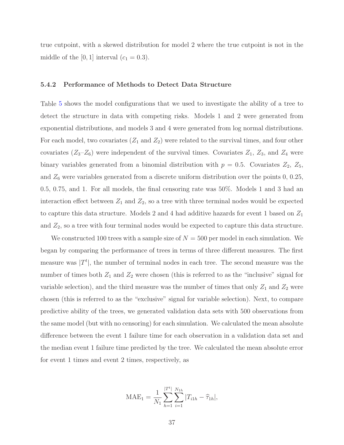true cutpoint, with a skewed distribution for model 2 where the true cutpoint is not in the middle of the  $[0, 1]$  interval  $(c_1 = 0.3)$ .

# 5.4.2 Performance of Methods to Detect Data Structure

Table [5](#page-47-0) shows the model configurations that we used to investigate the ability of a tree to detect the structure in data with competing risks. Models 1 and 2 were generated from exponential distributions, and models 3 and 4 were generated from log normal distributions. For each model, two covariates  $(Z_1 \text{ and } Z_2)$  were related to the survival times, and four other covariates  $(Z_3 - Z_6)$  were independent of the survival times. Covariates  $Z_1$ ,  $Z_3$ , and  $Z_4$  were binary variables generated from a binomial distribution with  $p = 0.5$ . Covariates  $Z_2$ ,  $Z_5$ , and  $Z_6$  were variables generated from a discrete uniform distribution over the points 0, 0.25, 0.5, 0.75, and 1. For all models, the final censoring rate was 50%. Models 1 and 3 had an interaction effect between  $Z_1$  and  $Z_2$ , so a tree with three terminal nodes would be expected to capture this data structure. Models 2 and 4 had additive hazards for event 1 based on  $Z_1$ and  $Z_2$ , so a tree with four terminal nodes would be expected to capture this data structure.

We constructed 100 trees with a sample size of  $N = 500$  per model in each simulation. We began by comparing the performance of trees in terms of three different measures. The first measure was  $|T^t|$ , the number of terminal nodes in each tree. The second measure was the number of times both  $Z_1$  and  $Z_2$  were chosen (this is referred to as the "inclusive" signal for variable selection), and the third measure was the number of times that only  $Z_1$  and  $Z_2$  were chosen (this is referred to as the "exclusive" signal for variable selection). Next, to compare predictive ability of the trees, we generated validation data sets with 500 observations from the same model (but with no censoring) for each simulation. We calculated the mean absolute difference between the event 1 failure time for each observation in a validation data set and the median event 1 failure time predicted by the tree. We calculated the mean absolute error for event 1 times and event 2 times, respectively, as

$$
\text{MAE}_1 = \frac{1}{N_1} \sum_{h=1}^{|T^t|} \sum_{i=1}^{N_{1h}} |T_{i1h} - \hat{\tau}_{1h}|,
$$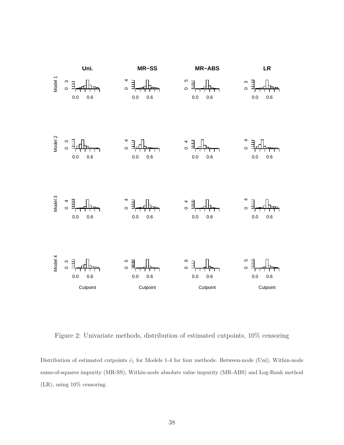

<span id="page-45-0"></span>Figure 2: Univariate methods, distribution of estimated cutpoints, 10% censoring

Distribution of estimated cutpoints  $\hat{c}_1$  for Models 1-4 for four methods: Between-node (Uni), Within-node sums-of-squares impurity (MR-SS), Within-node absolute value impurity (MR-ABS) and Log-Rank method (LR), using 10% censoring.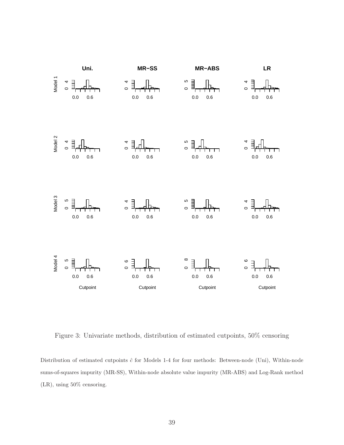

<span id="page-46-0"></span>Figure 3: Univariate methods, distribution of estimated cutpoints, 50% censoring

Distribution of estimated cutpoints  $\hat{c}$  for Models 1-4 for four methods: Between-node (Uni), Within-node sums-of-squares impurity (MR-SS), Within-node absolute value impurity (MR-ABS) and Log-Rank method (LR), using 50% censoring.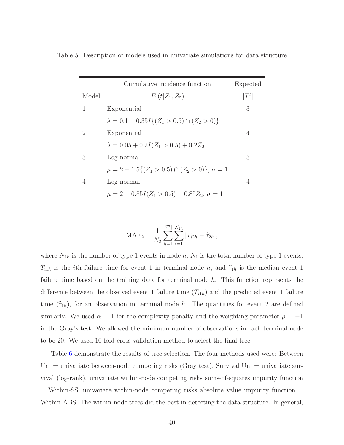|       | Cumulative incidence function                             | Expected         |
|-------|-----------------------------------------------------------|------------------|
| Model | $F_1(t Z_1,Z_2)$                                          | $\vert T^t\vert$ |
| 1     | Exponential                                               | 3                |
|       | $\lambda = 0.1 + 0.35I\{(Z_1 > 0.5) \cap (Z_2 > 0)\}\$    |                  |
| 2     | Exponential                                               | 4                |
|       | $\lambda = 0.05 + 0.2I(Z_1 > 0.5) + 0.2Z_2$               |                  |
| 3     | Log normal                                                | 3                |
|       | $\mu = 2 - 1.5\{(Z_1 > 0.5) \cap (Z_2 > 0)\}, \sigma = 1$ |                  |
| 4     | Log normal                                                | 4                |
|       | $\mu = 2 - 0.85I(Z_1 > 0.5) - 0.85Z_2, \sigma = 1$        |                  |

<span id="page-47-0"></span>Table 5: Description of models used in univariate simulations for data structure

$$
\text{MAE}_2 = \frac{1}{N_2} \sum_{h=1}^{|T^t|} \sum_{i=1}^{N_{2h}} |T_{i2h} - \widehat{\tau}_{2h}|,
$$

where  $N_{1h}$  is the number of type 1 events in node h,  $N_1$  is the total number of type 1 events,  $T_{i1h}$  is the *i*th failure time for event 1 in terminal node h, and  $\hat{\tau}_{1h}$  is the median event 1 failure time based on the training data for terminal node  $h$ . This function represents the difference between the observed event 1 failure time  $(T_{i1h})$  and the predicted event 1 failure time  $(\hat{\tau}_{1h})$ , for an observation in terminal node h. The quantities for event 2 are defined similarly. We used  $\alpha = 1$  for the complexity penalty and the weighting parameter  $\rho = -1$ in the Gray's test. We allowed the minimum number of observations in each terminal node to be 20. We used 10-fold cross-validation method to select the final tree.

Table [6](#page-49-0) demonstrate the results of tree selection. The four methods used were: Between Uni = univariate between-node competing risks (Gray test), Survival Uni = univariate survival (log-rank), univariate within-node competing risks sums-of-squares impurity function  $=$  Within-SS, univariate within-node competing risks absolute value impurity function  $=$ Within-ABS. The within-node trees did the best in detecting the data structure. In general,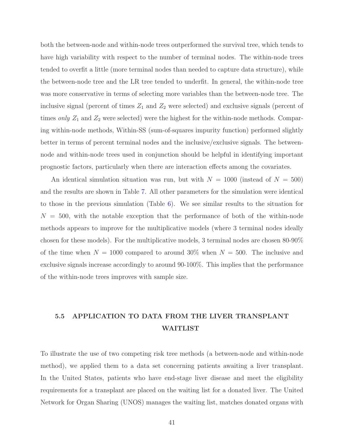both the between-node and within-node trees outperformed the survival tree, which tends to have high variability with respect to the number of terminal nodes. The within-node trees tended to overfit a little (more terminal nodes than needed to capture data structure), while the between-node tree and the LR tree tended to underfit. In general, the within-node tree was more conservative in terms of selecting more variables than the between-node tree. The inclusive signal (percent of times  $Z_1$  and  $Z_2$  were selected) and exclusive signals (percent of times only  $Z_1$  and  $Z_2$  were selected) were the highest for the within-node methods. Comparing within-node methods, Within-SS (sum-of-squares impurity function) performed slightly better in terms of percent terminal nodes and the inclusive/exclusive signals. The betweennode and within-node trees used in conjunction should be helpful in identifying important prognostic factors, particularly when there are interaction effects among the covariates.

An identical simulation situation was run, but with  $N = 1000$  (instead of  $N = 500$ ) and the results are shown in Table [7.](#page-50-0) All other parameters for the simulation were identical to those in the previous simulation (Table [6\)](#page-49-0). We see similar results to the situation for  $N = 500$ , with the notable exception that the performance of both of the within-node methods appears to improve for the multiplicative models (where 3 terminal nodes ideally chosen for these models). For the multiplicative models, 3 terminal nodes are chosen 80-90% of the time when  $N = 1000$  compared to around 30% when  $N = 500$ . The inclusive and exclusive signals increase accordingly to around 90-100%. This implies that the performance of the within-node trees improves with sample size.

# 5.5 APPLICATION TO DATA FROM THE LIVER TRANSPLANT WAITLIST

To illustrate the use of two competing risk tree methods (a between-node and within-node method), we applied them to a data set concerning patients awaiting a liver transplant. In the United States, patients who have end-stage liver disease and meet the eligibility requirements for a transplant are placed on the waiting list for a donated liver. The United Network for Organ Sharing (UNOS) manages the waiting list, matches donated organs with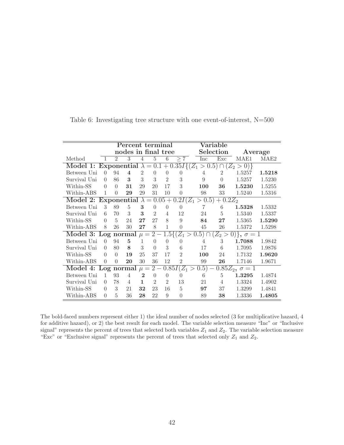|                                                                             |              |                | Percent terminal        |                |                |                |                          |                        | Variable       |                            |        |
|-----------------------------------------------------------------------------|--------------|----------------|-------------------------|----------------|----------------|----------------|--------------------------|------------------------|----------------|----------------------------|--------|
|                                                                             |              |                | nodes in final tree     |                |                |                |                          |                        | Selection      | Average                    |        |
| Method                                                                      |              | $\overline{2}$ | 3                       | $\overline{4}$ | 5              | 6              | $\overline{>7}$          | Inc                    | Exc            | MAE1                       | MAE2   |
| Model 1: Exponential $\lambda = 0.1 + 0.35I\{(Z_1 > 0.5) \cap (Z_2 > 0)\}\$ |              |                |                         |                |                |                |                          |                        |                |                            |        |
| Between Uni                                                                 | $\Omega$     | 94             | $\overline{\mathbf{4}}$ | $\overline{2}$ | $\theta$       | $\theta$       | $\theta$                 | $\overline{4}$         | $\overline{2}$ | 1.5257                     | 1.5218 |
| Survival Uni                                                                | $\Omega$     | 86             | 3                       | 3              | 3              | $\overline{2}$ | 3                        | 9                      | $\Omega$       | 1.5257                     | 1.5230 |
| Within-SS                                                                   | $\Omega$     | $\Omega$       | 31                      | 29             | <b>20</b>      | 17             | 3                        | 100                    | 36             | 1.5230                     | 1.5255 |
| Within-ABS                                                                  | 1            | $\Omega$       | 29                      | 29             | 31             | 10             | $\overline{0}$           | 98                     | $33\,$         | 1.5240                     | 1.5316 |
| Model 2: Exponential $\lambda = 0.05 + 0.2I(Z_1 > 0.5) + 0.2Z_2$            |              |                |                         |                |                |                |                          |                        |                |                            |        |
| Between Uni                                                                 | 3            | 89             | $\overline{5}$          | 3              | $\Omega$       | $\overline{0}$ | $\Omega$                 | $\overline{7}$         | 6              | 1.5328                     | 1.5332 |
| Survival Uni                                                                | 6            | 70             | 3                       | 3              | $\mathfrak{D}$ | $\overline{4}$ | 12                       | 24                     | 5              | 1.5340                     | 1.5337 |
| Within-SS                                                                   | $\Omega$     | $\overline{5}$ | 24                      | 27             | 27             | 8              | 9                        | 84                     | $27\,$         | 1.5365                     | 1.5290 |
| Within-ABS                                                                  | 8            | 26             | 30                      | 27             | 8              | 1              | $\Omega$                 | 45                     | 26             | 1.5372                     | 1.5298 |
| Model 3: Log normal $\mu = 2 -$                                             |              |                |                         |                |                |                |                          | $1.5\{(Z_1 > 0.5)\cap$ |                | $(Z_2 > 0) \}, \sigma = 1$ |        |
| Between Uni                                                                 | $\Omega$     | 94             | $\overline{5}$          | 1              | $\Omega$       | $\theta$       | $\Omega$                 | $\overline{4}$         | 3              | 1.7088                     | 1.9842 |
| Survival Uni                                                                | $\Omega$     | 80             | 8                       | 3              | $\Omega$       | 3              | 6                        | 17                     | 6              | 1.7095                     | 1.9876 |
| Within-SS                                                                   | $\theta$     | $\Omega$       | 19                      | 25             | 37             | 17             | $\overline{2}$           | 100                    | 24             | 1.7132                     | 1.9620 |
| Within-ABS                                                                  | $\Omega$     | $\Omega$       | 20                      | 30             | 36             | 12             | $\overline{2}$           | 99                     | 26             | 1.7146                     | 1.9671 |
| Model 4: Log normal $\mu =$                                                 |              |                |                         |                | $2-$           |                | $\overline{0.85I}(Z_1 >$ | (0.5)                  |                | $0.85Z_2, \sigma = 1$      |        |
| Between Uni                                                                 | $\mathbf{1}$ | 93             | $\overline{4}$          | $\bf{2}$       | $\Omega$       | $\theta$       | $\left( \right)$         | 6                      | $\overline{5}$ | 1.3295                     | 1.4874 |
| Survival Uni                                                                | $\Omega$     | 78             | $\overline{4}$          | $\mathbf{1}$   | $\mathfrak{D}$ | $\mathfrak{D}$ | 13                       | 21                     | 4              | 1.3324                     | 1.4902 |
| Within-SS                                                                   | $\theta$     | 3              | 21                      | 32             | 23             | 16             | $\overline{5}$           | 97                     | 37             | 1.3299                     | 1.4841 |
| Within-ABS                                                                  | $\theta$     | 5              | 36                      | 28             | 22             | 9              | $\theta$                 | 89                     | 38             | 1.3336                     | 1.4805 |

<span id="page-49-0"></span>Table 6: Investigating tree structure with one event-of-interest, N=500

The bold-faced numbers represent either 1) the ideal number of nodes selected (3 for multiplicative hazard, 4 for additive hazard), or 2) the best result for each model. The variable selection measure "Inc" or "Inclusive signal" represents the percent of trees that selected both variables  $Z_1$  and  $Z_2$ . The variable selection measure "Exc" or "Exclusive signal" represents the percent of trees that selected only  $Z_1$  and  $Z_2$ .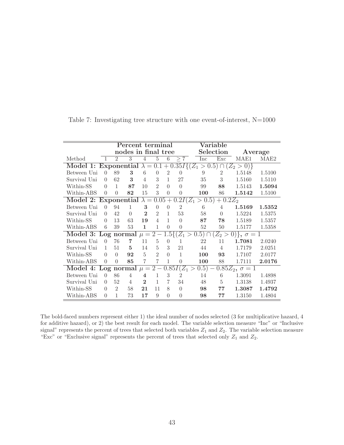| Percent terminal                                                            |                                                                              |                |                     |                         |                |                |                |     | Variable         |                            |                  |  |
|-----------------------------------------------------------------------------|------------------------------------------------------------------------------|----------------|---------------------|-------------------------|----------------|----------------|----------------|-----|------------------|----------------------------|------------------|--|
|                                                                             |                                                                              |                | nodes in final tree |                         | Selection      | Average        |                |     |                  |                            |                  |  |
| Method                                                                      | $\overline{1}$                                                               | $\overline{2}$ | 3                   | 4                       | $\overline{5}$ | 6              | $\geq 7$       | Inc | $\overline{Exc}$ | MAE1                       | MAE <sub>2</sub> |  |
| Model 1: Exponential $\lambda = 0.1 + 0.35I\{(Z_1 > 0.5) \cap (Z_2 > 0)\}\$ |                                                                              |                |                     |                         |                |                |                |     |                  |                            |                  |  |
| Between Uni                                                                 | $\Omega$                                                                     | 89             | 3                   | 6                       | $\theta$       | $\overline{2}$ | $\Omega$       | 9   | $\overline{2}$   | 1.5148                     | 1.5100           |  |
| Survival Uni                                                                | $\theta$                                                                     | 62             | 3                   | 4                       | 3              | $\mathbf{1}$   | 27             | 35  | 3                | 1.5160                     | 1.5110           |  |
| Within-SS                                                                   | $\Omega$                                                                     | 1              | 87                  | 10                      | $\overline{2}$ | $\Omega$       | $\Omega$       | 99  | 88               | 1.5143                     | 1.5094           |  |
| Within-ABS                                                                  | $\Omega$                                                                     | $\Omega$       | 82                  | 15                      | 3              | $\overline{0}$ | $\overline{0}$ | 100 | 86               | 1.5142                     | 1.5100           |  |
|                                                                             | Model 2: Exponential $\lambda = 0.05 + 0.2I(Z_1 > 0.5) + 0.2Z_2$             |                |                     |                         |                |                |                |     |                  |                            |                  |  |
| Between Uni                                                                 | $\Omega$                                                                     | 94             | $\mathbf{1}$        | 3                       | $\overline{0}$ | $\overline{0}$ | $\overline{2}$ | 6   | 4                | 1.5169                     | 1.5352           |  |
| Survival Uni                                                                | $\Omega$                                                                     | 42             | $\Omega$            | $\mathbf{2}$            | $\overline{2}$ | $\mathbf{1}$   | 53             | 58  | $\overline{0}$   | 1.5224                     | 1.5375           |  |
| Within-SS                                                                   | $\Omega$                                                                     | 13             | 63                  | 19                      | $\overline{4}$ | $\mathbf{1}$   | $\Omega$       | 87  | 78               | 1.5189                     | 1.5357           |  |
| Within-ABS                                                                  | 6                                                                            | 39             | $53\,$              | $\mathbf{1}$            | 1              | $\Omega$       | $\Omega$       | 52  | $50\,$           | 1.5177                     | 1.5358           |  |
| Model 3: Log normal $\mu = 2 - 1.5\{(Z_1 > 0.5) \cap$                       |                                                                              |                |                     |                         |                |                |                |     |                  | $(Z_2 > 0) \}, \sigma = 1$ |                  |  |
| Between Uni                                                                 | $\Omega$                                                                     | 76             | $\overline{7}$      | 11                      | $\overline{5}$ | $\Omega$       | $\mathbf{1}$   | 22  | 11               | 1.7081                     | 2.0240           |  |
| Survival Uni                                                                | $\mathbf{1}$                                                                 | 51             | $5\overline{)}$     | 14                      | 5              | 3              | 21             | 44  | 4                | 1.7179                     | 2.0251           |  |
| Within-SS                                                                   | $\Omega$                                                                     | $\Omega$       | 92                  | $\overline{5}$          | $\overline{2}$ | $\theta$       | $\mathbf{1}$   | 100 | 93               | 1.7107                     | 2.0177           |  |
| Within-ABS                                                                  | $\Omega$                                                                     | $\Omega$       | 85                  | $\overline{7}$          | $\overline{7}$ | $\mathbf{1}$   | $\Omega$       | 100 | 88               | 1.7111                     | 2.0176           |  |
|                                                                             | (0.5)<br>Model 4: Log normal $\mu = 2 - 0.85I(Z_1)$<br>$0.85Z_2, \sigma = 1$ |                |                     |                         |                |                |                |     |                  |                            |                  |  |
| Between Uni                                                                 | $\Omega$                                                                     | 86             | 4                   | $\overline{\mathbf{4}}$ | $\mathbf{1}$   | 3              | $\mathfrak{D}$ | 14  | 6                | 1.3091                     | 1.4898           |  |
| Survival Uni                                                                | $\Omega$                                                                     | 52             | $\overline{4}$      | $\mathbf{2}$            | $\mathbf{1}$   | $\overline{7}$ | 34             | 48  | 5                | 1.3138                     | 1.4937           |  |
| Within-SS                                                                   | $\Omega$                                                                     | 2              | 58                  | 21                      | 11             | 8              | $\Omega$       | 98  | 77               | 1.3087                     | 1.4792           |  |
| Within-ABS                                                                  | $\Omega$                                                                     | $\mathbf{1}$   | 73                  | 17                      | 9              | $\Omega$       | $\theta$       | 98  | 77               | 1.3150                     | 1.4804           |  |

<span id="page-50-0"></span>Table 7: Investigating tree structure with one event-of-interest,  $N=1000$ 

The bold-faced numbers represent either 1) the ideal number of nodes selected (3 for multiplicative hazard, 4 for additive hazard), or 2) the best result for each model. The variable selection measure "Inc" or "Inclusive signal" represents the percent of trees that selected both variables  $Z_1$  and  $Z_2$ . The variable selection measure "Exc" or "Exclusive signal" represents the percent of trees that selected only  $Z_1$  and  $Z_2$ .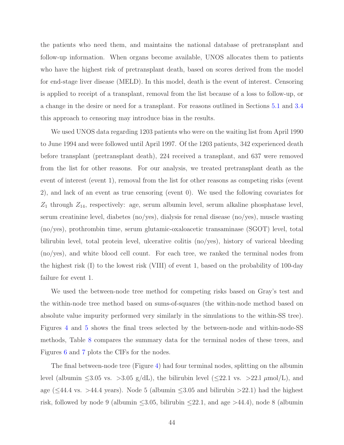the patients who need them, and maintains the national database of pretransplant and follow-up information. When organs become available, UNOS allocates them to patients who have the highest risk of pretransplant death, based on scores derived from the model for end-stage liver disease (MELD). In this model, death is the event of interest. Censoring is applied to receipt of a transplant, removal from the list because of a loss to follow-up, or a change in the desire or need for a transplant. For reasons outlined in Sections [5.1](#page-29-0) and [3.4](#page-21-0) this approach to censoring may introduce bias in the results.

We used UNOS data regarding 1203 patients who were on the waiting list from April 1990 to June 1994 and were followed until April 1997. Of the 1203 patients, 342 experienced death before transplant (pretransplant death), 224 received a transplant, and 637 were removed from the list for other reasons. For our analysis, we treated pretransplant death as the event of interest (event 1), removal from the list for other reasons as competing risks (event 2), and lack of an event as true censoring (event 0). We used the following covariates for  $Z_1$  through  $Z_{14}$ , respectively: age, serum albumin level, serum alkaline phosphatase level, serum creatinine level, diabetes (no/yes), dialysis for renal disease (no/yes), muscle wasting (no/yes), prothrombin time, serum glutamic-oxaloacetic transaminase (SGOT) level, total bilirubin level, total protein level, ulcerative colitis (no/yes), history of variceal bleeding (no/yes), and white blood cell count. For each tree, we ranked the terminal nodes from the highest risk (I) to the lowest risk (VIII) of event 1, based on the probability of 100-day failure for event 1.

We used the between-node tree method for competing risks based on Gray's test and the within-node tree method based on sums-of-squares (the within-node method based on absolute value impurity performed very similarly in the simulations to the within-SS tree). Figures [4](#page-54-0) and [5](#page-55-0) shows the final trees selected by the between-node and within-node-SS methods, Table [8](#page-53-0) compares the summary data for the terminal nodes of these trees, and Figures [6](#page-56-0) and [7](#page-57-0) plots the CIFs for the nodes.

The final between-node tree (Figure [4\)](#page-54-0) had four terminal nodes, splitting on the albumin level (albumin  $\leq 3.05$  vs.  $>3.05$  g/dL), the bilirubin level ( $\leq 22.1$  vs.  $>22.1 \mu$ mol/L), and age ( $\leq$ 44.4 vs. >44.4 years). Node 5 (albumin  $\leq$ 3.05 and bilirubin >22.1) had the highest risk, followed by node 9 (albumin  $\leq 3.05$ , bilirubin  $\leq 22.1$ , and age  $>44.4$ ), node 8 (albumin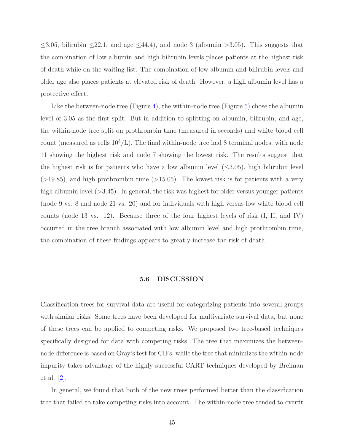$\leq$ 3.05, bilirubin  $\leq$ 22.1, and age  $\leq$ 44.4), and node 3 (albumin  $>$ 3.05). This suggests that the combination of low albumin and high bilirubin levels places patients at the highest risk of death while on the waiting list. The combination of low albumin and bilirubin levels and older age also places patients at elevated risk of death. However, a high albumin level has a protective effect.

Like the between-node tree (Figure [4\)](#page-54-0), the within-node tree (Figure  $5$ ) chose the albumin level of 3.05 as the first split. But in addition to splitting on albumin, bilirubin, and age, the within-node tree split on prothrombin time (measured in seconds) and white blood cell count (measured as cells  $10^3$ /L). The final within-node tree had 8 terminal nodes, with node 11 showing the highest risk and node 7 showing the lowest risk. The results suggest that the highest risk is for patients who have a low albumin level  $(\leq 3.05)$ , high bilirubin level  $(>19.85)$ , and high prothrombin time  $(>15.05)$ . The lowest risk is for patients with a very high albumin level (>3.45). In general, the risk was highest for older versus younger patients (node 9 vs. 8 and node 21 vs. 20) and for individuals with high versus low white blood cell counts (node 13 vs. 12). Because three of the four highest levels of risk (I, II, and IV) occurred in the tree branch associated with low albumin level and high prothrombin time, the combination of these findings appears to greatly increase the risk of death.

#### 5.6 DISCUSSION

Classification trees for survival data are useful for categorizing patients into several groups with similar risks. Some trees have been developed for multivariate survival data, but none of these trees can be applied to competing risks. We proposed two tree-based techniques specifically designed for data with competing risks. The tree that maximizes the betweennode difference is based on Gray's test for CIFs, while the tree that minimizes the within-node impurity takes advantage of the highly successful CART techniques developed by Breiman et al. [\[2\]](#page-178-0).

In general, we found that both of the new trees performed better than the classification tree that failed to take competing risks into account. The within-node tree tended to overfit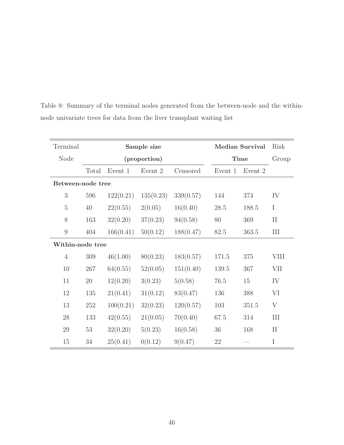| Terminal          |       |           | Sample size  | Median Survival | Risk    |         |             |
|-------------------|-------|-----------|--------------|-----------------|---------|---------|-------------|
| Node              |       |           | (proportion) | <b>Time</b>     | Group   |         |             |
|                   | Total | Event 1   | Event 2      | Censored        | Event 1 | Event 2 |             |
| Between-node tree |       |           |              |                 |         |         |             |
| 3                 | 596   | 122(0.21) | 135(0.23)    | 339(0.57)       | 144     | 374     | IV          |
| $\overline{5}$    | 40    | 22(0.55)  | 2(0.05)      | 16(0.40)        | 28.5    | 188.5   | $\mathbf I$ |
| 8                 | 163   | 32(0.20)  | 37(0.23)     | 94(0.58)        | 80      | 369     | $\rm II$    |
| $\boldsymbol{9}$  | 404   | 166(0.41) | 50(0.12)     | 188(0.47)       | 82.5    | 363.5   | Ш           |
| Within-node tree  |       |           |              |                 |         |         |             |
| $\overline{4}$    | 309   | 46(1.00)  | 80(0.23)     | 183(0.57)       | 171.5   | 375     | VIII        |
| 10                | 267   | 64(0.55)  | 52(0.05)     | 151(0.40)       | 139.5   | 367     | <b>VII</b>  |
| 11                | 20    | 12(0.20)  | 3(0.23)      | 5(0.58)         | 76.5    | 15      | IV          |
| 12                | 135   | 21(0.41)  | 31(0.12)     | 83(0.47)        | 136     | 388     | VI          |
| 13                | 252   | 100(0.21) | 32(0.23)     | 120(0.57)       | 103     | 351.5   | V           |
| 28                | 133   | 42(0.55)  | 21(0.05)     | 70(0.40)        | 67.5    | 314     | III         |
| 29                | 53    | 32(0.20)  | 5(0.23)      | 16(0.58)        | 36      | 168     | $\rm II$    |
| 15                | 34    | 25(0.41)  | 0(0.12)      | 9(0.47)         | 22      |         | $\rm I$     |

<span id="page-53-0"></span>Table 8: Summary of the terminal nodes generated from the between-node and the withinnode univariate trees for data from the liver transplant waiting list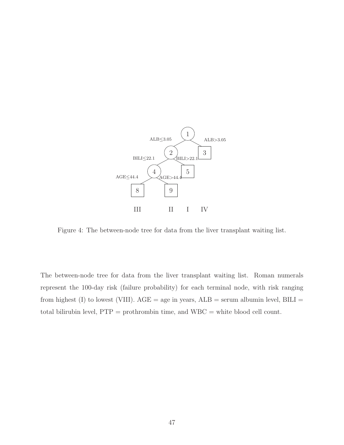

<span id="page-54-0"></span>Figure 4: The between-node tree for data from the liver transplant waiting list.

The between-node tree for data from the liver transplant waiting list. Roman numerals represent the 100-day risk (failure probability) for each terminal node, with risk ranging from highest (I) to lowest (VIII).  $AGE = age$  in years,  $ALB = serum$  albumin level,  $BILI =$ total bilirubin level,  $PTP =$  prothrombin time, and  $WBC =$  white blood cell count.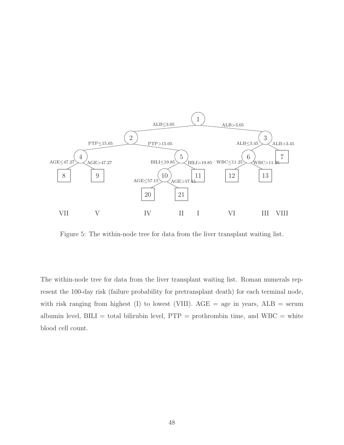

<span id="page-55-0"></span>Figure 5: The within-node tree for data from the liver transplant waiting list.

The within-node tree for data from the liver transplant waiting list. Roman numerals represent the 100-day risk (failure probability for pretransplant death) for each terminal node, with risk ranging from highest (I) to lowest (VIII).  $\text{AGE} = \text{age}$  in years,  $\text{ALE} = \text{serum}$ albumin level,  $BILI = total$  bilirubin level,  $PTP =$  prothrombin time, and  $WBC =$  white blood cell count.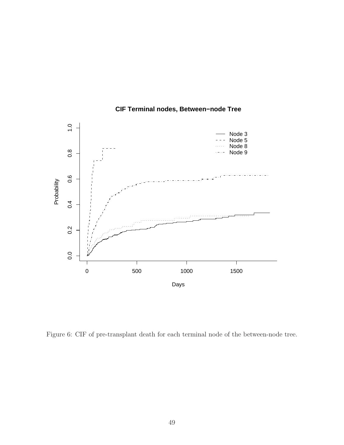

# **CIF Terminal nodes, Between−node Tree**

<span id="page-56-0"></span>Figure 6: CIF of pre-transplant death for each terminal node of the between-node tree.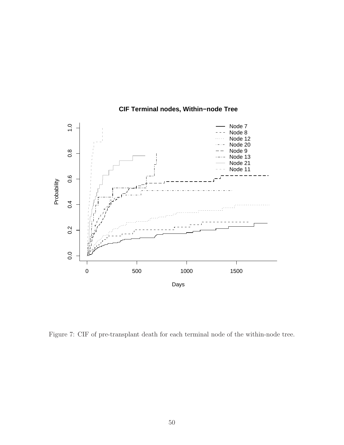

**CIF Terminal nodes, Within−node Tree**

<span id="page-57-0"></span>Figure 7: CIF of pre-transplant death for each terminal node of the within-node tree.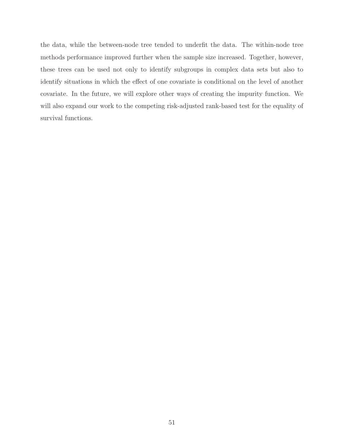the data, while the between-node tree tended to underfit the data. The within-node tree methods performance improved further when the sample size increased. Together, however, these trees can be used not only to identify subgroups in complex data sets but also to identify situations in which the effect of one covariate is conditional on the level of another covariate. In the future, we will explore other ways of creating the impurity function. We will also expand our work to the competing risk-adjusted rank-based test for the equality of survival functions.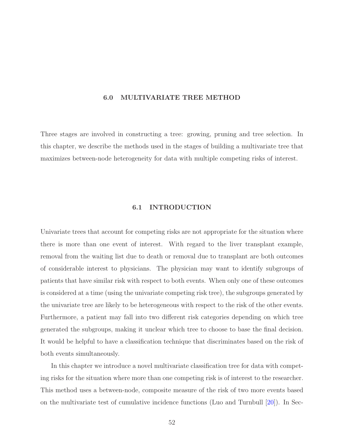# 6.0 MULTIVARIATE TREE METHOD

Three stages are involved in constructing a tree: growing, pruning and tree selection. In this chapter, we describe the methods used in the stages of building a multivariate tree that maximizes between-node heterogeneity for data with multiple competing risks of interest.

# 6.1 INTRODUCTION

Univariate trees that account for competing risks are not appropriate for the situation where there is more than one event of interest. With regard to the liver transplant example, removal from the waiting list due to death or removal due to transplant are both outcomes of considerable interest to physicians. The physician may want to identify subgroups of patients that have similar risk with respect to both events. When only one of these outcomes is considered at a time (using the univariate competing risk tree), the subgroups generated by the univariate tree are likely to be heterogeneous with respect to the risk of the other events. Furthermore, a patient may fall into two different risk categories depending on which tree generated the subgroups, making it unclear which tree to choose to base the final decision. It would be helpful to have a classification technique that discriminates based on the risk of both events simultaneously.

In this chapter we introduce a novel multivariate classification tree for data with competing risks for the situation where more than one competing risk is of interest to the researcher. This method uses a between-node, composite measure of the risk of two more events based on the multivariate test of cumulative incidence functions (Luo and Turnbull [\[20\]](#page-179-1)). In Sec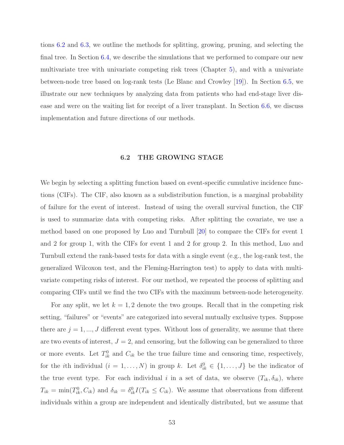tions [6.2](#page-60-0) and [6.3,](#page-63-0) we outline the methods for splitting, growing, pruning, and selecting the final tree. In Section [6.4,](#page-66-0) we describe the simulations that we performed to compare our new multivariate tree with univariate competing risk trees (Chapter [5\)](#page-29-1), and with a univariate between-node tree based on log-rank tests (Le Blanc and Crowley [\[19\]](#page-179-0)). In Section [6.5,](#page-89-0) we illustrate our new techniques by analyzing data from patients who had end-stage liver disease and were on the waiting list for receipt of a liver transplant. In Section [6.6,](#page-95-0) we discuss implementation and future directions of our methods.

# 6.2 THE GROWING STAGE

<span id="page-60-0"></span>We begin by selecting a splitting function based on event-specific cumulative incidence functions (CIFs). The CIF, also known as a subdistribution function, is a marginal probability of failure for the event of interest. Instead of using the overall survival function, the CIF is used to summarize data with competing risks. After splitting the covariate, we use a method based on one proposed by Luo and Turnbull [\[20\]](#page-179-1) to compare the CIFs for event 1 and 2 for group 1, with the CIFs for event 1 and 2 for group 2. In this method, Luo and Turnbull extend the rank-based tests for data with a single event (e.g., the log-rank test, the generalized Wilcoxon test, and the Fleming-Harrington test) to apply to data with multivariate competing risks of interest. For our method, we repeated the process of splitting and comparing CIFs until we find the two CIFs with the maximum between-node heterogeneity.

For any split, we let  $k = 1, 2$  denote the two groups. Recall that in the competing risk setting, "failures" or "events" are categorized into several mutually exclusive types. Suppose there are  $j = 1, ..., J$  different event types. Without loss of generality, we assume that there are two events of interest,  $J = 2$ , and censoring, but the following can be generalized to three or more events. Let  $T_{ik}^0$  and  $C_{ik}$  be the true failure time and censoring time, respectively, for the *i*th individual  $(i = 1, ..., N)$  in group k. Let  $\delta_{ik}^0 \in \{1, ..., J\}$  be the indicator of the true event type. For each individual i in a set of data, we observe  $(T_{ik}, \delta_{ik})$ , where  $T_{ik} = \min(T_{ik}^0, C_{ik})$  and  $\delta_{ik} = \delta_{ik}^0 I(T_{ik} \leq C_{ik})$ . We assume that observations from different individuals within a group are independent and identically distributed, but we assume that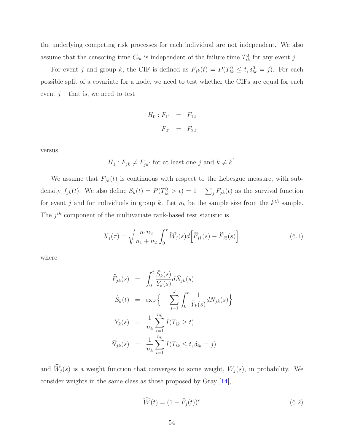the underlying competing risk processes for each individual are not independent. We also assume that the censoring time  $C_{ik}$  is independent of the failure time  $T_{ik}^0$  for any event j.

For event j and group k, the CIF is defined as  $F_{jk}(t) = P(T_{ik}^0 \le t, \delta_{ik}^0 = j)$ . For each possible split of a covariate for a node, we need to test whether the CIFs are equal for each event  $j$  – that is, we need to test

$$
H_0: F_{11} = F_{12}
$$

$$
F_{21} = F_{22}
$$

versus

 $H_1: F_{jk} \neq F_{jk'}$  for at least one j and  $k \neq k'$ .

We assume that  $F_{jk}(t)$  is continuous with respect to the Lebesgue measure, with subdensity  $f_{jk}(t)$ . We also define  $S_k(t) = P(T_{ik}^0 > t) = 1 - \sum_j F_{jk}(t)$  as the survival function for event j and for individuals in group k. Let  $n_k$  be the sample size from the  $k^{th}$  sample. The  $j<sup>th</sup>$  component of the multivariate rank-based test statistic is

$$
X_j(\tau) = \sqrt{\frac{n_1 n_2}{n_1 + n_2}} \int_0^{\tau} \widehat{W}_j(s) d\left[\widehat{F}_{j1}(s) - \widehat{F}_{j2}(s)\right],\tag{6.1}
$$

where

$$
\widehat{F}_{jk}(s) = \int_0^t \frac{\widehat{S}_k(s)}{\overline{Y}_k(s)} d\overline{N}_{jk}(s)
$$
  

$$
\widehat{S}_k(t) = \exp\left\{-\sum_{j=1}^J \int_0^t \frac{1}{\overline{Y}_k(s)} d\overline{N}_{jk}(s)\right\}
$$
  

$$
\overline{Y}_k(s) = \frac{1}{n_k} \sum_{i=1}^{n_k} I(T_{ik} \ge t)
$$
  

$$
\overline{N}_{jk}(s) = \frac{1}{n_k} \sum_{i=1}^{n_k} I(T_{ik} \le t, \delta_{ik} = j)
$$

and  $\widehat{W}_j(s)$  is a weight function that converges to some weight,  $W_j(s)$ , in probability. We consider weights in the same class as those proposed by Gray [\[14\]](#page-179-2),

$$
\widehat{W}(t) = (1 - \widehat{F}_j(t))^r \tag{6.2}
$$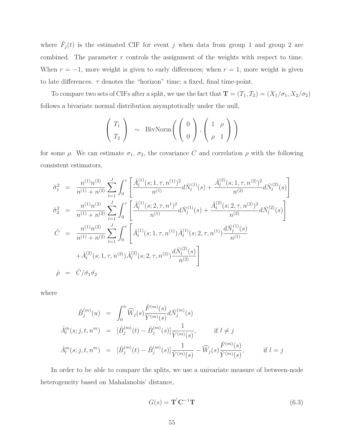where  $\hat{F}_j(t)$  is the estimated CIF for event j when data from group 1 and group 2 are combined. The parameter  $r$  controls the assignment of the weights with respect to time. When  $r = -1$ , more weight is given to early differences; when  $r = 1$ , more weight is given to late differences.  $\tau$  denotes the "horizon" time; a fixed, final time-point.

To compare two sets of CIFs after a split, we use the fact that  $\mathbf{T} = (T_1, T_2) = (X_1/\sigma_1, X_2/\sigma_2)$ follows a bivariate normal distribution asymptotically under the null,

$$
\left(\begin{array}{c}T_1\\T_2\end{array}\right) \sim \text{BivNorm}\left(\left(\begin{array}{c}0\\0\end{array}\right), \left(\begin{array}{cc}1 & \rho\\ \rho & 1\end{array}\right)\right)
$$

for some  $\rho$ . We can estimate  $\sigma_1$ ,  $\sigma_2$ , the covariance C and correlation  $\rho$  with the following consistent estimators,

$$
\hat{\sigma}_{1}^{2} = \frac{n^{(1)}n^{(2)}}{n^{(1)} + n^{(2)}} \sum_{l=1}^{J} \int_{0}^{\tau} \left[ \frac{\hat{A}_{l}^{(1)}(s; 1, \tau, n^{(1)})^{2}}{n^{(1)}} d\bar{N}_{l}^{(1)}(s) + \frac{\hat{A}_{l}^{(2)}(s; 1, \tau, n^{(2)})^{2}}{n^{(2)}} d\bar{N}_{l}^{(2)}(s) \right]
$$
  
\n
$$
\hat{\sigma}_{2}^{2} = \frac{n^{(1)}n^{(2)}}{n^{(1)} + n^{(2)}} \sum_{l=1}^{J} \int_{0}^{\tau} \left[ \frac{\hat{A}_{l}^{(1)}(s; 2, \tau, n^{1})^{2}}{n^{(1)}} d\bar{N}_{l}^{(1)}(s) + \frac{\hat{A}_{l}^{(2)}(s; 2, \tau, n^{(2)})^{2}}{n^{(2)}} d\bar{N}_{l}^{(2)}(s) \right]
$$
  
\n
$$
\hat{C} = \frac{n^{(1)}n^{(2)}}{n^{(1)} + n^{(2)}} \sum_{l=1}^{J} \int_{0}^{\tau} \left[ \hat{A}_{l}^{(1)}(s; 1, \tau, n^{(1)}) \hat{A}_{l}^{(1)}(s; 2, \tau, n^{(1)}) \frac{d\bar{N}_{l}^{(1)}(s)}{n^{(1)}} + \hat{A}_{l}^{(2)}(s; 1, \tau, n^{(2)}) \hat{A}_{l}^{(2)}(s; 2, \tau, n^{(2)}) \frac{d\bar{N}_{l}^{(2)}(s)}{n^{(2)}} \right]
$$
  
\n
$$
\hat{\rho} = \hat{C}/\hat{\sigma}_{1}\hat{\sigma}_{2}
$$

where

$$
\hat{B}_j^{(m)}(u) = \int_0^u \widehat{W}_j(s) \frac{\hat{F}^{(m)}(s)}{\bar{Y}^{(m)}(s)} d\bar{N}_j^{(m)}(s)
$$
  

$$
\hat{A}_l^m(s; j, t, n^m) = [\hat{B}_j^{(m)}(t) - \hat{B}_j^{(m)}(s)] \frac{1}{\bar{Y}^{(m)}(s)}, \quad \text{if } l \neq j
$$
  

$$
\hat{A}_l^m(s; j, t, n^m) = [\hat{B}_j^{(m)}(t) - \hat{B}_j^{(m)}(s)] \frac{1}{\bar{Y}^{(m)}(s)} - \widehat{W}_j(s) \frac{\hat{F}^{(m)}(s)}{\bar{Y}^{(m)}(s)}, \quad \text{if } l = j
$$

In order to be able to compare the splits, we use a univariate measure of between-node heterogeneity based on Mahalanobis' distance,

<span id="page-62-0"></span>
$$
G(s) = \mathbf{T}'\mathbf{C}^{-1}\mathbf{T}
$$
\n(6.3)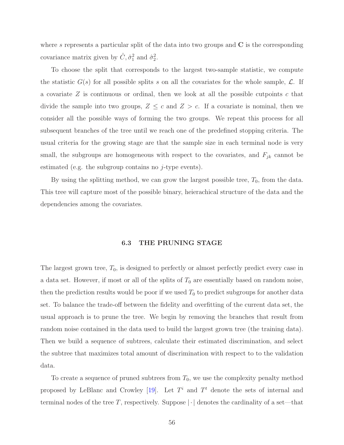where s represents a particular split of the data into two groups and  $\bf{C}$  is the corresponding covariance matrix given by  $\hat{C}, \hat{\sigma}_1^2$  and  $\hat{\sigma}_2^2$ .

To choose the split that corresponds to the largest two-sample statistic, we compute the statistic  $G(s)$  for all possible splits s on all the covariates for the whole sample,  $\mathcal{L}$ . If a covariate  $Z$  is continuous or ordinal, then we look at all the possible cutpoints  $c$  that divide the sample into two groups,  $Z \leq c$  and  $Z > c$ . If a covariate is nominal, then we consider all the possible ways of forming the two groups. We repeat this process for all subsequent branches of the tree until we reach one of the predefined stopping criteria. The usual criteria for the growing stage are that the sample size in each terminal node is very small, the subgroups are homogeneous with respect to the covariates, and  $F_{jk}$  cannot be estimated (e.g. the subgroup contains no  $i$ -type events).

By using the splitting method, we can grow the largest possible tree,  $T_0$ , from the data. This tree will capture most of the possible binary, heierachical structure of the data and the dependencies among the covariates.

#### 6.3 THE PRUNING STAGE

<span id="page-63-0"></span>The largest grown tree,  $T_0$ , is designed to perfectly or almost perfectly predict every case in a data set. However, if most or all of the splits of  $T_0$  are essentially based on random noise, then the prediction results would be poor if we used  $T_0$  to predict subgroups for another data set. To balance the trade-off between the fidelity and overfitting of the current data set, the usual approach is to prune the tree. We begin by removing the branches that result from random noise contained in the data used to build the largest grown tree (the training data). Then we build a sequence of subtrees, calculate their estimated discrimination, and select the subtree that maximizes total amount of discrimination with respect to to the validation data.

To create a sequence of pruned subtrees from  $T_0$ , we use the complexity penalty method proposed by LeBlanc and Crowley [\[19\]](#page-179-0). Let  $T<sup>i</sup>$  and  $T<sup>t</sup>$  denote the sets of internal and terminal nodes of the tree T, respectively. Suppose  $|\cdot|$  denotes the cardinality of a set—that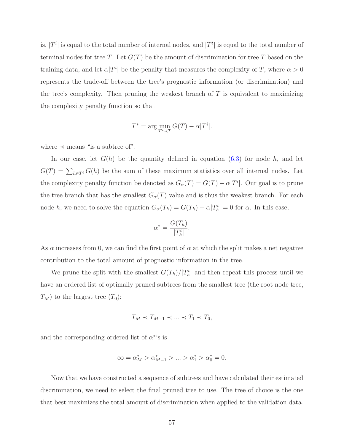is,  $|T^i|$  is equal to the total number of internal nodes, and  $|T^t|$  is equal to the total number of terminal nodes for tree T. Let  $G(T)$  be the amount of discrimination for tree T based on the training data, and let  $\alpha|T^i|$  be the penalty that measures the complexity of T, where  $\alpha > 0$ represents the trade-off between the tree's prognostic information (or discrimination) and the tree's complexity. Then pruning the weakest branch of  $T$  is equivalent to maximizing the complexity penalty function so that

$$
T^* = \arg\min_{T^* \prec T} G(T) - \alpha |T^i|.
$$

where  $\prec$  means "is a subtree of".

In our case, let  $G(h)$  be the quantity defined in equation  $(6.3)$  for node h, and let  $G(T) = \sum_{h \in T^i} G(h)$  be the sum of these maximum statistics over all internal nodes. Let the complexity penalty function be denoted as  $G_{\alpha}(T) = G(T) - \alpha |T^{i}|$ . Our goal is to prune the tree branch that has the smallest  $G_{\alpha}(T)$  value and is thus the weakest branch. For each node h, we need to solve the equation  $G_{\alpha}(T_h) = G(T_h) - \alpha |T_h^i| = 0$  for  $\alpha$ . In this case,

$$
\alpha^* = \frac{G(T_h)}{|T_h^i|}.
$$

As  $\alpha$  increases from 0, we can find the first point of  $\alpha$  at which the split makes a net negative contribution to the total amount of prognostic information in the tree.

We prune the split with the smallest  $G(T_h)/|T_h^i|$  and then repeat this process until we have an ordered list of optimally pruned subtrees from the smallest tree (the root node tree,  $T_M$ ) to the largest tree  $(T_0)$ :

$$
T_M \prec T_{M-1} \prec \dots \prec T_1 \prec T_0,
$$

and the corresponding ordered list of  $\alpha^*$ 's is

$$
\infty = \alpha_M^* > \alpha_{M-1}^* > \dots > \alpha_1^* > \alpha_0^* = 0.
$$

Now that we have constructed a sequence of subtrees and have calculated their estimated discrimination, we need to select the final pruned tree to use. The tree of choice is the one that best maximizes the total amount of discrimination when applied to the validation data.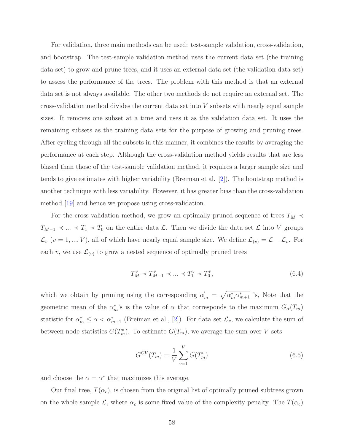For validation, three main methods can be used: test-sample validation, cross-validation, and bootstrap. The test-sample validation method uses the current data set (the training data set) to grow and prune trees, and it uses an external data set (the validation data set) to assess the performance of the trees. The problem with this method is that an external data set is not always available. The other two methods do not require an external set. The cross-validation method divides the current data set into V subsets with nearly equal sample sizes. It removes one subset at a time and uses it as the validation data set. It uses the remaining subsets as the training data sets for the purpose of growing and pruning trees. After cycling through all the subsets in this manner, it combines the results by averaging the performance at each step. Although the cross-validation method yields results that are less biased than those of the test-sample validation method, it requires a larger sample size and tends to give estimates with higher variability (Breiman et al. [\[2\]](#page-178-0)). The bootstrap method is another technique with less variability. However, it has greater bias than the cross-validation method [\[19\]](#page-179-0) and hence we propose using cross-validation.

For the cross-validation method, we grow an optimally pruned sequence of trees  $T_M \prec$  $T_{M-1} \prec ... \prec T_1 \prec T_0$  on the entire data  $\mathcal{L}$ . Then we divide the data set  $\mathcal{L}$  into V groups  $\mathcal{L}_v$  ( $v = 1,...,V$ ), all of which have nearly equal sample size. We define  $\mathcal{L}_{(v)} = \mathcal{L} - \mathcal{L}_v$ . For each v, we use  $\mathcal{L}_{(v)}$  to grow a nested sequence of optimally pruned trees

$$
T_M^v \prec T_{M-1}^v \prec \dots \prec T_1^v \prec T_0^v,\tag{6.4}
$$

which we obtain by pruning using the corresponding  $\alpha'_m = \sqrt{\alpha_m^* \alpha_{m+1}^*}$  's, Note that the geometric mean of the  $\alpha_m^*$ 's is the value of  $\alpha$  that corresponds to the maximum  $G_{\alpha}(T_m)$ statistic for  $\alpha_m^* \leq \alpha < \alpha_{m+1}^*$  (Breiman et al., [\[2\]](#page-178-0)). For data set  $\mathcal{L}_v$ , we calculate the sum of between-node statistics  $G(T_m^v)$ . To estimate  $G(T_m)$ , we average the sum over V sets

$$
G^{CV}(T_m) = \frac{1}{V} \sum_{v=1}^{V} G(T_m^v)
$$
\n(6.5)

and choose the  $\alpha = \alpha^*$  that maximizes this average.

Our final tree,  $T(\alpha_c)$ , is chosen from the original list of optimally pruned subtrees grown on the whole sample  $\mathcal{L}$ , where  $\alpha_c$  is some fixed value of the complexity penalty. The  $T(\alpha_c)$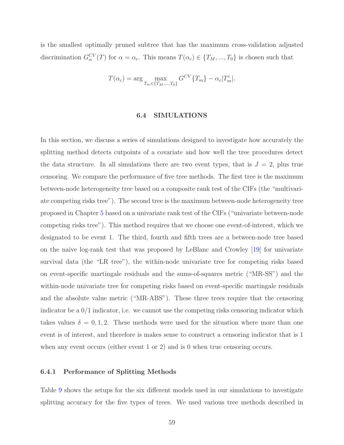is the smallest optimally pruned subtree that has the maximum cross-validation adjusted discrimination  $G_{\alpha}^{CV}(T)$  for  $\alpha = \alpha_c$ . This means  $T(\alpha_c) \in \{T_M, ..., T_0\}$  is chosen such that

$$
T(\alpha_c) = \arg\max_{T_m \in \{T_M, \dots, T_0\}} G^{CV} \{T_m\} - \alpha_c |T_m^i|.
$$

#### 6.4 SIMULATIONS

<span id="page-66-0"></span>In this section, we discuss a series of simulations designed to investigate how accurately the splitting method detects cutpoints of a covariate and how well the tree procedures detect the data structure. In all simulations there are two event types, that is  $J = 2$ , plus true censoring. We compare the performance of five tree methods. The first tree is the maximum between-node heterogeneity tree based on a composite rank test of the CIFs (the "multivariate competing risks tree"). The second tree is the maximum between-node heterogeneity tree proposed in Chapter [5](#page-29-1) based on a univariate rank test of the CIFs ("univariate between-node competing risks tree"). This method requires that we choose one event-of-interest, which we designated to be event 1. The third, fourth and fifth trees are a between-node tree based on the naive log-rank test that was proposed by LeBlanc and Crowley [\[19\]](#page-179-0) for univariate survival data (the "LR tree"), the within-node univariate tree for competing risks based on event-specific martingale residuals and the sums-of-squares metric ("MR-SS") and the within-node univariate tree for competing risks based on event-specific martingale residuals and the absolute value metric ("MR-ABS"). These three trees require that the censoring indicator be a 0/1 indicator, i.e. we cannot use the competing risks censoring indicator which takes values  $\delta = 0, 1, 2$ . These methods were used for the situation where more than one event is of interest, and therefore is makes sense to construct a censoring indicator that is 1 when any event occurs (either event 1 or 2) and is 0 when true censoring occurs.

#### 6.4.1 Performance of Splitting Methods

Table [9](#page-69-0) shows the setups for the six different models used in our simulations to investigate splitting accuracy for the five types of trees. We used various tree methods described in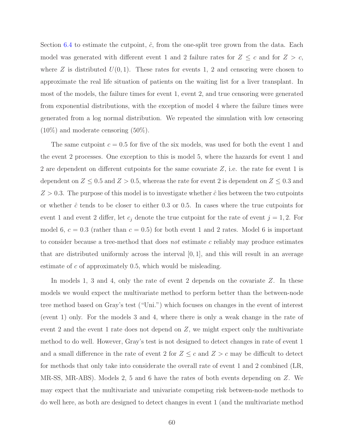Section [6.4](#page-66-0) to estimate the cutpoint,  $\hat{c}$ , from the one-split tree grown from the data. Each model was generated with different event 1 and 2 failure rates for  $Z \leq c$  and for  $Z > c$ , where Z is distributed  $U(0, 1)$ . These rates for events 1, 2 and censoring were chosen to approximate the real life situation of patients on the waiting list for a liver transplant. In most of the models, the failure times for event 1, event 2, and true censoring were generated from exponential distributions, with the exception of model 4 where the failure times were generated from a log normal distribution. We repeated the simulation with low censoring (10%) and moderate censoring (50%).

The same cutpoint  $c = 0.5$  for five of the six models, was used for both the event 1 and the event 2 processes. One exception to this is model 5, where the hazards for event 1 and 2 are dependent on different cutpoints for the same covariate  $Z$ , i.e. the rate for event 1 is dependent on  $Z \leq 0.5$  and  $Z > 0.5$ , whereas the rate for event 2 is dependent on  $Z \leq 0.3$  and  $Z > 0.3$ . The purpose of this model is to investigate whether  $\hat{c}$  lies between the two cutpoints or whether  $\hat{c}$  tends to be closer to either 0.3 or 0.5. In cases where the true cutpoints for event 1 and event 2 differ, let  $c_j$  denote the true cutpoint for the rate of event  $j = 1, 2$ . For model 6,  $c = 0.3$  (rather than  $c = 0.5$ ) for both event 1 and 2 rates. Model 6 is important to consider because a tree-method that does not estimate c reliably may produce estimates that are distributed uniformly across the interval  $[0, 1]$ , and this will result in an average estimate of c of approximately 0.5, which would be misleading.

In models 1, 3 and 4, only the rate of event 2 depends on the covariate  $Z$ . In these models we would expect the multivariate method to perform better than the between-node tree method based on Gray's test ("Uni.") which focuses on changes in the event of interest (event 1) only. For the models 3 and 4, where there is only a weak change in the rate of event 2 and the event 1 rate does not depend on  $Z$ , we might expect only the multivariate method to do well. However, Gray's test is not designed to detect changes in rate of event 1 and a small difference in the rate of event 2 for  $Z \leq c$  and  $Z > c$  may be difficult to detect for methods that only take into considerate the overall rate of event 1 and 2 combined (LR, MR-SS, MR-ABS). Models 2, 5 and 6 have the rates of both events depending on Z. We may expect that the multivariate and univariate competing risk between-node methods to do well here, as both are designed to detect changes in event 1 (and the multivariate method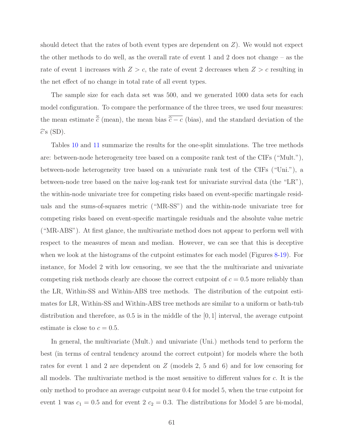should detect that the rates of both event types are dependent on  $Z$ ). We would not expect the other methods to do well, as the overall rate of event 1 and 2 does not change – as the rate of event 1 increases with  $Z > c$ , the rate of event 2 decreases when  $Z > c$  resulting in the net effect of no change in total rate of all event types.

The sample size for each data set was 500, and we generated 1000 data sets for each model configuration. To compare the performance of the three trees, we used four measures: the mean estimate  $\overline{\hat{c}}$  (mean), the mean bias  $\overline{\hat{c} - c}$  (bias), and the standard deviation of the  $\widehat{c}$ 's (SD).

Tables [10](#page-71-0) and [11](#page-72-0) summarize the results for the one-split simulations. The tree methods are: between-node heterogeneity tree based on a composite rank test of the CIFs ("Mult."), between-node heterogeneity tree based on a univariate rank test of the CIFs ("Uni."), a between-node tree based on the naive log-rank test for univariate survival data (the "LR"), the within-node univariate tree for competing risks based on event-specific martingale residuals and the sums-of-squares metric ("MR-SS") and the within-node univariate tree for competing risks based on event-specific martingale residuals and the absolute value metric ("MR-ABS"). At first glance, the multivariate method does not appear to perform well with respect to the measures of mean and median. However, we can see that this is deceptive when we look at the histograms of the cutpoint estimates for each model (Figures [8](#page-73-0)[-19\)](#page-84-0). For instance, for Model 2 with low censoring, we see that the the multivariate and univariate competing risk methods clearly are choose the correct cutpoint of  $c = 0.5$  more reliably than the LR, Within-SS and Within-ABS tree methods. The distribution of the cutpoint estimates for LR, Within-SS and Within-ABS tree methods are similar to a uniform or bath-tub distribution and therefore, as  $0.5$  is in the middle of the  $[0, 1]$  interval, the average cutpoint estimate is close to  $c = 0.5$ .

In general, the multivariate (Mult.) and univariate (Uni.) methods tend to perform the best (in terms of central tendency around the correct cutpoint) for models where the both rates for event 1 and 2 are dependent on Z (models 2, 5 and 6) and for low censoring for all models. The multivariate method is the most sensitive to different values for c. It is the only method to produce an average cutpoint near 0.4 for model 5, when the true cutpoint for event 1 was  $c_1 = 0.5$  and for event 2  $c_2 = 0.3$ . The distributions for Model 5 are bi-modal,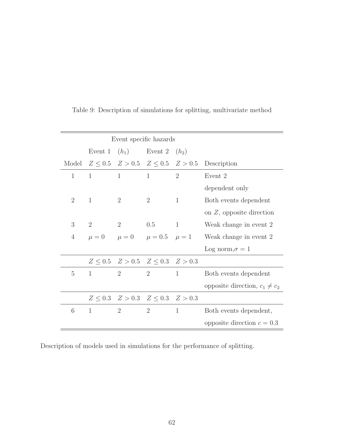|                | Event specific hazards |                |                                               |                |                                                                  |  |  |  |  |  |  |
|----------------|------------------------|----------------|-----------------------------------------------|----------------|------------------------------------------------------------------|--|--|--|--|--|--|
|                |                        |                | Event 1 $(h_1)$ Event 2 $(h_2)$               |                |                                                                  |  |  |  |  |  |  |
| Model          |                        |                | $Z \leq 0.5$ $Z > 0.5$ $Z \leq 0.5$ $Z > 0.5$ |                | Description                                                      |  |  |  |  |  |  |
| 1              | $\mathbf{1}$           | 1              | $\mathbf{1}$                                  | $\overline{2}$ | Event 2                                                          |  |  |  |  |  |  |
|                |                        |                |                                               |                | dependent only                                                   |  |  |  |  |  |  |
| $\overline{2}$ | 1                      | $\overline{2}$ | $\overline{2}$                                | $\mathbf{1}$   | Both events dependent                                            |  |  |  |  |  |  |
|                |                        |                |                                               |                | on $Z$ , opposite direction                                      |  |  |  |  |  |  |
| 3              | 2                      | $\overline{2}$ | 0.5                                           | $\mathbf{1}$   | Weak change in event 2                                           |  |  |  |  |  |  |
| $\overline{4}$ |                        |                |                                               |                | $\mu = 0$ $\mu = 0$ $\mu = 0.5$ $\mu = 1$ Weak change in event 2 |  |  |  |  |  |  |
|                |                        |                |                                               |                | Log norm, $\sigma = 1$                                           |  |  |  |  |  |  |
|                |                        |                | $Z \leq 0.5$ $Z > 0.5$ $Z \leq 0.3$ $Z > 0.3$ |                |                                                                  |  |  |  |  |  |  |
| $\overline{5}$ | $\mathbf{1}$           | $\overline{2}$ | $\overline{2}$                                | $\mathbf{1}$   | Both events dependent                                            |  |  |  |  |  |  |
|                |                        |                |                                               |                | opposite direction, $c_1 \neq c_2$                               |  |  |  |  |  |  |
|                |                        |                | $Z \leq 0.3$ $Z > 0.3$ $Z \leq 0.3$ $Z > 0.3$ |                |                                                                  |  |  |  |  |  |  |
| 6              | 1                      | $\overline{2}$ | $\overline{2}$                                | $\mathbf{1}$   | Both events dependent,                                           |  |  |  |  |  |  |
|                |                        |                |                                               |                | opposite direction $c = 0.3$                                     |  |  |  |  |  |  |

<span id="page-69-0"></span>Table 9: Description of simulations for splitting, multivariate method

Description of models used in simulations for the performance of splitting.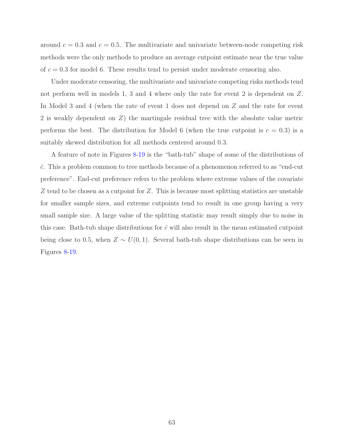around  $c = 0.3$  and  $c = 0.5$ . The multivariate and univariate between-node competing risk methods were the only methods to produce an average cutpoint estimate near the true value of  $c = 0.3$  for model 6. These results tend to persist under moderate censoring also.

Under moderate censoring, the multivariate and univariate competing risks methods tend not perform well in models 1, 3 and 4 where only the rate for event 2 is dependent on Z. In Model 3 and 4 (when the rate of event 1 does not depend on Z and the rate for event 2 is weakly dependent on Z) the martingale residual tree with the absolute value metric performs the best. The distribution for Model 6 (when the true cutpoint is  $c = 0.3$ ) is a suitably skewed distribution for all methods centered around 0.3.

A feature of note in Figures [8-](#page-73-0)[19](#page-84-0) is the "bath-tub" shape of some of the distributions of  $\hat{c}$ . This a problem common to tree methods because of a phenomenon referred to as "end-cut" preference". End-cut preference refers to the problem where extreme values of the covariate Z tend to be chosen as a cutpoint for Z. This is because most splitting statistics are unstable for smaller sample sizes, and extreme cutpoints tend to result in one group having a very small sample size. A large value of the splitting statistic may result simply due to noise in this case. Bath-tub shape distributions for  $\hat{c}$  will also result in the mean estimated cutpoint being close to 0.5, when  $Z \sim U(0, 1)$ . Several bath-tub shape distributions can be seen in Figures [8](#page-73-0)[-19.](#page-84-0)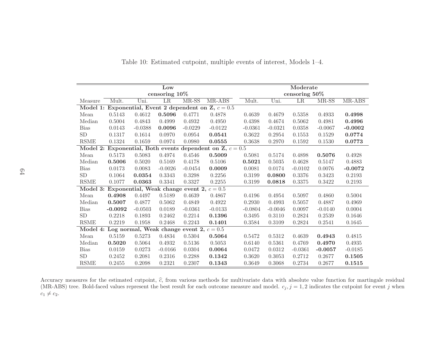|                       |                                                     |                                             | Low             |           | Moderate                                           |                  |           |           |           |           |  |
|-----------------------|-----------------------------------------------------|---------------------------------------------|-----------------|-----------|----------------------------------------------------|------------------|-----------|-----------|-----------|-----------|--|
|                       |                                                     |                                             | censoring 10%   |           |                                                    | censoring $50\%$ |           |           |           |           |  |
| Measure               | Mult.                                               | Uni.                                        | $\overline{LR}$ | $MR-SS$   | MR-ABS                                             | Mult.            | Uni.      | LR        | MR-SS     | $MR-ABS$  |  |
| Model 1:              |                                                     |                                             |                 |           | Exponential, Event 2 dependent on Z, $c = 0.5$     |                  |           |           |           |           |  |
| Mean                  | 0.5143                                              | 0.4612                                      | 0.5096          | 0.4771    | 0.4878                                             | 0.4639           | 0.4679    | 0.5358    | 0.4933    | 0.4998    |  |
| Median                | 0.5004                                              | 0.4843                                      | 0.4999          | 0.4932    | 0.4950                                             | 0.4398           | 0.4674    | 0.5062    | 0.4981    | 0.4996    |  |
| <b>Bias</b>           | 0.0143                                              | $-0.0388$                                   | 0.0096          | $-0.0229$ | $-0.0122$                                          | $-0.0361$        | $-0.0321$ | 0.0358    | $-0.0067$ | $-0.0002$ |  |
| SD                    | 0.1317                                              | 0.1614                                      | 0.0970          | 0.0954    | 0.0541                                             | 0.3622           | 0.2954    | 0.1553    | 0.1529    | 0.0774    |  |
| $\operatorname{RSME}$ | 0.1324                                              | 0.1659                                      | 0.0974          | 0.0980    | 0.0555                                             | 0.3638           | 0.2970    | 0.1592    | 0.1530    | 0.0773    |  |
| Model 2:              |                                                     |                                             |                 |           | Exponential, Both events dependent on Z, $c = 0.5$ |                  |           |           |           |           |  |
| Mean                  | 0.5173                                              | 0.5083                                      | 0.4974          | 0.4546    | 0.5009                                             | 0.5081           | 0.5174    | 0.4898    | 0.5076    | 0.4928    |  |
| Median                | 0.5006                                              | 0.5020                                      | 0.5169          | 0.4178    | 0.5106                                             | 0.5021           | 0.5035    | 0.4628    | 0.5147    | 0.4883    |  |
| <b>Bias</b>           | 0.0173                                              | 0.0083                                      | $-0.0026$       | $-0.0454$ | 0.0009                                             | 0.0081           | 0.0174    | $-0.0102$ | 0.0076    | $-0.0072$ |  |
| ${\rm SD}$            | 0.1064                                              | 0.0354                                      | 0.3343          | 0.3298    | 0.2256                                             | 0.3199           | 0.0800    | 0.3376    | 0.3423    | 0.2193    |  |
| <b>RSME</b>           | 0.1077                                              | 0.0363                                      | 0.3341          | 0.3327    | 0.2255                                             | 0.3199           | 0.0818    | 0.3375    | 0.3422    | 0.2193    |  |
| Model 3:              |                                                     | Exponential, Weak change event 2, $c = 0.5$ |                 |           |                                                    |                  |           |           |           |           |  |
| Mean                  | 0.4908                                              | 0.4497                                      | 0.5189          | 0.4639    | 0.4867                                             | 0.4196           | 0.4954    | 0.5097    | 0.4860    | 0.5004    |  |
| Median                | 0.5007                                              | 0.4877                                      | 0.5062          | 0.4849    | 0.4922                                             | 0.2930           | 0.4993    | 0.5057    | 0.4887    | 0.4969    |  |
| <b>Bias</b>           | $-0.0092$                                           | $-0.0503$                                   | 0.0189          | $-0.0361$ | $-0.0133$                                          | $-0.0804$        | $-0.0046$ | 0.0097    | $-0.0140$ | 0.0004    |  |
| SD                    | 0.2218                                              | 0.1893                                      | 0.2462          | 0.2214    | 0.1396                                             | 0.3495           | 0.3110    | 0.2824    | 0.2539    | 0.1646    |  |
| <b>RSME</b>           | 0.2219                                              | 0.1958                                      | 0.2468          | 0.2243    | 0.1401                                             | 0.3584           | 0.3109    | 0.2824    | 0.2541    | 0.1645    |  |
|                       | Model 4: Log normal, Weak change event 2, $c = 0.5$ |                                             |                 |           |                                                    |                  |           |           |           |           |  |
| Mean                  | 0.5159                                              | 0.5273                                      | 0.4834          | 0.5304    | 0.5064                                             | 0.5472           | 0.5312    | 0.4639    | 0.4943    | 0.4815    |  |
| Median                | 0.5020                                              | 0.5064                                      | 0.4932          | 0.5136    | 0.5053                                             | 0.6140           | 0.5361    | 0.4769    | 0.4970    | 0.4935    |  |
| <b>Bias</b>           | 0.0159                                              | 0.0273                                      | $-0.0166$       | 0.0304    | 0.0064                                             | 0.0472           | 0.0312    | $-0.0361$ | $-0.0057$ | $-0.0185$ |  |
| <b>SD</b>             | 0.2452                                              | 0.2081                                      | 0.2316          | 0.2288    | 0.1342                                             | 0.3620           | 0.3053    | 0.2712    | 0.2677    | 0.1505    |  |
| $\operatorname{RSME}$ | 0.2455                                              | 0.2098                                      | 0.2321          | 0.2307    | 0.1343                                             | 0.3649           | 0.3068    | 0.2734    | 0.2677    | 0.1515    |  |

<span id="page-71-0"></span>Table 10: Estimated cutpoint, multiple events of interest, Models 1–4.

Accuracy measures for the estimated cutpoint,  $\hat{c}$ , from various methods for multivariate data with absolute value function for martingale residual (MR-ABS) tree. Bold-faced values represent the best result for each outcome measure and model.  $c_j$ ,  $j = 1, 2$  indicates the cutpoint for event j when  $c_1 \neq c_2.$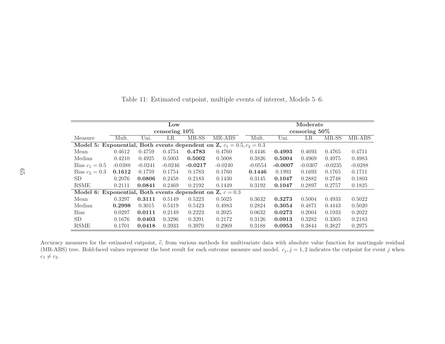|                                                                          |           |           | $_{\rm Low}$     |           | Moderate         |           |           |           |           |           |
|--------------------------------------------------------------------------|-----------|-----------|------------------|-----------|------------------|-----------|-----------|-----------|-----------|-----------|
|                                                                          |           |           | censoring $10\%$ |           | censoring $50\%$ |           |           |           |           |           |
| Measure                                                                  | Mult.     | Uni.      | LR               | MR-SS     | MR-ABS           | Mult.     | Uni.      | LR        | $MR-SS$   | MR-ABS    |
| Model 5: Exponential, Both events dependent on Z, $c_1 = 0.5, c_2 = 0.3$ |           |           |                  |           |                  |           |           |           |           |           |
| Mean                                                                     | 0.4612    | 0.4759    | 0.4754           | 0.4783    | 0.4760           | 0.4446    | 0.4993    | 0.4693    | 0.4765    | 0.4711    |
| Median                                                                   | 0.4210    | 0.4925    | 0.5003           | 0.5002    | 0.5008           | 0.3826    | 0.5004    | 0.4969    | 0.4975    | 0.4983    |
| Bias $c_1 = 0.5$                                                         | $-0.0388$ | $-0.0241$ | $-0.0246$        | $-0.0217$ | $-0.0240$        | $-0.0554$ | $-0.0007$ | $-0.0307$ | $-0.0235$ | $-0.0288$ |
| Bias $c_2 = 0.3$                                                         | 0.1612    | 0.1759    | 0.1754           | 0.1783    | 0.1760           | 0.1446    | 0.1993    | 0.1693    | 0.1765    | 0.1711    |
| <b>SD</b>                                                                | 0.2076    | 0.0806    | 0.2458           | 0.2183    | 0.1430           | 0.3145    | 0.1047    | 0.2882    | 0.2748    | 0.1803    |
| <b>RSME</b>                                                              | 0.2111    | 0.0841    | 0.2469           | 0.2192    | 0.1449           | 0.3192    | 0.1047    | 0.2897    | 0.2757    | 0.1825    |
| Model 6: Exponential, Both events dependent on Z, $c = 0.3$              |           |           |                  |           |                  |           |           |           |           |           |
| Mean                                                                     | 0.3297    | 0.3111    | 0.5149           | 0.5223    | 0.5025           | 0.3632    | 0.3273    | 0.5004    | 0.4933    | 0.5022    |
| Median                                                                   | 0.2998    | 0.3015    | 0.5419           | 0.5423    | 0.4983           | 0.2824    | 0.3054    | 0.4871    | 0.4443    | 0.5020    |
| <b>Bias</b>                                                              | 0.0297    | 0.0111    | 0.2149           | 0.2223    | 0.2025           | 0.0632    | 0.0273    | 0.2004    | 0.1933    | 0.2022    |
| <b>SD</b>                                                                | 0.1676    | 0.0403    | 0.3296           | 0.3291    | 0.2172           | 0.3126    | 0.0913    | 0.3282    | 0.3305    | 0.2183    |
| <b>RSME</b>                                                              | 0.1701    | 0.0418    | 0.3933           | 0.3970    | 0.2969           | 0.3188    | 0.0953    | 0.3844    | 0.3827    | 0.2975    |

Table 11: Estimated cutpoint, multiple events of interest, Models 5–6.

Accuracy measures for the estimated cutpoint,  $\hat{c}$ , from various methods for multivariate data with absolute value function for martingale residual (MR-ABS) tree. Bold-faced values represent the best result for each outcome measure and model.  $c_j$ ,  $j = 1, 2$  indicates the cutpoint for event j when  $c_1 \neq c_2.$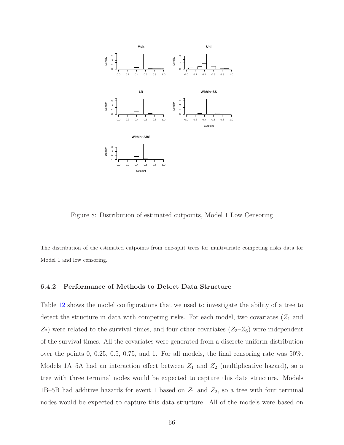

Figure 8: Distribution of estimated cutpoints, Model 1 Low Censoring

The distribution of the estimated cutpoints from one-split trees for multivariate competing risks data for Model 1 and low censoring.

# 6.4.2 Performance of Methods to Detect Data Structure

Table [12](#page-86-0) shows the model configurations that we used to investigate the ability of a tree to detect the structure in data with competing risks. For each model, two covariates  $(Z_1$  and  $Z_2$ ) were related to the survival times, and four other covariates  $(Z_3-Z_6)$  were independent of the survival times. All the covariates were generated from a discrete uniform distribution over the points 0, 0.25, 0.5, 0.75, and 1. For all models, the final censoring rate was  $50\%$ . Models 1A–5A had an interaction effect between  $Z_1$  and  $Z_2$  (multiplicative hazard), so a tree with three terminal nodes would be expected to capture this data structure. Models 1B–5B had additive hazards for event 1 based on  $Z_1$  and  $Z_2$ , so a tree with four terminal nodes would be expected to capture this data structure. All of the models were based on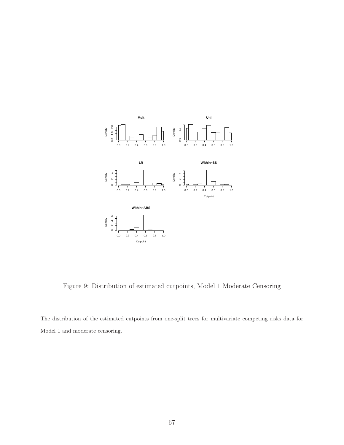

Figure 9: Distribution of estimated cutpoints, Model 1 Moderate Censoring

The distribution of the estimated cutpoints from one-split trees for multivariate competing risks data for Model 1 and moderate censoring.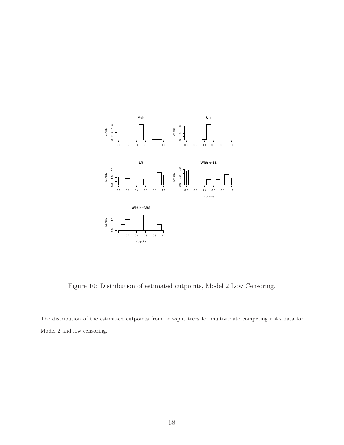

Figure 10: Distribution of estimated cutpoints, Model 2 Low Censoring.

The distribution of the estimated cutpoints from one-split trees for multivariate competing risks data for Model 2 and low censoring.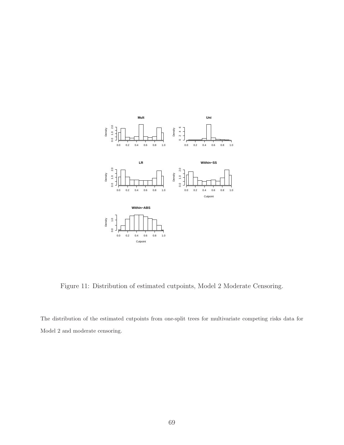

Figure 11: Distribution of estimated cutpoints, Model 2 Moderate Censoring.

The distribution of the estimated cutpoints from one-split trees for multivariate competing risks data for Model 2 and moderate censoring.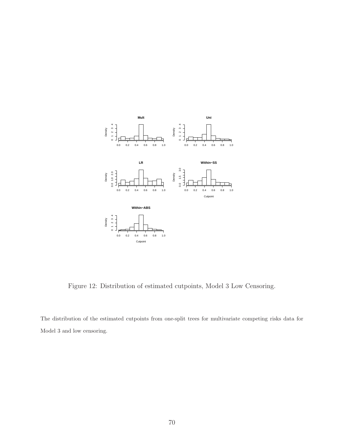

Figure 12: Distribution of estimated cutpoints, Model 3 Low Censoring.

The distribution of the estimated cutpoints from one-split trees for multivariate competing risks data for Model 3 and low censoring.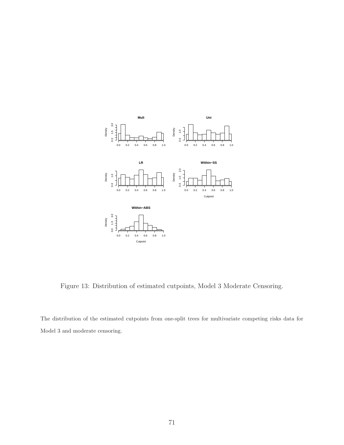

Figure 13: Distribution of estimated cutpoints, Model 3 Moderate Censoring.

The distribution of the estimated cutpoints from one-split trees for multivariate competing risks data for Model 3 and moderate censoring.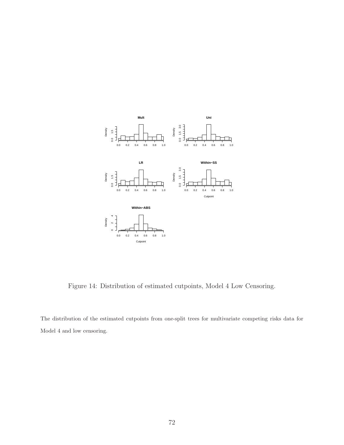

Figure 14: Distribution of estimated cutpoints, Model 4 Low Censoring.

The distribution of the estimated cutpoints from one-split trees for multivariate competing risks data for Model 4 and low censoring.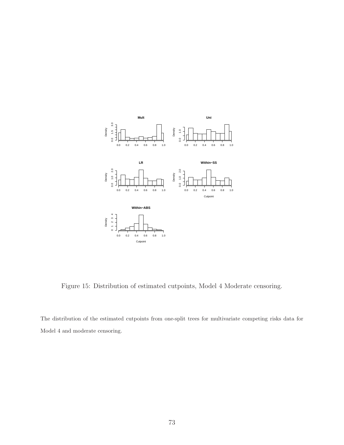

Figure 15: Distribution of estimated cutpoints, Model 4 Moderate censoring.

The distribution of the estimated cutpoints from one-split trees for multivariate competing risks data for Model 4 and moderate censoring.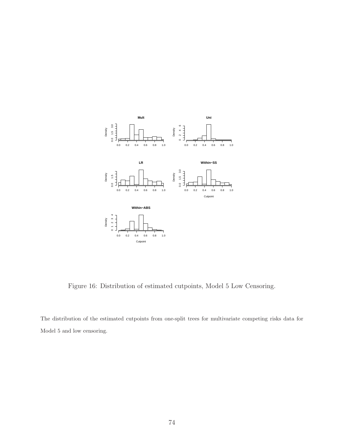

Figure 16: Distribution of estimated cutpoints, Model 5 Low Censoring.

The distribution of the estimated cutpoints from one-split trees for multivariate competing risks data for Model 5 and low censoring.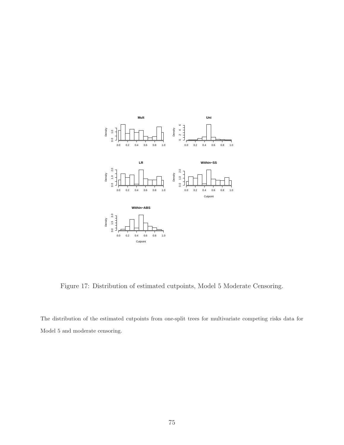

Figure 17: Distribution of estimated cutpoints, Model 5 Moderate Censoring.

The distribution of the estimated cutpoints from one-split trees for multivariate competing risks data for Model 5 and moderate censoring.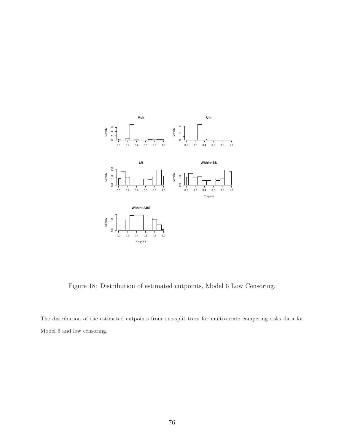

Figure 18: Distribution of estimated cutpoints, Model 6 Low Censoring.

The distribution of the estimated cutpoints from one-split trees for multivariate competing risks data for Model 6 and low censoring.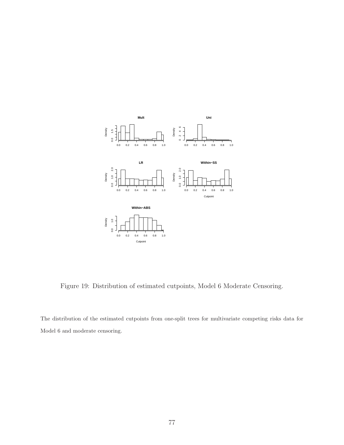

Figure 19: Distribution of estimated cutpoints, Model 6 Moderate Censoring.

The distribution of the estimated cutpoints from one-split trees for multivariate competing risks data for Model 6 and moderate censoring.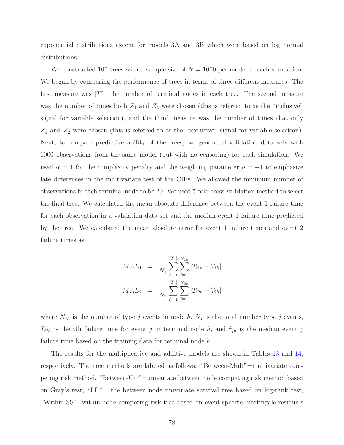exponential distributions except for models 3A and 3B which were based on log normal distributions.

We constructed 100 trees with a sample size of  $N = 1000$  per model in each simulation. We began by comparing the performance of trees in terms of three different measures. The first measure was  $|T^t|$ , the number of terminal nodes in each tree. The second measure was the number of times both  $Z_1$  and  $Z_2$  were chosen (this is referred to as the "inclusive" signal for variable selection), and the third measure was the number of times that only  $Z_1$  and  $Z_2$  were chosen (this is referred to as the "exclusive" signal for variable selection). Next, to compare predictive ability of the trees, we generated validation data sets with 1000 observations from the same model (but with no censoring) for each simulation. We used  $\alpha = 1$  for the complexity penalty and the weighting parameter  $\rho = -1$  to emphasize late differences in the multivariate test of the CIFs. We allowed the minimum number of observations in each terminal node to be 20. We used 5-fold cross-validation method to select the final tree. We calculated the mean absolute difference between the event 1 failure time for each observation in a validation data set and the median event 1 failure time predicted by the tree. We calculated the mean absolute error for event 1 failure times and event 2 failure times as

$$
MAE_1 = \frac{1}{N_1} \sum_{h=1}^{|T^t|} \sum_{i=1}^{N_{1h}} |T_{i1h} - \hat{\tau}_{1h}|
$$
  

$$
MAE_2 = \frac{1}{N_2} \sum_{h=1}^{|T^t|} \sum_{i=1}^{N_{2h}} |T_{i2h} - \hat{\tau}_{2h}|
$$

where  $N_{jh}$  is the number of type j events in node h,  $N_j$  is the total number type j events,  $T_{ijh}$  is the *i*th failure time for event j in terminal node h, and  $\hat{\tau}_{jh}$  is the median event j failure time based on the training data for terminal node h.

The results for the multiplicative and additive models are shown in Tables [13](#page-87-0) and [14,](#page-88-0) respectively. The tree methods are labeled as follows: "Between-Mult"=multivariate competing risk method, "Between-Uni"=univariate between node competing risk method based on Gray's test, "LR"= the between node univariate survival tree based on log-rank test, "Within-SS"=within-node competing risk tree based on event-specific martingale residuals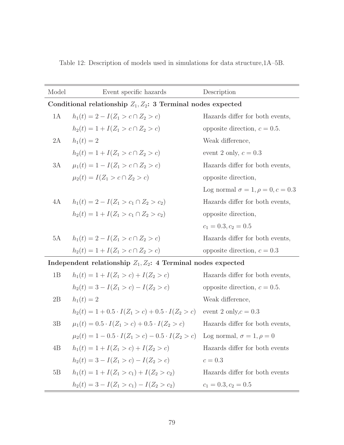| Model | Event specific hazards                                          | Description                                |
|-------|-----------------------------------------------------------------|--------------------------------------------|
|       | Conditional relationship $Z_1, Z_2$ : 3 Terminal nodes expected |                                            |
| 1A    | $h_1(t) = 2 - I(Z_1 > c \cap Z_2 > c)$                          | Hazards differ for both events,            |
|       | $h_2(t) = 1 + I(Z_1 > c \cap Z_2 > c)$                          | opposite direction, $c = 0.5$ .            |
| 2A    | $h_1(t) = 2$                                                    | Weak difference,                           |
|       | $h_2(t) = 1 + I(Z_1 > c \cap Z_2 > c)$                          | event 2 only, $c = 0.3$                    |
| 3A    | $\mu_1(t) = 1 - I(Z_1 > c \cap Z_2 > c)$                        | Hazards differ for both events,            |
|       | $\mu_2(t) = I(Z_1 > c \cap Z_2 > c)$                            | opposite direction,                        |
|       |                                                                 | Log normal $\sigma = 1, \rho = 0, c = 0.3$ |
| 4A    | $h_1(t) = 2 - I(Z_1 > c_1 \cap Z_2 > c_2)$                      | Hazards differ for both events,            |
|       | $h_2(t) = 1 + I(Z_1 > c_1 \cap Z_2 > c_2)$                      | opposite direction,                        |
|       |                                                                 | $c_1 = 0.3, c_2 = 0.5$                     |
| 5A    | $h_1(t) = 2 - I(Z_1 > c \cap Z_2 > c)$                          | Hazards differ for both events,            |
|       | $h_2(t) = 1 + I(Z_1 > c \cap Z_2 > c)$                          | opposite direction, $c = 0.3$              |
|       | Independent relationship $Z_1, Z_2$ : 4 Terminal nodes expected |                                            |
| 1B    | $h_1(t) = 1 + I(Z_1 > c) + I(Z_2 > c)$                          | Hazards differ for both events,            |
|       | $h_2(t) = 3 - I(Z_1 > c) - I(Z_2 > c)$                          | opposite direction, $c = 0.5$ .            |
| 2B    | $h_1(t) = 2$                                                    | Weak difference,                           |
|       | $h_2(t) = 1 + 0.5 \cdot I(Z_1 > c) + 0.5 \cdot I(Z_2 > c)$      | event 2 only, $c = 0.3$                    |
| 3B    | $\mu_1(t) = 0.5 \cdot I(Z_1 > c) + 0.5 \cdot I(Z_2 > c)$        | Hazards differ for both events,            |
|       | $\mu_2(t) = 1 - 0.5 \cdot I(Z_1 > c) - 0.5 \cdot I(Z_2 > c)$    | Log normal, $\sigma = 1, \rho = 0$         |
| 4B    | $h_1(t) = 1 + I(Z_1 > c) + I(Z_2 > c)$                          | Hazards differ for both events             |

<span id="page-86-0"></span>Table 12: Description of models used in simulations for data structure,1A–5B.

5B  $h_1(t) = 1 + I(Z_1 > c_1) + I(Z_2 > c_2)$  Hazards differ for both events

 $h_2(t) = 3 - I(Z_1 > c_1) - I(Z_2 > c_2)$   $c_1 = 0.3, c_2 = 0.5$ 

 $h_2(t) = 3 - I(Z_1 > c) - I(Z_2 > c)$  c = 0.3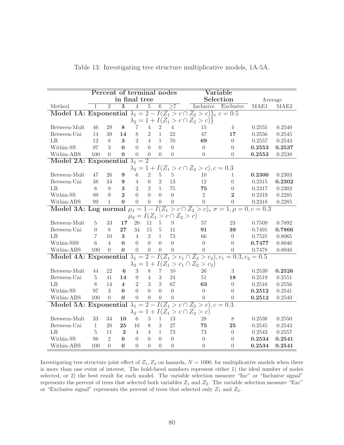|                                         |              |                | Percent of terminal nodes |                |                |                |                | $\overline{\text{Variable}}$                                                              |                |         |        |
|-----------------------------------------|--------------|----------------|---------------------------|----------------|----------------|----------------|----------------|-------------------------------------------------------------------------------------------|----------------|---------|--------|
|                                         |              |                | in final tree             |                |                |                |                |                                                                                           | Selection      | Average |        |
| Method                                  |              | $\overline{2}$ | $\overline{3}$            | 4              | $\overline{5}$ | 6              | >7             | <b>Inclusive</b>                                                                          | Exclusive      | MAE1    | MAE2   |
|                                         |              |                |                           |                |                |                |                | Model 1A: Exponential $\lambda_1 = 2 - I(Z_1 > c \cap Z_2 > c)$ , $c = 0.5$               |                |         |        |
|                                         |              |                |                           |                |                |                |                | $\lambda_2 = 1 + I(Z_1 > c \cap Z_2 > c)$                                                 |                |         |        |
| ${\rm Between\text{-}Mult}$             | 46           | 29             | 8                         | 7              | $\overline{4}$ | $\overline{2}$ | $\overline{4}$ | 15                                                                                        | 4              | 0.2555  | 0.2540 |
| Between-Uni                             | 14           | 39             | 14                        | 8              | $\overline{2}$ | $\mathbf{1}$   | 22             | 47                                                                                        | 17             | 0.2556  | 0.2545 |
| LR                                      | 12           | 8              | 3                         | $\overline{2}$ | 4              | $\mathbf{1}$   | 70             | 69                                                                                        | $\theta$       | 0.2557  | 0.2543 |
| Within-SS                               | 97           | 3              | $\Omega$                  | $\Omega$       | $\Omega$       | $\Omega$       | $\Omega$       | $\Omega$                                                                                  | $\theta$       | 0.2553  | 0.2537 |
| Within-ABS                              | 100          | $\Omega$       | $\mathbf{0}$              | $\Omega$       | $\Omega$       | $\Omega$       | $\theta$       | $\overline{0}$                                                                            | $\theta$       | 0.2553  | 0.2538 |
| Model 2A: Exponential $\lambda_1 =$     |              |                |                           |                | $\overline{2}$ |                |                |                                                                                           |                |         |        |
|                                         |              |                |                           |                |                |                |                | $\lambda_2 = 1 + I(Z_1 > c \cap Z_2 > c), c = 0.3$                                        |                |         |        |
| Between-Mult                            | 47           | 26             | 9                         | 6              | $\overline{2}$ | $\overline{5}$ | $\overline{5}$ | 10                                                                                        | 1              | 0.2300  | 0.2303 |
| Between-Uni                             | 38           | 34             | 9                         | $\overline{4}$ | $\overline{0}$ | $\overline{2}$ | 13             | 12                                                                                        | $\overline{0}$ | 0.2315  | 0.2302 |
| LR                                      | 8            | 9              | 3                         | $\overline{2}$ | $\overline{2}$ | $\mathbf{1}$   | 75             | 75                                                                                        | $\overline{0}$ | 0.2317  | 0.2302 |
| Within-SS                               | 89           | 9              | $\overline{2}$            | $\overline{0}$ | $\theta$       | $\Omega$       | $\theta$       | $\overline{2}$                                                                            | $\overline{2}$ | 0.2319  | 0.2285 |
| Within-ABS                              | 99           | $\mathbf{1}$   | $\bf{0}$                  | $\Omega$       | $\overline{0}$ | $\overline{0}$ | $\overline{0}$ | $\overline{0}$                                                                            | $\theta$       | 0.2318  | 0.2285 |
|                                         |              |                |                           |                |                |                |                | Model 3A: Log normal $\mu_1 = 1 - I(Z_1 > c \cap Z_2 > c), \sigma = 1, \rho = 0, c = 0.3$ |                |         |        |
|                                         |              |                |                           |                |                |                |                | $\mu_2 = I(Z_1 > c \cap Z_2 > c)$                                                         |                |         |        |
| Between-Mult                            | 5            | 33             | 17                        | 20             | 11             | 5              | 9              | 57                                                                                        | 23             | 0.7509  | 0.7892 |
| Between-Uni                             | $\Omega$     | 8              | 27                        | 34             | 15             | 5              | 11             | 91                                                                                        | 39             | 0.7491  | 0.7866 |
| LR.                                     | 7            | 10             | 3                         | 4              | $\overline{2}$ | $\mathbf{1}$   | 73             | 66                                                                                        | $\Omega$       | 0.7521  | 0.8065 |
| Within-SS9                              | 6            | $\overline{4}$ | $\Omega$                  | $\Omega$       | $\theta$       | $\Omega$       | $\Omega$       | $\theta$                                                                                  | $\Omega$       | 0.7477  | 0.8046 |
| Within-ABS                              | 100          | $\theta$       | $\mathbf{0}$              | $\theta$       | $\Omega$       | $\Omega$       | $\Omega$       | $\Omega$                                                                                  | $\Omega$       | 0.7478  | 0.8048 |
| Model 4A: Exponential $\lambda_1 = 2$ – |              |                |                           |                |                |                |                | $I(Z_1 > c_1 \cap Z_2 > c_2), c_1 = 0.3, c_2 = 0.5$                                       |                |         |        |
|                                         |              |                |                           |                |                |                |                | $\lambda_2 = 1 + I(Z_1 > c_1 \cap Z_2 > c_2)$                                             |                |         |        |
| Between-Mult                            | 44           | 22             | 6                         | 3              | 8              | 7              | 10             | 26                                                                                        | $\sqrt{3}$     | 0.2539  | 0.2526 |
| Between-Uni                             | $5^{\circ}$  | 41             | 14                        | 9              | 4              | 3              | 24             | 51                                                                                        | 18             | 0.2519  | 0.2551 |
| LR                                      | 8            | 14             | $\overline{4}$            | $\overline{2}$ | 3              | $\overline{2}$ | 67             | 63                                                                                        | $\theta$       | 0.2516  | 0.2556 |
| Within-SS                               | 97           | 3              | $\bf{0}$                  | $\overline{0}$ | $\overline{0}$ | $\theta$       | $\Omega$       | $\Omega$                                                                                  | $\overline{0}$ | 0.2512  | 0.2541 |
| Within-ABS                              | 100          | $\overline{0}$ | $\boldsymbol{0}$          | $\overline{0}$ | $\overline{0}$ | $\theta$       | $\overline{0}$ | $\theta$                                                                                  | $\overline{0}$ | 0.2512  | 0.2540 |
| Model 5A: Exponential $\lambda_1 =$     |              |                |                           |                | $\overline{2}$ |                |                | $I(Z_1 > c \cap Z_2 > c), c = 0.3$                                                        |                |         |        |
|                                         |              |                |                           |                |                |                |                | $\lambda_2 = 1 + I(Z_1 > c \cap Z_2 > c)$                                                 |                |         |        |
| Between-Mult                            | 33           | 34             | 10                        | 6              | 3              | $\mathbf{1}$   | 13             | 28                                                                                        | $8\,$          | 0.2538  | 0.2550 |
| Between-Uni                             | $\mathbf{1}$ | 20             | 25                        | 16             | $8\,$          | 3              | 27             | 75                                                                                        | 25             | 0.2545  | 0.2543 |
| LR                                      | 5            | 11             | $\mathbf{2}$              | 4              | 4              | $\mathbf{1}$   | 73             | 73                                                                                        | $\theta$       | 0.2543  | 0.2557 |
| Within-SS                               | 98           | $\mathfrak{D}$ | $\Omega$                  | $\Omega$       | $\Omega$       | $\Omega$       | $\Omega$       | $\Omega$                                                                                  | $\theta$       | 0.2534  | 0.2541 |
| Within-ABS                              | 100          | $\theta$       | $\mathbf{0}$              | $\theta$       | $\theta$       | $\Omega$       | $\theta$       | $\theta$                                                                                  | $\theta$       | 0.2534  | 0.2541 |

<span id="page-87-0"></span>Table 13: Investigating tree structure multiplicative models, 1A-5A.

Investigating tree structure joint effect of  $Z_1, Z_2$  on hazards,  $N = 1000$ , for multiplicative models when there is more than one event of interest. The bold-faced numbers represent either 1) the ideal number of nodes selected, or 2) the best result for each model. The variable selection measure "Inc" or "Inclusive signal" represents the percent of trees that selected both variables  $Z_1$  and  $Z_2$ . The variable selection measure "Exc" or "Exclusive signal" represents the percent of trees that selected only  $Z_1$  and  $Z_2$ .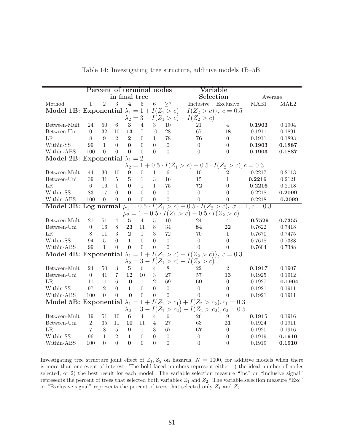| Percent of terminal nodes<br>$\rm Variable$                            |                      |                  |                      |                |                      |                |                  |                                                                                                 |                |                  |                  |  |
|------------------------------------------------------------------------|----------------------|------------------|----------------------|----------------|----------------------|----------------|------------------|-------------------------------------------------------------------------------------------------|----------------|------------------|------------------|--|
|                                                                        |                      |                  |                      | in final tree  |                      |                |                  |                                                                                                 | Selection      |                  | Average          |  |
| Method                                                                 | $\mathbf{1}$         | $\overline{2}$   | $\overline{3}$       | $\overline{4}$ | $\overline{5}$       | $\overline{6}$ | >7               | <b>Inclusive</b>                                                                                | Exclusive      | MAE1             | MAE2             |  |
|                                                                        |                      |                  |                      |                |                      |                |                  | Model 1B: Exponential $\lambda_1 = 1 + I(Z_1 > c) + I(Z_2 > c)$ , $c = 0.5$                     |                |                  |                  |  |
|                                                                        |                      |                  |                      |                |                      |                |                  | $\lambda_2 = 3 - I(Z_1 > c) - I(Z_2 > c)$                                                       |                |                  |                  |  |
| Between-Mult                                                           | 24                   | 50 <sub>50</sub> | 6                    | 3              | $\overline{4}$       | 3              | 10               | 21                                                                                              | $\overline{4}$ | 0.1903           | 0.1904           |  |
| Between-Uni                                                            | $\theta$             | 32               | 10                   | 13             | $\overline{7}$       | 10             | 28               | 67                                                                                              | 18             | 0.1911           | 0.1891           |  |
| LR                                                                     | 8                    | 9                | $\overline{2}$       | $\overline{2}$ | $\theta$             | $\mathbf{1}$   | 78               | 76                                                                                              | $\theta$       | 0.1911           | 0.1893           |  |
| Within-SS                                                              | 99                   | $\mathbf{1}$     | $\Omega$             | $\Omega$       | $\Omega$             | $\Omega$       | $\overline{0}$   | $\Omega$                                                                                        | $\theta$       | 0.1903           | 0.1887           |  |
| Within-ABS                                                             | 100                  | $\Omega$         | $\Omega$             | $\mathbf{0}$   | $\Omega$             | $\Omega$       | $\boldsymbol{0}$ | $\theta$                                                                                        | $\overline{0}$ | 0.1903           | 0.1887           |  |
| Model 2B: Exponential<br>$\lambda_1=2$                                 |                      |                  |                      |                |                      |                |                  |                                                                                                 |                |                  |                  |  |
| $\lambda_2 = 1 + 0.5 \cdot I(Z_1 > c) + 0.5 \cdot I(Z_2 > c), c = 0.3$ |                      |                  |                      |                |                      |                |                  |                                                                                                 |                |                  |                  |  |
| Between-Mult                                                           | 44                   | 30               | 10                   | 9              | $\overline{0}$       | $\mathbf{1}$   | 6                | 10                                                                                              | $\bf{2}$       | 0.2217           | 0.2113           |  |
| Between-Uni                                                            | 39                   | 31               | 5                    | 5              | $\mathbf{1}$         | 3              | 16               | 15                                                                                              | 1              | 0.2216           | 0.2121           |  |
| LR                                                                     | 6                    | 16               | $\mathbf{1}$         | $\Omega$       | $\mathbf{1}$         | $\mathbf{1}$   | 75               | 72                                                                                              | $\theta$       | 0.2216           | 0.2118           |  |
| Within-SS                                                              | 83                   | 17               | $\overline{0}$       | $\Omega$       | $\Omega$             | $\Omega$       | $\overline{0}$   | $\theta$                                                                                        | $\theta$       | 0.2218           | 0.2099           |  |
| Within-ABS                                                             | 100                  | $\Omega$         | $\overline{0}$       | $\bf{0}$       | $\overline{0}$       | $\overline{0}$ | $\boldsymbol{0}$ | $\overline{0}$                                                                                  | $\overline{0}$ | 0.2218           | 0.2099           |  |
|                                                                        |                      |                  |                      |                |                      |                |                  | Model 3B: Log normal $\mu_1 = 0.5 \cdot I(Z_1 > c) + 0.5 \cdot I(Z_2 > c), \sigma = 1, c = 0.3$ |                |                  |                  |  |
|                                                                        |                      |                  |                      |                |                      |                |                  | $\mu_2 = 1 - 0.5 \cdot I(Z_1 > c) - 0.5 \cdot I(Z_2 > c)$                                       |                |                  |                  |  |
| Between-Mult                                                           | 21                   | 51               | 4                    | $\overline{5}$ | $\overline{4}$       | $\overline{5}$ | 10               | 24                                                                                              | $\overline{4}$ | 0.7529           | 0.7355           |  |
| Between-Uni                                                            | $\Omega$             | 16               | 8                    | 23             | 11                   | 8              | 34               | 84                                                                                              | 22             | 0.7622           | 0.7418           |  |
| LR                                                                     | 8                    | 11               | 3                    | $\overline{2}$ | $\mathbf{1}$         | 3              | 72               | 70                                                                                              | $\mathbf{1}$   | 0.7670           | 0.7475           |  |
| Within-SS                                                              | 94                   | 5                | $\theta$             | $\mathbf{1}$   | $\Omega$             | $\Omega$       | $\overline{0}$   | $\Omega$                                                                                        | $\theta$       | 0.7618           | 0.7388           |  |
| Within-ABS                                                             | 99                   | $\mathbf{1}$     | $\overline{0}$       | $\mathbf{0}$   | $\Omega$             | $\Omega$       | $\overline{0}$   | $\Omega$                                                                                        | $\theta$       | 0.7604           | 0.7388           |  |
| Model 4B: Exponential                                                  |                      |                  |                      |                | $\lambda_1 = 1 + I($ |                |                  | $Z_1 > c$ + $I(Z_2 > c)$ }, $c = 0.3$                                                           |                |                  |                  |  |
|                                                                        |                      |                  |                      |                |                      |                |                  | $\lambda_2 = 3 - I(Z_1 > c) - I(Z_2 > c)$                                                       |                |                  |                  |  |
| Between-Mult                                                           | 24                   | 50               | 3                    | $\overline{5}$ | 6                    | 4              | 8                | 22                                                                                              | $\overline{2}$ | 0.1917           | 0.1907           |  |
| Between-Uni                                                            | $\Omega$             | 41               | 7                    | 12             | 10                   | 3              | 27               | 57                                                                                              | 13             | 0.1925           | 0.1912           |  |
| LR                                                                     | 11                   | 11               | 6                    | $\mathbf{0}$   | 1                    | $\overline{2}$ | 69               | 69                                                                                              | $\overline{0}$ | 0.1927           | 0.1904           |  |
| Within-SS                                                              | 97                   | $\overline{2}$   | $\Omega$             | $\mathbf{1}$   | $\overline{0}$       | $\Omega$       | $\overline{0}$   | $\overline{0}$                                                                                  | $\theta$       | 0.1921           | 0.1911           |  |
| Within-ABS                                                             | 100                  | $\Omega$         | $\overline{0}$       | $\bf{0}$       | $\overline{0}$       | $\overline{0}$ | $\overline{0}$   | $\theta$                                                                                        | $\overline{0}$ | 0.1921           | 0.1911           |  |
| Model 5B: Exponential $\lambda_1 = 1$                                  |                      |                  |                      |                | $+$                  |                |                  | $I(Z_1 > c_1) + I(Z_2 > c_2), c_1 = 0.3$                                                        |                |                  |                  |  |
|                                                                        |                      |                  |                      |                |                      |                |                  | $\lambda_2 = 3 - I(Z_1 > c_2) - I(Z_2 > c_2), c_2 = 0.5$                                        |                |                  |                  |  |
| Between-Mult                                                           | 19<br>$\overline{2}$ | 51<br>35         | 10                   | $\bf{6}$       | $\overline{4}$       | $\overline{4}$ | $6\phantom{.}6$  | 26                                                                                              | 9              | 0.1915           | 0.1916           |  |
| Between-Uni<br>LR                                                      | $\overline{7}$       | 8                | 11<br>$\overline{5}$ | 10<br>9        | 11<br>$\mathbf{1}$   | 4<br>3         | 27<br>67         | 63<br>67                                                                                        | 21<br>$\theta$ | 0.1924<br>0.1920 | 0.1911<br>0.1916 |  |
| Within-SS                                                              | 96                   | 1                | $\overline{2}$       | $\mathbf{1}$   | $\theta$             | $\Omega$       | $\overline{0}$   | $\Omega$                                                                                        | $\Omega$       | 0.1919           |                  |  |
| Within-ABS                                                             | 100                  | $\Omega$         | $\theta$             | $\mathbf{0}$   | $\theta$             | $\Omega$       | $\theta$         | $\Omega$                                                                                        | $\theta$       | 0.1919           | 0.1910<br>0.1910 |  |
|                                                                        |                      |                  |                      |                |                      |                |                  |                                                                                                 |                |                  |                  |  |

<span id="page-88-0"></span>Table 14: Investigating tree structure, additive models 1B–5B.

Investigating tree structure joint effect of  $Z_1, Z_2$  on hazards,  $N = 1000$ , for additive models when there is more than one event of interest. The bold-faced numbers represent either 1) the ideal number of nodes selected, or 2) the best result for each model. The variable selection measure "Inc" or "Inclusive signal" represents the percent of trees that selected both variables  $Z_1$  and  $Z_2$ . The variable selection measure "Exc" or "Exclusive signal" represents the percent of trees that selected only  $Z_1$  and  $Z_2$ .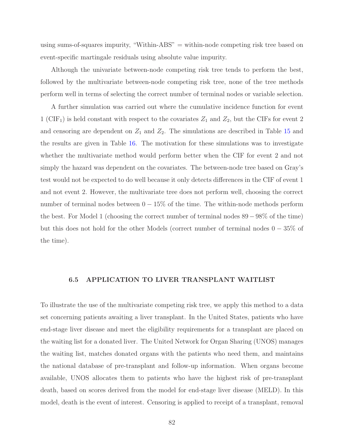using sums-of-squares impurity, "Within-ABS" = within-node competing risk tree based on event-specific martingale residuals using absolute value impurity.

Although the univariate between-node competing risk tree tends to perform the best, followed by the multivariate between-node competing risk tree, none of the tree methods perform well in terms of selecting the correct number of terminal nodes or variable selection.

A further simulation was carried out where the cumulative incidence function for event 1 (CIF<sub>1</sub>) is held constant with respect to the covariates  $Z_1$  and  $Z_2$ , but the CIFs for event 2 and censoring are dependent on  $Z_1$  and  $Z_2$ . The simulations are described in Table [15](#page-90-0) and the results are given in Table [16.](#page-91-0) The motivation for these simulations was to investigate whether the multivariate method would perform better when the CIF for event 2 and not simply the hazard was dependent on the covariates. The between-node tree based on Gray's test would not be expected to do well because it only detects differences in the CIF of event 1 and not event 2. However, the multivariate tree does not perform well, choosing the correct number of terminal nodes between  $0 - 15\%$  of the time. The within-node methods perform the best. For Model 1 (choosing the correct number of terminal nodes 89−98% of the time) but this does not hold for the other Models (correct number of terminal nodes 0 − 35% of the time).

### 6.5 APPLICATION TO LIVER TRANSPLANT WAITLIST

To illustrate the use of the multivariate competing risk tree, we apply this method to a data set concerning patients awaiting a liver transplant. In the United States, patients who have end-stage liver disease and meet the eligibility requirements for a transplant are placed on the waiting list for a donated liver. The United Network for Organ Sharing (UNOS) manages the waiting list, matches donated organs with the patients who need them, and maintains the national database of pre-transplant and follow-up information. When organs become available, UNOS allocates them to patients who have the highest risk of pre-transplant death, based on scores derived from the model for end-stage liver disease (MELD). In this model, death is the event of interest. Censoring is applied to receipt of a transplant, removal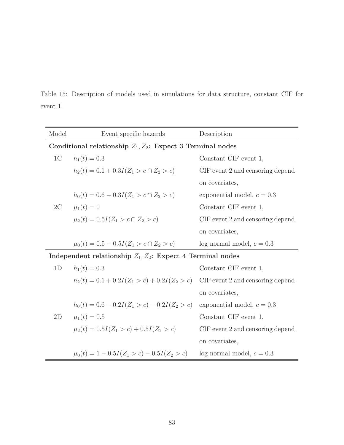<span id="page-90-0"></span>Table 15: Description of models used in simulations for data structure, constant CIF for event 1.

| Model          | Event specific hazards                                        | Description                      |
|----------------|---------------------------------------------------------------|----------------------------------|
|                | Conditional relationship $Z_1, Z_2$ : Expect 3 Terminal nodes |                                  |
| 1 <sup>C</sup> | $h_1(t) = 0.3$                                                | Constant CIF event 1,            |
|                | $h_2(t) = 0.1 + 0.3I(Z_1 > c \cap Z_2 > c)$                   | CIF event 2 and censoring depend |
|                |                                                               | on covariates,                   |
|                | $h_0(t) = 0.6 - 0.3I(Z_1 > c \cap Z_2 > c)$                   | exponential model, $c = 0.3$     |
| 2C             | $\mu_1(t) = 0$                                                | Constant CIF event 1,            |
|                | $\mu_2(t) = 0.5I(Z_1 > c \cap Z_2 > c)$                       | CIF event 2 and censoring depend |
|                |                                                               | on covariates,                   |
|                | $\mu_0(t) = 0.5 - 0.5I(Z_1 > c \cap Z_2 > c)$                 | log normal model, $c = 0.3$      |
|                | Independent relationship $Z_1, Z_2$ : Expect 4 Terminal nodes |                                  |
| 1D             | $h_1(t) = 0.3$                                                | Constant CIF event 1,            |
|                | $h_2(t) = 0.1 + 0.2I(Z_1 > c) + 0.2I(Z_2 > c)$                | CIF event 2 and censoring depend |
|                |                                                               | on covariates,                   |
|                | $h_0(t) = 0.6 - 0.2I(Z_1 > c) - 0.2I(Z_2 > c)$                | exponential model, $c = 0.3$     |
| 2D             | $\mu_1(t) = 0.5$                                              | Constant CIF event 1,            |
|                | $\mu_2(t) = 0.5I(Z_1 > c) + 0.5I(Z_2 > c)$                    | CIF event 2 and censoring depend |
|                |                                                               | on covariates,                   |
|                | $\mu_0(t) = 1 - 0.5I(Z_1 > c) - 0.5I(Z_2 > c)$                | log normal model, $c = 0.3$      |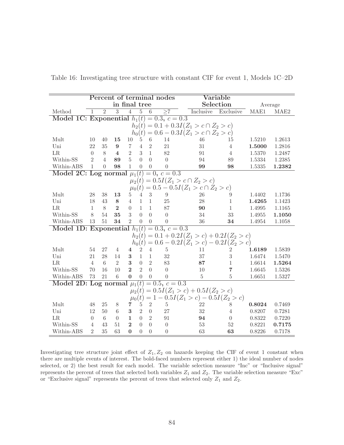|                                 |                |                |                |                |                |                | Percent of terminal nodes |                                                | $\rm Variable$ |         |        |
|---------------------------------|----------------|----------------|----------------|----------------|----------------|----------------|---------------------------|------------------------------------------------|----------------|---------|--------|
|                                 |                |                |                | in final tree  |                |                |                           |                                                | Selection      | Average |        |
| Method                          | 1              | $\overline{2}$ | $\overline{3}$ | $\overline{4}$ | 5              | 6              | >7                        | <b>Inclusive</b>                               | Exclusive      | MAE1    | MAE2   |
| Model 1C: Exponential $h_1(t)$  |                |                |                |                |                |                | $= 0.3, c = 0.3$          |                                                |                |         |        |
|                                 |                |                |                |                | $h_2(t)$       |                |                           | $= 0.1 + 0.3I(Z_1 > c \cap Z_2 > c)$           |                |         |        |
|                                 |                |                |                |                | $h_0(t)$       |                |                           | $= 0.6 - 0.3I(Z_1 > c \cap Z_2 > c)$           |                |         |        |
| Mult                            | 10             | 40             | 15             | 10             | 5              | 6              | 14                        | 46                                             | 15             | 1.5210  | 1.2613 |
| Uni                             | 22             | 35             | 9              | $\overline{7}$ | $\overline{4}$ | $\overline{2}$ | 21                        | 31                                             | $\overline{4}$ | 1.5000  | 1.2816 |
| LR                              | $\theta$       | 8              | $\overline{4}$ | $\overline{2}$ | 3              | $\mathbf{1}$   | 82                        | 91                                             | $\overline{4}$ | 1.5370  | 1.2487 |
| Within-SS                       | $\overline{2}$ | $\overline{4}$ | 89             | 5              | $\Omega$       | $\Omega$       | $\Omega$                  | 94                                             | 89             | 1.5334  | 1.2385 |
| Within-ABS                      | $\mathbf{1}$   | $\Omega$       | 98             | $\mathbf{1}$   | $\Omega$       | $\Omega$       | $\theta$                  | 99                                             | 98             | 1.5335  | 1.2382 |
| Model 2C: Log normal $\mu_1(t)$ |                |                |                |                |                |                | $= 0, c = 0.3$            |                                                |                |         |        |
|                                 |                |                |                |                | $\mu_2(t)$     |                |                           | $= 0.5I(Z_1 > c \cap Z_2 > c)$                 |                |         |        |
|                                 |                |                |                |                | $\mu_0(t)$     |                |                           | $= 0.5 - 0.5I(Z_1 > c \cap Z_2 > c)$           |                |         |        |
| Mult                            | 28             | 38             | 13             | 5              | 4              | $\sqrt{3}$     | 9                         | 26                                             | 9              | 1.4402  | 1.1736 |
| Uni                             | 18             | 43             | 8              | $\overline{4}$ | $\mathbf{1}$   | $\mathbf{1}$   | 25                        | 28                                             | 1              | 1.4265  | 1.1423 |
| $\rm LR$                        | $\mathbf{1}$   | 8              | $\mathbf{2}$   | $\Omega$       | $\mathbf{1}$   | $\mathbf{1}$   | 87                        | 90                                             | 1              | 1.4995  | 1.1165 |
| Within-SS                       | 8              | 54             | 35             | 3              | $\Omega$       | $\Omega$       | $\overline{0}$            | 34                                             | 33             | 1.4955  | 1.1050 |
| Within-ABS                      | 13             | 51             | 34             | $\overline{2}$ | $\overline{0}$ | $\Omega$       | $\overline{0}$            | 36                                             | 34             | 1.4954  | 1.1058 |
| Model 1D: Exponential $h_1(t)$  |                |                |                |                |                |                | $= 0.3, c = 0.3$          |                                                |                |         |        |
|                                 |                |                |                |                |                |                |                           | $h_2(t) = 0.1 + 0.2I(Z_1 > c) + 0.2I(Z_2 > c)$ |                |         |        |
|                                 |                |                |                |                | $h_0(t)$       |                |                           | $= 0.6 - 0.2I(Z_1 > c) - 0.2I(Z_2 > c)$        |                |         |        |
| Mult                            | 54             | 27             | 4              | 4              | $\overline{2}$ | $\overline{4}$ | 5                         | 11                                             | $\overline{2}$ | 1.6189  | 1.5839 |
| Uni                             | 21             | 28             | 14             | 3              | $\mathbf{1}$   | $\mathbf{1}$   | 32                        | 37                                             | 3              | 1.6474  | 1.5470 |
| LR                              | 4              | 6              | $\overline{2}$ | 3              | $\theta$       | $\overline{2}$ | 83                        | 87                                             | $\mathbf{1}$   | 1.6614  | 1.5264 |
| Within-SS                       | 70             | 16             | 10             | $\overline{2}$ | $\mathfrak{D}$ | $\Omega$       | $\Omega$                  | 10                                             | 7              | 1.6645  | 1.5326 |
| Within-ABS                      | 73             | 21             | 6              | $\mathbf{0}$   | $\overline{0}$ | $\Omega$       | $\overline{0}$            | $\overline{5}$                                 | $\overline{5}$ | 1.6651  | 1.5327 |
| Model 2D: Log normal $\mu_1(t)$ |                |                |                |                |                |                | $= 0.5, c = 0.3$          |                                                |                |         |        |
|                                 |                |                |                |                | $\mu_2(t)$     |                |                           | $= 0.5I(Z_1 > c) + 0.5I(Z_2 > c)$              |                |         |        |
|                                 |                |                |                |                | $\mu_0(t)$     |                |                           | $= 1 - 0.5I(Z_1 > c) - 0.5I(Z_2 > c)$          |                |         |        |
| Mult                            | 48             | 25             | 8              | 7              | 5              | $\sqrt{2}$     | $\overline{5}$            | 22                                             | 8              | 0.8024  | 0.7469 |
| Uni                             | 12             | 50             | 6              | 3              | $\overline{2}$ | $\theta$       | 27                        | 32                                             | $\overline{4}$ | 0.8207  | 0.7281 |
| LR                              | 0              | 6              | $\theta$       | $\mathbf{1}$   | $\theta$       | $\overline{2}$ | 91                        | 94                                             | $\Omega$       | 0.8322  | 0.7220 |
| Within-SS                       | 4              | 43             | 51             | $\mathbf{2}$   | $\Omega$       | $\Omega$       | $\Omega$                  | 53                                             | 52             | 0.8221  | 0.7175 |
| Within-ABS                      | $\overline{2}$ | 35             | 63             | $\mathbf{0}$   | $\Omega$       | $\Omega$       | $\theta$                  | 63                                             | 63             | 0.8226  | 0.7178 |

<span id="page-91-0"></span>Table 16: Investigating tree structure with constant CIF for event 1, Models 1C–2D

Investigating tree structure joint effect of  $Z_1, Z_2$  on hazards keeping the CIF of event 1 constant when there are multiple events of interest. The bold-faced numbers represent either 1) the ideal number of nodes selected, or 2) the best result for each model. The variable selection measure "Inc" or "Inclusive signal" represents the percent of trees that selected both variables  $Z_1$  and  $Z_2$ . The variable selection measure "Exc" or "Exclusive signal" represents the percent of trees that selected only  $Z_1$  and  $Z_2$ .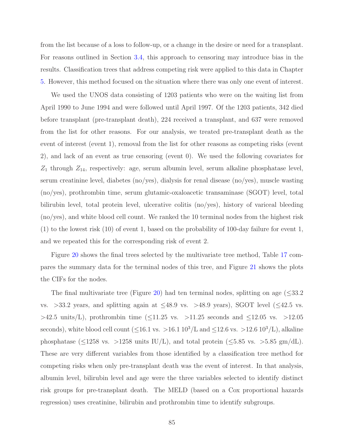from the list because of a loss to follow-up, or a change in the desire or need for a transplant. For reasons outlined in Section [3.4,](#page-21-0) this approach to censoring may introduce bias in the results. Classification trees that address competing risk were applied to this data in Chapter [5.](#page-29-0) However, this method focused on the situation where there was only one event of interest.

We used the UNOS data consisting of 1203 patients who were on the waiting list from April 1990 to June 1994 and were followed until April 1997. Of the 1203 patients, 342 died before transplant (pre-transplant death), 224 received a transplant, and 637 were removed from the list for other reasons. For our analysis, we treated pre-transplant death as the event of interest (event 1), removal from the list for other reasons as competing risks (event 2), and lack of an event as true censoring (event 0). We used the following covariates for  $Z_1$  through  $Z_{14}$ , respectively: age, serum albumin level, serum alkaline phosphatase level, serum creatinine level, diabetes (no/yes), dialysis for renal disease (no/yes), muscle wasting (no/yes), prothrombin time, serum glutamic-oxaloacetic transaminase (SGOT) level, total bilirubin level, total protein level, ulcerative colitis (no/yes), history of variceal bleeding (no/yes), and white blood cell count. We ranked the 10 terminal nodes from the highest risk (1) to the lowest risk (10) of event 1, based on the probability of 100-day failure for event 1, and we repeated this for the corresponding risk of event 2.

Figure [20](#page-94-0) shows the final trees selected by the multivariate tree method, Table [17](#page-97-0) compares the summary data for the terminal nodes of this tree, and Figure [21](#page-96-0) shows the plots the CIFs for the nodes.

The final multivariate tree (Figure [20\)](#page-94-0) had ten terminal nodes, splitting on age  $(\leq 33.2)$ vs. >33.2 years, and splitting again at  $\leq 48.9$  vs. >48.9 years), SGOT level ( $\leq 42.5$  vs.  $>42.5$  units/L), prothrombin time ( $\leq$ 11.25 vs.  $>11.25$  seconds and  $\leq$ 12.05 vs.  $>12.05$ seconds), white blood cell count ( $\leq 16.1$  vs. >16.1  $10^3$ /L and  $\leq 12.6$  vs. >12.6  $10^3$ /L), alkaline phosphatase ( $\leq$ 1258 vs. >1258 units IU/L), and total protein ( $\leq$ 5.85 vs. >5.85 gm/dL). These are very different variables from those identified by a classification tree method for competing risks when only pre-transplant death was the event of interest. In that analysis, albumin level, bilirubin level and age were the three variables selected to identify distinct risk groups for pre-transplant death. The MELD (based on a Cox proportional hazards regression) uses creatinine, bilirubin and prothrombin time to identify subgroups.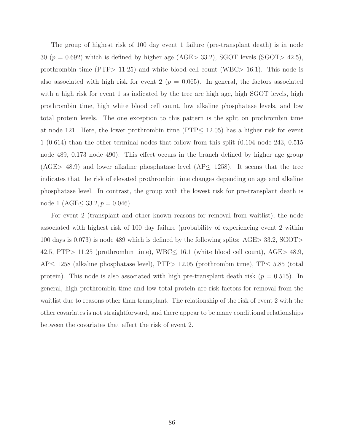The group of highest risk of 100 day event 1 failure (pre-transplant death) is in node 30 ( $p = 0.692$ ) which is defined by higher age (AGE> 33.2), SGOT levels (SGOT> 42.5), prothrombin time ( $PTP> 11.25$ ) and white blood cell count (WBC $> 16.1$ ). This node is also associated with high risk for event 2 ( $p = 0.065$ ). In general, the factors associated with a high risk for event 1 as indicated by the tree are high age, high SGOT levels, high prothrombin time, high white blood cell count, low alkaline phosphatase levels, and low total protein levels. The one exception to this pattern is the split on prothrombin time at node 121. Here, the lower prothrombin time ( $PTP\leq 12.05$ ) has a higher risk for event 1 (0.614) than the other terminal nodes that follow from this split (0.104 node 243, 0.515 node 489, 0.173 node 490). This effect occurs in the branch defined by higher age group (AGE> 48.9) and lower alkaline phosphatase level (AP $\leq$  1258). It seems that the tree indicates that the risk of elevated prothrombin time changes depending on age and alkaline phosphatase level. In contrast, the group with the lowest risk for pre-transplant death is node 1 (AGE $\leq$  33.2,  $p = 0.046$ ).

For event 2 (transplant and other known reasons for removal from waitlist), the node associated with highest risk of 100 day failure (probability of experiencing event 2 within 100 days is 0.073) is node 489 which is defined by the following splits: AGE> 33.2, SGOT> 42.5, PTP $> 11.25$  (prothrombin time), WBC $\leq 16.1$  (white blood cell count), AGE $> 48.9$ , AP≤ 1258 (alkaline phosphatase level), PTP> 12.05 (prothrombin time), TP≤ 5.85 (total protein). This node is also associated with high pre-transplant death risk  $(p = 0.515)$ . In general, high prothrombin time and low total protein are risk factors for removal from the waitlist due to reasons other than transplant. The relationship of the risk of event 2 with the other covariates is not straightforward, and there appear to be many conditional relationships between the covariates that affect the risk of event 2.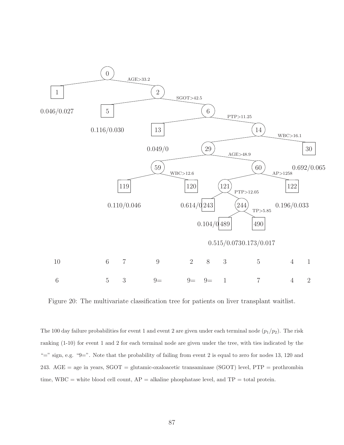

<span id="page-94-0"></span>Figure 20: The multivariate classification tree for patients on liver transplant waitlist.

The 100 day failure probabilities for event 1 and event 2 are given under each terminal node  $(p_1/p_2)$ . The risk ranking (1-10) for event 1 and 2 for each terminal node are given under the tree, with ties indicated by the "=" sign, e.g. "9=". Note that the probability of failing from event 2 is equal to zero for nodes 13, 120 and 243. AGE = age in years, SGOT = glutamic-oxaloacetic transaminase (SGOT) level, PTP = prothrombin time, WBC = white blood cell count,  $AP =$  alkaline phosphatase level, and  $TP =$  total protein.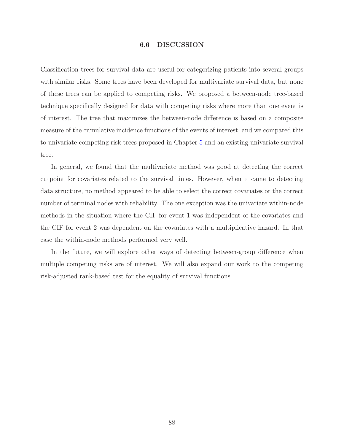### 6.6 DISCUSSION

Classification trees for survival data are useful for categorizing patients into several groups with similar risks. Some trees have been developed for multivariate survival data, but none of these trees can be applied to competing risks. We proposed a between-node tree-based technique specifically designed for data with competing risks where more than one event is of interest. The tree that maximizes the between-node difference is based on a composite measure of the cumulative incidence functions of the events of interest, and we compared this to univariate competing risk trees proposed in Chapter [5](#page-29-0) and an existing univariate survival tree.

In general, we found that the multivariate method was good at detecting the correct cutpoint for covariates related to the survival times. However, when it came to detecting data structure, no method appeared to be able to select the correct covariates or the correct number of terminal nodes with reliability. The one exception was the univariate within-node methods in the situation where the CIF for event 1 was independent of the covariates and the CIF for event 2 was dependent on the covariates with a multiplicative hazard. In that case the within-node methods performed very well.

In the future, we will explore other ways of detecting between-group difference when multiple competing risks are of interest. We will also expand our work to the competing risk-adjusted rank-based test for the equality of survival functions.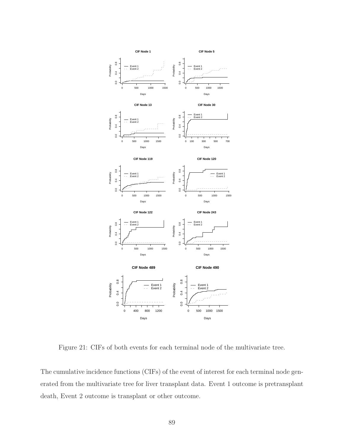

<span id="page-96-0"></span>Figure 21: CIFs of both events for each terminal node of the multivariate tree.

The cumulative incidence functions (CIFs) of the event of interest for each terminal node generated from the multivariate tree for liver transplant data. Event 1 outcome is pretransplant death, Event 2 outcome is transplant or other outcome.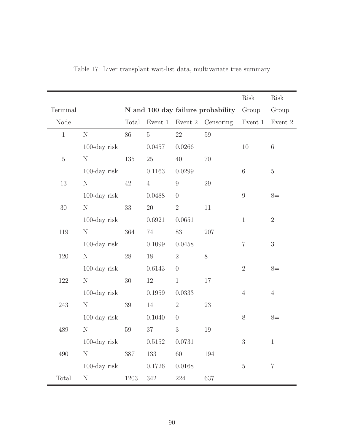|              |                                  |        |                |                |                                         | Risk            | Risk            |
|--------------|----------------------------------|--------|----------------|----------------|-----------------------------------------|-----------------|-----------------|
| Terminal     |                                  |        |                |                | N and 100 day failure probability Group |                 | Group           |
| Node         |                                  | Total  |                |                | Event 1 Event 2 Censoring               | Event 1         | Event $2$       |
| $\mathbf{1}$ | $\mathbf N$                      | 86     | $\overline{5}$ | 22             | $59\,$                                  |                 |                 |
|              | $100$ -day risk                  |        | 0.0457         | 0.0266         |                                         | 10              | $6\phantom{.}6$ |
| $\mathbf 5$  | $\mathbf N$                      | 135    | 25             | 40             | 70                                      |                 |                 |
|              | $100$ -day risk                  |        | 0.1163         | 0.0299         |                                         | $6\phantom{.}6$ | $5\,$           |
| 13           | $\mathbf N$                      | 42     | $\overline{4}$ | 9              | $29\,$                                  |                 |                 |
|              | $100$ -day $\operatorname{risk}$ |        | 0.0488         | $\overline{0}$ |                                         | $9\,$           | $8=$            |
| $30\,$       | $\mathbf N$                      | 33     | 20             | $\overline{2}$ | 11                                      |                 |                 |
|              | $100$ -day risk                  |        | 0.6921         | 0.0651         |                                         | $\mathbf{1}$    | $\sqrt{2}$      |
| 119          | N                                | 364    | 74             | 83             | 207                                     |                 |                 |
|              | $100$ -day risk                  |        | 0.1099         | 0.0458         |                                         | $\overline{7}$  | 3               |
| 120          | $\mathbf N$                      | 28     | 18             | $\overline{2}$ | $8\,$                                   |                 |                 |
|              | $100$ -day risk                  |        | 0.6143         | $\theta$       |                                         | $\overline{2}$  | $8=$            |
| 122          | $\mathbf N$                      | 30     | 12             | $\mathbf{1}$   | 17                                      |                 |                 |
|              | $100$ -day risk                  |        | 0.1959         | 0.0333         |                                         | $\overline{4}$  | $\overline{4}$  |
| 243          | $\mathbf N$                      | 39     | 14             | $\overline{2}$ | 23                                      |                 |                 |
|              | $100$ -day risk                  |        | 0.1040         | $\overline{0}$ |                                         | $8\,$           | $8=$            |
| 489          | N                                | $59\,$ | 37             | $\mathfrak{Z}$ | 19                                      |                 |                 |
|              | $100$ -day risk                  |        | $0.5152\,$     | 0.0731         |                                         | 3               | $\mathbf{1}$    |
| 490          | N                                | 387    | 133            | $60\,$         | 194                                     |                 |                 |
|              | $100$ -day risk                  |        | 0.1726         | 0.0168         |                                         | $\overline{5}$  | $\overline{7}$  |
| Total        | $\rm N$                          | 1203   | $342\,$        | $224\,$        | 637                                     |                 |                 |

<span id="page-97-0"></span>Table 17: Liver transplant wait-list data, multivariate tree summary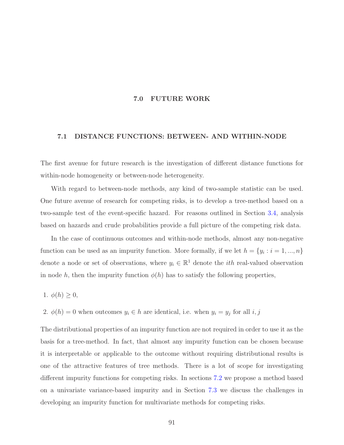# 7.0 FUTURE WORK

### 7.1 DISTANCE FUNCTIONS: BETWEEN- AND WITHIN-NODE

The first avenue for future research is the investigation of different distance functions for within-node homogeneity or between-node heterogeneity.

With regard to between-node methods, any kind of two-sample statistic can be used. One future avenue of research for competing risks, is to develop a tree-method based on a two-sample test of the event-specific hazard. For reasons outlined in Section [3.4,](#page-21-0) analysis based on hazards and crude probabilities provide a full picture of the competing risk data.

In the case of continuous outcomes and within-node methods, almost any non-negative function can be used as an impurity function. More formally, if we let  $h = \{y_i : i = 1, ..., n\}$ denote a node or set of observations, where  $y_i \in \mathbb{R}^1$  denote the *ith* real-valued observation in node h, then the impurity function  $\phi(h)$  has to satisfy the following properties,

- 1.  $\phi(h) \geq 0$ ,
- 2.  $\phi(h) = 0$  when outcomes  $y_i \in h$  are identical, i.e. when  $y_i = y_j$  for all  $i, j$

The distributional properties of an impurity function are not required in order to use it as the basis for a tree-method. In fact, that almost any impurity function can be chosen because it is interpretable or applicable to the outcome without requiring distributional results is one of the attractive features of tree methods. There is a lot of scope for investigating different impurity functions for competing risks. In sections [7.2](#page-99-0) we propose a method based on a univariate variance-based impurity and in Section [7.3](#page-101-0) we discuss the challenges in developing an impurity function for multivariate methods for competing risks.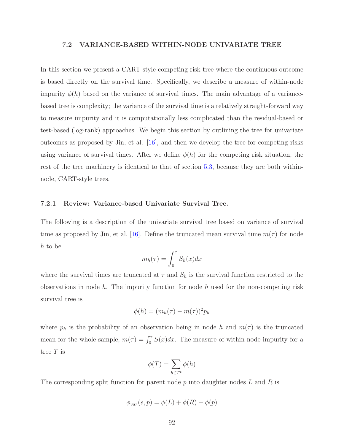#### 7.2 VARIANCE-BASED WITHIN-NODE UNIVARIATE TREE

<span id="page-99-0"></span>In this section we present a CART-style competing risk tree where the continuous outcome is based directly on the survival time. Specifically, we describe a measure of within-node impurity  $\phi(h)$  based on the variance of survival times. The main advantage of a variancebased tree is complexity; the variance of the survival time is a relatively straight-forward way to measure impurity and it is computationally less complicated than the residual-based or test-based (log-rank) approaches. We begin this section by outlining the tree for univariate outcomes as proposed by Jin, et al. [\[16\]](#page-179-0), and then we develop the tree for competing risks using variance of survival times. After we define  $\phi(h)$  for the competing risk situation, the rest of the tree machinery is identical to that of section [5.3,](#page-37-0) because they are both withinnode, CART-style trees.

# <span id="page-99-1"></span>7.2.1 Review: Variance-based Univariate Survival Tree.

The following is a description of the univariate survival tree based on variance of survival time as proposed by Jin, et al. [\[16\]](#page-179-0). Define the truncated mean survival time  $m(\tau)$  for node h to be

$$
m_h(\tau) = \int_0^{\tau} S_h(x) dx
$$

where the survival times are truncated at  $\tau$  and  $S_h$  is the survival function restricted to the observations in node  $h$ . The impurity function for node  $h$  used for the non-competing risk survival tree is

$$
\phi(h) = (m_h(\tau) - m(\tau))^2 p_h
$$

where  $p_h$  is the probability of an observation being in node h and  $m(\tau)$  is the truncated mean for the whole sample,  $m(\tau) = \int_0^{\tau} S(x) dx$ . The measure of within-node impurity for a tree  $T$  is

$$
\phi(T) = \sum_{h \in T^t} \phi(h)
$$

The corresponding split function for parent node  $p$  into daughter nodes  $L$  and  $R$  is

$$
\phi_{var}(s, p) = \phi(L) + \phi(R) - \phi(p)
$$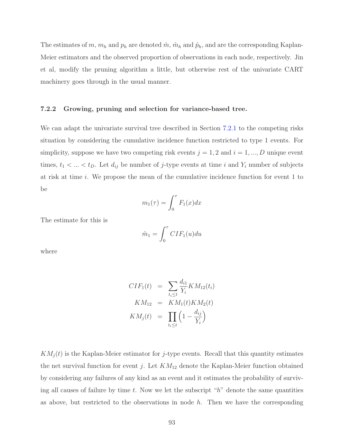The estimates of m,  $m_h$  and  $p_h$  are denoted  $\hat{m}$ ,  $\hat{m}_h$  and  $\hat{p}_h$ , and are the corresponding Kaplan-Meier estimators and the observed proportion of observations in each node, respectively. Jin et al, modify the pruning algorithm a little, but otherwise rest of the univariate CART machinery goes through in the usual manner.

## 7.2.2 Growing, pruning and selection for variance-based tree.

We can adapt the univariate survival tree described in Section [7.2.1](#page-99-1) to the competing risks situation by considering the cumulative incidence function restricted to type 1 events. For simplicity, suppose we have two competing risk events  $j = 1, 2$  and  $i = 1, ..., D$  unique event times,  $t_1 < \ldots < t_D$ . Let  $d_{ij}$  be number of j-type events at time i and  $Y_i$  number of subjects at risk at time i. We propose the mean of the cumulative incidence function for event 1 to be

$$
m_1(\tau) = \int_0^{\tau} F_1(x) dx
$$

The estimate for this is

$$
\hat{m}_1 = \int_0^\tau CIF_1(u)du
$$

where

$$
CIF_1(t) = \sum_{t_i \le t} \frac{d_{i1}}{Y_i} KM_{12}(t_i)
$$
  
\n
$$
KM_{12} = KM_1(t)KM_2(t)
$$
  
\n
$$
KM_j(t) = \prod_{t_i \le t} \left(1 - \frac{d_{ij}}{Y_i}\right)
$$

 $KM_j(t)$  is the Kaplan-Meier estimator for j-type events. Recall that this quantity estimates the net survival function for event j. Let  $KM_{12}$  denote the Kaplan-Meier function obtained by considering any failures of any kind as an event and it estimates the probability of surviving all causes of failure by time t. Now we let the subscript " $h$ " denote the same quantities as above, but restricted to the observations in node  $h$ . Then we have the corresponding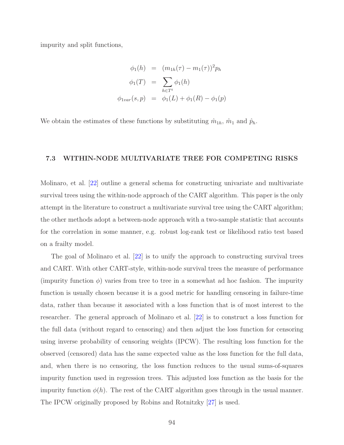impurity and split functions,

$$
\phi_1(h) = (m_{1h}(\tau) - m_1(\tau))^2 p_h
$$

$$
\phi_1(T) = \sum_{h \in T^t} \phi_1(h)
$$

$$
\phi_{1var}(s, p) = \phi_1(L) + \phi_1(R) - \phi_1(p)
$$

<span id="page-101-0"></span>We obtain the estimates of these functions by substituting  $\hat{m}_{1h}$ ,  $\hat{m}_1$  and  $\hat{p}_h$ .

#### 7.3 WITHIN-NODE MULTIVARIATE TREE FOR COMPETING RISKS

Molinaro, et al. [\[22\]](#page-179-1) outline a general schema for constructing univariate and multivariate survival trees using the within-node approach of the CART algorithm. This paper is the only attempt in the literature to construct a multivariate survival tree using the CART algorithm; the other methods adopt a between-node approach with a two-sample statistic that accounts for the correlation in some manner, e.g. robust log-rank test or likelihood ratio test based on a frailty model.

The goal of Molinaro et al. [\[22\]](#page-179-1) is to unify the approach to constructing survival trees and CART. With other CART-style, within-node survival trees the measure of performance (impurity function  $\phi$ ) varies from tree to tree in a somewhat ad hoc fashion. The impurity function is usually chosen because it is a good metric for handling censoring in failure-time data, rather than because it associated with a loss function that is of most interest to the researcher. The general approach of Molinaro et al. [\[22\]](#page-179-1) is to construct a loss function for the full data (without regard to censoring) and then adjust the loss function for censoring using inverse probability of censoring weights (IPCW). The resulting loss function for the observed (censored) data has the same expected value as the loss function for the full data, and, when there is no censoring, the loss function reduces to the usual sums-of-squares impurity function used in regression trees. This adjusted loss function as the basis for the impurity function  $\phi(h)$ . The rest of the CART algorithm goes through in the usual manner. The IPCW originally proposed by Robins and Rotnitzky [\[27\]](#page-180-0) is used.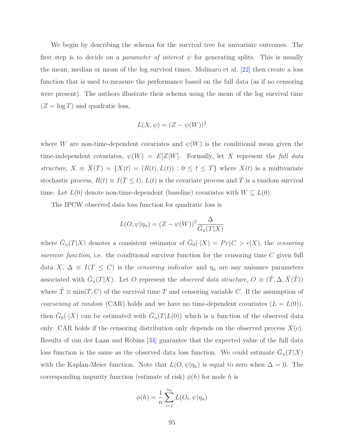We begin by describing the schema for the survival tree for univariate outcomes. The first step is to decide on a *parameter of interest*  $\psi$  for generating splits. This is usually the mean, median or mean of the log survival times. Molinaro et al. [\[22\]](#page-179-1) then create a loss function that is used to measure the performance based on the full data (as if no censoring were present). The authors illustrate their schema using the mean of the log survival time  $(Z = \log T)$  and quadratic loss,

$$
L(X, \psi) = (Z - \psi(W))^2
$$

where W are non-time-dependent covariates and  $\psi(W)$  is the conditional mean given the time-independent covariates,  $\psi(W) = E[Z|W]$ . Formally, let X represent the full data structure,  $X \equiv \overline{X}(T) = \{X(t) = (R(t), L(t)) : 0 \le t \le T\}$  where  $X(t)$  is a multivariate stochastic process,  $R(t) \equiv I(T \leq t)$ ,  $L(t)$  is the covariate process and T is a random survival time. Let  $L(0)$  denote non-time-dependent (baseline) covariates with  $W \subseteq L(0)$ .

The IPCW observed data loss function for quadratic loss is

$$
L(O, \psi | \eta_n) = (Z - \psi(W))^2 \frac{\Delta}{\bar{G}_n(T|X)}
$$

where  $\bar{G}_n(T|X)$  denotes a consistent estimator of  $\bar{G}_0(\cdot|X) = Pr(C > c|X)$ , the censoring survivor function, i.e. the conditional survivor function for the censoring time  $C$  given full data X,  $\Delta \equiv I(T \leq C)$  is the *censoring indicator* and  $\eta_n$  are any nuisance parameters associated with  $\bar{G}_n(T|X)$ . Let O represent the *observed data structure*,  $O \equiv (\tilde{T}, \Delta, \bar{X}(\tilde{T}))$ where  $\tilde{T} \equiv \min(T, C)$  of the survival time T and censoring variable C. If the assumption of *coarsening at random* (CAR) holds and we have no time-dependent covariates  $(L = L(0)),$ then  $\bar{G}_0(\cdot|X)$  can be estimated with  $\bar{G}_n(T|L(0))$  which is a function of the observed data only. CAR holds if the censoring distribution only depends on the observed process  $X(c)$ . Results of van der Laan and Robins [\[34\]](#page-180-1) guarantee that the expected value of the full data loss function is the same as the observed data loss function. We could estimate  $\bar{G}_n(T|X)$ with the Kaplan-Meier function. Note that  $L(O, \psi | \eta_n)$  is equal to zero when  $\Delta = 0$ . The corresponding impurity function (estimate of risk)  $\phi(h)$  for node h is

$$
\phi(h) = \frac{1}{n} \sum_{i=1}^{n_h} L(O_i, \psi | \eta_n)
$$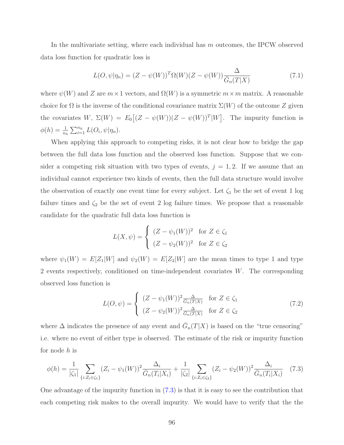In the multivariate setting, where each individual has  $m$  outcomes, the IPCW observed data loss function for quadratic loss is

<span id="page-103-2"></span>
$$
L(O, \psi | \eta_n) = (Z - \psi(W))^T \Omega(W) (Z - \psi(W)) \frac{\Delta}{\bar{G}_n(T|X)}
$$
\n(7.1)

where  $\psi(W)$  and Z are  $m \times 1$  vectors, and  $\Omega(W)$  is a symmetric  $m \times m$  matrix. A reasonable choice for  $\Omega$  is the inverse of the conditional covariance matrix  $\Sigma(W)$  of the outcome Z given the covariates  $W, \Sigma(W) = E_0[(Z - \psi(W))(Z - \psi(W))^T|W]$ . The impurity function is  $\phi(h) = \frac{1}{n_h} \sum_{i=1}^{n_h} L(O_i, \psi | \eta_n).$ 

When applying this approach to competing risks, it is not clear how to bridge the gap between the full data loss function and the observed loss function. Suppose that we consider a competing risk situation with two types of events,  $j = 1, 2$ . If we assume that an individual cannot experience two kinds of events, then the full data structure would involve the observation of exactly one event time for every subject. Let  $\zeta_1$  be the set of event 1 log failure times and  $\zeta_2$  be the set of event 2 log failure times. We propose that a reasonable candidate for the quadratic full data loss function is

$$
L(X, \psi) = \begin{cases} (Z - \psi_1(W))^2 & \text{for } Z \in \zeta_1 \\ (Z - \psi_2(W))^2 & \text{for } Z \in \zeta_2 \end{cases}
$$

where  $\psi_1(W) = E[Z_1|W]$  and  $\psi_2(W) = E[Z_2|W]$  are the mean times to type 1 and type 2 events respectively, conditioned on time-independent covariates W. The corresponding observed loss function is

<span id="page-103-1"></span>
$$
L(O, \psi) = \begin{cases} (Z - \psi_1(W))^2 \frac{\Delta}{G_n(T|X)} & \text{for } Z \in \zeta_1 \\ (Z - \psi_2(W))^2 \frac{\Delta}{G_n(T|X)} & \text{for } Z \in \zeta_2 \end{cases}
$$
(7.2)

where  $\Delta$  indicates the presence of any event and  $\bar{G}_n(T|X)$  is based on the "true censoring" i.e. where no event of either type is observed. The estimate of the risk or impurity function for node h is

<span id="page-103-0"></span>
$$
\phi(h) = \frac{1}{|\zeta_1|} \sum_{\{i: Z_i \in \zeta_1\}} (Z_i - \psi_1(W))^2 \frac{\Delta_i}{\bar{G}_n(T_i|X_i)} + \frac{1}{|\zeta_2|} \sum_{\{i: Z_i \in \zeta_2\}} (Z_i - \psi_2(W))^2 \frac{\Delta_i}{\bar{G}_n(T_i|X_i)}
$$
(7.3)

One advantage of the impurity function in [\(7.3\)](#page-103-0) is that it is easy to see the contribution that each competing risk makes to the overall impurity. We would have to verify that the the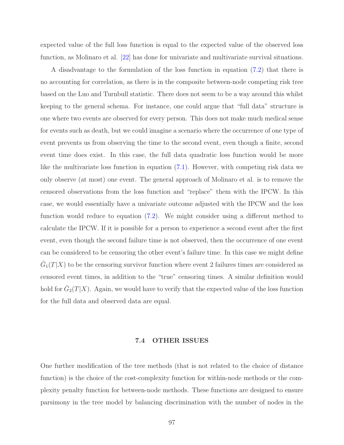expected value of the full loss function is equal to the expected value of the observed loss function, as Molinaro et al. [\[22\]](#page-179-1) has done for univariate and multivariate survival situations.

A disadvantage to the formulation of the loss function in equation [\(7.2\)](#page-103-1) that there is no accounting for correlation, as there is in the composite between-node competing risk tree based on the Luo and Turnbull statistic. There does not seem to be a way around this whilst keeping to the general schema. For instance, one could argue that "full data" structure is one where two events are observed for every person. This does not make much medical sense for events such as death, but we could imagine a scenario where the occurrence of one type of event prevents us from observing the time to the second event, even though a finite, second event time does exist. In this case, the full data quadratic loss function would be more like the multivariate loss function in equation [\(7.1\)](#page-103-2). However, with competing risk data we only observe (at most) one event. The general approach of Molinaro et al. is to remove the censored observations from the loss function and "replace" them with the IPCW. In this case, we would essentially have a univariate outcome adjusted with the IPCW and the loss function would reduce to equation [\(7.2\)](#page-103-1). We might consider using a different method to calculate the IPCW. If it is possible for a person to experience a second event after the first event, even though the second failure time is not observed, then the occurrence of one event can be considered to be censoring the other event's failure time. In this case we might define  $\bar{G}_1(T|X)$  to be the censoring survivor function where event 2 failures times are considered as censored event times, in addition to the "true" censoring times. A similar definition would hold for  $\bar{G}_2(T|X)$ . Again, we would have to verify that the expected value of the loss function for the full data and observed data are equal.

### 7.4 OTHER ISSUES

One further modification of the tree methods (that is not related to the choice of distance function) is the choice of the cost-complexity function for within-node methods or the complexity penalty function for between-node methods. These functions are designed to ensure parsimony in the tree model by balancing discrimination with the number of nodes in the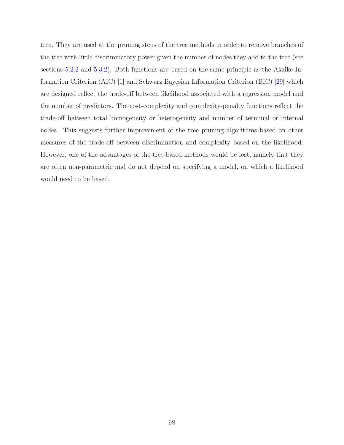tree. They are used at the pruning steps of the tree methods in order to remove branches of the tree with little discriminatory power given the number of nodes they add to the tree (see sections [5.2.2](#page-34-0) and [5.3.2\)](#page-38-0). Both functions are based on the same principle as the Akaike Information Criterion (AIC) [\[1\]](#page-178-0) and Schwarz Bayesian Information Criterion (BIC) [\[29\]](#page-180-2) which are designed reflect the trade-off between likelihood associated with a regression model and the number of predictors. The cost-complexity and complexity-penalty functions reflect the trade-off between total homogeneity or heterogeneity and number of terminal or internal nodes. This suggests further improvement of the tree pruning algorithms based on other measures of the trade-off between discrimination and complexity based on the likelihood. However, one of the advantages of the tree-based methods would be lost, namely that they are often non-parametric and do not depend on specifying a model, on which a likelihood would need to be based.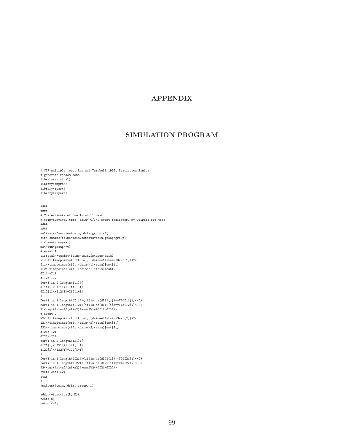# APPENDIX

# SIMULATION PROGRAM

```
# CIF multiple test, Luo and Turnbull 1999, Statistica Sinica
# generate random data
library(survival)
library(cmprsk)
library(rpart)
library(mvpart)
####
####
# The estimate of Luo Turnbull test
# tsim=survival time, dsim= 0/1/2 event indicator, r= weights for test
####
####
multest<-function(tsim, dsim,group,r){
cif<-cuminc(ftime=tsim,fstatus=dsim,group=group)
n1<-sum(group==1)
n2<-sum(group==0)
# event 1
ciftotal<-cuminc(ftime=tsim,fstatus=dsim)
W1<-(1-timepoints(ciftotal, (dsim==1)*tsim)$est[1,])^r
 I11<-timepoints(cif, (dsim==1)*tsim)$est[1,]
I12<-timepoints(cif, (dsim==1)*tsim)$est[2,]
dI11<-I11
dI12<-I12
for(i in 2:length(I11)){
dI11[i]<-I11[i]-I11[i-1]
dI12[i]<-I12[i]-I12[i-1]
}
 for(i in 1:length(dI11)){if(is.na(dI11[i])==T)dI11[i]<-0}
for(i in 1:length(dI12)){if(is.na(dI12[i])==T)dI12[i]<-0}
X1 < -sqrt(n1*n2/(n1+n2))*sum(W1*(dI11-dI12))# event 2
\verb|W2<- (1-time points (ciftotal, (dsim==2)*tsim) \$est [2,])^rI21<-timepoints(cif, (dsim==2)*tsim)$est[3,]
I22<-timepoints(cif, (dsim==2)*tsim)$est[4,]
dI21<-I21
dI22<-I22
for(i in 2:length(I21)){
dI21[i]<-I21[i]-I21[i-1]
dI22[i]<-I22[i]-I22[i-1]
 }
for(i in 1:length(dI21)){if(is.na(dI21[i])==T)dI21[i]<-0}
\verb|for(i in 1:length(dI22)){if(is.na(dI22[i])==T)dI22[i]<-0}|X2<-sqrt(n1*n2/(n1+n2))*sum(W2*(dI21-dI22))
stat<-c(X1,X2)
stat
 }
#multest(tsim, dsim, group, r)
addon<-function(B, N){
test<-N;
output<-B;
```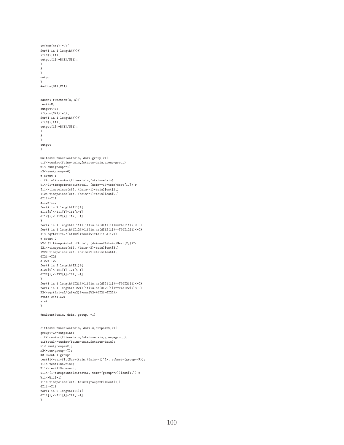```
if(sum(N>1)!=0){
for(i in 1:length(N)){
if(N[i]>1){
output[i]<-B[i]/N[i];
}
}
}
output
}
#addon(B11,E11)
addon<-function(B, N){
test<-N;
output<-B;
if(sum(N>1) != 0){
for(i in 1:length(N)){
if(N[i]>1){
output[i]<-B[i]/N[i];
}
}
}
output
}
multest<-function(tsim, dsim,group,r){
cif<-cuminc(ftime=tsim,fstatus=dsim,group=group)
n1<-sum(group==1)
n2<-sum(group==0)
# event 1
ciftotal<-cuminc(ftime=tsim,fstatus=dsim)
\verb|W1<- (1-time points (ciftotal, (dsim==1)*tsim) \$est[1,])^rI11<-timepoints(cif, (dsim==1)*tsim)$est[1,]
I12<-timepoints(cif, (dsim==1)*tsim)$est[2,]
dI11<-I11
dI12<-I12
for(i in 2:\text{length}(I11)) {
dI11[i]<-I11[i]-I11[i-1]
dI12[i]<-I12[i]-I12[i-1]
}
\verb|for(i in 1:length(dI11)){if(is.na(dI11[i])==T)dI11[i]<-0}|\verb|for(i in 1:length(dI12)){if(is.na(dI12[i])==T)dI12[i]<-0}|X1<-sqrt(n1*n2/(n1+n2))*sum(W1*(dI11-dI12))# event 2
W2<-(1-timepoints(ciftotal, (dsim==2)*tsim)$est[2,])^r
I21<-timepoints(cif, (dsim==2)*tsim)$est[3,]
I22<-timepoints(cif, (dsim==2)*tsim)$est[4,]
dI21<-I21
dI22<-I22
for(i in 2:length(I21)){
dI21[i]<-I21[i]-I21[i-1]
dI22[i]<-I22[i]-I22[i-1]
}
for(i in 1:length(dI21)){if(is.na(dI21[i])==T)dI21[i]<-0}
for(i in 1:length(dI22)){if(is.na(dI22[i])==T)dI22[i]<-0}X2<-sqrt(n1*n2/(n1+n2))*sum(W2*(dI21-dI22))
stat < -c(X1, X2)stat
}
#multest(tsim, dsim, group, -1)
ciftest<-function(tsim, dsim,Z,cutpoint,r){
group<-Z<=cutpoint;
cif<-cuminc(ftime=tsim,fstatus=dsim,group=group);
ciftotal<-cuminc(ftime=tsim,fstatus=dsim);
n1<-sum(group==F);
n2<-sum(group==T);
## Event 1 group1
test11<-survfit(Surv(tsim,(dsim==1)^2), subset=(group==F));
Y11<-test11$n.risk;
E11<-test11$n.event;
\verb|W11<- (1-time points (ciftotal, tsim*(group==F))\$est [1,])^rW11 < -W11[-1]
I11<-timepoints(cif, tsim*(group==F))$est[1,]
dI11<-I11
for(i in 2:\text{length}(I11)){
dI11[i]<-I11[i]-I11[i-1]
}
```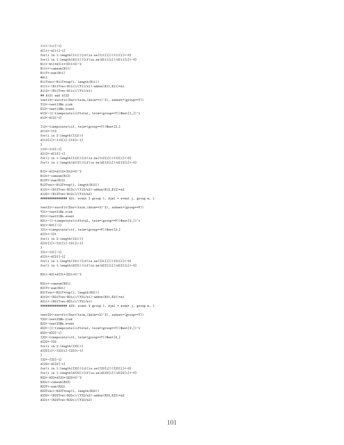I11<-I11[-1] dI11<-dI11[-1]  $for(i in 1:length(II1)){if(is.na(II1[i]))II1[i]<-0}$ for(i in  $1:$ length(dI11)){if(is.na(dI11[i]))dI11[i]<-0} B11<-W11\*dI11\*(E11>0)^2 B11c<-cumsum(B11) B11T<-sum(B11) #A11 B11Tvec<-B11T\*rep(1, length(B11)) A111<-(B11Tvec-B11c)/(Y11/n1)-addon(B11,E11)\*n1 A112<-(B11Tvec-B11c)/(Y11/n1) ## A121 and A122 test12<-survfit(Surv(tsim,(dsim==1)^2), subset=(group==T)) Y12<-test12\$n.risk E12<-test12\$n.event W12<-(1-timepoints(ciftotal, tsim\*(group==T))\$est[1,])^r W12<-W12[-1] I12<-timepoints(cif, tsim\*(group==T))\$est[2,] dI12<-I12 for(i in  $2:length(112))$ { dI12[i]<-I12[i]-I12[i-1] } I12<-I12[-1] dI12<-dI12[-1]  ${\tt for(i \ in \ 1:length(I12)){if(i s.na(I12[i]))}I12[i] \leftarrow 0}$  $\label{eq:3} \text{for(i in 1:length(dI12))}\{ \text{if(is.na(dI12[i])})\} \text{dI12[i]} \text{<-0}\}$ B12<-W12\*dI12\*(E12>0)^2 B12c<-cumsum(B12) B12T<-sum(B12) B12Tvec<-B12T\*rep(1, length(B12)) A121<-(B12Tvec-B12c)/(Y12/n2)-addon(B12,E12)\*n2 A122<-(B12Tvec-B12c)/(Y12/n2) ############### A21: event 2 group 1, Ajml = event j, group m, l  $\texttt{test21}\texttt{--survfit}(\texttt{Surv}(\texttt{tsim},(\texttt{dsim==2})^2)\texttt{, subset=(group==F)})$ Y21<-test21\$n.risk E21<-test21\$n.event W21<-(1-timepoints(ciftotal, tsim\*(group==F))\$est[2,])^r W21<-W21[-1] I21<-timepoints(cif, tsim\*(group==F))\$est[3,]  $d121c - 121$ for(i in 2:length(I21)){ dI21[i]<-I21[i]-I21[i-1] } I21<-I21[-1] dI21<-dI21[-1] for(i in 1:length(I21)){if(is.na(I21[i]))I21[i]<-0} for(i in  $1:\text{length}(dI21))\{if(is.na(dI21[i]))dI21[i]<0\}$ B21<-W21\*dI21\*(E21>0)^2 B21c<-cumsum(B21) B21T<-sum(B21) B21Tvec<-B21T\*rep(1, length(B21)) A212<-(B21Tvec-B21c)/(Y21/n1)-addon(B21,E21)\*n1 A211<-(B21Tvec-B21c)/(Y21/n1) ############### A22: event 2 group 1, Ajml = event j, group m, l test22<-survfit(Surv(tsim,(dsim==2)^2), subset=(group==T)) Y22<-test22\$n.risk E22<-test22\$n.event W22<-(1-timepoints(ciftotal, tsim\*(group==T))\$est[2,])^r W22<-W22[-1] I22<-timepoints(cif, tsim\*(group==T))\$est[4,] dI22<-I22 for(i in  $2:length(I22))$ { dI22[i]<-I22[i]-I22[i-1] } I22<-I22[-1] dI22<-dI22[-1]  $for(i in 1:length(I22)){if(is.na(I22[i]))I22[i]<-0}$  $\verb|for(i in 1:length(dI22)){if(is.na(dI22[i]))dI22[i]<-0}|$ B22<-W22\*dI22\*(E22>0)^2 B22c<-cumsum(B22) B22T<-sum(B22) B22Tvec<-B22T\*rep(1, length(B22)) A222<-(B22Tvec-B22c)/(Y22/n2)-addon(B22,E22)\*n2 A221<-(B22Tvec-B22c)/(Y22/n2)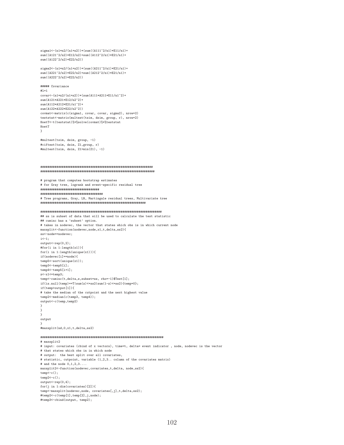$signa1<- (n1*n2/(n1+n2)) * (sum((A111^2/n1)*E11/n1)+$  $sum((A121^2/n2)*E12/n2)+sum((A112^2/n1)*E21/n1)+$ sum((A122^2/n2)\*E22/n2))

 $signa2 < -(n1*n2/(n1+n2)) * (sum((A211^2/n1)*E21/n1)+$ sum((A221^2/n2)\*E22/n2)+sum((A212^2/n1)\*E21/n1)+ sum((A222<sup>~</sup>2/n2)\*E22/n2))

##### Covariance #l=1  $covar < -(n1*n2/(n1+n2)) * (sum(A111*A211*E11/n1^2) +$ sum(A121\*A221\*E12/n2^2)+ sum(A112\*A212\*E21/n1^2)+ sum(A122\*A222\*E22/n2^2)) covmat<-matrix(c(sigma1, covar, covar, sigma2), nrow=2) teststat<-matrix(multest(tsim, dsim, group, r), nrow=2) HoetT<-t(teststat)%\*%solve(covmat)%\*%teststat HoetT }

#multest(tsim, dsim, group, -1) #ciftest(tsim, dsim, Z1,group, r) #multest(tsim, dsim, Z1>min(Z1), -1)

### ############################################################### ################################################################

# program that computes bootstrap estimates # for Gray tree, logrank and event-specific residual tree ################################# ################################### # Tree programs, Gray, LR, Martingale residual trees, Multivariate tree ###########################################################

#### ####################################################################

## ss is subset of data that will be used to calculate the test statistic ## cuminc has a 'subset' option. # takes in nodevec, the vector that states which obs is in which current node maxsplit<-function(nodevec,node,x1,t,delta,ss2){ ss<-node==nodevec;  $i$  <  $-1$ ; output<-rep(0,2); #for(i in 1:length(x1)){ for(i in 1:length(unique(x1))){ if(nodevec[i]==node){ temp5<-sort(unique(x1)); temp3 <- temp5[i]; temp4<-temp5[i+1];  $z$  < -  $x1$  <  $t$  emp3; temp<-cuminc(t,delta,z,subset=ss, rho=-1)\$Test[1]; if(is.null(temp)==T|sum(z)<=ss2|sum(1-z)<=ss2){temp=0}; if(temp>output[1]){ # take the median of the cutpoint and the next highest value temp2<-median(c(temp3, temp4)); output<-c(temp,temp2) } } } output

#maxsplit(nd,0,x1,t,delta,ss2)

}

# #####################################################################

# maxsplit2 # input: covariates (cbind of x vectors), time=t, delta= event indicator , node, nodevec is the vector # that states which obs in in which node # output: the best split over all covariates, # statistic, cutpoint, variable (1,2,3.. column of the covariates matrix) # and the node 0,1,2,3.... maxsplit2<-function(nodevec,covariates,t,delta, node,ss2){ temp<-c(); temp2<-c();  $output < -rep(0, 4);$ for(j in 1:dim(covariates)[2]){ temp<-maxsplit(nodevec,node, covariates[,j],t,delta,ss2); #temp2<-c(temp[1],temp[2],j,node); #temp3<-cbind(output, temp2);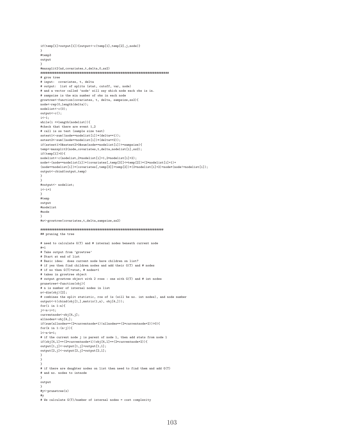```
if(temp[1]>output[1]){output<-c(temp[1],temp[2],j,node)}
}
#temp3
output
}
#maxsplit2(nd,covariates,t,delta,0,ss2)
########################################################################
# grow tree
# input: covariates, t, delta
# output: list of splits (stat, cutoff, var, node)
# and a vector called 'node' will say which node each obs is in.
# sampsize is the min number of obs in each node
growtree<-function(covariates, t, delta, sampsize,ss2){
node<-rep(0,length(delta));
nodelist<-c(0);
output<-c();
i \leftarrow 1:
while(i <=length(nodelist)){
#check that there are event 1,2
# call is ss test (sample size test)
sstest1<-sum((node==nodelist[i])*(delta==1));
sstest2<-sum((node==nodelist[i])*(delta==2));
if(sstest1>0&sstest2>0&sum(node==nodelist[i])>=sampsize){
temp<-maxsplit2(node,covariates,t,delta,nodelist[i],ss2);
if(temp[1]>0){
nodelist<-c(nodelist,2*nodelist[i]+1,2*nodelist[i]+2);
\verb|node<- (node == nodelist[i])*(covariates[, \verb|temp[3]]<\verb|temp[2])*(2*nodelist[i]+1)+(\texttt{node} == \texttt{nodelist[i]}) * (\texttt{covariates}[, \texttt{temp[3]}) * (\texttt{2*nodelist[i]}+2) * \texttt{node*}(\texttt{node!} = \texttt{nodelist[i]});output<-cbind(output,temp)
}
}
#output<- nodelist;
i < -i+1}
#temp
output
#nodelist
#node
}
#x<-growtree(covariates,t,delta,sampsize,ss2)
#####################################################################
## pruning the tree
# need to calculate G(T) and # internal nodes beneath current node
#+1
# Take output from 'growtree'
# Start at end of list
# Basic idea: does current node have children on list?
# if yes then find children nodes and add their G(T) and # nodes
# if no then G(T)=stat, # nodes=1
# takes in growtree object
# output growtree object with 2 rows : one with G(T) and # int nodes
prunetree<-function(obj){
# n is number of internal nodes in list
n \leftarrow dim\left(\text{obj}\right)[2];
# combines the split statistic, row of 1s (will be no. int nodes), and node number
output<-t(cbind(obj[1,],matrix(1,n), obj[4,]));
for(i \text{ in } 1:n){
j < - n - i + 1;
currentnode<-obj[4,j];
allnodes<-obj[4,];
if(sum(allnodes==(2*currentnode+1)|allnodes==(2*currentnode+2))>0){
for(k in 1:(n-j)){
1<-n-k+1;# if the current node j is parent of node l, then add stats from node l
if(obj[4,1]==(2*currentnode+1)|obj[4,1]==(2*currentnode+2)){
output[1,j]<-output[1,j]+output[1,l];
\verb"output[2,j]{<}-\verb"output[2,j]{+}\verb"output[2,l];}
}
}
# if there are daughter nodes on list then need to find them and add G(T)
# and no. nodes to intnode
}
output
}
#y<-prunetree(x)
#y
# We calculate G(T)/number of internal nodes = cost complexity
```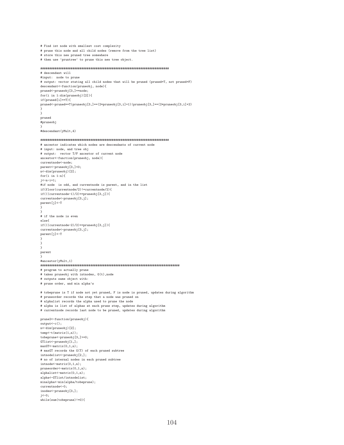```
# Find int node with smallest cost complexity
# prune this node and all child nodes (remove from the tree list)
# store this new pruned tree somewhere
# then use 'pruntree' to prune this new tree object.
########################################################################
# descendant will
#input: node to prune
# output: vector stating all child nodes that will be pruned (pruned=T, not pruned=F)
descendant<-function(pruneobj, node){
pruned<-pruneobj[3,]==node;
for(i in 1:dim(pruneobj)[2]){
if(pruned[i]==T){
pruned<-pruned==T|pruneobj[3,]==(2*pruneobj[3,i]+1)|pruneobj[3,]==(2*pruneobj[3,i]+2)
}
}
pruned
#pruneobj
}
#descendant(yMult,4)
########################################################################
# ancestor indicates which nodes are descendants of current node
# input: node, and tree obj
# output: vector T/F ancestor of current node
ancestor<-function(pruneobj, node){
currentnode<-node;
parent<-pruneobj[3,]<0;
n<-dim(pruneobj)[2];
for(i \text{ in } 1\text{:}n)j < - n - i + 1;
#if node is odd, and currentnode is parent, and in the list
if(floor(currentnode/2)!=currentnode/2){
if(((currentnode-1)/2)==pruneobj[3,j]){
currentnode<-pruneobj[3,j];
parent[j]<-T
}
}
# if the node is even
else{
if(((currentnode-2)/2)==pruneobj[3,j]){
currentnode<-pruneobj[3,j];
parent[j]<-T
}
}
}
parent
}
#ancestor(yMult,1)
##############################################################################
# program to actually prune
# takes pruneobj with intnodes, G(t),node
# outputs same object with:
# prune order, and min alpha's
# tobeprune is T if node not yet pruned, F is node is pruned, updates during algorithm
# pruneorder records the step that a node was pruned on
# alphalist records the alpha used to prune the node
# alpha is list of alphas at each prune step, updates during algorithm
# currentnode records last node to be pruned, updates during algorithm
prune2<-function(pruneobj){
output<-c();
n<-dim(pruneobj)[2];
temp < -t(matrix(1,n));
tobeprune<-pruneobj[3,]>=0;
GTlist<-pruneobj[1,];
maxGT < -matrix(0,1,n);# maxGT records the G(T) of each pruned subtree
intnodelist<-pruneobj[2,];
# no of internal nodes in each pruned subtree
intnode<-matrix(0,1,n);
pruneorder<-matrix(0,1,n);
alphalist<-matrix(0,1,n);
alpha<-GTlist/intnodelist;
minalpha<-min(alpha/tobeprune);
currentnode<-0;
inodes<-pruneobj[3,];
j<-0;
```
while(sum(tobeprune)!=0){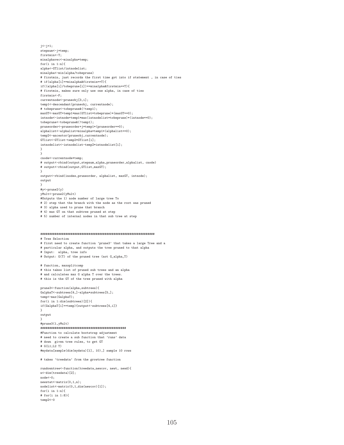$i \leftarrow i+1$ : stepnum <- j\*temp; firstmin<-T; minalphavec<-minalpha\*temp;  $for(i in 1:n)$ alpha<-GTlist/intnodelist; minalpha<-min(alpha/tobeprune) # firstmin, just records the first time got into if statement , in case of ties # if(alpha[i]==minalpha&firstmin==T){ if((alpha[i]/tobeprune[i])==minalpha&firstmin==T){ # firstmin, makes sure only use one alpha, in case of ties firstmin<-F; currentnode<-pruneobj[3,i]; temp1<-descendant(pruneobj, currentnode); # tobeprune<-tobeprune&(!temp1); maxGT<-maxGT+temp1\*max(GTlist\*tobeprune)\*(maxGT==0); intnode<-intnode+temp1\*max(intnodelist\*tobeprune)\*(intnode==0); tobeprune<-tobeprune&(!temp1); pruneorder<-pruneorder+j\*temp1\*(pruneorder==0); alphalist<-alphalist+minalpha\*temp1\*(alphalist==0); temp2<-ancestor(pruneobj,currentnode); GTlist<-GTlist-temp2\*GTlist[i]; intnodelist<-intnodelist-temp2\*intnodelist[i]; } } cnode<-currentnode\*temp; # output<-rbind(output,stepnum,alpha,pruneorder,alphalist, cnode) # output<-rbind(output,GTlist,maxGT); } output<-rbind(inodes,pruneorder, alphalist, maxGT, intnode); output } #y<-prune2(y) yMult<-prune2(yMult) #Outputs the 1) node number of large tree To # 2) step that the branch with the node as the root was pruned # 3) alpha used to prune that branch # 4) max GT on that subtree pruned at step # 5) number of internal nodes in that sub tree at step ################################################################ # Tree Selection # first need to create function 'prune3' that takes a large Tree and a # particular alpha, and outputs the tree pruned to that alpha # Input: alpha, tree info # Output: G(T) of the pruned tree (not G\_alpha\_T) # function, maxsplitcomp # this takes list of pruned sub trees and an alpha # and calculates max G alpha T over the trees. # this is the GT of the tree pruned with alpha prune3<-function(alpha,subtrees){ GalphaT<-subtrees[4,]-alpha\*subtrees[5,]; temp<-max(GalphaT); for(i in 1:dim(subtrees)[2]){ if(GalphaT[i]==temp){output<-subtrees[4,i]} } output } #prune3(1,yMult) ################################################

#Function to calculate bootstrap adjustment # need to create a sub function that 'runs' data # down given tree rules, to get GT #  $G(L1;L2 T)$ #mydata[sample(dim(mydata)[1], 10),] sample 10 rows

# takes 'treedata' from the growtree function

rundowntree<-function(treedata,newcov, newt, newd){ n<-dim(treedata)[2]; node<-0; newstat<-matrix(0,1,n); nodelist<-matrix(0,1,dim(newcov)[1]); for(i in 1:n){ # for(i in 1:8){ temp2<-0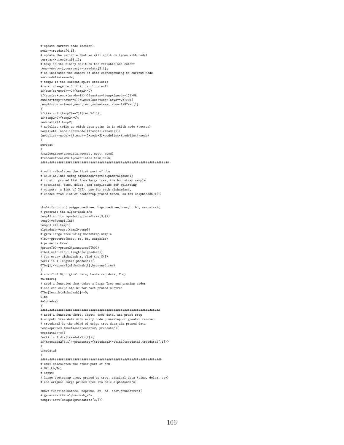# update current node (scalar) node<-treedata[4,i]; # update the variable that we will split on (goes with node) currvar<-treedata[3,i]; # temp is the binary split on the variable and cutoff temp<-newcov[,currvar]<=treedata[2,i]; # ss indicates the subset of data corresponding to current node ss<-nodelist==node; # temp2 is the current split statistic # must change to 0 if it is -1 or null if(sum(ss\*newd)==0){temp2<-0} if(sum(ss\*temp\*(newd==1))>0&sum(ss\*!temp\*(newd==1))>0& sum(ss\*temp\*(newd==2))>0&sum(ss\*!temp\*(newd==2))>0){ temp2<-cuminc(newt,newd,temp,subset=ss, rho=-1)\$Test[1] }  $if((is.nulltemp2)=T))$ {temp2<-0}; if(temp2<0){temp2<-0}; newstat[i]<-temp2; # nodelist tells us which data point is in which node (vector) nodelist<-(nodelist==node)\*(temp)\*(2\*node+1)+ (nodelist==node)\*(!temp)\*(2\*node+2)+nodelist\*(nodelist!=node) } newstat } #rundowntree(treedata,newcov, newt, newd) #rundowntree(xMult,covariates,tsim,dsim) ######################################################################## # omb1 calculates the first part of obm # G(Lb;Lb,Tmb) using alphadash=sqrt(alpham\*alpham+1) # input: pruned list from large tree, the bootstrap sample # ovariates, time, delta, and samplesize for splitting # output: a list of G(T), one for each alphamdash, # chosen from list of bootstrap pruned trees, as max Galphadash\_m(T) obm1<-function( origprunedtree, bsprunedtree,bcov,bt,bd, sampsize){ # generate the alpha-dash\_m's temp1<-sort(unique(origprunedtree[3,])) temp2<-c(temp1,Inf) temp3<-c(0,temp1) alphadash<-sqrt(temp2\*temp3) # grow large tree using bootstrap sample #Tb0<-growtree(bcov, bt, bd, sampsize) # prune bs tree #pruneTb0<-prune2(prunetree(Tb0)) GTbm<-matrix(0,1,length(alphadash)) # for every alphadash m, find the G(T) for(i in 1:length(alphadash)){ GTbm[i]<-prune3(alphadash[i],bsprunedtree) } # now find G(original data; bootstrap data, Tbm) #GTbmorig # need a function that takes a Large Tree and pruning order # and can caluclate GT for each pruned subtree GTbm[length(alphadash)]<-0; GTbm #alphadash } ################################################################### # need a function where, input: tree data, and prune step # output: tree data with every node prunestep or greater removed # treedata2 is the rbind of orign tree data adn pruned data removeprune<-function(treedata2, prunestep){ treedata3<-c() for(i in 1:dim(treedata2)[2]){ if(treedata2[6,i]>=prunestep){treedata3<-cbind(treedata3,treedata2[,i])} } treedata3 } #################################################################### # obm2 calculates the other part of obm # G(L;Lb,Tm) # input: # large bootstrap tree, pruned bs tree, original data (time, delta, cov) # and orignal large pruned tree (to calc alphadashm's) obm2<-function(bstree, bsprune, ot, od, ocov,prunedtree){

# generate the alpha-dash\_m's temp1<-sort(unique(prunedtree[3,]))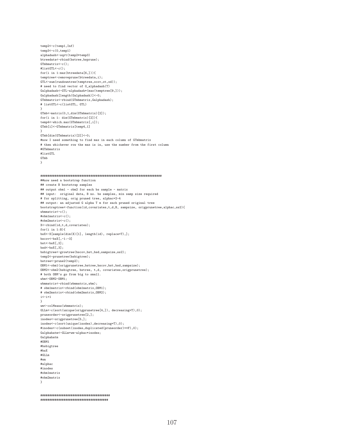```
temp2<-c(temp1,Inf)
temp3<-c(0,temp1)
alphadash<-sqrt(temp2*temp3)
btreedata<-rbind(bstree,bsprune);
GTmbmatrix<-c();
#listGTL<-c();
for(i in 1:max(btreedata[6,])){
temptree<-removeprune(btreedata,i);
GTL<-sum(rundowntree(temptree,ocov,ot,od));
# need to find vector of G_alphadash(T)
Galphadash<-GTL-alphadash*(max(temptree[9,]));
Galphadash[length(Galphadash)]<-0;
GTmbmatrix<-rbind(GTmbmatrix,Galphadash);
# listGTL<-c(listGTL, GTL)
}
GTmb<-matrix(0,1,dim(GTmbmatrix)[2]);
for(i in 1: dim(GTmbmatrix)[2]){
temp4<-which.max(GTmbmatrix[,i]);
GTmb[i]<-GTmbmatrix[temp4,1]
}
GTmb[dim(GTmbmatrix)[2]]<-0;
#now I need something to find max in each column of GTmbmatrix
# then whichever row the max is in, use the number from the first column
#GTmbmatrix
#listGTL
GTmb
}
####################################################################
##now need a bootstrap function
## create B bootstrap samples
```

```
## output obm1 - obm2 for each bs sample - matrix
## input: original data, B no. bs samples, min samp size required
# for splitting, orig pruned tree, alphac=2-4
## output: an adjusted G alpha T m for each pruned original tree
\texttt{bootstraptree}\texttt{&}\text{-function}(\texttt{id}, \texttt{covariates}, t, d, B,~\texttt{samples},~\texttt{origin}(\texttt{untree}, \texttt{alpha}, \texttt{ss2})\{wbmmatrix<-c();
#obm1matrix<-c();
#obm2matrix<-c();
X<-cbind(id,t,d,covariates);
for(i in 1:B){
bsX<-X[sample(dim(X)[1], length(id), replace=T),];
bscov<-bsX[,-1:-3]
bst<-bsX[,2];
bsd<-bsX[,3];
bsbigtree<-growtree(bscov,bst,bsd,sampsize,ss2);
temp2<-prunetree(bsbigtree);
bstree<-prune2(temp2);
OBM1<-obm1(origprunetree,bstree,bscov,bst,bsd,sampsize);
OBM2<-obm2(bsbigtree, bstree, t,d, covariates,origprunetree);
# both OBM's go from big to small.
whm<-OBM2-OBM1;wbmmatrix<-rbind(wbmmatrix,wbm);
# obm1matrix<-rbind(obm1matrix, OBM1);
# obm2matrix<-rbind(obm2matrix, OBM2);
i < -i+1}
wm<-colMeans(wbmmatrix);
GLLm<-c(sort(unique(origprunetree[4,]), decreasing=T),0);
pruneorder<-origprunetree[2,];
inodes<-origprunetree[5,];
inodes<-c(sort(unique(inodes),decreasing=T),0);
#inodes<-c(subset(inodes,duplicated(pruneorder)==F),0);
Galphahatm<-GLLm+wm-alphac*inodes;
Galphahatm
#OBM1
#bsbigtree
#bsX
#GLLm
#wm
#alphac
#inodes
#obm1matrix
#obm2matrix
}
```
####################################### ######################################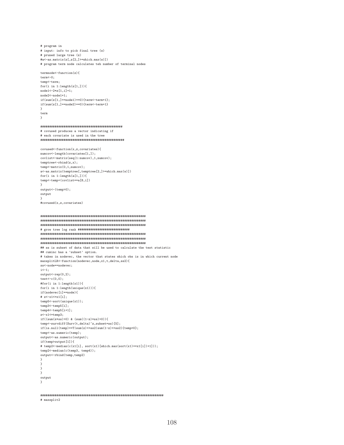```
# program in
# input: info to pick final tree (w)
# pruned large tree (z)
#a<-as.matrix(z[,z[2,]\in which.max(w)])# program term node calculates teh number of terminal nodes
```
termnode<-function(z){  $term<-0;$ temp<-term; for(i in 1:length(z[1,])){  $node1<-2*z[1,i]+1;$  $node2 < node1 + 1;$  $if(sum(z[1,]=model)=0)$ {term < - term + 1};  $if(sum(z[1, ] == node2) == 0) {term <-term1}$ } term  $\ddot{\phantom{1}}$ 

## 

# covused produces a vector indicating if # each covariate is used in the tree covused<-function(x.z.covariates){ numcov<-length(covariates[1,]);  $\verb"covlist<=matrix(s \verb"eq"(1:numcov),1,numcov);$  $temptree < -rbind(z, x)$ :  $temp < -matrix(0, 1, numcov);$  $\verb|a<-as.matrix(temptree[, \verb|temptree[2,]>= which.max(w)]|)$  ${\tt for(i\ in\ 1:length(a[1,]))}$  { temp<-temp+(covlist==a[8,i]) output <- (temp>0);

 $_{\rm output}$ ι  $#$ covused $(x, z, covariates)$ 

```
## ss is subset of data that will be used to calculate the test statistic
## cuminc has a 'subset' option.
# takes in nodevec, the vector that states which obs is in which current node
maxsplitLR<-function(nodevec,node,x1,t,delta,ss2){
ss<-node==nodevec;
i < -1;
output < -rep(0,2);test < -c(0, 0);#for(i in 1:\text{length}(x1)) {
for(i in 1:length(unique(x1))){
if (nodevec[i] == node){
# z < -x1 < = x1[i];temp5 < -sort(unique(x1));temp3 <- temp5[i];
temp4 < -temp5[i+1];z < -x1 < \ne temp3;
if((sum(z*s)>0) & (sum((1-z)*ss)>0))temp<-survdiff(Surv(t,delta)~z,subset=ss)[5];
if(is.null(temp)==T | sum(z) <=ss2|sum(1-z) <=ss2){temp=0};
temp<-as.numeric(temp);
output <- as . numeric (output);
if(temp>output[1]){
# temp2<-median(c(x1[i], sort(x1)[which.max(sort(x1)==x1[i])+1]));
\verb|temp2<-median(c(\verb|temp3|, \verb|temp4|));output <- rbind (temp, temp2)
\mathcal{F}\rightarrowoutput
\mathbf{r}
```
# maxsplit2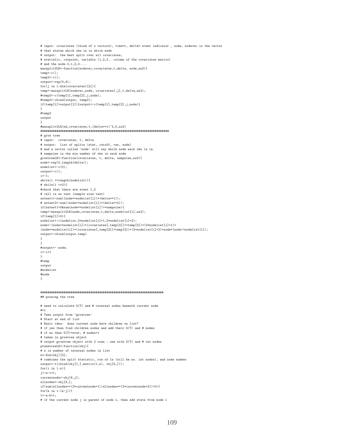# input: covariates (cbind of x vectors), time=t, delta= event indicator , node, nodevec is the vector # that states which obs in in which node # output: the best split over all covariates, # statistic, cutpoint, variable (1,2,3.. column of the covariates matrix) # and the node  $0, 1, 2, 3...$ . maxsplit2LR<-function(nodevec,covariates,t,delta, node,ss2){ temp<-c();  $temp2 < -c()$ ;  $output < -rep(0, 4);$ for(j in 1:dim(covariates)[2]){ temp<-maxsplitLR(nodevec,node, covariates[,j],t,delta,ss2); #temp2<-c(temp[1],temp[2],j,node); #temp3<-cbind(output, temp2); if(temp[1]>output[1]){output<-c(temp[1],temp[2],j,node)} } #temp3 output } #maxsplit2LR(nd,covariates,t,(delta==1)^2,0,ss2) ######################################################################## # grow tree # input: covariates, t, delta # output: list of splits (stat, cutoff, var, node) # and a vector called 'node' will say which node each obs is in. # sampsize is the min number of obs in each node growtreeLR<-function(covariates, t, delta, sampsize,ss2){ node<-rep(0,length(delta)); nodelist<-c(0);  $output<-c()$ :  $i \lt -1$ ; while(i <=length(nodelist)){  $#$  while(i  $\leq$ =2){ #check that there are event 1,2 # call is ss test (sample size test) sstest1<-sum((node==nodelist[i])\*(delta==1)); # sstest2<-sum((node==nodelist[i])\*(delta==2)); if(sstest1>0&sum(node==nodelist[i])>=sampsize){ temp<-maxsplit2LR(node,covariates,t,delta,nodelist[i],ss2); if(temp[1]>0){ nodelist<-c(nodelist,2\*nodelist[i]+1,2\*nodelist[i]+2); node<-(node==nodelist[i])\*(covariates[,temp[3]]<=temp[2])\*(2\*nodelist[i]+1)+  $(\texttt{node1=modelist[i]})*(\texttt{covariates[,temp[3]]}{\verb|stemp[2]})*(2*\texttt{modelist[i]+2})+\texttt{node}*(\texttt{node1=modelist[i]})$ output<-cbind(output,temp) } } #output<- node;  $i$  <  $-i+1$ } #temp output #nodelist #node } ##################################################################### ## pruning the tree # need to calculate G(T) and # internal nodes beneath current node #+1 # Take output from 'growtree' # Start at end of list # Basic idea: does current node have children on list? # if yes then find children nodes and add their G(T) and # nodes # if no then G(T)=stat, # nodes=1 # takes in growtree object # output growtree object with 2 rows : one with G(T) and # int nodes prunetreeLR<-function(obj){ # n is number of internal nodes in list n<-dim(obj)[2]; # combines the split statistic, row of 1s (will be no. int nodes), and node number output<-t(cbind(obj[1,],matrix $(1,n)$ , obj[4,]));  $for(i in 1:n)$  $i$  <- n - i + 1; currentnode<-obj[4,j]; allnodes<-obj[4,]; if(sum(allnodes==(2\*currentnode+1)|allnodes==(2\*currentnode+2))>0){ for( $k$  in 1: $(n-j)$ ){  $1 < -n-k+1$ ; # if the current node j is parent of node 1, then add stats from node 1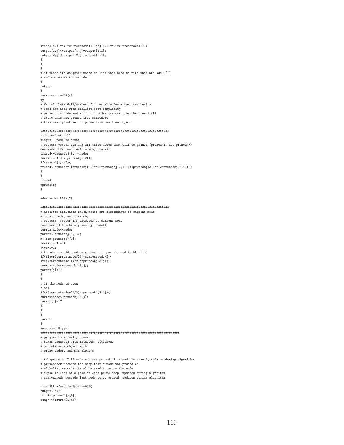if(obj[4,l]==(2\*currentnode+1)|obj[4,l]==(2\*currentnode+2)){ output[1,j]<-output[1,j]+output[1,l]; output[2,j]<-output[2,j]+output[2,l]; } } } # if there are daughter nodes on list then need to find them and add G(T) # and no. nodes to intnode } output } #y<-prunetreeLR(x) #y # We calculate G(T)/number of internal nodes = cost complexity # Find int node with smallest cost complexity # prune this node and all child nodes (remove from the tree list) # store this new pruned tree somewhere # then use 'pruntree' to prune this new tree object. ######################################################################## # descendant will #input: node to prune # output: vector stating all child nodes that will be pruned (pruned=T, not pruned=F) descendantLR<-function(pruneobj, node){ pruned<-pruneobj[3,]==node; for(i in 1:dim(pruneobj)[2]){ if(pruned[i]==T){ pruned<-pruned==T|pruneobj[3,]==(2\*pruneobj[3,i]+1)|pruneobj[3,]==(2\*pruneobj[3,i]+2) } } pruned #pruneobj } #descendantLR(y,2) ######################################################################## # ancestor indicates which nodes are descendants of current node # input: node, and tree obj # output: vector T/F ancestor of current node ancestorLR<-function(pruneobj, node){ currentnode<-node; parent<-pruneobj[3,]<0; n<-dim(pruneobj)[2]; for(i in 1:n){ j<-n-i+1; #if node is odd, and currentnode is parent, and in the list if(floor(currentnode/2)!=currentnode/2){ if(((currentnode-1)/2)==pruneobj[3,j]){ currentnode<-pruneobj[3,j]; parent[j]<-T } } # if the node is even else{ if(((currentnode-2)/2)==pruneobj[3,j]){ currentnode<-pruneobj[3,j]; parent[j]<-T } } } parent } #ancestorLR(y,5) ############################################################################## # program to actually prune # takes pruneobj with intnodes, G(t),node # outputs same object with: # prune order, and min alpha's # tobeprune is T if node not yet pruned, F is node is pruned, updates during algorithm # pruneorder records the step that a node was pruned on # alphalist records the alpha used to prune the node # alpha is list of alphas at each prune step, updates during algorithm # currentnode records last node to be pruned, updates during algorithm prune2LR<-function(pruneobj){ output<-c();

n<-dim(pruneobj)[2]; temp<-t(matrix(1,n));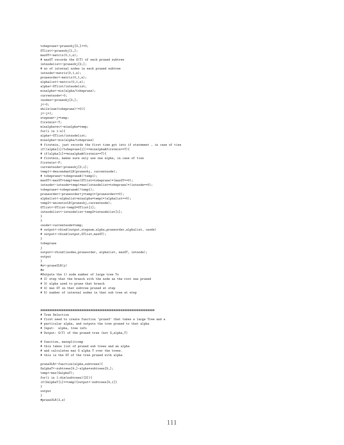```
tobeprune<-pruneobj[3,]>=0;
GTlist<-pruneobj[1,];
maxGT < -matrix(0,1,n);# maxGT records the G(T) of each pruned subtree
intnodelist<-pruneobj[2,];
# no of internal nodes in each pruned subtree
intnode<-matrix(0,1,n);
pruneorder<-matrix(0,1,n);
alphalist <- matrix(0,1,n);
alpha<-GTlist/intnodelist;
minalpha<-min(alpha/tobeprune);
currentnode<-0;
inodes<-pruneobj[3,];
i < -0;
while(sum(tobeprune)!=0){
i \leftarrow i + 1:
stepnum <- j*temp;
firstmin<-T;
minalphavec<-minalpha*temp;
for(i in 1:n){
alpha<-GTlist/intnodelist;
minalpha<-min(alpha/tobeprune)
# firstmin, just records the first time got into if statement , in case of ties
\verb"if((alpha[i]/to beprune[i]) == minalphak firstmin == T){\{}# if(alpha[i]==minalpha&firstmin==T){
# firstmin, makes sure only use one alpha, in case of ties
firstmin<-F;
currentnode<-pruneobj[3,i];
temp1<-descendantLR(pruneobj, currentnode);
# tobeprune<-tobeprune&(!temp1);
maxGT<-maxGT+temp1*max(GTlist*tobeprune)*(maxGT==0);
intnode<-intnode+temp1*max(intnodelist*tobeprune)*(intnode==0);
tobeprune<-tobeprune&(!temp1);
\verb|pruneorder<-pruneorder+j*temp1*(pruneorder==0);alphalist<-alphalist+minalpha*temp1*(alphalist==0);
temp2<-ancestorLR(pruneobj,currentnode);
GTlist<-GTlist-temp2*GTlist[i];
intnodelist<-intnodelist-temp2*intnodelist[i];
}
}
cnode<-currentnode*temp;
# output<-rbind(output,stepnum,alpha,pruneorder,alphalist, cnode)
# output<-rbind(output,GTlist,maxGT);
}
tobeprune
j
output<-rbind(inodes,pruneorder, alphalist, maxGT, intnode);
_{\mathrm{output}}}
#z<-prune2LR(y)
#z
#Outputs the 1) node number of large tree To
# 2) step that the branch with the node as the root was pruned
# 3) alpha used to prune that branch
# 4) max GT on that subtree pruned at step
# 5) number of internal nodes in that sub tree at step
################################################################
# Tree Selection
# first need to create function 'prune3' that takes a large Tree and a
# particular alpha, and outputs the tree pruned to that alpha
# Input: alpha, tree info
# Output: G(T) of the pruned tree (not G_alpha_T)
# function, maxsplitcomp
# this takes list of pruned sub trees and an alpha
# and calculates max G alpha T over the trees.
# this is the GT of the tree pruned with alpha
prune3LR<-function(alpha,subtrees){
GalphaT<-subtrees[4,]-alpha*subtrees[5,];
temp<-max(GalphaT);
for(i in 1:dim(subtrees)[2]){
if(GalphaT[i]==temp){output<-subtrees[4,i]}
}
output
}
#prune3LR(2,z)
```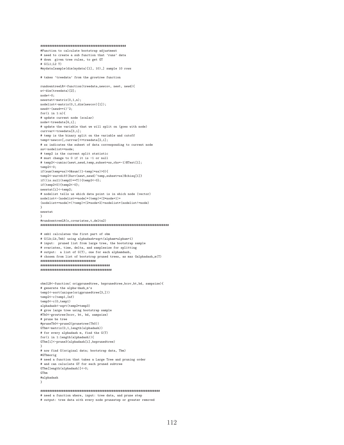################################################ #Function to calculate bootstrap adjustment # need to create a sub function that 'runs' data # down given tree rules, to get GT # G(L1;L2 T) #mydata[sample(dim(mydata)[1], 10),] sample 10 rows # takes 'treedata' from the growtree function rundowntreeLR<-function(treedata,newcov, newt, newd){ n<-dim(treedata)[2]; node<-0; newstat<-matrix(0,1,n); nodelist<-matrix(0,1,dim(newcov)[1]); newd<-(newd==1)^2; for $(i \text{ in } 1:n)$ # update current node (scalar) node<-treedata[4,i]; # update the variable that we will split on (goes with node) currvar<-treedata[3,i]; # temp is the binary split on the variable and cutoff temp<-newcov[,currvar]<=treedata[2,i]; # ss indicates the subset of data corresponding to current node ss<-nodelist==node; # temp2 is the current split statistic # must change to 0 if it is -1 or null # temp2<-cuminc(newt,newd,temp,subset=ss,rho=-1)\$Test[1]; temp2<-0; if(sum(temp\*ss)>0&sum((1-temp)\*ss)>0){ temp2<-survdiff(Surv(newt,newd)~temp,subset=ss)\$chisq[1]} if((is.null(temp2)==T)){temp2<-0}; if(temp2<0){temp2<-0}; newstat[i]<-temp2; # nodelist tells us which data point is in which node (vector) nodelist<-(nodelist==node)\*(temp)\*(2\*node+1)+ (nodelist==node)\*(!temp)\*(2\*node+2)+nodelist\*(nodelist!=node) } newstat } #rundowntreeLR(x,covariates,t,delta2) ######################################################################## # omb1 calculates the first part of obm # G(Lb;Lb,Tmb) using alphadash=sqrt(alpham\*alpham+1) # input: pruned list from large tree, the bootstrap sample # ovariates, time, delta, and samplesize for splitting # output: a list of G(T), one for each alphamdash, # chosen from list of bootstrap pruned trees, as max Galphadash\_m(T) ############################### ####################################### ######################################## obm1LR<-function( origprunedtree, bsprunedtree,bcov,bt,bd, sampsize){ # generate the alpha-dash\_m's temp1<-sort(unique(origprunedtree[3,])) temp2<-c(temp1,Inf) temp3<-c(0,temp1) alphadash<-sqrt(temp2\*temp3) # grow large tree using bootstrap sample #Tb0<-growtree(bcov, bt, bd, sampsize) # prune bs tree #pruneTb0<-prune2(prunetree(Tb0)) GTbm<-matrix(0,1,length(alphadash)) # for every alphadash m, find the G(T) for(i in 1:length(alphadash)){ GTbm[i]<-prune3(alphadash[i],bsprunedtree) } # now find G(original data; bootstrap data, Tbm) #GTbmorig # need a function that takes a Large Tree and pruning order # and can caluclate GT for each pruned subtree GTbm[length(alphadash)]<-0; GTbm #alphadash }

### ###################################################################

# need a function where, input: tree data, and prune step # output: tree data with every node prunestep or greater removed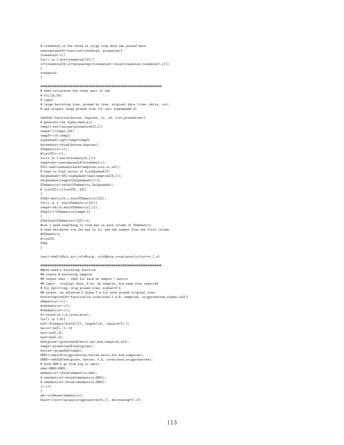# treedata2 is the rbind of orign tree data adn pruned data removepruneLR<-function(treedata2, prunestep){ treedata3<-c() for(i in 1:dim(treedata2)[2]){ if(treedata2[6,i]>=prunestep){treedata3<-cbind(treedata3,treedata2[,i])} } treedata3 } #################################################################### # obm2 calculates the other part of obm # G(L;Lb,Tm) # input: # large bootstrap tree, pruned bs tree, original data (time, delta, cov) # and orignal large pruned tree (to calc alphadashm's) obm2LR<-function(bstree, bsprune, ot, od, ocov,prunedtree){ # generate the alpha-dash\_m's temp1<-sort(unique(prunedtree[3,])) temp2<-c(temp1,Inf)  $t_{\text{emn}}$ 3<-c $(0, t_{\text{emn}})$ alphadash<-sqrt(temp2\*temp3) btreedata<-rbind(bstree,bsprune);  $GTmbmatrix<-c()$ :  $#$ listGTL<-c $()$ ; for(i in 1:max(btreedata[6,])){ temptree<-removepruneLR(btreedata,i); GTL<-sum(rundowntreeLR(temptree,ocov,ot,od)); # need to find vector of G\_alphadash(T) Galphadash<-GTL-alphadash\*(max(temptree[9,])); Galphadash[length(Galphadash)]<-0; GTmbmatrix<-rbind(GTmbmatrix,Galphadash); # listGTL<-c(listGTL, GTL) } GTmb<-matrix(0,1,dim(GTmbmatrix)[2]); for(i in 1: dim(GTmbmatrix)[2]){ temp4<-which.max(GTmbmatrix[,i]); GTmb[i]<-GTmbmatrix[temp4,1] } GTmb[dim(GTmbmatrix)[2]]<-0; #now I need something to find max in each column of GTmbmatrix # then whichever row the max is in, use the number from the first column #GTmbmatrix #listGTL GTmb } test<-obm2(xMult,zcv,cvLv\$tsim, cvLv\$dsim,covariates[cvlist==v,],z) #################################################################### ##now need a bootstrap function ## create B bootstrap samples ## output obm1 - obm2 for each bs sample - matrix ## input: original data, B no. bs samples, min samp size required

# for splitting, orig pruned tree, alphac=2-4 ## output: an adjusted G alpha T m for each pruned original tree bootstraptreeLR<-function(id,covariates,t,d,B, sampsize, origprunetree,alphac,ss2){ wbmmatrix<-c(); #obm1matrix<-c(); #obm2matrix<-c(); X<-cbind(id,t,d,covariates); for(i in 1:B){ bsX<-X[sample(dim(X)[1], length(id), replace=T),];  $bscov < -bsX$ [,-1:-3] bst<-bsX[,2]; bsd<-bsX[,3]; bsbigtree<-growtreeLR(bscov,bst,bsd,sampsize,ss2); temp2<-prunetreeLR(bsbigtree); bstree<-prune2LR(temp2); OBM1<-obm1LR(origprunetree,bstree,bscov,bst,bsd,sampsize); OBM2<-obm2LR(bsbigtree, bstree, t,d, covariates,origprunetree); # both OBM's go from big to small. wbm<-OBM2-OBM1; wbmmatrix<-rbind(wbmmatrix,wbm); # obm1matrix<-rbind(obm1matrix,OBM1); # obm2matrix<-rbind(obm2matrix,OBM2);  $i$  <  $-i+1$ } wm<-colMeans(wbmmatrix); GLLm<-c(sort(unique(origprunetree[4,]), decreasing=T),0);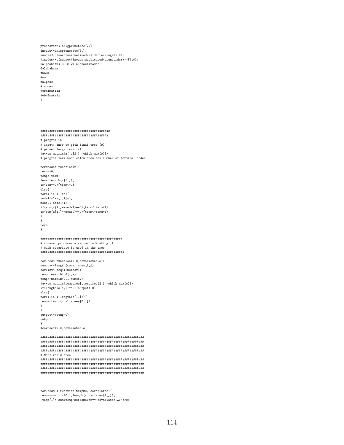```
pruneorder<-origprunetree[2,];
inodes<-origprunetree[5,];
inodes<-c(sort(unique(inodes),decreasing=T),0);
#inodes<-c(subset(inodes,duplicated(pruneorder)==F),0);
Galphahatm<-GLLm+wm-alphac*inodes;
Galphahatm
\# \mathrm{GLLm}#vm#alphac
*inodes
#obm1matrix
#obm2matrix
```

```
# program in
```

```
\# input: info to pick final tree (w)
# pruned large tree (z)
\texttt{\#a<-as.matrix(z[,z[2,]\texttt{>=}which.max(w)]})}# program term node calculates teh number of terminal nodes
```

```
termnode<-function(z){
term < -0:
temp<-term;
len<-length(z[1,]);
if(len==0){term<-0}elsef
for(i in 1:len) {
node1<-2*z[1,i]+1;node2 < -node1 + 1;\verb|if(sum(z[1,]==node1) == 0) \verb|term<-term+1|;\verb|if(sum(z[1,]==node2) == 0) \verb|term<-term+1|}\overline{\mathbf{a}}term
```
## 

 $\,$ 

# covused produces a vector indicating if # each covariate is used in the tree 

```
covused \leftarrow function(x, z, covariates, a)numcov<-length(covariates[1,]);
covlist <- seq(1:numcov);
temptree < -rbind(z, x);temp < -matrix(0, 1, numcov);#a<-as.matrix(temptree[,temptree[2,]>=which.max(w)])
if (length(a[1,]) == 0){output<-0}
else{
for(i in 1:length(a[1,]))\{temp<-temp+(covlist==a[8,i])
\mathcal{L}output <- (temp>0);
_{\text{output}}\overline{1}#covused(x,z,covariates,a)
```
# Mart resid tree 

covusedMR<-function(tempMR, covariates){

temp<--matrix(0,1,length(covariates[1,]));<br>temp[1]<-sum(tempMR\$fram\$var=="covariates.Z1")>0;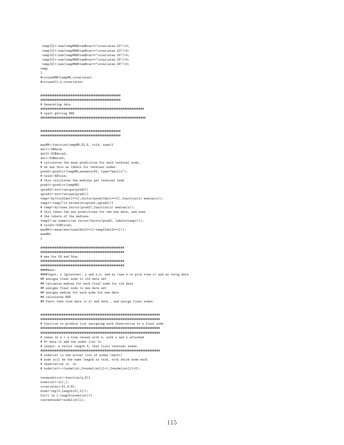```
temp[2]<-sum(tempMR$fram$var=="covariates.Z2")>0;
temp[3] <-sum(tempMR$fram$var=="covariates.Z3")>0;
temp[4]<-sum(tempMR$fram$var=="covariates.Z4")>0;
temp[5]<-sum(tempMR$fram$var=="covariates.Z5")>0;
temp[6]<-sum(tempMR$fram$var=="covariates.Z6")>0;
temp
```
#covusedMR(tempMR, covariates)  $#covused(x, z, covariates)$ 

# Generating data # rpart getting MAE 

### 

maeMR<-function(tempMR, X2, X, told, tnew){ del1<-X\$dsim  $d$ el2<-X2\$dsim2 del <- X2\$dsim2; # calculates the mean prediction for each terminal node, # we use this as labels for terminal nodes. pred2<-predict(tempMR,newdata=X2, type="matrix"); # tsim <- X\$tsim: # this calculates the medians per terminal node pred1<-predict(tempMR) upred2<-sort(unique(pred2)) upred1<-sort(unique(pred1))  $\verb|temp<-by(told[del1==1], factor(pred1[del1==1]), function(x) median(x));$ temp1<-temp[!is.na(match(upred1,upred2))]  $\texttt{\# temp<-by (tnew, factor (pred2), function (x) median (x))};$ # this takes the new predictions for the new data, and uses # the labels of the medians. temp2 <- as.numeric(as.vector(factor(pred2, labels=temp1)));  $#$  tsim2 < - X2\$ tsim2:  $\texttt{maeMR1}\texttt{<}\texttt{-mean}\texttt{(abs}\texttt{(new[del2==1]-temp2[del2==1]))};$  $maaMR1$ 

# mae for LR and Gray  $###Want$ : ####Input: x (growtree), y and z,w, and ax (use w to pick tree x) and az.+orig data ## assigns final node to old data set ## calcuates median for each final node for old data ## assigns final node to new data set ## assigns median for each node for new data ## calculates MAE ## fun1= take tree data (x z) and data, and assign final nodes.

# function to produce list assigning each observation to a final node # takes in a = a tree chosen with w, with z and x attached # X= data to add the nodel list to. # output: a vector length X, that lists terminal nodes. # nodelist is the actual list of nodes (short) # node will be the same length as tsim, with which node each # observation is in. # nodelist<-c(nodelist.2\*nodelist[i]+1.2\*nodelist[i]+2); termnodelist<-function(a.X){ nodelist <- a[1,];

covariates <- X[, 4: 9];  $node < -rep(0, length(X[, 1]))$ ;  $for(i in 1:length(nodelist))\{$ currentnode<-nodelist[i]:

 $\mathcal{F}$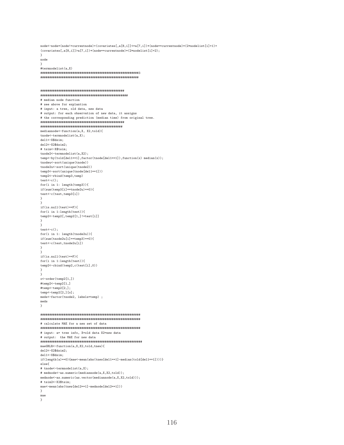$\verb|node<-node*[node]{=currentnode}(covariates[, a[8,i]]<=a[7,i])*[node{=currentnode}*(2*nodelist[i]+1)+a[1*node]$  $(covariates[, a[8,i]]>a[7,i])*(node == currentnode)*(2*nodelist[i]+2);$  $\mathcal{F}$ node  $\overline{1}$ #termnodelist(a,X) # median node function # see above for explantion # input: a tree, old data, new data # output: for each observation of new data, it assigns # the corresponding prediction (median time) from original tree. mediannode<-function(a.X. X2.told){  $tnode <$ -termnodelist $(a, X)$ ; del1<-X\$dsim:  $de12$  <  $-$  X2\$dsim2: # tsim <- X\$tsim: tnode2<-termnodelist(a.X2):  $\verb|temp<-by(told[del1==1], factor(tnode[del1==1]), function(x)~median(x));$ tnodeu<-sort(unique(tnode))  $\verb+tnode2u<-sort(unique(tnode2))$  $\verb|temp3<-sort(unique(tnode[del1==1]))|$  $temp2 < -rbind$ (temp3,temp)  $test < -c()$ ;  $for(i in 1: length(temp3))$ {  $if(sumtemp3[i]==tnode2u)=0)$ {  $test < -c(test, temp3[i])$  $\operatorname{if}(\operatorname{is.null}(\operatorname{test})\text{==F})$  {  $for(i in 1:length(test))$ {  $\verb|temp2<-temp2[1,]!=\verb|test[i]|$  $\overline{\mathbf{3}}$  $\mathcal{P}$  $test < -c()$ ;  $for(i in 1: length(tnode2u))$  $if(sum(tnode2u[i]==temp3)=0)$ {  $\texttt{test}\texttt{--c}(\texttt{test},\texttt{tnode2u[i]})$  $if(is.null(test)=F){$  $for(i in 1:length(test))$ { temp2<-cbind(temp2,c(test[i],0))  $\ddot{\phantom{1}}$  $o$  < - order (temp2[1,]) #temp2<-temp2[1,] #temp<-temp2[2,];  $temp < -temp2[2, ] [o];$ meds<-factor(tnode2, labels=temp) ;  $meds$  $\mathbf{r}$ # calculate MAE for a new set of data # input: a= tree info, X=old data X2=new data # output: the MAE for new data maeGRLR<-function(a,X,X2,told,tnew){ del2<-X2\$dsim2; del1<-X\$dsim:  $\verb|if(length(a)==0){\{mae<-mean(abs(tnew[del1==1]-median(told[del1==1]))\}}|$  $elsef$ # tnode<-termnodelist(a.X): # mednode<-as.numeric(mediannode(a,X,X2,told)); mednode<-as.numeric(as.vector(mediannode(a,X,X2,told))); # tsim2<-X2\$tsim: mae<-mean(abs(tnew[del2==1]-mednode[del2==1]))  $\ddot{\phantom{1}}$  $<sub>mae</sub>$ </sub>  $\mathcal{L}$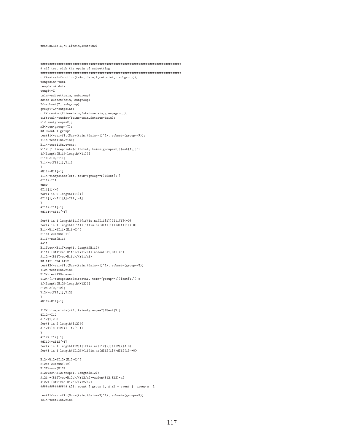# #maeGRLR(a,X,X2,X\$tsim,X2\$tsim2)

# cif test with the optin of subsetting ciftestss<-function(tsim, dsim, Z, cutpoint, r, subgroup){ temptsim<-tsim tempdsim<-dsim  $tempZ < -Z$ tsim<-subset(tsim, subgroup)  $dsim<-subset(dsim, subgroup)$ Z<-subset(Z, subgroup)  $\verb|group<-Z<=cutoff|;$ cif<-cuminc(ftime=tsim,fstatus=dsim,group=group); ciftotal<-cuminc(ftime=tsim,fstatus=dsim);  $n1$  <  $-sum(group == F)$ ;  $n2 < -sum(group == T);$ ## Event 1 group1 test11<-survfit(Surv(tsim,(dsim==1)^2), subset=(group==F)); Y11<-test11\$n.risk: E11<-test11\$n.event: W11 <- (1-timepoints (ciftotal, tsim\* (group==F))\$est[1,])^r  $if (length(E11) < length(W11))$ {  $E11<-c(0,E11);$ Y11 <- c (Y11 [1] . Y11) #W11<-W11[-1] I11<-timepoints(cif, tsim\*(group==F))\$est[1,]  $d111<-111$  $\text{f}_{\text{max}}$  $dI11[1]<-0$  ${\tt for(i\ in\ 2:length(II1))} \{ }$  $dI11[i]$  <-I11[i]-I11[i-1] #I11<-I11[-1] #dI11<-dI11[-1] for(i in 1:length(I11)){if(is.na(I11[i]))I11[i]<-0}  $\verb|for(i in 1:length(dI11)){if(is.na(dI11[i]))dI11[i]<-0}|$  $\texttt{B11}\texttt{<-W11}\texttt{*dI11}\texttt{*}(\texttt{E11}\texttt{>0})\texttt{^2}$  $R11c$   $\leq$   $\leq$   $\leq$   $\leq$   $\leq$   $\leq$   $\leq$   $\leq$   $\leq$   $\leq$   $\leq$   $\leq$   $\leq$   $\leq$   $\leq$   $\leq$   $\leq$   $\leq$   $\leq$   $\leq$   $\leq$   $\leq$   $\leq$   $\leq$   $\leq$   $\leq$   $\leq$   $\leq$   $\leq$   $\leq$   $\leq$   $\leq$   $\leq$   $\leq$   $\leq$   $\leq$  $B11T<-\text{sum}(B11)$  $#A11$  $\texttt{B11Tvec}\texttt{<-B11T*rep(1, length(B11))}$ A111 <- (B11Tvec-B11c) / (Y11/n1) -addon (B11, E11) \*n1  $A112$  <  $(B11Tvec-B11c)/(Y11/n1)$ ## A121 and A122  $\texttt{test12}\texttt{--survfit}(\texttt{Surv}(\texttt{tsim},(\texttt{dsim==1})^2)\texttt{, subset=(group==T)})$ Y12<-test12\$n.risk  $E12$  <  $-test12$ \$n.event  $W12 \leftarrow (1 - timepoints(ciftotal, tsim*(group==T))\$ est[1,])^r  $if (length(E12) < length(W12))$ {  $E12<-c(0,E12);$  $Y12<-c(Y12[1], Y12)$ I12<-timepoints(cif, tsim\*(group==T))\$est[2,]  $dI12<-I12$  $dI12[1]<-0$ for(i in  $2:\text{length}(I12))$ {  $dI12[i]$  <- $I12[i]$ - $I12[i-1]$ #I12 < - I12 [-1] #dI12<-dI12[-1] for(i in 1:length(I12)){if(is.na(I12[i]))I12[i]<-0}  $\verb|for(i in 1:length(dI12)){if(is.na(dI12[i]))dI12[i]<-0}|$ B12 <- W12 \* dI12 \* (E12 > 0) ^ 2  $B12c<$ -cumsum $(B12)$  $B12T < -sum(B12)$ B12Tvec <- B12T\*rep(1, length(B12))  $A121 \leftarrow (B12Tvec-B12c) / (Y12/n2) - \text{addon}(B12, E12) * n2$  $A122 < - (B12Tvec-B12c)/(Y12/n2)$ ############### A21: event 2 group 1, Ajml = event j, group m, 1  $\texttt{test21}\texttt{<-survfit}(\texttt{Surv}(\texttt{tsim},(\texttt{dsim==2})^{\texttt{-}2}), \texttt{subset=(group==F)})$ Y21<-test21\$n.risk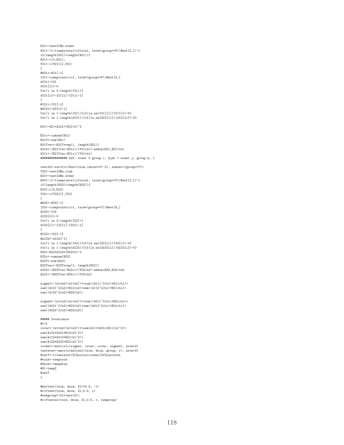W21<-(1-timepoints(ciftotal, tsim\*(group==F))\$est[2,])^r if(length(E21)<length(W21)){  $E21 < -c(0, E21);$ Y21<-c(Y21[1],Y21) } #W21<-W21[-1] I21<-timepoints(cif, tsim\*(group==F))\$est[3,] dI21<-I21 dI21[1]<-0 for(i in 2:length(I21)){ dI21[i]<-I21[i]-I21[i-1] } #I21<-I21[-1] #dI21<-dI21[-1]  $for(i in 1:length(I21)) {if(is.na(I21[i]))I21[i]<-0}$  $for(i in 1:length(dI21)){if(is.na(dI21[i]))dI21[i]<-0}$ B21<-W21\*dI21\*(E21>0)^2 B21c<-cumsum(B21) B21T<-sum(B21) B21Tvec<-B21T\*rep(1, length(B21)) A212<-(B21Tvec-B21c)/(Y21/n1)-addon(B21,E21)\*n1 A211<-(B21Tvec-B21c)/(Y21/n1) ############### A22: event 2 group 1, Ajml = event j, group m, l test22<-survfit(Surv(tsim,(dsim==2)^2), subset=(group==T)) Y22<-test22\$n.risk E22<-test22\$n.event  $\verb|W22<- (1-time points (ciftotal, tsim*(group==T))\$est [2,])^r$ if(length(E22)<length(W22)){ E22<-c(0,E22) Y22<-c(Y22[1],Y22) } #W22<-W22[-1] I22<-timepoints(cif, tsim\*(group==T))\$est[4,] dI22<-I22 dI22[1]<-0 for(i in 2:length(I22)){ dI22[i]<-I22[i]-I22[i-1] } #I22<-I22[-1] #dI22<-dI22[-1]  ${\tt for(i \ in \ 1:length(I22)){if(i s.na(I22[i])})I22[i] < -0}$  $for (i in 1:length(dI22))[if(is.na(dI22[i]))dI22[i]<-0\}$ B22<-W22\*dI22\*(E22>0)^2 B22c<-cumsum(B22) B22T<-sum(B22) B22Tvec<-B22T\*rep(1, length(B22)) A222<-(B22Tvec-B22c)/(Y22/n2)-addon(B22,E22)\*n2 A221<-(B22Tvec-B22c)/(Y22/n2)  $signa1<- (n1*n2/(n1+n2)) * (sum((A111^2/n1)*E11/n1)+$ sum((A121<sup>-2</sup>/n2)\*E12/n2)+sum((A112<sup>-2</sup>/n1)\*E21/n1)+ sum((A122<sup>-2</sup>/n2)\*E22/n2)) sigma2 <- (n1\*n2/(n1+n2))\*(sum((A211^2/n1)\*E21/n1)+ sum((A221^2/n2)\*E22/n2)+sum((A212^2/n1)\*E21/n1)+ sum((A222<sup>~</sup>2/n2)\*E22/n2)) ##### Covariance #l=1 covar<-(n1\*n2/(n1+n2))\*(sum(A111\*A211\*E11/n1^2)+ sum(A121\*A221\*E12/n2^2)+ sum(A112\*A212\*E21/n1^2)+ sum(A122\*A222\*E22/n2^2)) covmat<-matrix(c(sigma1, covar, covar, sigma2), nrow=2) teststat<-matrix(multest(tsim, dsim, group, r), nrow=2) HoetT<-t(teststat)%\*%solve(covmat)%\*%teststat #tsim<-temptsim #dsim<-tempdsim #Z<-tempZ HoetT }

E21<-test21\$n.event

#multest(tsim, dsim, Z1<=0.5, -1) #ciftest(tsim, dsim, Z1,0.5, r) #subgroup<-Z1>=min(Z1) #ciftestss(tsim, dsim, Z1,0.5, r, subgroup)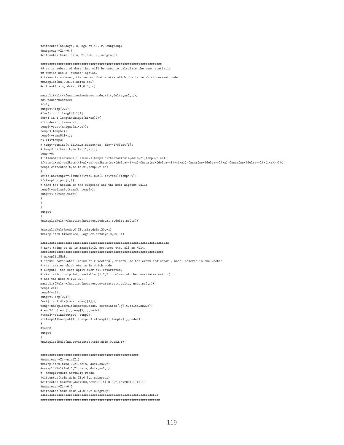#ciftestss(nhxdays, d, age\_ev,40, r, subgroup) #subgroup<-Z1<=0.7 #ciftestss(tsim, dsim, Z1,0.5, r, subgroup) #################################################################### ## ss is subset of data that will be used to calculate the test statistic ## cuminc has a 'subset' option. # takes in nodevec, the vector that states which obs is in which current node #maxsplit(nd,0,x1,t,delta,ss2) #ciftest(tsim, dsim, Z1,0.5, r) maxsplitMult<-function(nodevec,node,x1,t,delta,ss2,r){ ss<-node==nodevec;  $i$  <  $-1$ : output <- rep(0,2); #for(i in 1:length(x1)){ for(i in 1:length(unique(x1\*ss))){ if(nodevec[i]==node){ temp5<-sort(unique(x1\*ss)); temp3 <- temp5[i];  $temp4 < -temp5[i+1];$  $z$  < -  $x1$  <  $=$  temp3; # temp<-cuminc(t,delta,z,subset=ss, rho=-1)\$Test[1]; # temp<-ciftest(t,delta,x1,z,r); temp<-0;  $\verb|# if(sum(z)>ss2∑(1-z)>ss2\} \{temp<-ciftestss(tsim,dsim,Z1,temp3,r,ss)\};$  $if(sum(z*s)>ss2\∑((1-z)*ss)>ss2\∑(s*(delta=11)*z)>0\∑(s*(delta=11-z)*(1-z))>0\∑(s*(delta=12-z)*(1-z))>0\∑(s*(delta=12-z)*(1-z))>0\∑(s*(delta=12-z)*(1-z))>0\∑(s*(delta=12-z)*(1-z))>0\∑(s*(delta=12-z)*(1-z))>0\∑(s*(delta=12-z)*(1-z))>0\∑(s*(delta=12-z)*(1-z))>0\∑(s*(delta=12-z)*(1-z))>0\∑(s*(delta=12-z)*(1-z))>0\∑(s*(delta=12-z)*(1-z))>0\∑(s*(delta=12-z)*(1$ temp<-ciftestss(t,delta,x1,temp3,r,ss) }  $\label{eq:is_in} \texttt{if}(\texttt{is}.\texttt{na}(\texttt{temp})\texttt{==}\texttt{T}|\texttt{sum}(z)\texttt{<=}\texttt{ss2}|\texttt{sum}(1\texttt{-}z)\texttt{<=}\texttt{ss2}(\texttt{temp}\texttt{<=}0\texttt{};$ if(temp>output[1]){ # take the median of the cutpoint and the next highest value temp2<-median(c(temp3, temp4)); output<-c(temp,temp2) } } } output } #maxsplitMult<-function(nodevec,node,x1,t,delta,ss2,r){ #maxsplitMult(node,0,Z1,tsim,dsim,20,-1) #maxsplitMult(nodevec,0,age\_ev,nhxdays,d,20,-1) ######################################################################## # next thing to do is maxsplit2, growtree etc. all as Mult. ##################################################################### # maxsplit2Mult # input: covariates (cbind of x vectors), time=t, delta= event indicator , node, nodevec is the vector # that states which obs in in which node # output: the best split over all covariates, # statistic, cutpoint, variable (1,2,3.. column of the covariates matrix) # and the node 0,1,2,3.... maxsplit2Mult<-function(nodevec,covariates,t,delta, node,ss2,r){ temp<-c();  $temp2 < -c()$ ; output <- rep(0,4); for(j in 1:dim(covariates)[2]){ temp<-maxsplitMult(nodevec,node, covariates[,j],t,delta,ss2,r); #temp2<-c(temp[1],temp[2],j,node); #temp3<-cbind(output, temp2); if(temp[1]>output[1]){output<-c(temp[1],temp[2],j,node)} } #temp3 output } #maxsplit2Mult(nd,covariates,tsim,dsim,0,ss2,r) ####################################################### #subgroup<-Z1>=min(Z1) #maxsplitMult(nd,0,Z1,tsim, dsim,ss2,r) #maxsplitMult(nd,0,Z1,tsim, dsim,ss2,r) # maxsplitMult actually works. #ciftestss(tsim,dsim,Z1,0.5,r,subgroup) #ciftestss(tsim200,dsim200,cov200[,1],0.3,r,cov200[,1]>=.1) #subgroup<-Z1>=0.2 #ciftestss(tsim,dsim,Z1,0.5,r,subgroup) ################################################################## ###################################################################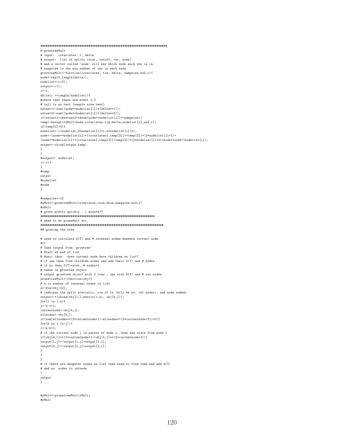```
#######################################################################
# growtreeMult
# input: covariates, t, delta
# output: list of splits (stat, cutoff, var, node)
# and a vector called 'node' will say which node each obs is in.
# sampsize is the min number of obs in each node
growtreeMult<-function(covariates, tim, delta, sampsize,ss2,r){
node<-rep(0,length(delta));
nodelist<-c(0);
output<-c();
i \leftarrow 1;while(i <=length(nodelist)){
#check that there are event 1,2
# call is ss test (sample size test)
sstest1<-sum((node==nodelist[i])*(delta==1));
sstest2<-sum((node==nodelist[i])*(delta==2));
if(sstest1>1&sstest2>1&sum(node==nodelist[i])>=sampsize){
temp<-maxsplit2Mult(node,covariates,tim,delta,nodelist[i],ss2,r);
if(temp[1]>0){
nodelist<-c(nodelist,2*nodelist[i]+1,2*nodelist[i]+2);
node<-(node==nodelist[i])*(covariates[,temp[3]]<=temp[2])*(2*nodelist[i]+1)+
(\texttt{node=modelist[i]}) * (\texttt{covariates}[, \texttt{temp[3]}) * (\texttt{2*modelist[i]+2}) * \texttt{node*}(\texttt{node!=modelist[i]});output<-cbind(output,temp)
}
}
#output<- nodelist;
i < -i+1}
#temp
output
#nodelist
#node
}
#sampsize<-10
#xMult<-growtreeMult(covariates,tsim,dsim,sampsize,ss2,r)
#xMult
# grows pretty quickly , 1 minute??
################################################################
# need to do pruneMult etc.
#####################################################################
## pruning the tree
# need to calculate G(T) and # internal nodes beneath current node
#+1
# Take output from 'growtree'
# Start at end of list
# Basic idea: does current node have children on list?
# if yes then find children nodes and add their G(T) and # nodes
# if no then G(T)=stat, # nodes=1
# takes in growtree object
# output growtree object with 2 rows : one with G(T) and # int nodes
prunetreeMult<-function(obj){
# n is number of internal nodes in list
n<-dim(obj)[2];
# combines the split statistic, row of 1s (will be no. int nodes), and node number
output<-t(cbind(obj[1,],matrix(1,n), obj[4,]));
for(i in 1:n){
j < - n - i + 1;
currentnode<-obj[4,j];
allnodes<-obj[4,];
if(sum(allnodes==(2*currentnode+1)|allnodes==(2*currentnode+2))>0){
for(k \in 1:(n-j))1<-n-k+1;
# if the current node j is parent of node l, then add stats from node l
if(obj[4,l]==(2*currentnode+1)|obj[4,l]==(2*currentnode+2)){
output[1,j]<-output[1,j]+output[1,l];
output[2,j]<-output[2,j]+output[2,l];
}
}
}
# if there are daughter nodes on list then need to find them and add G(T)
# and no. nodes to intnode
}
output
}
#yMult<-prunetreeMult(xMult)
#yMult
```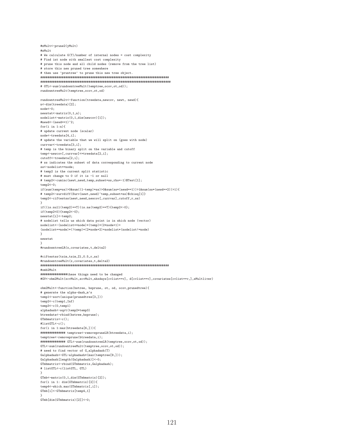#zMult <- prune 2 (yMult) #zMult # We calculate G(T)/number of internal nodes = cost complexity # Find int node with smallest cost complexity # prune this node and all child nodes (remove from the tree list) # store this new pruned tree somewhere # then use 'pruntree' to prune this new tree object. # GTL<-sum(rundowntreeMult(temptree,ocov,ot,od)); rundowntreeMult(temptree, ocov, ot, od) rundowntreeMult<-function(treedata, newcov, newt, newd){ n<-dim(treedata)[2];  $node<-0$ ;  $newstat$  -matrix  $(0,1,n)$ ; nodelist<-matrix(0.1.dim(newcov)[1]); #newd <-  $(newd==1)^2$ ; for $(i \in 1:n)$ # update current node (scalar) node<-treedata[4.i]: # update the variable that we will split on (goes with node) currvar<-treedata[3,i]; # temp is the binary split on the variable and cutoff temp<-newcov[.currvar]<=treedata[2.i]; cutoff<-treedata[2,i]; # ss indicates the subset of data corresponding to current node ss<-nodelist==node: # temp2 is the current split statistic # must change to 0 if it is -1 or null # temp2<-cuminc(newt,newd,temp,subset=ss,rho=-1)\$Test[1];  $temp2<-0$ :  $\verb|if(sum(temp*ss)>0∑((1-temp)*ss)>0∑(ss*(newd==1))>1∑(ss*(newd==2))>1)\{$  $\verb|# temp2<-survdiff(Surv(new, newd) "temp, subset=ss)$ temp2<-ciftestss(newt,newd,newcov[,currvar],cutoff,r,ss)  $\verb|if((is.null(temp2)=T)| is .na(temp2) == T) \{temp2 < -0\};$  $if$ (temp2<0){temp2<-0}; newstat[i]<-temp2; # nodelist tells us which data point is in which node (vector) nodelist<-(nodelist==node)\*(temp)\*(2\*node+1)+  $\verb|(nodelist=node)*(!temp)*(2*node+2)+nodelist*(nodelist!=node)$ newstat #rundowntreeLR(x, covariates, t, delta2) #ciftestss(tsim,tsim,Z1,0.5,r,ss) #rundowntreeMult(x, covariates, t, delta2) #omb2Mult ################these things need to be changed  $\# \texttt{GV<-ohm2Mult}(xcvMult,zcvMult,nhx days \texttt{[cvlist==v]}, d\texttt{[cvlist==v]}, covariates \texttt{[cvlist==v]}, \texttt{zMultlive})$ obm2Mult<-function(bstree, bsprune, ot, od, ocov, prunedtree){ # generate the alpha-dash\_m's temp1 <- sort(unique(prunedtree[3,])) temp2 <- c (temp1, Inf)  $temp3 < -c(0, temp1)$ alphadash<-sqrt(temp2\*temp3) btreedata<-rbind(bstree,bsprune);  $GTmbmatrixrix < -c()$ ; #listGTL  $<-c()$ ; for(i in  $1:\max(\text{btreedata}[6,]))$ { temptree<-removeprune(btreedata,i); GTL<-sum(rundowntreeMult(temptree,ocov,ot,od)); # need to find vector of G\_alphadash(T) Galphadash<-GTL-alphadash\*(max(temptree[9.])); Galphadash[length(Galphadash)] <- 0; GTmbmatrix<-rbind(GTmbmatrix,Galphadash); # listGTL <- c(listGTL, GTL)  $GTmb \lt -matrix(0.1.dim(GTmbmatrix))$  [2]): for(i in 1: dim(GTmbmatrix)[2]){ temp4<-which.max(GTmbmatrix[,i]); GTmb[i]<-GTmbmatrix[temp4,1] .<br>GTmb[dim(GTmbmatrix)[2]]<-0;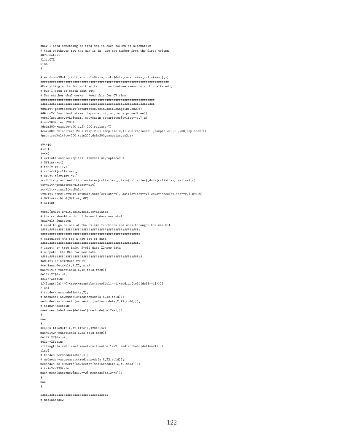```
# then whichever row the max is in, use the number from the first column
#GTmbmatrix
#listGTL
GTmb#test<-obm2Mult(xMult,zcv,cvLv$tsim, cvLv$dsim,covariates[cvlist==v,],z)
#Everything works for Mult so far -- rundowntree seems to work unalteredd,
# but I need to check that out.
# See whether obm2 works. Need this for CV sims
#xMult<-growtreeMult(covariates,tsim,dsim,sampsize,ss2,r)
###obm2<-function(bstree, bsprune, ot, od, ocov.prunedtree){
#obm2(xcv.zcv.cvLv$tsim.cvLv$dsim.covariates[cvlist==v.].z)
#tsim200 <- rexp (200)
# \text{dsim200} < - sample (c(0,1,2), 200, replace=T)
\#cov200\leftarrow \text{cbind}(\text{resp}(200), \text{resp}(200), \text{sample}(\text{c}(0,1), 200, \text{replace=T}), \text{sample}(\text{c}(0,1), 200, \text{replace=T}))#growtreeMult(cov200,tsim200,dsim200,sampsize,ss2,r)
#V < -10#v<-1#v<-2\verb|# cvlist<-sample(rep(1:V, len=ss), ss,replace=F)|# GVlist <- c()
# for (v \in 1:V) {
# cvLv<-X[cvlist==v.]
# cvLV <- X [cvlist!= v.]
xcvMult \verb|<=groutreeMult| (covariates[cvlist!=v,], tsim[cvlist!=v], dsim[cvlist!=v], ss1, ss2, r)ycvMult<-prunetreeMult(xcvMult)
zcvMult<-prune2(ycvMult)
\texttt{GVMult}\texttt{&}\texttt{-obm2}(\texttt{xcvMult}, \texttt{zcvMult}, \texttt{tsim}[\texttt{cvlist ==} \texttt{v}], \hspace{0.1cm} \texttt{dsim}[\texttt{cvlist ==} \texttt{v}], \texttt{covariates}[\texttt{cvlist ==} \texttt{v},], \texttt{zMult})# GVlist<-rbind(GVlist, GV)
# GVlist
#obm2(xMult,zMult,tsim,dsim,covariates,
# the cv should work. I haven't done mae stuff.
#maeMult function
# need to go to one of the cv sim functions and work throught the mae bit
# calculate MAE for a new set of data
# input: a= tree info, X=old data X2=new data
# output: the MAE for new data
#aMult <- rbind (zMult, xMult)
#mediannode(aMult, X, X2, tsim)
maeMult1<-function(a,X,X2,told,tnew){
del2<-X2$dsim2;
del1<-X$dsim;\verb|if(length(a)==0){\{mae<-mean(abs(tnew[del1==1]-median(told[del1==1]))\}}|else{# tnode<-termnodelist(a,X);
\# \verb| mednode<-as.numeric(mediannode(a,X,X2,told));|mednode<-as.numeric(as.vector(mediannode(a,X,X2,told)));
# tsim2<-X2$tsim:
mae<-mean(abs(tnew[del2==1]-mednode[del2==1]))
ŀ
mae#maeMult1(aMult,X,X2,X$tsim,X2$tsim2)
maeMult2<-function(a,X,X2,told,tnew){
del2<-X2$dsim2;
del1<-X$dsim;
if(length(a)==0){mae<-mean(abs(tnew[del1==2]-median(told[del1==2])))}
else{
# tnode<-termnodelist(a.X);
# mednode<-as.numeric(mediannode(a.X.X2.told));
mednode \leq -as.numeric(as.vector (median node(a, X, X2, told));
# tsim2 <- X2$tsim:
mae<-mean(abs(tnew[del2==2]-mednode[del2==2]))
ι
mae\rightarrow
```
#now I need something to find max in each column of GTmbmatrix

```
# mediannode2
```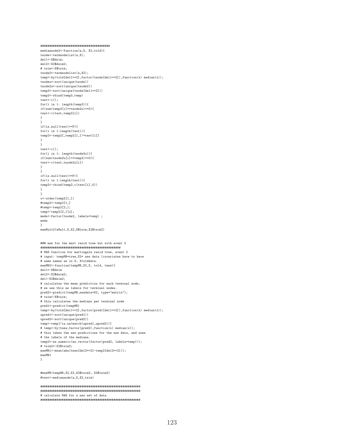```
mediannode2<-function(a,X, X2,told){
tnode <-termnodelist(a, X);
del1 < -x$dsim;
del2<-X2$dsim2;
# tsim <- X$tsim;
tnode2 <- termnodelist (a, X2);
temp<-by(told[del1==2], factor(tnode[del1==2]), function(x) median(x));tnodeu<-sort(unique(tnode))
tnode2u<-sort(unique(tnode2))
temp3 <- sort(unique(tnode[del1 == 2]))
temp2<-rbind(temp3,temp)
test < -c();
for(i in 1: length(temp3)){
if(sum(temp3[i]=tnode2u)=0){
test<-c(test,temp3[i])
if(is.null(test)=F){for(i in 1:length(test)){
temp2<-temp2[,temp2[1,]!=test[i]]
ŀ
test < -c():
for(i in 1: length(tnode2u)){
if(sum(tnode2u[i]==temp3)=0){
test <- c(test, tnode2u[i])
ι
if(is.null(test)=F)for(i in 1:length(test)){
temp2 <- cbind(temp2, c(test[i],0))
ι
o < - order (temp2[1,])
#temp2<-temp2[1,]
\verb|#temp<-temp2[2,];temp < -temp2[2, ] [o];meds<-factor(tnode2, labels=temp) ;
^{mode}J.
maeMult2(aMult, X, X2, X$tsim, X2$tsim2)
### mae for the mart resid tree but with event 2
# MAE function for martingale resid tree, event 2
# input: tempMR=tree, X2= new data (covariates have to have
# same names as in X, X=olddata.
maeMR2<-function(tempMR, X2, X, told, tnew){
del1<-X$dsim
del2<-X2$dsim2;
del < -X2$dsim2;
# calculates the mean prediction for each terminal node,
# we use this as labels for terminal nodes.
pred2<-predict(tempMR,newdata=X2, type="matrix");
# tsim<-X$tsim;
# this calculates the medians per terminal node
pred1<-predict(tempMR)
temp<-by(told[del1==2],factor(pred1[del1==2]),function(x) median(x));
upred1<-sort(unique(pred1))
upred2<-sort(unique(pred2))
temp<-temp[!is.na(match(upred1,upred2))]
# temp<-by(tnew, factor(pred2), function(x) median(x));
# this takes the new predictions for the new data, and uses
# the labels of the medians.
temp2<-as.numeric(as.vector(factor(pred2, labels=temp)));
# tsim2<-X2$tsim2;
maeMR1<-mean(abs(tnew[del2==2]-temp2[del2==2]));
maeMR1
\ddot{\phantom{1}}
```
#maeMR(tempMR, X2, X2, X2\$tsim2, X2\$tsim2) #test<-mediannode(a.X.X2.tsim)

# calculate MAE for a new set of data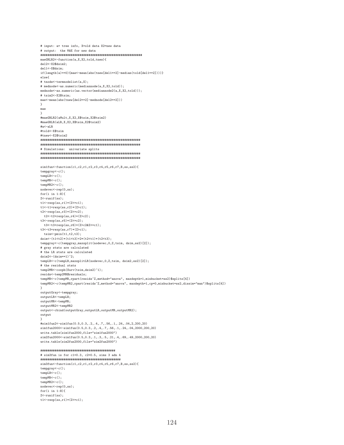```
# input: a= tree info, X=old data X2=new data
# output: the MAE for new data
maeGRLR2<-function(a,X,X2,told,tnew){
del2<-X2$dsim2;
del1<-X$dsim:
if (length(a)=0){mae <-mean(abs(tnew[del1==2]-median(told[del1==2])))}
else{# tnode<-termnodelist(a,X);
# mednode<-as.numeric(mediannode(a,X,X2,told));
{\tt mednode} \verb!<-as.numeric(as.vector (median node2(a, X, X2, told)));# tsim2 <- X2$ tsim;
\texttt{mae}\texttt{<-mean}\texttt{(abs}\texttt{(new[del2==2]-mednode[del2==2]))}\mathbf{r}mae
\overline{\mathbf{r}}#maeGRLR2(aMult.X.X2.X$tsim.X2$tsim2)
#maeGRLR(aLR, X, X2, X$tsim, X2$tsim2)
#a<-aLR
#told<-X$tsim
#tnew<-X2$tsim2
# Simulations: univariate splits
sim1function(c1,c2,r1,r2,r3,r4,r5,r6,r7,B,ss,ss2){
tempgray<-c();
tempLR < -c():
tempMR < -c();
tempMR2 < -c();
nodevec<-rep(0,ss);
for(i in 1:B){
Z < \text{runif}(ss):
t1<-revp(ss,r1)*(Z<=c1);\texttt{tl}\texttt{<}\texttt{-tl}\texttt{+} \texttt{r}\texttt{exp}(\texttt{ss}, \texttt{r2})\texttt{*}(\texttt{Z}\texttt{>c1}) ;
t2 < -r exp(ss,r3) * (Z < = c2);t2 < -t2 + r exp(ss, r4) * (Z>c2);t3 < -r exp(ss,r5) * (Z < = c2);t3<-t3+revp(ss, r6)*(Z>c2&Z<=c1);t3<-t3+rexp(ss,r7)*(Z>c1);\text{tsim}\left(-\text{pmin}(t1, t2, t3)\right)\verb+dsim<-(t1<t2)*(t1<t3)+2*(t2<t1)*(t2<t3);tempgray <- c(tempgray, maxsplit(nodevec, 0, Z, tsim, dsim, ss2)[2]);
# gray stats are calculated
# the LR stats are calculated
\text{dsim2} < - (\text{dsim==1}) ^2;
tempLR <- c(tempLR, maxsplitLR(nodevec, 0, Z, tsim, dsim2, ss2)[2]);
# the residual stats
temp2MR <- coxph(Surv(tsim, dsim2)<sup>~1</sup>);
resids<-temp2MR$residuals;
tempMR<-c(tempMR,rpart(resids"Z,method="anova", maxdepth=1,minbucket=ss2)$splits[4])
tempMR2<-c(tempMR2,rpart(resids"Z,method="anova", maxdepth=1,cp=0,minbucket=ss2,dissim="man")$splits[4])
outputGray<-tempgray;
outputLR<-tempLR;
outputMR<-tempMR;
outputMR2<-tempMR2
output<-cbind(outputGray,outputLR,outputMR,outputMR2);
output
\# \text{sim1fun2} \leq \text{sim1fun}(0.5, 0.3, .2, .4, .7, .56, .1, .24, .04, 2, 200, 20)sim1fun2000 < - sim1fun(0.5, 0.3, 0.2, 0.4, 0.7, 0.56, 0.1, 0.24, 0.04, 2000, 200, 20)write.table(sim1fun2000,file="sim1fun2000")
\text{sim2fun2000} < \text{sim1fun}(0.5, 0.3, .1, .3, .5, .21, .4, .69, .49, 2000, 200, 20)write.table(sim2fun2000,file="sim2fun2000")
# sim3fun is for c1=0.3, c2=0.5, sims 3 adn 4
sim3fun < function(c1,c2,r1,r2,r3,r4,r5,r6,r7,B,ss,ss2){
tempgray<-c();
tempLR < -c();
tempMR\leq-c():
tempMR2 < -c();
\texttt{nodevec}\texttt{<-rep(0,ss)};
for(i in 1:B)Z < - runif (ss):
t1<-rexp(ss,r1)*(Z<=c1);
```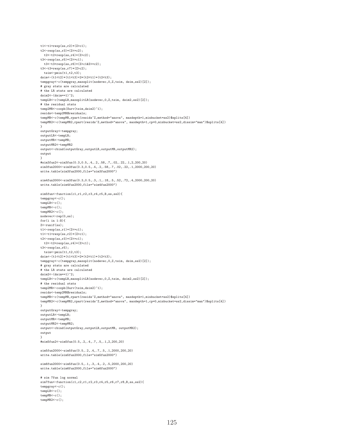```
t1<-t1+rexp(ss,r2)*(Z>c1);
t2<-rexp(ss,r3)*(Z<=c2);
 t2 < -t2 + \text{resp}(ss,r4) * (Z>c2);t3<-rexp(ss,r5)*(Z<=c1);
 t3<-t3+rexp(ss,r6)*(Z>c1&Z<=c2);
t3<-t3+rexp(ss,r7)*(Z>c2);
 t \sin \left(-p \min(t1, t2, t3)\right);
dsim <- (t1<t2)*(t1<t3)+2*(t2<t1)*(t2<t3);
tempgray<-c(tempgray,maxsplit(nodevec,0,Z,tsim, dsim,ss2)[2]);
# gray stats are calculated
# the LR stats are calculated
dsim2 < -( dsim = = 1) ^2;
tempLR<-c(tempLR,maxsplitLR(nodevec,0,Z,tsim, dsim2,ss2)[2]);
# the residual stats
temp2MR<-coxph(Surv(tsim,dsim2)~1);
resids<-temp2MR$residuals;
tempMR<-c(tempMR,rpart(resids~Z,method="anova", maxdepth=1,minbucket=ss2)$splits[4])
tempMR2<-c(tempMR2,rpart(resids~Z,method="anova", maxdepth=1,cp=0,minbucket=ss2,dissim="man")$splits[4])
}
outputGray<-tempgray;
outputLR<-tempLR;
outputMR<-tempMR;
outputMR2<-tempMR2
output<-cbind(outputGray,outputLR,outputMR,outputMR2);
output
}
#sim3fun2<-sim3fun(0.3,0.5,.4,.2,.58,.7,.02,.22,.1,2,200,20)
sim3fun2000<-sim3fun(0.3,0.5,.4,.2,.58,.7,.02,.22,.1,2000,200,20)
write.table(sim3fun2000,file="sim3fun2000")
sim4fun2000<-sim3fun(0.3,0.5,.3,.1,.18,.5,.52,.72,.4,2000,200,20)
write.table(sim4fun2000,file="sim4fun2000")
sim5fun<-function(c1,r1,r2,r3,r4,r5,B,ss,ss2){
tempgray<-c();
tempLR<-c();
tempMR<-c();
tempMR2<-c();
nodevec<-rep(0,ss);
for(i \text{ in } 1:B){
Z<-runif(ss);
t1<-revp(ss,r1)*(Z<=c1);t1<-t1+rexp(ss,r2)*(Z>c1);
t2 < -r \exp(s s, r3) * (Z < = c1);t2<-t2+rexp(ss,r4)*(Z>c1);
t3<-rexp(ss,r5);
  tsim<-pmin(t1,t2,t3);
dsim <- (t1<t2)*(t1<t3)+2*(t2<t1)*(t2<t3);
tempgray<-c(tempgray,maxsplit(nodevec,0,Z,tsim, dsim,ss2)[2]);
# gray stats are calculated
# the LR stats are calculated
dsim2<-(dsim==1)^2;
tempLR<-c(tempLR,maxsplitLR(nodevec,0,Z,tsim, dsim2,ss2)[2]);
# the residual stats
temp2MR<-coxph(Surv(tsim,dsim2)~1);
resids<-temp2MR$residuals;
tempMR<-c(tempMR,rpart(resids~Z,method="anova", maxdepth=1,minbucket=ss2)$splits[4])
tempMR2<-c(tempMR2,rpart(resids~Z,method="anova", maxdepth=1,cp=0,minbucket=ss2,dissim="man")$splits[4])
}
outputGray<-tempgray;
outputLR<-tempLR;
outputMR<-tempMR;
outputMR2<-tempMR2;
output<-cbind(outputGray,outputLR,outputMR, outputMR2);
output
}
#sim5fun2<-sim5fun(0.5,.2,.4,.7,.5,.1,2,200,20)
sim5fun2000<-sim5fun(0.5,.2,.4,.7,.5,.1,2000,200,20)
write.table(sim5fun2000,file="sim5fun2000")
sim6fun2000 < - sim5fun(0.5,.1,.3,.4,.2,.5,2000,200,20)
write.table(sim6fun2000,file="sim6fun2000")
# sim 7fun log normal
sim7fun<-function(c1,c2,r1,r2,r3,r4,r5,r6,r7,r8,B,ss,ss2){
tempgray<-c();
tempLR<-c();
tempMR<-c();
tempMR2<-c():
```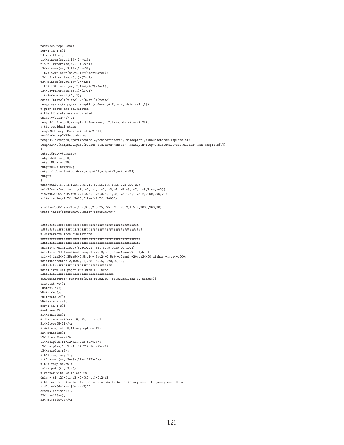```
nodevec<-rep(0,ss);
for(i in 1:B){
Z<-runif(ss);
t1<-rlnorm(ss,r1,1)*(Z<=c1);t1<-t1+rlnorm(ss,r2,1)*(Z>c1);t2<-rlnorm(ss,r3,1)*(Z<=c2);
 t2<-t2+rlnorm(ss,r4,1)*(Z>c2&Z<=c1);
t2<-t2+rlnorm(ss,r5,1)*(Z>c1);
t3<-rlnorm(ss, r6, 1)*(Z<=c2);t3<-t3+rlnorm(ss,r7,1)*(Z>c2&Z<=c1);
t3<-t3+rlnorm(ss,r8,1)*(Z>c1);
  t \sin \leftarrow \text{bmin}(t1, t2, t3);
dsim <- (t1<t2)*(t1<t3)+2*(t2<t1)*(t2<t3);
tempgray<-c(tempgray,maxsplit(nodevec,0,Z,tsim, dsim,ss2)[2]);
# gray stats are calculated
# the LR stats are calculated
dsim2<-(dsim==1)<sup>2</sup>;
tempLR<-c(tempLR,maxsplitLR(nodevec,0,Z,tsim, dsim2,ss2)[2]);
# the residual stats
temp2MR<-coxph(Surv(tsim,dsim2)~1);
resids<-temp2MR$residuals;
tempMR<-c(tempMR,rpart(resids~Z,method="anova", maxdepth=1,minbucket=ss2)$splits[4])
tempMR2<-c(tempMR2,rpart(resids~Z,method="anova", maxdepth=1,cp=0,minbucket=ss2,dissim="man")$splits[4])
}
outputGray<-tempgray;
outputLR<-tempLR;
outputMR<-tempMR;
outputMR2<-tempMR2;
output<-cbind(outputGray,outputLR,outputMR,outputMR2);
output
}
#sim7fun(0.5,0.3,1.25,0.5,.1,.5,.25,1.5,1.25,2,2,200,20)
#sim7fun<-function (c1, c2, r1, r2, r3,r4, r5,r6, r7, r8,B,ss,ss2){
sim7fun2000<-sim7fun(0.5,0.3,1.25,0.5,.1,.5,.25,1.5,1.25,2,2000,200,20)
write.table(sim7fun2000,file="sim7fun2000")
\verb|sim8fun2000<-sim7fun(0.5,0.3,2,0.75,.25,.75,.25,2,1.5,2,2000,200,20)write.table(sim8fun2000,file="sim8fun200")
#######################################################3
#########################################################
# Univariate Tree simulations
########################################################
########################################################
#sim1cv4<-sim1treeCV(5,500,.1,.35,.5,.5,0,20,20,10,1)
#sim1treeCV<-function(B,ss,r1,r2,r9, c1,c2,ss1,ss2,V, alphac){
#r1<-0.1;r2<-0.35;r9<-0.5;c1<-.5;c2<-0.5;V<-10;ss1<-20;ss2<-20;alphac<-1;ss<-1000;
#sim1uniabstree(2,1000,.1,.35,.5,.5,0,20,20,10,1)
########################################
#sim1 from uni paper but with ABS tree
#########################################
sim1uniabstree<-function(B,ss,r1,r2,r9, c1,c2,ss1,ss2,V, alphac){
graystat<-c();
LRstat <- c();
MRstat<-c();
Multstat <- c();
MRabsstat<-c();
for(i in 1:B){
#set.seed(2)
Z1<-runif(ss);
# discrete uniform (0,.25,.5,.75,1)
Z1<-floor(5*Z1)/4;
# Z2<-sample(c(0,1),ss,replace=T);
Z2 < - runif(ss);
Z2<-floor(5*Z2)/4
t1<-rexp(ss,r1+r2*(Z1>c1& Z2>c2));
t2<-rexp(ss,1-r9-r1-r2*(Z1>c1& Z2>c2));
t3 < -r exp(s s, r9);
# t1 < -rexp(ss,r1);# t2<-rexp(ss,r2+r3*(Z1>c1&Z2>c2));
# t3<-rexp(ss,r9);
t \sin \left(-p \min(t_1, t_2, t_3)\right);
# vector with 0s 1s and 2s
dsim\left(-\frac{t1}{t2}\right)*(\frac{t1}{t3})+2*(\frac{t2}{t1})*(t2(t3))# the event indicator for LR test needs to be =1 if any event happens, and =0 ow.
# d2sim<-(dsim==1|dsim==2)^2
d2sim<-(dsim==1)<sup>2</sup>
Z3 \leftarrow runif(ss)\cdotZ3<-floor(5*Z3)/4;
```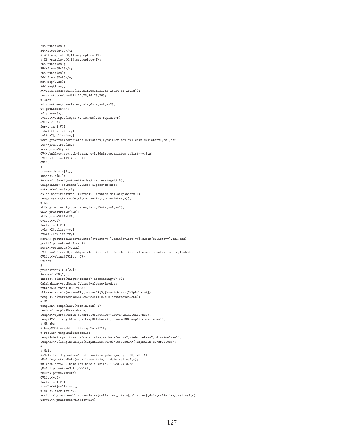```
Z4<-runif(ss);
Z4<-floor(5*Z4)/4;
# Z5<-sample(c(0,1),ss,replace=T);
# Z6<-sample(c(0,1),ss,replace=T);
Z5 < - runif(ss);
Z5<-floor(5*Z5)/4;
Z6<-runif(ss);
Z6<-floor(5*Z6)/4;
nd<-rep(0,ss);
id < -seq(1:ss);X<-data.frame(cbind(id,tsim,dsim,Z1,Z2,Z3,Z4,Z5,Z6,nd));
covariates<-cbind(Z1,Z2,Z3,Z4,Z5,Z6);
# Gray
x<-growtree(covariates,tsim,dsim,ss1,ss2);
y<-prunetree(x);
z <-prune 2(y):
cvlist<-sample(rep(1:V, len=ss),ss,replace=F)
GVlist<-c()
for(v in 1:V){
cvLv<-X[cvlist==v,]
cvLV<-X[cvlist!=v,]
xcv<-growtree(covariates[cvlist!=v,],tsim[cvlist!=v],dsim[cvlist!=v],ss1,ss2)
ycv<-prunetree(xcv)
zcv<-prune2(ycv)
GV<-obm2(xcv,zcv,cvLv$tsim, cvLv$dsim,covariates[cvlist==v,],z)
GVlist<-rbind(GVlist, GV)
GVlist
}
pruneorder<-z[2,];
inodes<-z[5,];
inodes<-c(sort(unique(inodes),decreasing=T),0);
Galphahatm<-colMeans(GVlist)-alphac*inodes;
zxtree<-rbind(z,x);
a<-as.matrix(zxtree[,zxtree[2,]>=which.max(Galphahatm)]);
tempgray<-c(termnode(a),covused(x,z,covariates,a));
# LR
xLR<-growtreeLR(covariates,tsim,d2sim,ss1,ss2);
yLR<-prunetreeLR(xLR);
zLR<-prune2LR(yLR);
GVlist<-c()
for(v in 1:V){
cvLv<-X[cvlist==v,]
cvLV<-X[cvlist!=v,]
xcvLR<-growtreeLR(covariates[cvlist!=v,],tsim[cvlist!=v],d2sim[cvlist!=v],ss1,ss2)
ycvLR<-prunetreeLR(xcvLR)
zcvLR<-prune2LR(ycvLR)
GV<-obm2LR(xcvLR,zcvLR,tsim[cvlist==v], d2sim[cvlist==v],covariates[cvlist==v,],zLR)
GVlist<-rbind(GVlist, GV)
GVlist
}
pruneorder<-zLR[2,];
.<br>inodes<-zLR[5,];
inodes<-c(sort(unique(inodes),decreasing=T),0);
Galphahatm<-colMeans(GVlist)-alphac*inodes;
zxtreeLR<-rbind(zLR,xLR);
aLR<-as.matrix(zxtreeLR[,zxtreeLR[2,]>=which.max(Galphahatm)]);
tempLR<-c(termnode(aLR),covused(xLR,zLR,covariates,aLR));
# MR
temp2MR<-coxph(Surv(tsim,d2sim)~1);
resids<-temp2MR$residuals;
tempMR<-rpart(resids~covariates,method="anova",minbucket=ss2);
tempMR2<-c(length(unique(tempMR$where)),covusedMR(tempMR,covariates));
# MR abs
# temp2MR <- coxph(Surv(tsim,d2sim)~1);
# resids<-temp2MR$residuals;
tempMRabs<-rpart(resids~covariates,method="anova",minbucket=ss2, dissim="man");
tempMR3<-c(length(unique(tempMRabs$where)),covusedMR(tempMRabs,covariates));
#
# Mult
#xMultliver<-growtreeMult(covariates,nhxdays,d, 20, 20,-1)
xMult<-growtreeMult(covariates,tsim, dsim,ss1,ss2,r);
## when ss=500, this can take a while, 10.30..<10.38
yMult<-prunetreeMult(xMult);
zMult<-prune2(yMult);
GVIist\leftarrow c()for(v \in 1:V)# cvLv<-X[cvlist==v,]
# cvLV<-X[cvlist!=v,]
xcvMult<-growtreeMult(covariates[cvlist!=v,],tsim[cvlist!=v],dsim[cvlist!=v],ss1,ss2,r)
ycvMult<-prunetreeMult(xcvMult)
```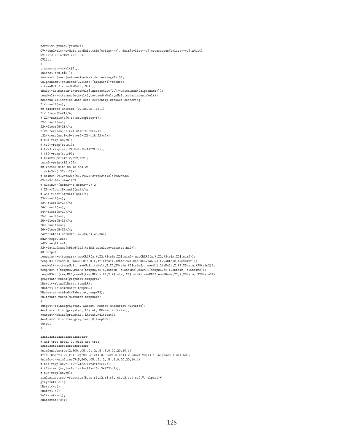```
zcvMult<-prune2(ycvMult)
GV<-obm2Mult(xcvMult,zcvMult,tsim[cvlist==v], dsim[cvlist==v],covariates[cvlist==v,],zMult)
GVlist<-rbind(GVlist, GV)
GVlist
}
pruneorder<-zMult[2,];
inodes<-zMult[5,];
inodes<-c(sort(unique(inodes),decreasing=T),0);
Galphahatm <- colMeans(GVlist)-(alphac*4)*inodes;
zxtreeMult<-rbind(zMult,xMult);
aMult<-as.matrix(zxtreeMult[,zxtreeMult[2,]>=which.max(Galphahatm)]);
tempMult<-c(termnode(aMult),covused(xMult,zMult,covariates,aMult));
#second validation data set: currently without censoring
Z1 < - runif(ss);
## discrete uniform (0,.25,.5,.75,1)
Z1<-floor(5*Z1)/4;
# Z2<-sample(c(0,1),ss,replace=T);
Z2 < - runif(ss);
Z2<-floor(5*Z1)/4;
t12<-rexp(ss,r1+r2*(Z1>c1& Z2>c2));
t22 < -r \exp(s_5, 1-r9-r1-r2*(21>c1& 22>c2));# t3<-rexp(ss,r9);
# t12<-rexp(ss,r1);
# t22<-rexp(ss,r2+r3*(Z1>c1&Z2>c2));
# t32<-rexp(ss,r9);
# tsim2<-pmin(t12,t22,t32);
t \sin2 < -\text{pmin}(t12, t22);
## vector with 0s 1s and 2s
 dsim2<-(t22<t12)+1
# dsim2<-(t12<t22)*(t12<t32)+2*(t22<t12)*(t22<t32)
d2sim2<-(dsim2==1)^2
# d2sim2<-(dsim2==1|dsim2==2)^2
# Z3<-floor(5*runif(ss))/4;
# Z4<-floor(5*runif(ss))/4;
Z3 < - runif(ss):
Z3<-floor(5*Z3)/4;
Z4<-runif(ss);
Z4<-floor(5*Z4)/4;
Z5 < - runif(ss);
Z5<-floor(5*Z5)/4;
Z6 < -\text{runif}(ss):
Z6<-floor(5*Z6)/4;
covariates<-cbind(Z1,Z2,Z3,Z4,Z5,Z6);
nd2<-rep(0,ss);
id2<-seq(1:ss);
X2<-data.frame(cbind(id2,tsim2,dsim2,covariates,nd2));
## output
tempgray<-c(tempgray,maeGRLR(a,X,X2,X$tsim,X2$tsim2),maeGRLR2(a,X,X2,X$tsim,X2$tsim2));
tempLR<-c(tempLR, maeGRLR(aLR,X,X2,X$tsim,X2$tsim2),maeGRLR2(aLR,X,X2,X$tsim,X2$tsim2));
tempMult<-c(tempMult, maeMult1(aMult,X,X2,X$tsim,X2$tsim2), maeMult2(aMult,X,X2,X$tsim,X2$tsim2));
tempMR2<-c(tempMR2,maeMR(tempMR,X2,X,X$tsim, X2$tsim2),maeMR2(tempMR,X2,X,X$tsim, X2$tsim2));
tempMR3<-c(tempMR3,maeMR(tempMRabs,X2,X,X$tsim, X2$tsim2),maeMR2(tempMRabs,X2,X,X$tsim, X2$tsim2));
graystat<-rbind(graystat,tempgray);
LRstat<-rbind(LRstat,tempLR);
MRstat<-rbind(MRstat,tempMR2);
MRabsstat<-rbind(MRabsstat,tempMR3);
Multstat<-rbind(Multstat,tempMult);
}
output<-rbind(graystat, LRstat, MRstat, MRabsstat, Multstat);
#output<-rbind(graystat, LRstat, MRstat,Multstat);
#output<-rbind(graystat, LRstat, Multstat);
#output<-rbind(tempgray,tempLR,tempMR2);
output
}
#########################33
# uni tree model 2, with abs tree
###########################
#sim2uniabstree(2,500,.05,.2,.2,.5,.5,0,20,20,10,1)
#r1<-.05;r2<-.2;r3<-.2;r9<-.5;c1<-0.5;c2<-0;ss1<-20;ss2<-20;V<-10;alphac<-1;ss<-500;
#sim2cv1<-sim2treeCV(5,500,.05,.2,.2,.5,.5,0,20,20,10,1)
# t1<-rexp(ss,r1+r2*(Z1>c1)+r3*(Z2>c2));
# t2<-rexp(ss,1-r9-r1-r2*(Z1>c1)-r3*(Z2>c2));
# t3<-rexp(ss,r9);
sim2uniabstree<-function(B,ss,r1,r2,r3,r9, c1,c2,ss1,ss2,V, alphac){
graystat<-c();
LRstat<-c();
MRstat <- c();
Multstate-c()MRabsstat<-c();
```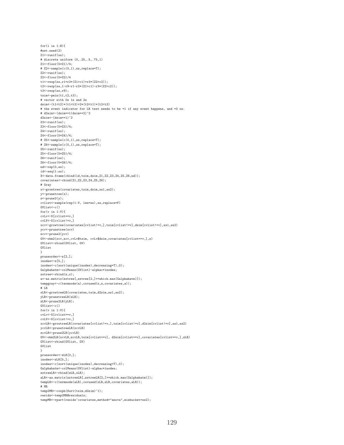for(i in 1:B){ #set.seed(2)  $Z1$  <  $-$  runif(ss); # discrete uniform (0,.25,.5,.75,1) Z1<-floor(5\*Z1)/4; # Z2<-sample(c(0,1),ss,replace=T); Z2<-runif(ss); Z2<-floor(5\*Z2)/4 t1<-rexp(ss,r1+r2\*(Z1>c1)+r3\*(Z2>c2)); t2<-rexp(ss,1-r9-r1-r2\*(Z1>c1)-r3\*(Z2>c2)); t3<-rexp(ss,r9);  $t\sin \left(-\frac{\text{t}}{1}, \frac{\text{t}}{2}, \frac{\text{t}}{2}\right)$ ; # vector with 0s 1s and 2s dsim<-(t1<t2)\*(t1<t3)+2\*(t2<t1)\*(t2<t3) # the event indicator for LR test needs to be =1 if any event happens, and =0 ow. # d2sim<-(dsim==1|dsim==2)^2  $d2sim<-$ ( $dsim==1$ )<sup> $2$ </sup>  $Z3$  <  $-$  runif(ss); Z3<-floor(5\*Z3)/4; Z4<-runif(ss); Z4<-floor(5\*Z4)/4; # Z5<-sample(c(0,1),ss,replace=T); # Z6<-sample(c(0,1),ss,replace=T);  $Z5$  <  $-$  runif(ss):  $Z5<-f$ loor $(5*75)/4$ ;  $Z6 < -runit(ss);$ Z6<-floor(5\*Z6)/4; nd<-rep(0,ss);  $id < -seq(1:ss);$ X<-data.frame(cbind(id,tsim,dsim,Z1,Z2,Z3,Z4,Z5,Z6,nd)); covariates<-cbind(Z1,Z2,Z3,Z4,Z5,Z6); # Gray x<-growtree(covariates,tsim,dsim,ss1,ss2); y<-prunetree(x); z<-prune2(y); cvlist<-sample(rep(1:V, len=ss),ss,replace=F)  $\texttt{GVlist}\texttt{<-c}()$  $for(v in 1:V)$ cvLv<-X[cvlist==v,] cvLV<-X[cvlist!=v,] xcv<-growtree(covariates[cvlist!=v,],tsim[cvlist!=v],dsim[cvlist!=v],ss1,ss2) ycv<-prunetree(xcv) zcv<-prune2(ycv) GV<-obm2(xcv,zcv,cvLv\$tsim, cvLv\$dsim,covariates[cvlist==v,],z) GVlist<-rbind(GVlist, GV) GVlist } pruneorder<-z[2,]; inodes<-z[5,]; inodes<-c(sort(unique(inodes),decreasing=T),0); Galphahatm<-colMeans(GVlist)-alphac\*inodes; zxtree<-rbind(z,x); a<-as.matrix(zxtree[,zxtree[2,]>=which.max(Galphahatm)]); tempgray<-c(termnode(a),covused(x,z,covariates,a)); # LR xLR<-growtreeLR(covariates,tsim,d2sim,ss1,ss2); yLR<-prunetreeLR(xLR); zLR<-prune2LR(yLR);  $GVlist<-c()$ for( $v$  in 1:V){ cvLv<-X[cvlist==v,] cvLV<-X[cvlist!=v,] xcvLR<-growtreeLR(covariates[cvlist!=v,],tsim[cvlist!=v],d2sim[cvlist!=v],ss1,ss2) ycvLR<-prunetreeLR(xcvLR) zcvLR<-prune2LR(ycvLR) GV<-obm2LR(xcvLR,zcvLR,tsim[cvlist==v], d2sim[cvlist==v],covariates[cvlist==v,],zLR) GVlist<-rbind(GVlist, GV) GVlist } pruneorder<-zLR[2,]; inodes<-zLR[5,]; inodes<-c(sort(unique(inodes),decreasing=T),0); Galphahatm<-colMeans(GVlist)-alphac\*inodes; zxtreeLR<-rbind(zLR,xLR); aLR<-as.matrix(zxtreeLR[,zxtreeLR[2,]>=which.max(Galphahatm)]); tempLR<-c(termnode(aLR),covused(xLR,zLR,covariates,aLR)); # MR temp2MR<-coxph(Surv(tsim,d2sim)~1); resids<-temp2MR\$residuals; tempMR<-rpart(resids~covariates,method="anova",minbucket=ss2);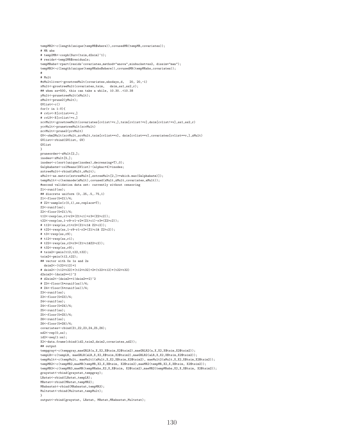tempMR2<-c(length(unique(tempMR\$where)),covusedMR(tempMR,covariates)); # MR abs # temp2MR <- coxph(Surv(tsim,d2sim)~1); # resids<-temp2MR\$residuals; tempMRabs<-rpart(resids~covariates,method="anova",minbucket=ss2, dissim="man"); tempMR3<-c(length(unique(tempMRabs\$where)),covusedMR(tempMRabs,covariates)); # # Mult #xMultliver<-growtreeMult(covariates,nhxdays,d, 20, 20,-1) xMult<-growtreeMult(covariates,tsim, dsim,ss1,ss2,r); ## when ss=500, this can take a while, 10.30..<10.38 yMult<-prunetreeMult(xMult); .<br>zMult<-prune2(yMult);  $GVlist<-c()$ for(v in  $1:V$ ){ # cvLv<-X[cvlist==v,] # cvLV<-X[cvlist!=v,] xcvMult<-growtreeMult(covariates[cvlist!=v,],tsim[cvlist!=v],dsim[cvlist!=v],ss1,ss2,r) ycvMult<-prunetreeMult(xcvMult) zcvMult<-prune2(ycvMult) GV<-obm2Mult(xcvMult,zcvMult,tsim[cvlist==v], dsim[cvlist==v],covariates[cvlist==v,],zMult) GVlist<-rbind(GVlist, GV) GVlist } pruneorder<-zMult[2,]; inodes<-zMult[5,]; inodes<-c(sort(unique(inodes),decreasing=T),0); Galphahatm<-colMeans(GVlist)-(alphac\*4)\*inodes; zxtreeMult<-rbind(zMult,xMult); aMult<-as.matrix(zxtreeMult[,zxtreeMult[2,]>=which.max(Galphahatm)]); tempMult<-c(termnode(aMult),covused(xMult,zMult,covariates,aMult)); #second validation data set: currently without censoring  $Z1$  <  $-$  runif(ss); ## discrete uniform (0,.25,.5,.75,1) Z1<-floor(5\*Z1)/4; # Z2<-sample(c(0,1),ss,replace=T); Z2<-runif(ss); Z2<-floor(5\*Z1)/4; t12<-rexp(ss,r1+r2\*(Z1>c1)+r3\*(Z2>c2)); t22<-rexp(ss,1-r9-r1-r2\*(Z1>c1)-r3\*(Z2>c2)); # t12<-rexp(ss,r1+r2\*(Z1>c1& Z2>c2)); # t22<-rexp(ss,1-r9-r1-r2\*(Z1>c1& Z2>c2)); # t3<-rexp(ss,r9); # t12<-rexp(ss,r1); # t22<-rexp(ss,r2+r3\*(Z1>c1&Z2>c2)); # t32<-rexp(ss,r9); # tsim2<-pmin(t12,t22,t32); tsim2<-pmin(t12,t22); ## vector with 0s 1s and 2s dsim2<-(t22<t12)+1 # dsim2<-(t12<t22)\*(t12<t32)+2\*(t22<t12)\*(t22<t32) d2sim2<-(dsim2==1)^2 # d2sim2<-(dsim2==1|dsim2==2)^2 # Z3<-floor(5\*runif(ss))/4; # Z4<-floor(5\*runif(ss))/4; Z3<-runif(ss); Z3<-floor(5\*Z3)/4; Z4 <- runif(ss); Z4<-floor(5\*Z4)/4; Z5<-runif(ss); Z5<-floor(5\*Z5)/4; Z6<-runif(ss); Z6<-floor(5\*Z6)/4; covariates<-cbind(Z1,Z2,Z3,Z4,Z5,Z6); nd2<-rep(0,ss);  $id2 < -seq(1:ss);$ X2<-data.frame(cbind(id2,tsim2,dsim2,covariates,nd2)); ## output tempgray<-c(tempgray,maeGRLR(a,X,X2,X\$tsim,X2\$tsim2),maeGRLR2(a,X,X2,X\$tsim,X2\$tsim2)); tempLR<-c(tempLR, maeGRLR(aLR,X,X2,X\$tsim,X2\$tsim2),maeGRLR2(aLR,X,X2,X\$tsim,X2\$tsim2)); tempMult<-c(tempMult, maeMult1(aMult,X,X2,X\$tsim,X2\$tsim2), maeMult2(aMult,X,X2,X\$tsim,X2\$tsim2)); tempMR2<-c(tempMR2,maeMR(tempMR,X2,X,X\$tsim, X2\$tsim2),maeMR2(tempMR,X2,X,X\$tsim, X2\$tsim2)); tempMR3<-c(tempMR3,maeMR(tempMRabs,X2,X,X\$tsim, X2\$tsim2),maeMR2(tempMRabs,X2,X,X\$tsim, X2\$tsim2)); graystat<-rbind(graystat,tempgray); LRstat<-rbind(LRstat,tempLR); MRstat<-rbind(MRstat,tempMR2); MRabsstat<-rbind(MRabsstat,tempMR3); Multstat<-rbind(Multstat,tempMult); } output<-rbind(graystat, LRstat, MRstat,MRabsstat,Multstat);

130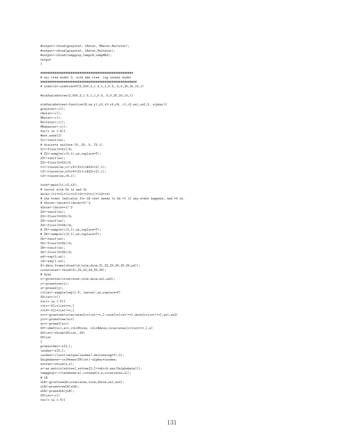```
#output<-rbind(graystat, LRstat, MRstat, Multstat);
#output<-rbind(graystat, LRstat, Multstat);
#output<-rbind(tempgray,tempLR,tempMR2);
output
\mathbf{r}
```
# uni tree model 3, with abs tree. log normal model #  $sim5cv2<-sim5treeCV(5,500,2,1.5,1,1,0.5,.5,0,20,20,10,1)$ 

```
#sim3uniabstree(2,500,2,1.5,1,1,0.5,.5,0,20,20,10,1)
```

```
sim3uniabstree<-function(B,ss,r1,r2,r3,r4,r9, c1,c2,ss1,ss2,V, alphac){
\texttt{graystat}\texttt{<-c}() ;
LRstat<-c();
MRstat<-c();Multstat<-c();
MRabstat < -c();
for(i in 1:B)#set, seed(2)Z1 < - runif(ss):
# discrete uniform (0, .25, .5, .75, 1)71 < -floor(5 * 71)/4:
#\, \texttt{Z2}\texttt{&}\texttt{-sample}(\texttt{c}(0,1),\texttt{ss},\texttt{replace=T});Z2 < - runif(ss);
Z2<-floor(5*Z2)/4
t1<-rlnorm(ss,r1-r2*(Z1>c1&Z2>c2),1);t2<-rlnorm(ss.r3+r4*(7.1>c1k7.2>c2).1):
t3<-rlnorm(ss,r9,1);t \sin \leftarrow \text{min}(t1, t2, t3):
# vector with Os 1s and 2s
\verb+dsim<-(t1<t2)*(t1<t3)+2*(t2<t1)*(t2<t3)# the event indicator for LR test needs to be =1 if any event happens, and =0 ow.
# d2sim<- (dsim==1|dsim==2)^2
d2sim<- (dsim==1)^2Z3 < - runif(ss):
Z3 <- floor (5* Z3) / 4;
Z4 < - runif(ss);
Z4<-floor(5*Z4)/4;
# Z5 < - sample(c(0,1), ss, replace=T);# Z6 <- sample(c(0,1),ss, replace=T);
Z5<-runif(ss);Z5 <- floor (5* Z5) / 4;
Z6 < -runit(ss);Z6 <- floor (5* Z6) / 4;
nd < -rep(0, ss);
id < -seq(1:ss);X < -data.frame(cbind(id,tsim,dsim,Z1,Z2,Z3,Z4,Z5,Z6,nd));
covariates <- cbind(Z1, Z2, Z3, Z4, Z5, Z6);
# Gray
x <-growtree(covariates, tsim, dsim, ss1, ss2);
y <-prunetree(x);
z <-prune 2(y);
cvlist <- sample(rep(1:V, len=ss), ss, replace=F)
GVlist < -c()for(v in 1:V) {
cvLv <- X[cvlist == v,]
cvLV <- X[cvlist!= v,]
xcv<-growtree(covariates[cvlist!=v,],tsim[cvlist!=v],dsim[cvlist!=v],ss1,ss2)
ycv <- prunetree (xcv)
zcv<-prune2(vcv)
GV <- obm2(xcv,zcv,cvLv$tsim,cvLv$dsim,covariates[cvlist == v, ],z)
GVlist<-rbind(GVlist, GV)
GVlist
pruneorder <- z[2,];
inodes < z[5,];
inodes<-c(sort(unique(inodes),decreasing=T),0);
Galphahatm <- colMeans (GVlist) -alphac*inodes;
zxtree -rbind(z, x);
a \leftarrow a s.matrix(zxtree[,zxtree[2,]>=which.max(Galphahatm)]);
\verb|tempgray<-c(term node(a),covused(x,z,covariates,a))|;# LR
xLR<-growtreeLR(covariates,tsim,d2sim,ss1,ss2);
yLR \leftarrow \texttt{prunetreelR(xLR)} ;
zLR <- prune2LR (yLR) ;
CVI ist\leftarrow c()for(v in 1:V)
```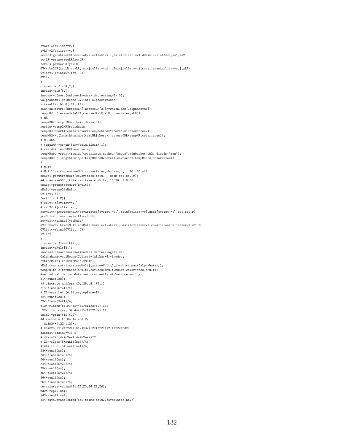cvLV <- X[cvlist!= v,] xcvLR<-growtreeLR(covariates[cvlist!=v,],tsim[cvlist!=v],d2sim[cvlist!=v],ss1,ss2) ycvLR<-prunetreeLR(xcvLR) zcvLR<-prune2LR(ycvLR) GV<-obm2LR(xcvLR,zcvLR,tsim[cvlist==v], d2sim[cvlist==v],covariates[cvlist==v,],zLR) GVlist<-rbind(GVlist, GV) GV1ist pruneorder <- zLR[2,]; inodes <- zLR[5,]; inodes<-c(sort(unique(inodes),decreasing=T),0); Galphahatm <- colMeans (GVlist)-alphac\*inodes; zxtreeLR <- rbind (zLR, xLR);  $aLR$  <-as.matrix(zxtreeLR[,zxtreeLR[2,]>=which.max(Galphahatm)]); tempLR<-c(termnode(aLR), covused(xLR, zLR, covariates, aLR));  $#$  MR temp2MR <- coxph (Surv(tsim, d2sim)<sup>~1</sup>); resids<-temp2MR\$residuals; tempMR<-rpart(resids"covariates.method="anova".minbucket=ss2): tempMR2<-c(length(unique(tempMR\$where)), covusedMR(tempMR, covariates)); # MR abs  $\#$ temp<br>2MR<-coxph(Surv(tsim,d2sim)~1); # resids<-temp2MR\$residuals; tempMRabs<-rpart(resids"covariates, method="anova", minbucket=ss2, dissim="man");  $\verb|tempMR3<-c(length(unique(tempMRabs\$where)), covusedMR(tempMRabs, covariates));$  $#$  Mult #xMultliver<-growtreeMult(covariates, nhxdays, d, 20, 20, -1)  $\verb|xMult<-\verb|growtreeMult(covariates, tsim, dsim, ss1, ss2, r);$ ## when ss=500, this can take a while, 10.30..<10.38 yMult<-prunetreeMult(xMult); zMult <- prune2(yMult);  $GVIist<-c()$ for $(v \in 1:V)$ # cvLv <- X [cvlist == v, ] # cvLV <- X[cvlist!= v,] xcvMult<-growtreeMult(covariates[cvlist!=v,],tsim[cvlist!=v],dsim[cvlist!=v],ss1,ss2,r) ycvMult<-prunetreeMult(xcvMult) zcvMult<-prune2(ycvMult)  $\texttt{GV<-obm2Mult}(xcvMult,zcvMult,tsim[cvlist==v],\;dsim[cvlist==v],covariates[cvlist==v,],zMult)$  $\texttt{GVlist}\texttt{--rbind}(\texttt{GVlist, GV})$  $CVI$  i et pruneorder <- zMult[2,]; inodes<-zMult[5,]; inodes<-c(sort(unique(inodes),decreasing=T),0);  $\texttt{Galphant}(\texttt{GUlist})\texttt{-(alphac*4)}* \texttt{inodes};$ zxtreeMult <- rbind(zMult, xMult);  $a\texttt{Mult}\texttt{<-as.matrix}(\texttt{extreeMult}\texttt{[,}\texttt{zxtreeMult}\texttt{[2,]>=\texttt{which.max}(\texttt{Galphahatm})])};$ tempMult <- c(termnode(aMult), covused(xMult, zMult, covariates, aMult)); #second validation data set: currently without censoring  $Z1$  <  $-$  runif(ss); ## discrete uniform (0,.25,.5,.75,1)  $Z1<-floor(5*Z1)/4;$ #  $Z2 < -sample(c(0,1), ss, replace=T);$  $Z2$  <  $-$  runif(ss); Z2<-floor(5\*Z1)/4;  $t12<-rlnorm(ss,r1-r2*(Z1>c1kZ2>c2),1);$  $t22<-rlnorm(ss,r3+r4*(Z1>c1&Z2>c2),1);$  $\text{tsim2}$  <-pmin( $\text{t12}, \text{t22}$ ); ## vector with 0s 1s and 2s  $dsim2<- (t22< t12)+1$ # dsim2<-(t12<t22)\*(t12<t32)+2\*(t22<t12)\*(t22<t32)  $d2sim2<- (dsim2==1)^2$ # d2sim2 < - (dsim2 = = 1 | dsim2 = = 2) ^2  $#$  Z3 < - floor  $(5 * runif(ss))/4;$  $#$  Z4 < - floor  $(5*runif(ss))/4;$  $Z3$  <  $-$  runif(ss); Z3<-floor(5\*Z3)/4  $Z4$  <  $-$  runif(ss): Z4<-floor(5\*Z4)/4;  $Z5$  <  $-$  runif(ss):  $Z5<-f$ loor $(5*Z5)/4$ :  $Z6$  <  $-$  runif(ss): Z6<-floor(5\*Z6)/4: covariates <- cbind(Z1, Z2, Z3, Z4, Z5, Z6);  $nd2 < -rep(0, ss);$  $id2 < -seq(1:ss);$  $X2$  <-data.frame(cbind(id2.tsim2.dsim2.covariates.nd2)):

cvLv<-X[cvlist==v.]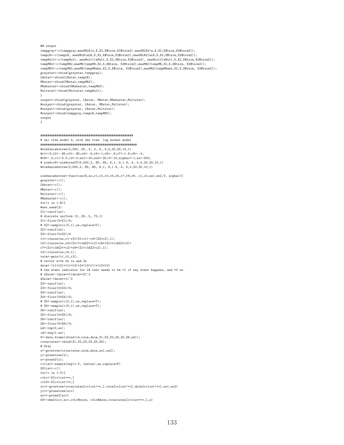```
## output
tempgray<-c(tempgray,maeGRLR(a,X,X2,X$tsim,X2$tsim2),maeGRLR2(a,X,X2,X$tsim,X2$tsim2));
tempLR<-c(tempLR, maeGRLR(aLR,X,X2,X$tsim,X2$tsim2),maeGRLR2(aLR,X,X2,X$tsim,X2$tsim2));
tempMult<-c(tempMult, maeMult1(aMult,X,X2,X$tsim,X2$tsim2), maeMult2(aMult,X,X2,X$tsim,X2$tsim2));
tempMR2<-c(tempMR2,maeMR(tempMR,X2,X,X$tsim, X2$tsim2),maeMR2(tempMR,X2,X,X$tsim, X2$tsim2));
tempMR3<-c(tempMR3,maeMR(tempMRabs,X2,X,X$tsim, X2$tsim2),maeMR2(tempMRabs,X2,X,X$tsim, X2$tsim2));
graystat<-rbind(graystat,tempgray);
LRstat<-rbind(LRstat,tempLR);
MRstat<-rbind(MRstat,tempMR2);
MRabsstat<-rbind(MRabsstat,tempMR3);
Multstat<-rbind(Multstat,tempMult);
}
output<-rbind(graystat, LRstat, MRstat,MRabsstat,Multstat);
#output<-rbind(graystat, LRstat, MRstat,Multstat);
#output<-rbind(graystat, LRstat, Multstat);
#output<-rbind(tempgray,tempLR,tempMR2);
output
}
####################################################
# uni tree model 4, with abs tree. log normal model
######################################################
#sim2uniabstree(2,500,.05,.2,.2,.5,.5,0,20,20,10,1)
#r1<-2;r2<-.85;r3<-.85;r4<-.6;r5<-1;r6<-.9;r7<-1.9;r8<-.4;
#r9<-.5;c1<-0.5;c2<-0;ss1<-20;ss2<-20;V<-10;alphac<-1;ss<-500;
# sim4cv6<-sim4treeCV(5,500,2,.85,.85,.6,1,.9,1.9,.4,.5,0,20,20,10,1)
#sim4uniabstree(2,500,2,.85,.85,.6,1,.9,1.9,.4,.5,0,20,20,10,1)
sim4uniabstree<-function(B,ss,r1,r2,r3,r5,r6,r7,r8,r9, c1,c2,ss1,ss2,V, alphac){
graystat<-c();
IR_{\text{stat}}(-c')MRstat<-c();
Multstat<-c();
MRabsstat<-c();
for(i in 1:B){
#set.seed(2)
Z1 < - runif(ss);
# discrete uniform (0,.25,.5,.75,1)
Z1<-floor(5*Z1)/4;
# Z2<-sample(c(0,1),ss,replace=T);
Z2<-runif(ss);
Z2<-floor(5*Z2)/4
t1<-rlnorm(ss,r1-r2*(Z1>c1)-r3*(Z2>c2),1);
t2<-rlnorm(ss,r5*(Z1<=c1&Z2<=c2)+r6*(Z1<=c1&Z2>c2)+
r7*(Z1>c1&Z2<=c2)+r8*(Z1>c1&Z2>c2),1);
t3<-rlnorm(ss,r9,1);
t \sin \leftarrow p \min(t1, t2, t3);# vector with 0s 1s and 2s
dsim<-(t1<t2)*(t1<t3)+2*(t2<t1)*(t2<t3)
# the event indicator for LR test needs to be =1 if any event happens, and =0 ow.
# d2sim<-(dsim==1|dsim==2)^2
d2sim <- (dsim==1)^2Z3<-runif(ss);
Z3<-floor(5*Z3)/4;
Z4<-runif(ss);
Z4<-floor(5*Z4)/4;
# Z5<-sample(c(0,1),ss,replace=T);
# Z6<-sample(c(0,1),ss,replace=T);
Z5<-runit(ss);Z5<-floor(5*Z5)/4;
Z6<-runif(ss);
Z6<-floor(5*Z6)/4;
nd<-rep(0,ss);
id < -seq(1:ss);X<-data.frame(cbind(id,tsim,dsim,Z1,Z2,Z3,Z4,Z5,Z6,nd));
covariates<-cbind(Z1,Z2,Z3,Z4,Z5,Z6);
# Gray
x<-growtree(covariates,tsim,dsim,ss1,ss2);
y<-prunetree(x);
z<-prune2(y);
cvlist<-sample(rep(1:V, len=ss),ss,replace=F)
GVlist<-c()
for(v in 1:V) f
cvLv<-X[cvlist==v,]
cvLV<-X[cvlist!=v,]
xcv<-growtree(covariates[cvlist!=v,],tsim[cvlist!=v],dsim[cvlist!=v],ss1,ss2)
ycv<-prunetree(xcv)
zcv<-prune2(ycv)
GV<-obm2(xcv,zcv,cvLv$tsim, cvLv$dsim,covariates[cvlist==v,],z)
```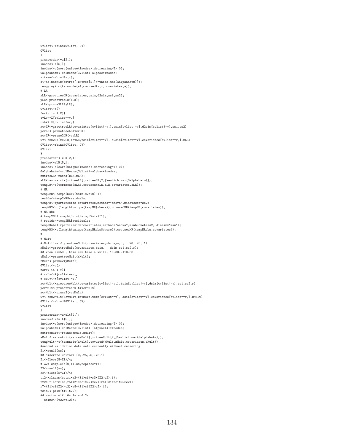```
GVlist<-rbind(GVlist, GV)
GVlist
}
pruneorder<-z[2,];
inodes<-z[5,];
inodes<-c(sort(unique(inodes),decreasing=T),0);
Galphahatm<-colMeans(GVlist)-alphac*inodes;
zxtree<-rbind(z,x);
a<-as.matrix(zxtree[,zxtree[2,]>=which.max(Galphahatm)]);
tempgray<-c(termnode(a),covused(x,z,covariates,a));
# LR
xLR<-growtreeLR(covariates,tsim,d2sim,ss1,ss2);
yLR<-prunetreeLR(xLR);
zLR<-prune2LR(yLR);
GVlist<-c()
for(v in 1:V){
cvLv<-X[cvlist==v,]
cvLV<-X[cvlist!=v,]
xcvLR<-growtreeLR(covariates[cvlist!=v,],tsim[cvlist!=v],d2sim[cvlist!=v],ss1,ss2)
ycvLR<-prunetreeLR(xcvLR)
.<br>zcvLR<-prune2LR(ycvLR)
GV<-obm2LR(xcvLR,zcvLR,tsim[cvlist==v], d2sim[cvlist==v],covariates[cvlist==v,],zLR)
GVlist<-rbind(GVlist, GV)
GVlist
}
pruneorder<-zLR[2,];
inodes<-zLR[5,];
inodes<-c(sort(unique(inodes),decreasing=T),0);
Galphahatm<-colMeans(GVlist)-alphac*inodes;
zxtreeLR<-rbind(zLR,xLR);
aLR<-as.matrix(zxtreeLR[,zxtreeLR[2,]>=which.max(Galphahatm)]);
tempLR<-c(termnode(aLR),covused(xLR,zLR,covariates,aLR));
# MR
temp2MR<-coxph(Surv(tsim,d2sim)~1);
resids<-temp2MR$residuals;
tempMR<-rpart(resids~covariates,method="anova",minbucket=ss2);
tempMR2<-c(length(unique(tempMR$where)),covusedMR(tempMR,covariates));
# MR abs
# temp2MR <- coxph(Surv(tsim,d2sim)~1);
# resids<-temp2MR$residuals;
tempMRabs<-rpart(resids~covariates,method="anova",minbucket=ss2, dissim="man");
tempMR3<-c(length(unique(tempMRabs$where)),covusedMR(tempMRabs,covariates));
#
# Mult
#xMultliver<-growtreeMult(covariates,nhxdays,d, 20, 20,-1)
xMult<-growtreeMult(covariates,tsim, dsim,ss1,ss2,r);
## when ss=500, this can take a while, 10.30..<10.38
yMult<-prunetreeMult(xMult);
zMult<-prune2(yMult);
GVlist<-c()for(v in 1:V){
# cvLv<-X[cvlist==v,]
# cvLV<-X[cvlist!=v,]
xcvMult<-growtreeMult(covariates[cvlist!=v,],tsim[cvlist!=v],dsim[cvlist!=v],ss1,ss2,r)
ycvMult<-prunetreeMult(xcvMult)
zcvMult<-prune2(ycvMult)
GV<-obm2Mult(xcvMult,zcvMult,tsim[cvlist==v], dsim[cvlist==v],covariates[cvlist==v,],zMult)
GVlist<-rbind(GVlist, GV)
GVlist
}
pruneorder<-zMult[2,];
inodes<-zMult[5,];
inodes<-c(sort(unique(inodes),decreasing=T),0);
Galphahatm<-colMeans(GVlist)-(alphac*4)*inodes;
zxtreeMult<-rbind(zMult,xMult);
aMult<-as.matrix(zxtreeMult[,zxtreeMult[2,]>=which.max(Galphahatm)]);
tempMult<-c(termnode(aMult),covused(xMult,zMult,covariates,aMult));
#second validation data set: currently without censoring
Z1 < - runif(ss);
## discrete uniform (0,.25,.5,.75,1)
Z1<-floor(5*Z1)/4;
# Z2<-sample(c(0,1),ss,replace=T);
Z2 < - runif(ss);
Z2<-floor(5*Z1)/4;
t12 <-rlnorm(ss,r1-r2*(Z1>c1)-r3*(Z2>c2),1);
t22<-rlnorm(ss,r5*(Z1<=c1&Z2<=c2)+r6*(Z1<=c1&Z2>c2)+
r7*(Z1>c1&Z2<=c2)+r8*(Z1>c1&Z2>c2),1);
tsim2<-pmin(t12,t22);
## vector with 0s 1s and 2s
 dsim2<-(t22<t12)+1
```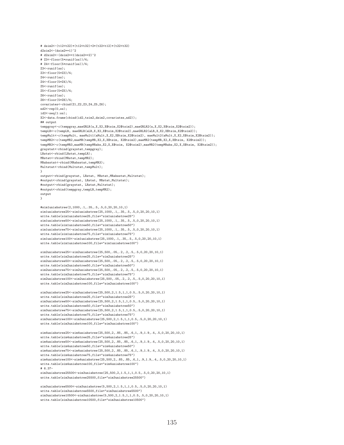```
# dsim2<-(t12<t22)*(t12<t32)+2*(t22<t12)*(t22<t32)
d2sim2<-(dsim2==1)^2
# d2sim2<-(dsim2==1|dsim2==2)^2
# Z3<-floor(5*runif(ss))/4;
# Z4<-floor(5*runif(ss))/4;
Z3<-runif(ss):
Z3<-floor(5*Z3)/4;
Z4 < - runif(ss):
Z4<-floor(5*Z4)/4;
Z5 <- runit(ss);
Z5<-floor(5*Z5)/4;
Z6 < - runif(ss);
Z6<-floor(5*Z6)/4;
covariates<-cbind(Z1,Z2,Z3,Z4,Z5,Z6);
nd2<-rep(0,ss);
id2<-seq(1:ss);
X2<-data.frame(cbind(id2,tsim2,dsim2,covariates,nd2));
## output
tempgray <- c(tempgray,maeGRLR(a,X,X2,X$tsim,X2$tsim2),maeGRLR2(a,X,X2,X$tsim,X2$tsim2));
tempLR<-c(tempLR, maeGRLR(aLR,X,X2,X$tsim,X2$tsim2),maeGRLR2(aLR,X,X2,X$tsim,X2$tsim2));
tempMult<-c(tempMult, maeMult1(aMult,X,X2,X$tsim,X2$tsim2), maeMult2(aMult,X,X2,X$tsim,X2$tsim2));
tempMR2<-c(tempMR2,maeMR(tempMR,X2,X,X$tsim, X2$tsim2),maeMR2(tempMR,X2,X,X$tsim, X2$tsim2));
tempMR3<-c(tempMR3,maeMR(tempMRabs,X2,X,X$tsim, X2$tsim2),maeMR2(tempMRabs,X2,X,X$tsim, X2$tsim2));
graystat<-rbind(graystat,tempgray);
LRstat<-rbind(LRstat,tempLR);
MRstat<-rbind(MRstat,tempMR2);
MRabsstat<-rbind(MRabsstat,tempMR3);
Multstat<-rbind(Multstat,tempMult);
}
output<-rbind(graystat, LRstat, MRstat,MRabsstat,Multstat);
#output<-rbind(graystat, LRstat, MRstat, Multstat);
#output<-rbind(graystat, LRstat, Multstat);
#output<-rbind(tempgray,tempLR,tempMR2);
output
}
#sim1uniabstree(2,1000,.1,.35,.5,.5,0,20,20,10,1)
sim1uniabstree25<-sim1uniabstree(25,1000,.1,.35,.5,.5,0,20,20,10,1)
write.table(sim1uniabstree25,file="sim1uniabstree25")
sim1uniabstree50 <- sim1uniabstree(25,1000,.1,.35,.5,.5,0,20,20,10,1)
write.table(sim1uniabstree50,file="sim1uniabstree50")
sim1uniabstree75<-sim1uniabstree(25,1000,.1,.35,.5,.5,0,20,20,10,1)
write.table(sim1uniabstree75,file="sim1uniabstree75")
sim1uniabstree100<-sim1uniabstree(25,1000,.1,.35,.5,.5,0,20,20,10,1)
write.table(sim1uniabstree100,file="sim1uniabstree100")
sim2uniabstree25<-sim2uniabstree(25,500,.05,.2,.2,.5,.5,0,20,20,10,1)
write.table(sim2uniabstree25,file="sim2uniabstree25")
sim2uniabstree50<-sim2uniabstree(25,500,.05,.2,.2,.5,.5,0,20,20,10,1)
write.table(sim2uniabstree50,file="sim2uniabstree50")
sim2uniabstree75<-sim2uniabstree(25,500,.05,.2,.2,.5,.5,0,20,20,10,1)
write.table(sim2uniabstree75,file="sim2uniabstree75")
sim2uniabstree100<-sim2uniabstree(25,500,.05,.2,.2,.5,.5,0,20,20,10,1)
write.table(sim2uniabstree100,file="sim2uniabstree100")
sim3uniabstree25<-sim3uniabstree(25,500,2,1.5,1,1,0.5,.5,0,20,20,10,1)
write.table(sim3uniabstree25,file="sim3uniabstree25")
sim3uniabstree50 <- sim3uniabstree(25,500,2,1.5,1,1,0.5,.5,0,20,20,10,1)
write.table(sim3uniabstree50,file="sim3uniabstree50")
sim3uniabstree75 <- sim3uniabstree(25,500,2,1.5,1,1,0.5,.5,0,20,20,10,1)
write.table(sim3uniabstree75,file="sim3uniabstree75")
sim3uniabstree100<-sim3uniabstree(25,500,2,1.5,1,1,0.5,.5,0,20,20,10,1)
write.table(sim3uniabstree100,file="sim3uniabstree100")
sim4uniabstree25 < - sim4uniabstree(25,500,2,.85,.85,.6,1,.9,1.9,.4,.5,0,20,20,10,1)
write.table(sim4uniabstree25,file="sim4uniabstree25")
sim4uniabstree50 < - sim4uniabstree (25, 500, 2, . 85, . 85, . 6, 1, . 9, 1.9, . 4, . 5, 0, 20, 20, 10, 1)
write.table(sim4uniabstree50,file="sim4uniabstree50")
sim4uniabstree75<-sim4uniabstree(25,500,2,.85,.85,.6,1,.9,1.9,.4,.5,0,20,20,10,1)
write.table(sim4uniabstree75,file="sim4uniabstree75")
sim4uniabstree100 <- sim4uniabstree(25,500,2,.85,.85,.6,1,.9,1,9,.4,.5,0,20,20,10,1)
write.table(sim4uniabstree100,file="sim4uniabstree100")
# 6.37-
sim3uniabstree25500 <- sim3uniabstree(25,500,2,1.5,1,1,0.5,.5,0,20,20,10,1)
write.table(sim3uniabstree25500,file="sim3uniabstree25500")
sim3uniabstree5500<-sim3uniabstree(5,500,2,1.5,1,1,0.5,.5,0,20,20,10,1)
```
write.table(sim3uniabstree5500,file="sim3uniabstree5500") sim3uniabstree10500<-sim3uniabstree(5,500,2,1.5,1,1,0.5,.5,0,20,20,10,1) write.table(sim3uniabstree10500,file="sim3uniabstree10500")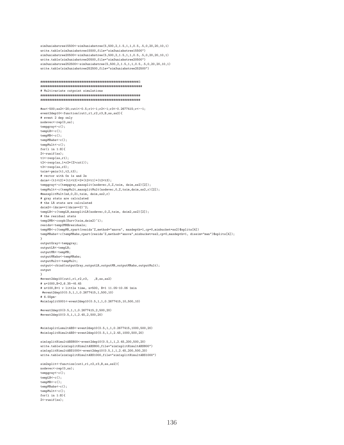write.table(sim3uniabstree252500,file="sim3uniabstree252500") # Multivariate cutpoint simulations #ss<-500;ss2<-20;cut1<-0.5;r1<-1;r2<-1;r3<-0.2677415;r<--1; event2dep10<-function(cut1,r1,r2,r3,B,ss,ss2){ # event 2 dep only nodevec<-rep(0,ss);  $tempgray < -c()$ ;  $tempLR < -c()$ :  $tempMR < -c()$ ; tempMRabs<-c(); tempMult <- c();  $for(i in 1:B)$  $Z$  -runif(ss)  $\cdot$  $t1<-revp(ss,r1);$  $t2 < -r exp(s s, 1 + r2 * (Z) <sup>c</sup>ut1));$  $t3 < -r exp(s s, r3);$  $\text{tsim}\left(-\text{pmin}\left(\text{tl},\text{tl},\text{tl}\right)\right)$ : # vector with 0s 1s and 2s  $\text{dsim}$  < - (t1<t2)\*(t1<t3)+2\*(t2<t1)\*(t2<t3); tempgray <- c(tempgray, maxsplit(nodevec, 0, Z, tsim, dsim, ss2)[2]); tempMult <- c(tempMult, maxsplitMult(nodevec, 0, Z, tsim, dsim, ss2, r)[2]);  $\texttt{\#maxsplitMult}(\texttt{nd}, \texttt{0}, \texttt{Z1}, \texttt{tsim}, \ \texttt{dsim}, \texttt{ss2}, \texttt{r})$ # gray stats are calculated # the LR stats are calculated  $\text{dsim2}$  < - ( $\text{dsim==1}$  |  $\text{dsim==2}$ ) ^2; tempLR <- c(tempLR, maxsplitLR(nodevec, 0, Z, tsim, dsim2, ss2)[2]); # the residual stats temp2MR <- coxph(Surv(tsim, dsim2)<sup>~1)</sup>; resids<-temp2MR\$residuals; tempMR<-c(tempMR,rpart(resids~Z,method="anova", maxdepth=1,cp=0,minbucket=ss2)\$splits[4]) tempMRabs<-c(tempMRabs,rpart(resids"Z,method="anova",minbucket=ss2,cp=0,maxdepth=1,dissim="man")\$splits[4]); outputGray<-tempgray; outputLR<-tempLR; outputMR<-tempMR; outputMRabs<-tempMRabs; outputMult <- tempMult; output<-cbind(outputGray,outputLR,outputMR,outputMRabs,outputMult); output  $\# \mathtt{event2dep10}(\mathtt{cut1}, \mathtt{r1}, \mathtt{r2}, \mathtt{r3}, \ldots, \mathtt{B}, \mathtt{ss}, \mathtt{ss2})$  $# n=1000, B=2, 6.35 - 6.45$ #  $n=100, B=1$  v little time,  $n=500$ ,  $B=1$  11.05-10.06 1min #event2dep10(0.5,1,1,0.2677415,1,500,10) #  $6.55$ pm #sim1split5001<-event2dep10(0.5,1,1,0.2677415,10,500,10) #event2dep10(0.5,1,1,0.2677415,2,500,20) #event2dep10(0.5,1,1,2.45,2,500,20) #sim1splitLomultABS<-event2dep10(0.5,1,1,0.2677415,1000,500,20) #sim1splitHimultABS<-event2dep10(0.5,1,1,2.45,1000,500,20)  $sim1$ splitHimultABS800 < - event2dep10 $(0.5, 1, 1, 2.45, 200, 500, 20)$ write.table(sim1splitHimultABS800,file="sim1splitHimultABS800")  $sim1$ splitHimultABS1000 <- event2dep10 $(0.5, 1, 1, 2.45, 200, 500, 20)$ write.table(sim1splitHimultABS1000,file="sim1splitHimultABS1000")  $sim2split$  -function(cut1,r1,r2,r3,B,ss,ss2){  $nodevec<-rep(0,ss)$ :  $tempgray < -c()$ ;  $tempI.R<-c()$ :  $tempMR < -c()$ ;  $tempMRabs < -c()$ ;  $tempMult < -c()$ : for $(i \text{ in } 1 \cdot R)$  $Z$  <  $\text{runif}$  (ss):

 $\verb|sim3uniabstree15500<-sim3uniabstree(5,500,2,1.5,1,1,0.5,.5,0,20,20,10,1)|$ 

 $\texttt{sim3uniabstree20500}\texttt{<-sim3uniabstree(5,500,2,1.5,1,1,0.5,.5,0,20,20,10,1)}$ 

 $sim3$ uniabstree252500 < - sim3uniabstree $(5, 500, 2, 1.5, 1, 1, 0.5, .5, 0, 20, 20, 10, 1)$ 

write.table(sim3uniabstree15500,file="sim3uniabstree15500")

write.table(sim3uniabstree20500,file="sim3uniabstree20500")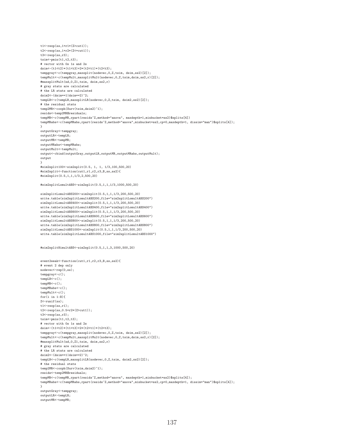```
t1<-rexp(ss,1+r1*(Z>cut1));
t2<-rexp(ss,1+r2*(Z<=cut1));
t3<-rexp(ss,r3);
t \sin \left(-p \min(t1, t2, t3)\right);
# vector with 0s 1s and 2s
dsim<-(t1<t2)*(t1<t3)+2*(t2<t1)*(t2<t3);
tempgray<-c(tempgray,maxsplit(nodevec,0,Z,tsim, dsim,ss2)[2]);
tempMult<-c(tempMult,maxsplitMult(nodevec,0,Z,tsim,dsim,ss2,r)[2]);
#maxsplitMult(nd,0,Z1,tsim, dsim,ss2,r)
# gray stats are calculated
# the LR stats are calculated
dsim2<-(dsim==1|dsim==2)^2;
tempLR<-c(tempLR,maxsplitLR(nodevec,0,Z,tsim, dsim2,ss2)[2]);
# the residual stats
temp2MR<-coxph(Surv(tsim,dsim2)~1);
resids<-temp2MR$residuals;
tempMR<-c(tempMR,rpart(resids~Z,method="anova", maxdepth=1,minbucket=ss2)$splits[4])
tempMRabs<-c(tempMRabs,rpart(resids~Z,method="anova",minbucket=ss2,cp=0,maxdepth=1, dissim="man")$splits[4]);
}
outputGray<-tempgray;
outputLR<-tempLR;
outputMR<-tempMR;
outputMRabs<-tempMRabs;
outputMult<-tempMult;
output<-cbind(outputGray,outputLR,outputMR,outputMRabs,outputMult);
output
}
#sim2split100<-sim2split(0.5, 1, 1, 1/3,100,500,20)
#sim2split<-function(cut1,r1,r2,r3,B,ss,ss2){
#sim2split(0.5,1,1,1/3,2,500,20)
#sim2splitLomultABS<-sim2split(0.5,1,1,1/3,1000,500,20)
\verb|sim2splitComultABS200<-sim2split(0.5,1,1,1/3,200,500,20)write.table(sim2splitLomultABS200,file="sim2splitLomultABS200")
```

```
sim2splitLomultABS400<-sim2split(0.5,1,1,1/3,200,500,20)
write.table(sim2splitLomultABS400,file="sim2splitLomultABS400")
sim2splitLomultABS600<-sim2split(0.5,1,1,1/3,200,500,20)
write.table(sim2splitLomultABS600,file="sim2splitLomultABS600")
sim2splitLomultABS800<-sim2split(0.5,1,1,1/3,200,500,20)
write.table(sim2splitLomultABS800,file="sim2splitLomultABS800")
sim2splitLomultABS1000<-sim2split(0.5,1,1,1/3,200,500,20)
write.table(sim2splitLomultABS1000,file="sim2splitLomultABS1000")
```
## #sim2splitHimultABS<-sim2split(0.5,1,1,3,1000,500,20)

```
event2weak<-function(cut1,r1,r2,r3,B,ss,ss2){
# event 2 dep only
nodevec<-rep(0,ss);
tempgray<-c();
tempLR <- c();
tempMR<-c();
tempMRabs<-c();
tempMult<-c();
for(i in 1:B){
Z<-runif(ss);
t1<-rexp(ss,r1);
t2<-rexp(ss,0.5+r2*(Z>cut1));
t3 < -rev(ss,r3);t \sin \leftarrow p \min(t1, t2, t3);# vector with 0s 1s and 2s
dsim <- (t1 < t2) * (t1 < t3) + 2* (t2 < t1) * (t2 < t3);
tempgray<-c(tempgray,maxsplit(nodevec,0,Z,tsim, dsim,ss2)[2]);
tempMult<-c(tempMult,maxsplitMult(nodevec,0,Z,tsim,dsim,ss2,r)[2]);
#maxsplitMult(nd,0,Z1,tsim, dsim,ss2,r)
# gray stats are calculated
# the LR stats are calculated
dsim2<-(dsim==1|dsim==2)^2;
tempLR<-c(tempLR,maxsplitLR(nodevec,0,Z,tsim, dsim2,ss2)[2]);
# the residual stats
temp2MR<-coxph(Surv(tsim,dsim2)~1);
resids<-temp2MR$residuals;
tempMR<-c(tempMR,rpart(resids~Z,method="anova", maxdepth=1,minbucket=ss2)$splits[4]);
tempMRabs<-c(tempMRabs,rpart(resids~Z,method="anova",minbucket=ss2,cp=0,maxdepth=1, dissim="man")$splits[4]);
}
outputGray<-tempgray;
outputLR<-tempLR;
outputMR<-tempMR;
```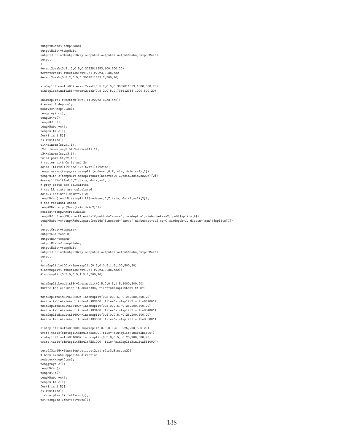outputMRabs<-tempMRabs; outputMult<-tempMult; output<-cbind(outputGray,outputLR,outputMR,outputMRabs,outputMult); output } #event2weak(0.5, 2,0.5,0.3032811353,100,500,20) #event2weak<-function(cut1,r1,r2,r3,B,ss,ss2 #event2weak(0.5,2,0.5,0.3032811353,2,500,20)

sim3splitLomultABS<-event2weak(0.5,2,0.5,0.3032811353,1000,500,20) sim3splitHimultABS<-event2weak(0.5,2,0.5,2.738612788,1000,500,20)

lnormsplit<-function(cut1,r1,r2,r3,B,ss,ss2){ # event 2 dep only nodevec<-rep(0,ss); tempgray<-c();  $tempLR < -c()$ ; tempMR<-c(); tempMRabs<-c(); tempMult<-c(); for $(i \text{ in } 1:B)$ { Z<-runif(ss);  $t1$  <  $-$ rlnorm $(ss,r1,1)$ ; t2<-rlnorm(ss,0.5+r2\*(Z>cut1),1);  $t3<-rlnorm(ss.r3,1)$ : tsim<-pmin(t1,t2,t3); # vector with 0s 1s and 2s dsim<-(t1<t2)\*(t1<t3)+2\*(t2<t1)\*(t2<t3); tempgray<-c(tempgray,maxsplit(nodevec,0,Z,tsim, dsim,ss2)[2]); tempMult<-c(tempMult,maxsplitMult(nodevec,0,Z,tsim,dsim,ss2,r)[2]); #maxsplitMult(nd,0,Z1,tsim, dsim,ss2,r) # gray stats are calculated # the LR stats are calculated dsim2<-(dsim==1|dsim==2)^2; tempLR<-c(tempLR,maxsplitLR(nodevec,0,Z,tsim, dsim2,ss2)[2]); # the residual stats temp2MR<-coxph(Surv(tsim,dsim2)~1); resids<-temp2MR\$residuals; tempMR<-c(tempMR,rpart(resids~Z,method="anova", maxdepth=1,minbucket=ss2,cp=0)\$splits[4]); tempMRabs<-c(tempMRabs,rpart(resids~Z,method="anova",minbucket=ss2,cp=0,maxdepth=1, dissim="man")\$splits[4]); } outputGray<-tempgray; outputLR<-tempLR; outputMR<-tempMR; outputMRabs<-tempMRabs; outputMult<-tempMult; output<-cbind(outputGray,outputLR,outputMR,outputMRabs,outputMult); output } #sim6splitlo1001<-lnormsplit(0.5,0,0.5,1.5,100,500,20) #lnormsplit<-function(cut1,r1,r2,r3,B,ss,ss2){ #lnormsplit(0.5,0,0.5,1.5,2,500,20)

#sim4splitLomultABS<-lnormsplit(0.5,0,0.5,1.5,1000,500,20) #write.table(sim4splitLomultABS, file="sim4splitLomultABS")

#sim4splitHimultABS200<-lnormsplit(0.5,0,0.5,-0.25,200,500,20) #write.table(sim4splitHimultABS200, file="sim4splitHimultABS200") #sim4splitHimultABS400<-lnormsplit(0.5,0,0.5,-0.25,200,500,20) #write.table(sim4splitHimultABS400, file="sim4splitHimultABS400") #sim4splitHimultABS600<-lnormsplit(0.5,0,0.5,-0.25,200,500,20) #write.table(sim4splitHimultABS600, file="sim4splitHimultABS600")

sim4splitHimultABS800<-lnormsplit(0.5,0,0.5,-0.25,200,500,20) write.table(sim4splitHimultABS800, file="sim4splitHimultABS800") sim4splitHimultABS1000<-lnormsplit(0.5,0,0.5,-0.25,200,500,20) write.table(sim4splitHimultABS1000, file="sim4splitHimultABS1000")

cutoff3and5<-function(cut1,cut2,r1,r2,r3,B,ss,ss2){ # both events opposite direction nodevec<-rep(0,ss); tempgray<-c(); tempLR<-c(); tempMR<-c(); tempMRabs<-c(); tempMult<-c(); for(i in 1:B){ Z<-runif(ss); t1<-rexp(ss,1+r1\*(Z>cut1));  $t2 < -r exp(s s, 1 + r2 * (Z < = cut2))$ ;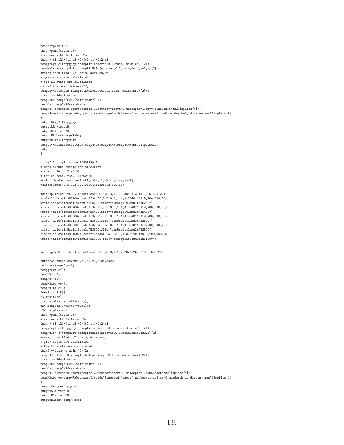tsim<-pmin(t1,t2,t3); # vector with 0s 1s and 2s dsim<-(t1<t2)\*(t1<t3)+2\*(t2<t1)\*(t2<t3); tempgray<-c(tempgray,maxsplit(nodevec,0,Z,tsim, dsim,ss2)[2]); tempMult<-c(tempMult,maxsplitMult(nodevec,0,Z,tsim,dsim,ss2,r)[2]); #maxsplitMult(nd,0,Z1,tsim, dsim,ss2,r) # gray stats are calculated # the LR stats are calculated dsim2<-(dsim==1|dsim==2)^2; tempLR<-c(tempLR,maxsplitLR(nodevec,0,Z,tsim, dsim2,ss2)[2]); # the residual stats temp2MR<-coxph(Surv(tsim,dsim2)~1); resids<-temp2MR\$residuals; tempMR<-c(tempMR,rpart(resids~Z,method="anova", maxdepth=1,cp=0,minbucket=ss2)\$splits[4]) ; tempMRabs<-c(tempMRabs,rpart(resids~Z,method="anova",minbucket=ss2,cp=0,maxdepth=1, dissim="man")\$splits[4]); } outputGray<-tempgray; outputLR<-tempLR; outputMR<-tempMR; outputMRabs<-tempMRabs; outputMult<-tempMult;  $\verb|output<-cbind(outputGray,outputLR,outputMR,outputMRabs,outputMult);$ output } # sim7 low splits a=0.3040113919 # both events change opp direction # r1=1, r2=1, r3 =0.30... # for hi cens, r3=2.767792536 #cutoff3and5<-function(cut1,cut2,r1,r2,r3,B,ss,ss2){ #cutoff3and5(0.5,0.3,1,1,0.3040113919,2,500,20) #sim5splitLomultABS<-cutoff3and5(0.5,0.3,1,1,0.3040113919,1000,500,20) sim5splitLomultABS200<-cutoff3and5(0.5,0.3,1,1,0.3040113919,200,500,20) write.table(sim5splitLomultABS200,file="sim5splitLomultABS200") sim5splitLomultABS400<-cutoff3and5(0.5,0.3,1,1,0.3040113919,200,500,20) write.table(sim5splitLomultABS400,file="sim5splitLomultABS400") sim5splitLomultABS600<-cutoff3and5(0.5,0.3,1,1,0.3040113919,200,500,20) write.table(sim5splitLomultABS600,file="sim5splitLomultABS600") sim5splitLomultABS800<-cutoff3and5(0.5,0.3,1,1,0.3040113919,200,500,20) write.table(sim5splitLomultABS800,file="sim5splitLomultABS800") sim5splitLomultABS1000<-cutoff3and5(0.5,0.3,1,1,0.3040113919,200,500,20) write.table(sim5splitLomultABS1000,file="sim5splitLomultABS1000") #sim5splitHimultABS<-cutoff3and5(0.5,0.3,1,1,2.767792536,1000,500,20) cutoff3<-function(cut1,r1,r2,r3,B,ss,ss2){ nodevec<-rep(0,ss); tempgray<-c(); tempLR<-c(); tempMR<-c(); tempMRabs<-c(); tempMult <- c();  $for(i in 1:B)$ { Z<-runif(ss); t1<-rexp(ss,1+r1\*(Z>cut1)); t2<-rexp(ss,1+r2\*(Z<=cut1));  $t3 < -r exp(s s, r3);$  $t \sin \leftarrow p \min(t1, t2, t3);$ # vector with 0s 1s and 2s dsim<-(t1<t2)\*(t1<t3)+2\*(t2<t1)\*(t2<t3); tempgray<-c(tempgray,maxsplit(nodevec,0,Z,tsim, dsim,ss2)[2]); tempMult<-c(tempMult,maxsplitMult(nodevec,0,Z,tsim,dsim,ss2,r)[2]); #maxsplitMult(nd,0,Z1,tsim, dsim,ss2,r) # gray stats are calculated # the LR stats are calculated dsim2<-(dsim==1|dsim==2)^2; tempLR<-c(tempLR,maxsplitLR(nodevec,0,Z,tsim, dsim2,ss2)[2]); # the residual stats temp2MR<-coxph(Surv(tsim,dsim2)~1); resids<-temp2MR\$residuals; tempMR<-c(tempMR,rpart(resids<sup>~</sup>Z,method="anova", maxdepth=1,minbucket=ss2)\$splits[4]); tempMRabs<-c(tempMRabs,rpart(resids~Z,method="anova",minbucket=ss2,cp=0,maxdepth=1, dissim="man")\$splits[4]); } outputGray<-tempgray; outputLR<-tempLR; outputMR<-tempMR; outputMRabs<-tempMRabs;

t3<-rexp(ss,r3);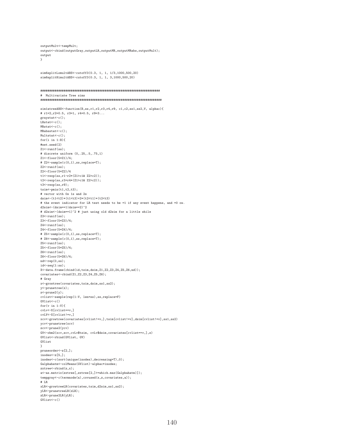outputMult<-tempMult; output<-cbind(outputGray,outputLR,outputMR,outputMRabs,outputMult); output }

sim6splitLomultABS<-cutoff3(0.3, 1, 1, 1/3,1000,500,20) sim6splitHimultABS<-cutoff3(0.3, 1, 1, 3,1000,500,20)

## ################################################################### # Multivariate Tree sims ####################################################################

```
sim1atreeABS<-function(B,ss,r1,r2,r3,r4,r9, c1,c2,ss1,ss2,V, alphac){
# r1=2,r2=0.5, r3=1, r4=0.5, r9=3...
graystat<-c();
LRstat<-c();
MRstat<-c();
MRabsstat<-c();
Multstat<-c();
for(i in 1:B){
#set.seed(2)
Z1 < - runif(ss):
# discrete uniform (0,.25,.5,.75,1)
Z1<-floor(5*Z1)/4;
# Z2<-sample(c(0,1),ss,replace=T);
Z2 < - runif(ss);
Z2<-floor(5*Z2)/4
t1<-rexp(ss,r1-r2*(Z1>c1& Z2>c2));
t2<-rexp(ss,r3+r4*(Z1>c1& Z2>c2));
t3<-rexp(ss,r9);
t \sin \left(-p \min(t1, t2, t3)\right);
# vector with 0s 1s and 2s
dsim<-(t1<t2)*(t1<t3)+2*(t2<t1)*(t2<t3)
# the event indicator for LR test needs to be =1 if any event happens, and =0 ow.
d2sim <- (dsim==1|dsim==2)^2# d2sim <- (dsim ==1)^2 # just using old d2sim for a little while
Z3 < - runif(ss);
Z3<-floor(5*Z3)/4;
Z4 < - runif(ss);
Z4<-floor(5*Z4)/4;
# Z5<-sample(c(0,1),ss,replace=T);
# Z6<-sample(c(0,1),ss,replace=T);
Z5 <- runif(ss);
Z5<-floor(5*Z5)/4;
Z6 < -runit(ss);Z6<-floor(5*Z6)/4;
nd<-rep(0,ss);
id < -seq(1:ss);X<-data.frame(cbind(id,tsim,dsim,Z1,Z2,Z3,Z4,Z5,Z6,nd));
covariates<-cbind(Z1,Z2,Z3,Z4,Z5,Z6);
# Gray
x<-growtree(covariates,tsim,dsim,ss1,ss2);
y<-prunetree(x);
z<-prune2(y);
cvlist<-sample(rep(1:V, len=ss),ss,replace=F)
GVlist < -c()for(v in 1:V){
cvLv<-X[cvlist==v,]
cvLV<-X[cvlist!=v,]
xcv<-growtree(covariates[cvlist!=v,],tsim[cvlist!=v],dsim[cvlist!=v],ss1,ss2)
ycv<-prunetree(xcv)
zcv<-prune2(ycv)
GV<-obm2(xcv,zcv,cvLv$tsim, cvLv$dsim,covariates[cvlist==v,],z)
GVlist<-rbind(GVlist, GV)
GVlist
}
pruneorder<-z[2,];
\text{inodes} < z[5,];
inodes<-c(sort(unique(inodes),decreasing=T),0);
Galphahatm<-colMeans(GVlist)-alphac*inodes;
zxtree~-rbind(z,x):
a<-as.matrix(zxtree[,zxtree[2,]>=which.max(Galphahatm)]);
tempgray<-c(termnode(a),covused(x,z,covariates,a));
# LR
xLR<-growtreeLR(covariates,tsim,d2sim,ss1,ss2);
yLR<-prunetreeLR(xLR);
zLR<-prune2LR(yLR);
GVIist\leftarrow c()
```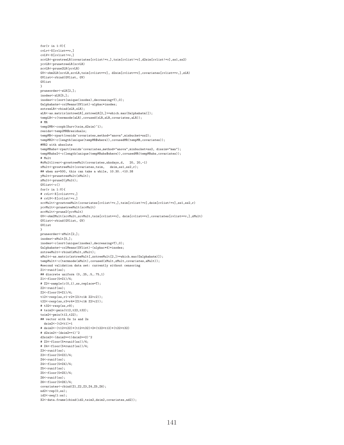for(v in 1:V){ cvLv<-X[cvlist==v,] cvLV<-X[cvlist!=v,] xcvLR<-growtreeLR(covariates[cvlist!=v,],tsim[cvlist!=v],d2sim[cvlist!=v],ss1,ss2) ycvLR<-prunetreeLR(xcvLR) zcvLR<-prune2LR(ycvLR) GV<-obm2LR(xcvLR,zcvLR,tsim[cvlist==v], d2sim[cvlist==v],covariates[cvlist==v,],zLR) GVlist<-rbind(GVlist, GV) GVlist } pruneorder<-zLR[2,]; .<br>inodes<-zLR[5,]; inodes<-c(sort(unique(inodes),decreasing=T),0); Galphahatm<-colMeans(GVlist)-alphac\*inodes; zxtreeLR<-rbind(zLR,xLR); aLR<-as.matrix(zxtreeLR[,zxtreeLR[2,]>=which.max(Galphahatm)]); tempLR<-c(termnode(aLR),covused(xLR,zLR,covariates,aLR)); # MR temp2MR<-coxph(Surv(tsim,d2sim)~1); resids<-temp2MR\$residuals; tempMR<-rpart(resids~covariates,method="anova",minbucket=ss2); tempMR2<-c(length(unique(tempMR\$where)),covusedMR(tempMR,covariates)); #MR2 with absolute tempMRabs<-rpart(resids~covariates,method="anova",minbucket=ss2, dissim="man"); tempMRabs2<-c(length(unique(tempMRabs\$where)),covusedMR(tempMRabs,covariates)); # Mult #xMultliver<-growtreeMult(covariates,nhxdays,d, 20, 20,-1) xMult<-growtreeMult(covariates,tsim, dsim,ss1,ss2,r); ## when ss=500, this can take a while, 10.30..<10.38 yMult<-prunetreeMult(xMult); zMult<-prune2(yMult);  $CVI$  ist $\leftarrow c()$ for $(v$  in  $1:V)$  { # cvLv<-X[cvlist==v,] # cvLV<-X[cvlist!=v,] xcvMult<-growtreeMult(covariates[cvlist!=v,],tsim[cvlist!=v],dsim[cvlist!=v],ss1,ss2,r) ycvMult<-prunetreeMult(xcvMult) zcvMult<-prune2(ycvMult) GV<-obm2Mult(xcvMult,zcvMult,tsim[cvlist==v], dsim[cvlist==v],covariates[cvlist==v,],zMult) GVlist<-rbind(GVlist, GV) GVlist } pruneorder<-zMult[2,]; inodes<-zMult[5,]; inodes<-c(sort(unique(inodes),decreasing=T),0); Galphahatm<-colMeans(GVlist)-(alphac\*4)\*inodes; zxtreeMult<-rbind(zMult,xMult); aMult<-as.matrix(zxtreeMult[,zxtreeMult[2,]>=which.max(Galphahatm)]); tempMult<-c(termnode(aMult),covused(xMult,zMult,covariates,aMult)); #second validation data set: currently without censoring Z1<-runif(ss); ## discrete uniform (0,.25,.5,.75,1) Z1<-floor(5\*Z1)/4; # Z2<-sample(c(0,1),ss,replace=T); Z2<-runif(ss); Z2<-floor(5\*Z1)/4; t12<-rexp(ss,r1-r2\*(Z1>c1& Z2>c2)); t22<-rexp(ss,r3+r4\*(Z1>c1& Z2>c2)); # t32<-rexp(ss,r9); # tsim2<-pmin(t12,t22,t32);  $t \sin2 < -p \min(t12, t22)$ ; ## vector with 0s 1s and 2s dsim2<-(t2<t1)+1 # dsim2<-(t12<t22)\*(t12<t32)+2\*(t22<t12)\*(t22<t32) # d2sim2<-(dsim2==1)^2 d2sim2<-(dsim2==1|dsim2==2)^2 # Z3<-floor(5\*runif(ss))/4; # Z4<-floor(5\*runif(ss))/4;  $Z3$  <  $-$  runif(ss); Z3<-floor(5\*Z3)/4; Z4<-runif(ss); Z4<-floor(5\*Z4)/4; Z5<-runif(ss); Z5<-floor(5\*Z5)/4;  $Z6$  <  $-$  runif(ss): Z6<-floor(5\*Z6)/4; covariates<-cbind(Z1,Z2,Z3,Z4,Z5,Z6); nd2<-rep(0,ss); id2<-seq(1:ss); X2<-data.frame(cbind(id2,tsim2,dsim2,covariates,nd2));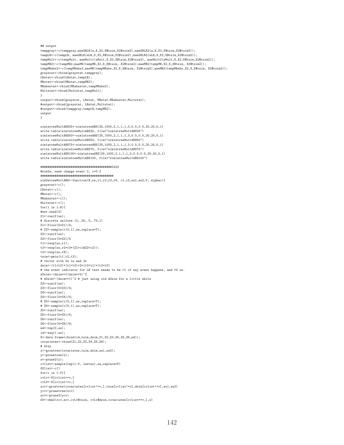tempgray<-c(tempgray,maeGRLR(a,X,X2,X\$tsim,X2\$tsim2),maeGRLR2(a,X,X2,X\$tsim,X2\$tsim2)); tempLR<-c(tempLR, maeGRLR(aLR,X,X2,X\$tsim,X2\$tsim2),maeGRLR2(aLR,X,X2,X\$tsim,X2\$tsim2)); tempMult<-c(tempMult, maeMult1(aMult,X,X2,X\$tsim,X2\$tsim2), maeMult2(aMult,X,X2,X\$tsim,X2\$tsim2)); tempMR2<-c(tempMR2,maeMR(tempMR,X2,X,X\$tsim, X2\$tsim2),maeMR2(tempMR,X2,X,X\$tsim, X2\$tsim2)); tempMRabs2<-c(tempMRabs2,maeMR(tempMRabs,X2,X,X\$tsim, X2\$tsim2),maeMR2(tempMRabs,X2,X,X\$tsim, X2\$tsim2)); graystat<-rbind(graystat,tempgray); LRstat<-rbind(LRstat,tempLR); MRstat<-rbind(MRstat,tempMR2); MRabsstat<-rbind(MRabsstat,tempMRabs2); Multstat<-rbind(Multstat,tempMult); } output<-rbind(graystat, LRstat, MRstat,MRabsstat,Multstat); #output<-rbind(graystat, LRstat,Multstat); #output<-rbind(tempgray,tempLR,tempMR2); output } sim1atreeMultABS25<-sim1atreeABS(25,1000,2,1,1,1,3,0.5,0.5,20,20,5,1) write.table(sim1atreeMultABS25, file="sim1atreeMultABS25") sim1atreeMultABS50<-sim1atreeABS(25,1000,2,1,1,1,3,0.5,0.5,20,20,5,1) write.table(sim1atreeMultABS50, file="sim1atreeMultABS50") sim1atreeMultABS75<-sim1atreeABS(25,1000,2,1,1,1,3,0.5,0.5,20,20,5,1) write.table(sim1atreeMultABS75, file="sim1atreeMultABS75") sim1atreeMultABS100<-sim1atreeABS(25,1000,2,1,1,1,3,0.5,0.5,20,20,5,1) write.table(sim1atreeMultABS100, file="sim1atreeMultABS100") ########################################3333 #sim2a, weak change event 2, c=0.3 ######################################### sim2atreeMultABS<-function(B,ss,r1,r2,r3,r9, c1,c2,ss1,ss2,V, alphac){ graystat<-c();  $LRstat<-c()$ ; MRstat<-c();  $MRabsetate-c()$  $Multstat<-c()$ : for(i in 1:B){ #set.seed(2)  $Z1$  <  $-$  runif(ss); # discrete uniform (0,.25,.5,.75,1) Z1<-floor(5\*Z1)/4; # Z2<-sample(c(0,1),ss,replace=T);  $Z2$  <  $-$  runif(ss): Z2<-floor(5\*Z2)/4  $t1$  <-rexp(ss,r1); t2<-rexp(ss,r2+r3\*(Z1>c1&Z2>c2)); t3<-rexp(ss,r9);  $t \sin \leftarrow p \min(t1, t2, t3);$ # vector with 0s 1s and 2s dsim<-(t1<t2)\*(t1<t3)+2\*(t2<t1)\*(t2<t3) # the event indicator for LR test needs to be =1 if any event happens, and =0 ow. d2sim <-  $(dsim==1|dsim==2)^2$ # d2sim <- (dsim ==1)^2 # just using old d2sim for a little while Z3<-runif(ss); Z3<-floor(5\*Z3)/4; Z4<-runif(ss); Z4<-floor(5\*Z4)/4; # Z5<-sample(c(0,1),ss,replace=T); # Z6<-sample(c(0,1),ss,replace=T);  $Z5<-runit(ss);$ Z5<-floor(5\*Z5)/4; Z6<-runif(ss); Z6<-floor(5\*Z6)/4; nd<-rep(0,ss);  $id < -seq(1:ss);$ X<-data.frame(cbind(id,tsim,dsim,Z1,Z2,Z3,Z4,Z5,Z6,nd)); covariates<-cbind(Z1,Z2,Z3,Z4,Z5,Z6); # Gray x<-growtree(covariates,tsim,dsim,ss1,ss2); y<-prunetree(x); z<-prune2(y); cvlist<-sample(rep(1:V, len=ss),ss,replace=F) GVlist<-c() for $(v$  in  $1:V)$  f cvLv<-X[cvlist==v,] cvLV<-X[cvlist!=v,]

## output

## xcv<-growtree(covariates[cvlist!=v,],tsim[cvlist!=v],dsim[cvlist!=v],ss1,ss2) ycv<-prunetree(xcv) zcv<-prune2(ycv)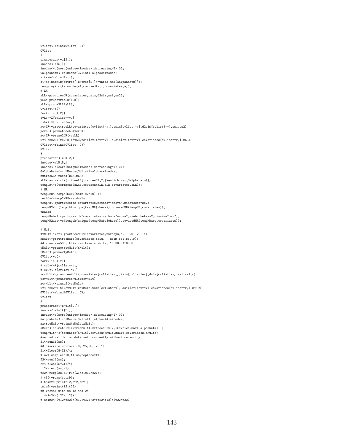```
GVlist<-rbind(GVlist, GV)
GVlist
}
pruneorder<-z[2,];
inodes<-z[5,];
inodes<-c(sort(unique(inodes),decreasing=T),0);
Galphahatm<-colMeans(GVlist)-alphac*inodes;
zxtree<-rbind(z,x);
a<-as.matrix(zxtree[,zxtree[2,]>=which.max(Galphahatm)]);
tempgray<-c(termnode(a),covused(x,z,covariates,a));
# LR
xLR<-growtreeLR(covariates,tsim,d2sim,ss1,ss2);
yLR<-prunetreeLR(xLR);
zLR<-prune2LR(yLR);
GVlist<-c()for(v in 1:V){
cvLv<-X[cvlist==v,]
cvLV<-X[cvlist!=v,]
xcvLR<-growtreeLR(covariates[cvlist!=v,],tsim[cvlist!=v],d2sim[cvlist!=v],ss1,ss2)
ycvLR<-prunetreeLR(xcvLR)
.<br>zcvLR<-prune2LR(ycvLR)
GV<-obm2LR(xcvLR,zcvLR,tsim[cvlist==v], d2sim[cvlist==v],covariates[cvlist==v,],zLR)
GVlist<-rbind(GVlist, GV)
GVlist
}
pruneorder<-zLR[2,];
inodes<-zLR[5,];
inodes<-c(sort(unique(inodes),decreasing=T),0);
Galphahatm<-colMeans(GVlist)-alphac*inodes;
zxtreeLR<-rbind(zLR,xLR);
aLR<-as.matrix(zxtreeLR[,zxtreeLR[2,]>=which.max(Galphahatm)]);
tempLR<-c(termnode(aLR),covused(xLR,zLR,covariates,aLR));
# MR
temp2MR<-coxph(Surv(tsim,d2sim)~1);
resids<-temp2MR$residuals;
tempMR<-rpart(resids~covariates,method="anova",minbucket=ss2);
tempMR2<-c(length(unique(tempMR$where)),covusedMR(tempMR,covariates));
#MRabs
tempMRabs<-rpart(resids"covariates,method="anova",minbucket=ss2,dissim="man");
tempMR2abs<-c(length(unique(tempMRabs$where)),covusedMR(tempMRabs,covariates));
# Mult
#xMultliver<-growtreeMult(covariates,nhxdays,d, 20, 20,-1)
xMult<-growtreeMult(covariates,tsim, dsim,ss1,ss2,r);
## when ss=500, this can take a while, 10.30..<10.38
yMult<-prunetreeMult(xMult);
zMult<-prune2(yMult);
GVlist<-c()for(v in 1:V){
# cvLv<-X[cvlist==v,]
# cvLV<-X[cvlist!=v,]
xcvMult<-growtreeMult(covariates[cvlist!=v,],tsim[cvlist!=v],dsim[cvlist!=v],ss1,ss2,r)
ycvMult<-prunetreeMult(xcvMult)
zcvMult<-prune2(ycvMult)
GV<-obm2Mult(xcvMult,zcvMult,tsim[cvlist==v], dsim[cvlist==v],covariates[cvlist==v,],zMult)
GVlist<-rbind(GVlist, GV)
GVlist
}
pruneorder<-zMult[2,];
inodes<-zMult[5,];
inodes<-c(sort(unique(inodes),decreasing=T),0);
Galphahatm<-colMeans(GVlist)-(alphac*4)*inodes;
zxtreeMult<-rbind(zMult,xMult);
aMult<-as.matrix(zxtreeMult[,zxtreeMult[2,]>=which.max(Galphahatm)]);
tempMult<-c(termnode(aMult),covused(xMult,zMult,covariates,aMult));
#second validation data set: currently without censoring
Z1 < - runif(ss);
## discrete uniform (0,.25,.5,.75,1)
Z1<-floor(5*Z1)/4;
# Z2<-sample(c(0.1).ss.replace=T);
Z2 < - runif(ss);
Z2<-floor(5*Z1)/4;
t12 < - rexp(ss, r1):
t22<-rexp(ss,r2+r3*(Z1>c1&Z2>c2));
# t32<-rexp(ss,r9):
# tsim2<-pmin(t12,t22,t32);
tsim2<-pmin(t12,t22);
## vector with 0s 1s and 2s
 dsim2<-(t22<t12)+1
# dsim2<-(t12<t22)*(t12<t32)+2*(t22<t12)*(t22<t32)
```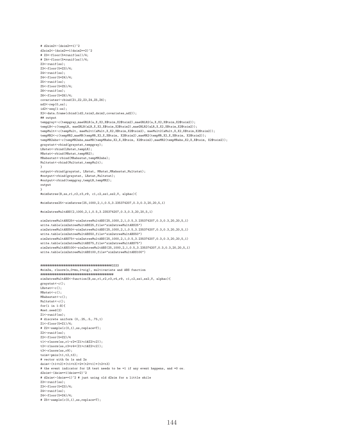```
# d2sim2<-(dsim2==1)^2
d2sim2<-(dsim2==1|dsim2==2)^2
# Z3<-floor(5*runif(ss))/4;
# Z4<-floor(5*runif(ss))/4;
Z3 < - runif(ss):
Z3<-floor(5*Z3)/4;
Z4 <- runif(ss);
Z4<-floor(5*Z4)/4;
Z5<-runif(ss);
Z5<-floor(5*Z5)/4;
Z6<-runif(ss);
Z6<-floor(5*Z6)/4;
covariates<-cbind(Z1,Z2,Z3,Z4,Z5,Z6);
nd2<-rep(0,ss);
id2 < -seq(1:ss);X2<-data.frame(cbind(id2,tsim2,dsim2,covariates,nd2));
## output
tempgray<-c(tempgray,maeGRLR(a,X,X2,X$tsim,X2$tsim2),maeGRLR2(a,X,X2,X$tsim,X2$tsim2));
tempLR<-c(tempLR, maeGRLR(aLR,X,X2,X$tsim,X2$tsim2),maeGRLR2(aLR,X,X2,X$tsim,X2$tsim2));
tempMult<-c(tempMult, maeMult1(aMult,X,X2,X$tsim,X2$tsim2), maeMult2(aMult,X,X2,X$tsim,X2$tsim2));
tempMR2<-c(tempMR2,maeMR(tempMR,X2,X,X$tsim, X2$tsim2),maeMR2(tempMR,X2,X,X$tsim, X2$tsim2));
tempMR2abs<-c(tempMR2abs,maeMR(tempMRabs,X2,X,X$tsim, X2$tsim2),maeMR2(tempMRabs,X2,X,X$tsim, X2$tsim2));
graystat<-rbind(graystat,tempgray);
LRstat<-rbind(LRstat,tempLR);
MRstat<-rbind(MRstat,tempMR2);
MRabsstat<-rbind(MRabsstat,tempMR2abs);
Multstat<-rbind(Multstat,tempMult);
}
output<-rbind(graystat, LRstat, MRstat, MRabsstat, Multstat);
#output<-rbind(graystat, LRstat,Multstat);
#output<-rbind(tempgray,tempLR,tempMR2);
output
}
#sim5atree(B,ss,r1,r2,r3,r9, c1,c2,ss1,ss2,V, alphac){
#sim5atree25<-sim5atree(25,1000,2,1,0.5,3.235374207,0.3,0.3,20,20,5,1)
#sim2atreeMultABS(2,1000,2,1,0.5,3.235374207,0.3,0.3,20,20,5,1)
sim2atreeMultABS25<-sim2atreeMultABS(25,1000,2,1,0.5,3.235374207,0.3,0.3,20,20,5,1)
write.table(sim2atreeMultABS25,file="sim2atreeMultABS25")
sim2atreeMultABS50<-sim2atreeMultABS(25,1000,2,1,0.5,3.235374207,0.3,0.3,20,20,5,1)
write.table(sim2atreeMultABS50,file="sim2atreeMultABS50")
sim2atreeMultABS75<-sim2atreeMultABS(25,1000,2,1,0.5,3.235374207,0.3,0.3,20,20,5,1)
write.table(sim2atreeMultABS75,file="sim2atreeMultABS75")
sim2atreeMultABS100<-sim2atreeMultABS(25,1000,2,1,0.5,3.235374207,0.3,0.3,20,20,5,1)
write.table(sim2atreeMultABS100,file="sim2atreeMultABS100")
########################################3333
#sim3a, rlnorm(n,0=mu,1=sig), multivariate and ABS function
#########################################
sim3atreeMultABS<-function(B,ss,r1,r2,r3,r4,r9, c1,c2,ss1,ss2,V, alphac){
graystat<-c();
LRstat <- c();
MRstat<-c();
MRabsstat<-c();
Multstat <- c();
for(i in 1:B){
#set.seed(2)
Z1<-runif(ss);
# discrete uniform (0,.25,.5,.75,1)
Z1<-floor(5*Z1)/4;
# Z2<-sample(c(0,1),ss,replace=T);
Z2 < - runif(ss);
Z2<-floor(5*Z2)/4
t1<-rlnorm(ss,r1-r2*(Z1>c1&Z2>c2));
t2<-rlnorm(ss,r3+r4*(Z1>c1&Z2>c2));
t3<-rlnorm(ss,r9);
t \sin \leftarrow -\min(t1, t2, t3);
# vector with 0s 1s and 2s
dsim<-(t1<t2)*(t1<t3)+2*(t2<t1)*(t2<t3)
# the event indicator for LR test needs to be =1 if any event happens, and =0 ow.
d2sim<-(dsim==1\lfloor dsim==2\rceil 2# d2sim <- (dsim ==1)^2 # just using old d2sim for a little while
Z3<-runif(ss);
Z3<-floor(5*Z3)/4;
Z4<-runif(ss);
Z4<-floor(5*Z4)/4;
# Z5<-sample(c(0,1),ss,replace=T);
```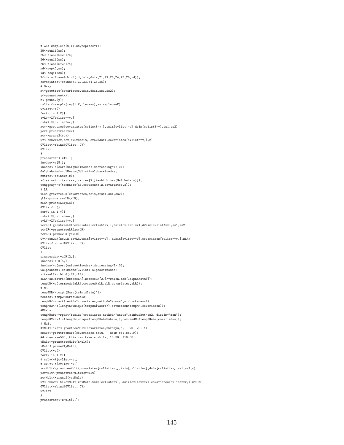```
# Z6 <- sample(c(0,1), ss, replace=T);
Z5<-runif(ss);
Z5<-floor(5*Z5)/4;
Z6<-runif(ss);
Z6<-floor(5*Z6)/4;
nd<-rep(0,ss);
id < -seq(1:ss);X<-data.frame(cbind(id,tsim,dsim,Z1,Z2,Z3,Z4,Z5,Z6,nd));
covariates<-cbind(Z1,Z2,Z3,Z4,Z5,Z6);
# Gray
x<-growtree(covariates,tsim,dsim,ss1,ss2);
y<-prunetree(x);
z <-prune 2(y);
cvlist<-sample(rep(1:V, len=ss),ss,replace=F)
GVlist<-c()
for(v in 1:V){
cvLv<-X[cvlist==v,]
cvLV<-X[cvlist!=v,]
xcv<-growtree(covariates[cvlist!=v,],tsim[cvlist!=v],dsim[cvlist!=v],ss1,ss2)
ycv<-prunetree(xcv)
zcv<-prune2(ycv)
GV<-obm2(xcv,zcv,cvLv$tsim, cvLv$dsim,covariates[cvlist==v,],z)
GVlist<-rbind(GVlist, GV)
GVlist
}
pruneorder<-z[2,];
inodes<-z[5,];
inodes<-c(sort(unique(inodes),decreasing=T),0);
Galphahatm<-colMeans(GVlist)-alphac*inodes;
zxtree<-rbind(z,x);
a<-as.matrix(zxtree[,zxtree[2,]>=which.max(Galphahatm)]);
tempgray<-c(termnode(a),covused(x,z,covariates,a));
# LR
xLR<-growtreeLR(covariates,tsim,d2sim,ss1,ss2);
yLR<-prunetreeLR(xLR);
zLR<-prune2LR(yLR);
\texttt{GVlist}\texttt{<-c}()for(v in 1:V){
cvLv<-X[cvlist==v,]
cvLV<-X[cvlist!=v,]
xcvLR<-growtreeLR(covariates[cvlist!=v,],tsim[cvlist!=v],d2sim[cvlist!=v],ss1,ss2)
ycvLR<-prunetreeLR(xcvLR)
zcvLR<-prune2LR(ycvLR)
\texttt{GV<-obm2LR}(\texttt{xcvLR}, \texttt{zcvLR}, \texttt{tsim}[\texttt{cvlist==v}] \, , \, \texttt{d2sim}[\texttt{cvlist==v}] \, , \texttt{covariates}[\texttt{cvlist==v}] \, , \texttt{zLR})GVlist<-rbind(GVlist, GV)
GVlist
}
pruneorder<-zLR[2,];
.<br>inodes<-zLR[5,];
inodes<-c(sort(unique(inodes),decreasing=T),0);
Galphahatm<-colMeans(GVlist)-alphac*inodes;
zxtreeLR<-rbind(zLR,xLR);
aLR<-as.matrix(zxtreeLR[,zxtreeLR[2,]>=which.max(Galphahatm)]);
tempLR<-c(termnode(aLR),covused(xLR,zLR,covariates,aLR));
# MR
temp2MR<-coxph(Surv(tsim,d2sim)~1);
resids<-temp2MR$residuals;
tempMR<-rpart(resids"covariates,method="anova",minbucket=ss2);
tempMR2<-c(length(unique(tempMR$where)),covusedMR(tempMR,covariates));
#MRabs
tempMRabs<-rpart(resids~covariates,method="anova",minbucket=ss2, dissim="man");
tempMR2abs<-c(length(unique(tempMRabs$where)),covusedMR(tempMRabs,covariates));
# Mult
#xMultliver<-growtreeMult(covariates,nhxdays,d, 20, 20,-1)
xMult<-growtreeMult(covariates,tsim, dsim,ss1,ss2,r);
## when ss=500, this can take a while, 10.30..<10.38
yMult<-prunetreeMult(xMult);
zMult<-prune2(yMult);
GVlist<-c()
for(v in 1:V){
# cvLv<-X[cvlist==v,]
# cvLV<-X[cvlist!=v,]
xcvMult<-growtreeMult(covariates[cvlist!=v,],tsim[cvlist!=v],dsim[cvlist!=v],ss1,ss2,r)
ycvMult<-prunetreeMult(xcvMult)
zcvMult<-prune2(ycvMult)
GV<-obm2Mult(xcvMult,zcvMult,tsim[cvlist==v], dsim[cvlist==v],covariates[cvlist==v,],zMult)
GVlist<-rbind(GVlist, GV)
GVlist
}
pruneorder<-zMult[2,];
```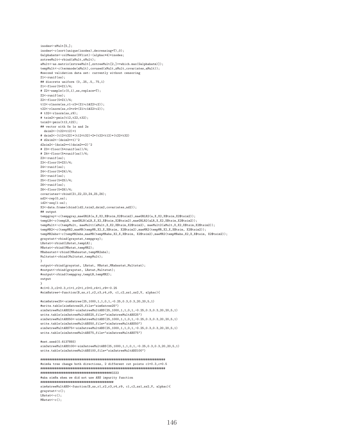```
inodes<-zMult[5,];
inodes<-c(sort(unique(inodes),decreasing=T),0);
Galphahatm<-colMeans(GVlist)-(alphac*4)*inodes;
zxtreeMult<-rbind(zMult,xMult);
aMult<-as.matrix(zxtreeMult[,zxtreeMult[2,]>=which.max(Galphahatm)]);
tempMult<-c(termnode(aMult),covused(xMult,zMult,covariates,aMult));
#second validation data set: currently without censoring
Z1<-runif(ss);
## discrete uniform (0,.25,.5,.75,1)
Z1<-floor(5*Z1)/4;
# Z2<-sample(c(0,1),ss,replace=T);
Z2 < - runif(ss);
Z2<-floor(5*Z1)/4;
t12<-rlnorm(ss,r1-r2*(Z1>c1&Z2>c2));
t22<-rlnorm(ss,r3+r4*(Z1>c1&Z2>c2));
# t32<-rlnorm(s_8, r_9):
# tsim2<-pmin(t12,t22,t32);
tsim2<-pmin(t12,t22);
## vector with 0s 1s and 2s
  dsim2<-(t22<t12)+1
# dsim2<-(t12<t22)*(t12<t32)+2*(t22<t12)*(t22<t32)
# d2sim2<-(dsim2==1)^2
d2sim2<-(dsim2==1|dsim2==2)^2
# Z3<-floor(5*runif(ss))/4;
# 74<-floor(5*runif(ss))/4;
Z3 < - runif(ss):
Z3<-floor(5*Z3)/4;
Z4 < \text{runif(ss)}.
Z4<-floor(5*Z4)/4;
Z5 \leftarrow runif(ss)\cdotZ5<-floor(5*Z5)/4;
76 \epsilon-runif(ss)\cdotZ6<-floor(5*Z6)/4;
covariates<-cbind(Z1,Z2,Z3,Z4,Z5,Z6);
nd2<-rep(0,ss);
id2<-seq(1:ss);
X2<-data.frame(cbind(id2,tsim2,dsim2,covariates,nd2));
## output
tempgray<-c(tempgray,maeGRLR(a,X,X2,X$tsim,X2$tsim2),maeGRLR2(a,X,X2,X$tsim,X2$tsim2));
tempLR<-c(tempLR, maeGRLR(aLR,X,X2,X$tsim,X2$tsim2),maeGRLR2(aLR,X,X2,X$tsim,X2$tsim2));
tempMult<-c(tempMult, maeMult1(aMult,X,X2,X$tsim,X2$tsim2), maeMult2(aMult,X,X2,X$tsim,X2$tsim2));
tempMR2<-c(tempMR2,maeMR(tempMR,X2,X,X$tsim, X2$tsim2),maeMR2(tempMR,X2,X,X$tsim, X2$tsim2));
tempMR2abs<-c(tempMR2abs,maeMR(tempMRabs,X2,X,X$tsim, X2$tsim2),maeMR2(tempMRabs,X2,X,X$tsim, X2$tsim2));
graystat<-rbind(graystat,tempgray);
LRstat<-rbind(LRstat,tempLR);
MRstat<-rbind(MRstat,tempMR2);
MRabsstat<-rbind(MRabsstat,tempMR2abs);
Multstat<-rbind(Multstat,tempMult);
}
output<-rbind(graystat, LRstat, MRstat,MRabsstat,Multstat);
#output<-rbind(graystat, LRstat, Multstat);
#output<-rbind(tempgray,tempLR,tempMR2);
output
}
#c1=0.3,c2=0.3,r1=1,r2=1,r3=0,r4=1,r9=-0.25
#sim8atree<-function(B,ss,r1,r2,r3,r4,r9, c1,c2,ss1,ss2,V, alphac){
#sim6atree25<-sim6atree(25,1000,1,1,0,1,-0.25,0.3,0.3,20,20,5,1)
#write.table(sim6atree25,file="sim6atree25")
sim3atreeMultABS25<-sim3atreeMultABS(25,1000,1,1,0,1,-0.25,0.3,0.3,20,20,5,1)
write.table(sim3atreeMultABS25,file="sim3atreeMultABS25")
sim3atreeMultABS50<-sim3atreeMultABS(25,1000,1,1,0,1,-0.25,0.3,0.3,20,20,5,1)
write.table(sim3atreeMultABS50,file="sim3atreeMultABS50")
sim3atreeMultABS75<-sim3atreeMultABS(25,1000,1,1,0,1,-0.25,0.3,0.3,20,20,5,1)
write.table(sim3atreeMultABS75,file="sim3atreeMultABS75")
#set.seed(0.6137893)
sim3atreeMultABS100<-sim3atreeMultABS(25,1000,1,1,0,1,-0.25,0.3,0.3,20,20,5,1)
write.table(sim3atreeMultABS100,file="sim3atreeMultABS100")
######################################################################
#sim4a tree change both directions, 2 different cut points c1=0.3,c=0.5
######################################################################
########################################3333
#aka sim8a when we did not use ABS impurity function
#########################################
sim4atreeMultABS<-function(B,ss,r1,r2,r3,r4,r9, c1,c2,ss1,ss2,V, alphac){
graystat<-c();
LRstat<-c():
MRstat<-c();
```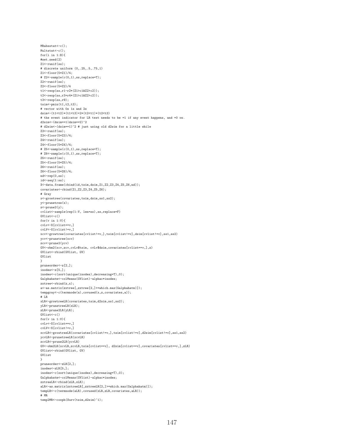MRabsstat<-c(); Multstat <- c(); for $(i \text{ in } 1:B)$ { #set.seed(2)  $Z1$  <  $-$  runif(ss); # discrete uniform (0,.25,.5,.75,1) Z1<-floor(5\*Z1)/4; # Z2<-sample(c(0,1),ss,replace=T);  $Z2$  <  $-$  runif(ss); Z2<-floor(5\*Z2)/4 t1<-rexp(ss,r1-r2\*(Z1>c1&Z2>c2)); t2<-rexp(ss,r3+r4\*(Z1>c1&Z2>c2));  $t3 < -r exp(s s, r9);$  $t \sin \left(-p \min(t1, t2, t3)\right)$ ; # vector with 0s 1s and 2s dsim<-(t1<t2)\*(t1<t3)+2\*(t2<t1)\*(t2<t3) # the event indicator for LR test needs to be =1 if any event happens, and =0 ow.  $d2sim<-$ (dsim==1|dsim==2)^2 # d2sim <- (dsim ==1)^2 # just using old d2sim for a little while Z3<-runif(ss); Z3<-floor(5\*Z3)/4; Z4<-runif(ss); Z4<-floor(5\*Z4)/4; # Z5<-sample(c(0,1),ss,replace=T); # Z6<-sample(c(0,1),ss,replace=T);  $Z5$  <  $-$  runif(ss); Z5<-floor(5\*Z5)/4;  $Z6$  <  $-$  runif(ss); Z6<-floor(5\*Z6)/4; nd<-rep(0,ss);  $id < -seq(1:ss);$ X<-data.frame(cbind(id,tsim,dsim,Z1,Z2,Z3,Z4,Z5,Z6,nd)); covariates<-cbind(Z1,Z2,Z3,Z4,Z5,Z6); # Gray x<-growtree(covariates,tsim,dsim,ss1,ss2); y<-prunetree(x); z<-prune2(y); cvlist<-sample(rep(1:V, len=ss),ss,replace=F) GVlist<-c() for( $v$  in 1:V){ cvLv<-X[cvlist==v,] cvLV<-X[cvlist!=v,] xcv<-growtree(covariates[cvlist!=v,],tsim[cvlist!=v],dsim[cvlist!=v],ss1,ss2) ycv<-prunetree(xcv) zcv<-prune2(ycv) GV<-obm2(xcv,zcv,cvLv\$tsim, cvLv\$dsim,covariates[cvlist==v,],z) GVlist<-rbind(GVlist, GV) GVlist } pruneorder<-z[2,]; inodes<-z[5,]; inodes<-c(sort(unique(inodes),decreasing=T),0); Galphahatm<-colMeans(GVlist)-alphac\*inodes; zxtree<-rbind(z,x); a<-as.matrix(zxtree[,zxtree[2,]>=which.max(Galphahatm)]); tempgray<-c(termnode(a),covused(x,z,covariates,a)); # LR xLR<-growtreeLR(covariates,tsim,d2sim,ss1,ss2); yLR<-prunetreeLR(xLR); zLR<-prune2LR(yLR);  $GVlist<-c()$ for(v in 1:V){ cvLv<-X[cvlist==v,] cvLV<-X[cvlist!=v,] xcvLR<-growtreeLR(covariates[cvlist!=v,],tsim[cvlist!=v],d2sim[cvlist!=v],ss1,ss2) ycvLR<-prunetreeLR(xcvLR) zcvLR<-prune2LR(ycvLR) GV<-obm2LR(xcvLR,zcvLR,tsim[cvlist==v], d2sim[cvlist==v],covariates[cvlist==v,],zLR) GVlist<-rbind(GVlist, GV) GVlist } pruneorder<-zLR[2,]; .<br>inodes<-zLR[5,]; inodes<-c(sort(unique(inodes),decreasing=T),0); Galphahatm<-colMeans(GVlist)-alphac\*inodes; zxtreeLR<-rbind(zLR,xLR);  $\verb+aLR<-as.matrix(xxtreeLR[, xxtreeLR[2,]>=which.max(Galphahatm)]);$ tempLR<-c(termnode(aLR),covused(xLR,zLR,covariates,aLR)); # MR temp2MR<-coxph(Surv(tsim,d2sim)~1);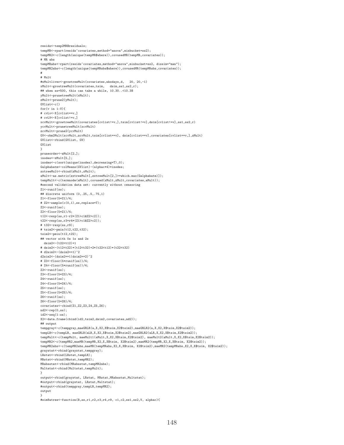```
resids<-temp2MR$residuals;
tempMR<-rpart(resids"covariates,method="anova",minbucket=ss2);
tempMR2<-c(length(unique(tempMR$where)),covusedMR(tempMR,covariates));
# MR abs
tempMRabs<-rpart(resids~covariates,method="anova",minbucket=ss2, dissim="man");
tempMR2abs<-c(length(unique(tempMRabs$where)),covusedMR(tempMRabs,covariates));
#
# Mult
#xMultliver<-growtreeMult(covariates,nhxdays,d, 20, 20,-1)
xMult<-growtreeMult(covariates,tsim, dsim,ss1,ss2,r);
## when ss=500, this can take a while, 10.30..<10.38
yMult<-prunetreeMult(xMult);
.<br>zMult<-prune2(yMult);
GVlist<-c()for(v in 1:V){
# cvLv<-X[cvlist==v,]
# cvLV<-X[cvlist!=v,]
xcvMult<-growtreeMult(covariates[cvlist!=v,],tsim[cvlist!=v],dsim[cvlist!=v],ss1,ss2,r)
ycvMult<-prunetreeMult(xcvMult)
zcvMult<-prune2(ycvMult)
GV<-obm2Mult(xcvMult,zcvMult,tsim[cvlist==v], dsim[cvlist==v],covariates[cvlist==v,],zMult)
GVlist<-rbind(GVlist, GV)
GVlist
}
pruneorder<-zMult[2,];
.<br>inodes<-zMult[5,];
inodes<-c(sort(unique(inodes),decreasing=T),0);
Galphahatm<-colMeans(GVlist)-(alphac*4)*inodes;
zxtreeMult<-rbind(zMult,xMult);
aMult<-as.matrix(zxtreeMult[,zxtreeMult[2,]>=which.max(Galphahatm)]);
tempMult<-c(termnode(aMult),covused(xMult,zMult,covariates,aMult));
#second validation data set: currently without censoring
Z1 < - runif(ss);
## discrete uniform (0,.25,.5,.75,1)
Z1 < -f loor (5*Z1) /4:
# Z2<-sample(c(0,1),ss,replace=T);
Z2<-runif(ss);
Z2<-floor(5*Z1)/4;
t12<-rexp(ss,r1-r2*(Z1>c1&Z2>c2));
t22<-rexp(ss,r3+r4*(Z1>c1&Z2>c2));
# t32<-rexp(ss,r9);
# tsim2<-pmin(t12,t22,t32);
tsim2<-pmin(t12,t22);
## vector with 0s 1s and 2s
  dsim2<-(t22<t12)+1
# dsim2<-(t12<t22)*(t12<t32)+2*(t22<t12)*(t22<t32)
# d2sim2<-(dsim2==1)^2
d2sim2<-(dsim2==1|dsim2==2)^2
# Z3<-floor(5*runif(ss))/4;
# Z4<-floor(5*runif(ss))/4;
Z3<-runif(ss);
Z3<-floor(5*Z3)/4;
Z4<-runif(ss);
Z4<-floor(5*Z4)/4;
Z5<-runif(ss);
Z5<-floor(5*Z5)/4;
Z6<-runif(ss);
Z6<-floor(5*Z6)/4;
covariates<-cbind(Z1,Z2,Z3,Z4,Z5,Z6);
nd2<-rep(0,ss);
id2 < -seq(1:ss);X2<-data.frame(cbind(id2,tsim2,dsim2,covariates,nd2));
## output
tempgray<-c(tempgray,maeGRLR(a,X,X2,X$tsim,X2$tsim2),maeGRLR2(a,X,X2,X$tsim,X2$tsim2));
tempLR<-c(tempLR, maeGRLR(aLR,X,X2,X$tsim,X2$tsim2),maeGRLR2(aLR,X,X2,X$tsim,X2$tsim2));
tempMult<-c(tempMult, maeMult1(aMult,X,X2,X$tsim,X2$tsim2), maeMult2(aMult,X,X2,X$tsim,X2$tsim2));
tempMR2<-c(tempMR2,maeMR(tempMR,X2,X,X$tsim, X2$tsim2),maeMR2(tempMR,X2,X,X$tsim, X2$tsim2));
tempMR2abs<-c(tempMR2abs,maeMR(tempMRabs,X2,X,X$tsim, X2$tsim2),maeMR2(tempMRabs,X2,X,X$tsim, X2$tsim2));
graystat<-rbind(graystat,tempgray);
LRstat<-rbind(LRstat,tempLR);
MRstat<-rbind(MRstat,tempMR2);
MRabsstat<-rbind(MRabsstat,tempMR2abs);
Multstat<-rbind(Multstat,tempMult);
}
output<-rbind(graystat, LRstat, MRstat, MRabsstat, Multstat);
#output<-rbind(graystat, LRstat,Multstat);
#output<-rbind(tempgray,tempLR,tempMR2);
output
}
#sim8atree<-function(B,ss,r1,r2,r3,r4,r9, c1,c2,ss1,ss2,V, alphac){
```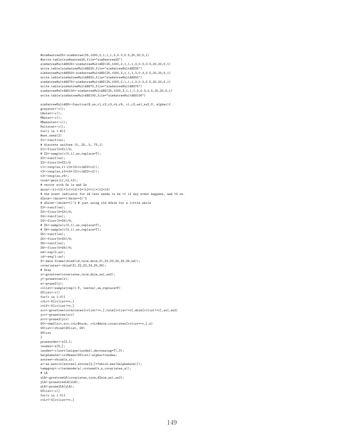```
sim4atreeMultABS25<-sim4atreeMultABS(25,1000,2,1,1,1,3,0.3,0.5,20,20,5,1)
write.table(sim4atreeMultABS25,file="sim4atreeMultABS25")
sim4atreeMultABS50<-sim4atreeMultABS(25,1000,2,1,1,1,3,0.3,0.5,20,20,5,1)
write.table(sim4atreeMultABS50,file="sim4atreeMultABS50")
sim4atreeMultABS75<-sim4atreeMultABS(25,1000,2,1,1,1,3,0.3,0.5,20,20,5,1)
write.table(sim4atreeMultABS75,file="sim4atreeMultABS75")
sim4atreeMultABS100<-sim4atreeMultABS(25,1000,2,1,1,1,3,0.3,0.5,20,20,5,1)
write.table(sim4atreeMultABS100,file="sim4atreeMultABS100")
sim5atreeMultABS<-function(B,ss,r1,r2,r3,r4,r9, c1,c2,ss1,ss2,V, alphac){
graystat<-c();
LRstat<-c();
MRstat <- c();
MRabsstat<-c();
Multstat <- c();
for(i in 1:B){
#set.seed(2)
Z1 < - runif(ss);
# discrete uniform (0,.25,.5,.75,1)
Z1<-floor(5*Z1)/4;
# Z2<-sample(c(0.1).ss.replace=T);
Z2 < - runif(ss);
Z2<-floor(5*Z2)/4
t1<-rexp(ss,r1-r2*(Z1>c1&Z2>c2));
t2<-rexp(ss,r3+r4*(Z1>c1&Z2>c2));
t3<-revp(ss,r9);tsim<-pmin(t1,t2,t3);
# vector with 0s 1s and 2s
dsim<-(t1<t2)*(t1<t3)+2*(t2<t1)*(t2<t3)
# the event indicator for LR test needs to be =1 if any event happens, and =0 ow.
d2sim<-(dsim==1\lfloor dsim==2\rceil 2# d2sim<-(dsim==1)^2 # just using old d2sim for a little while
Z3<-runif(ss);
Z3<-floor(5*Z3)/4;
Z4 < - runif(ss);
Z4<-floor(5*Z4)/4;
# Z5<-sample(c(0,1),ss,replace=T);
# Z6<-sample(c(0,1),ss,replace=T);
Z5 < - runif(ss):
Z5<-floor(5*Z5)/4;
Z6<-runif(ss);
Z6<-floor(5*Z6)/4;
nd<-rep(0,ss);
id < -seq(1:ss);X<-data.frame(cbind(id,tsim,dsim,Z1,Z2,Z3,Z4,Z5,Z6,nd));
covariates<-cbind(Z1,Z2,Z3,Z4,Z5,Z6);
# Gray
x<-growtree(covariates,tsim,dsim,ss1,ss2);
y<-prunetree(x);
z<-prune2(y);
cvlist<-sample(rep(1:V, len=ss),ss,replace=F)
GVlist<-c()
for(v in 1:V){
cvLv<-X[cvlist==v,]
cvLV<-X[cvlist!=v,]
xcv<-growtree(covariates[cvlist!=v,],tsim[cvlist!=v],dsim[cvlist!=v],ss1,ss2)
ycv<-prunetree(xcv)
zcv<-prune2(ycv)
GV<-obm2(xcv,zcv,cvLv$tsim, cvLv$dsim,covariates[cvlist==v,],z)
GVlist<-rbind(GVlist, GV)
GVlist
}
pruneorder<-z[2,];
\frac{1}{100} inodes < - z[5,];
inodes<-c(sort(unique(inodes),decreasing=T),0);
Galphahatm<-colMeans(GVlist)-alphac*inodes;
zxtree<-rbind(z,x);
a<-as.matrix(zxtree[,zxtree[2,]>=which.max(Galphahatm)]);
tempgray<-c(termnode(a),covused(x,z,covariates,a));
# LR
xLR<-growtreeLR(covariates,tsim,d2sim,ss1,ss2);
yLR<-prunetreeLR(xLR);
zLR<-prune2LR(yLR);
GVlist<-c()
for(v in 1:V){
cvLv<-X[cvlist==v,]
```
#sim8aatree25<-sim8atree(25,1000,2,1,1,1,3,0.3,0.5,20,20,5,1)

#write.table(sim8aatree25,file="sim8aatree25")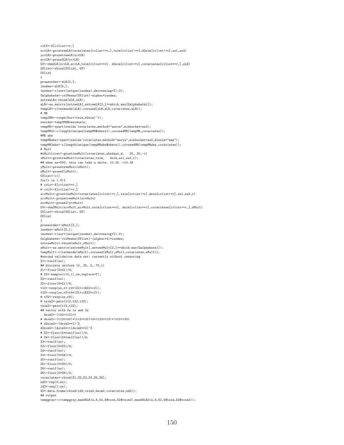```
cvLV<-X[cvlist!=v,]
xcvLR<-growtreeLR(covariates[cvlist!=v,],tsim[cvlist!=v],d2sim[cvlist!=v],ss1,ss2)
ycvLR<-prunetreeLR(xcvLR)
zcvLR<-prune2LR(ycvLR)
GV<-obm2LR(xcvLR,zcvLR,tsim[cvlist==v], d2sim[cvlist==v],covariates[cvlist==v,],zLR)
GVlist<-rbind(GVlist, GV)
GVlist
}
pruneorder<-zLR[2,];
inodes<-zLR[5,];
inodes<-c(sort(unique(inodes),decreasing=T),0);
Galphahatm<-colMeans(GVlist)-alphac*inodes;
zxtreeLR<-rbind(zLR,xLR);
aLR<-as.matrix(zxtreeLR[,zxtreeLR[2,]>=which.max(Galphahatm)]);
tempLR<-c(termnode(aLR),covused(xLR,zLR,covariates,aLR));
# MR
temp2MR<-coxph(Surv(tsim,d2sim)~1);
resids<-temp2MR$residuals;
tempMR<-rpart(resids~covariates,method="anova",minbucket=ss2);
tempMR2<-c(length(unique(tempMR$where)),covusedMR(tempMR,covariates));
#MR abs
tempMRabs<-rpart(resids~covariates,method="anova",minbucket=ss2,dissim="man");
tempMR2abs<-c(length(unique(tempMRabs$where)),covusedMR(tempMRabs,covariates));
# Mult
#xMultliver<-growtreeMult(covariates,nhxdays,d, 20, 20,-1)
xMult<-growtreeMult(covariates,tsim, dsim,ss1,ss2,r);
## when ss=500, this can take a while, 10.30..<10.38
yMult<-prunetreeMult(xMult);
zMult<-prune2(yMult);
GVlist<-c()
for(v in 1:V){
# cvLv<-X[cvlist==v,]
# cvLV<-X[cvlist!=v,]
xcvMult<-growtreeMult(covariates[cvlist!=v,],tsim[cvlist!=v],dsim[cvlist!=v],ss1,ss2,r)
ycvMult<-prunetreeMult(xcvMult)
zcvMult<-prune2(ycvMult)
GV<-obm2Mult(xcvMult,zcvMult,tsim[cvlist==v], dsim[cvlist==v],covariates[cvlist==v,],zMult)
GVlist<-rbind(GVlist, GV)
GVlist
}
pruneorder<-zMult[2,];
inodes<-zMult[5,];
inodes<-c(sort(unique(inodes),decreasing=T),0);
Galphahatm<-colMeans(GVlist)-(alphac*4)*inodes;
zxtreeMult<-rbind(zMult,xMult);
aMult<-as.matrix(zxtreeMult[,zxtreeMult[2,]>=which.max(Galphahatm)]);
tempMult<-c(termnode(aMult),covused(xMult,zMult,covariates,aMult));
#second validation data set: currently without censoring
Z1 < - runif(ss);
## discrete uniform (0,.25,.5,.75,1)
Z1<-floor(5*Z1)/4;
# Z2<-sample(c(0,1),ss,replace=T);
Z2<-runif(ss);
Z2<-floor(5*Z1)/4;
t12<-rexp(ss,r1-r2*(Z1>c1&Z2>c2));
t22<-rexp(ss,r3+r4*(Z1>c1&Z2>c2));
# t32<-rexp(ss,r9);
# tsim2<-pmin(t12,t22,t32);
t\sin2<-pmin(t12,t22);## vector with 0s 1s and 2s
 dsim2<-(t22<t12)+1
# dsim2<-(t12<t22)*(t12<t32)+2*(t22<t12)*(t22<t32)
# d2sim2<-(dsim2==1)^2
d2sim2<-(dsim2==1|dsim2==2)^2
# Z3<-floor(5*runif(ss))/4;
# Z4<-floor(5*runif(ss))/4;
Z3 < - runif(ss);
Z3<-floor(5*Z3)/4;
Z4 < - runif(ss);
Z4<-floor(5*Z4)/4;
Z5<-runif(ss);
Z5<-floor(5*Z5)/4;
Z6 < - runif(ss);
Z6<-floor(5*Z6)/4;
covariates<-cbind(Z1,Z2,Z3,Z4,Z5,Z6);
nd2 < -\text{rep}(0, \text{ss});
id2<-seq(1:ss);
X2<-data.frame(cbind(id2,tsim2,dsim2,covariates,nd2));
## output
tempgray <- c(tempgray,maeGRLR(a,X,X2,X$tsim,X2$tsim2), maeGRLR2(a,X,X2,X$tsim,X2$tsim2));
```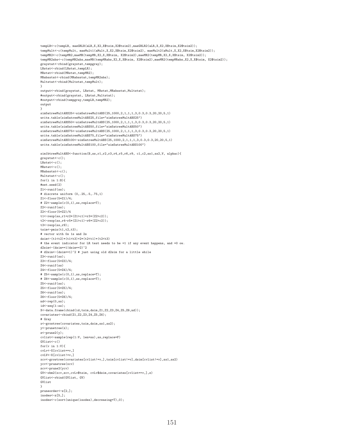tempLR<-c(tempLR, maeGRLR(aLR,X,X2,X\$tsim,X2\$tsim2),maeGRLR2(aLR,X,X2,X\$tsim,X2\$tsim2)); tempMult <- c(tempMult, maeMult1(aMult,X,X2,X\$tsim,X2\$tsim2), maeMult2(aMult,X,X2,X\$tsim,X2\$tsim2)); tempMR2<-c(tempMR2,maeMR(tempMR,X2,X,X\$tsim, X2\$tsim2),maeMR2(tempMR,X2,X,X\$tsim, X2\$tsim2)); tempMR2abs<-c(tempMR2abs,maeMR(tempMRabs,X2,X,X\$tsim, X2\$tsim2),maeMR2(tempMRabs,X2,X,X\$tsim, X2\$tsim2)); graystat<-rbind(graystat,tempgray); LRstat<-rbind(LRstat,tempLR); MRstat<-rbind(MRstat,tempMR2); MRabsstat<-rbind(MRabsstat,tempMR2abs); Multstat<-rbind(Multstat,tempMult); } output<-rbind(graystat, LRstat, MRstat, MRabsstat, Multstat); #output<-rbind(graystat, LRstat,Multstat); #output<-rbind(tempgray,tempLR,tempMR2); output } sim5atreeMultABS25<-sim5atreeMultABS(25,1000,2,1,1,1,3,0.3,0.3,20,20,5,1) write.table(sim5atreeMultABS25,file="sim5atreeMultABS25") sim5atreeMultABS50<-sim5atreeMultABS(25,1000,2,1,1,1,3,0.3,0.3,20,20,5,1) write.table(sim5atreeMultABS50,file="sim5atreeMultABS50") sim5atreeMultABS75<-sim5atreeMultABS(25,1000,2,1,1,1,3,0.3,0.3,20,20,5,1) write.table(sim5atreeMultABS75,file="sim5atreeMultABS75") sim5atreeMultABS100<-sim5atreeMultABS(25,1000,2,1,1,1,3,0.3,0.3,20,20,5,1) write.table(sim5atreeMultABS100,file="sim5atreeMultABS100") sim1btreeMultABS<-function(B,ss,r1,r2,r3,r4,r5,r6,r9, c1,c2,ss1,ss2,V, alphac){  $\texttt{graystat}\texttt{<-c}()$  ; LRstat<-c(); MRstat<-c(); MRabsstat<-c();  $Multstat<-c()$ ; for(i in 1:B){  $#est.seed(2)$  $Z1$  <  $-$  runif(ss); # discrete uniform (0,.25,.5,.75,1) Z1<-floor(5\*Z1)/4; # Z2<-sample(c(0,1),ss,replace=T); Z2<-runif(ss); Z2<-floor(5\*Z2)/4 t1<-rexp(ss,r1+r2\*(Z1>c1)+r3\*(Z2>c2)); t2<-rexp(ss,r4-r5\*(Z1>c1)-r6\*(Z2>c2)); t3<-rexp(ss,r9);  $t \sin \leftarrow p \min(t1, t2, t3);$ # vector with 0s 1s and 2s dsim<-(t1<t2)\*(t1<t3)+2\*(t2<t1)\*(t2<t3) # the event indicator for LR test needs to be =1 if any event happens, and =0 ow. d2sim <-  $(dsim==1|dsim==2)^2$ # d2sim <- (dsim ==1)^2 # just using old d2sim for a little while Z3<-runif(ss); Z3<-floor(5\*Z3)/4; Z4<-runif(ss) Z4<-floor(5\*Z4)/4; # Z5<-sample(c(0,1),ss,replace=T); # Z6<-sample(c(0,1),ss,replace=T);  $Z5$  <  $-$  runif(ss); Z5<-floor(5\*Z5)/4;  $Z6 < -r$ unif(ss); Z6<-floor(5\*Z6)/4; nd<-rep(0,ss);  $id < -seq(1:ss);$ X<-data.frame(cbind(id,tsim,dsim,Z1,Z2,Z3,Z4,Z5,Z6,nd)); covariates<-cbind(Z1,Z2,Z3,Z4,Z5,Z6); # Gray x<-growtree(covariates,tsim,dsim,ss1,ss2); y<-prunetree(x);  $z$  <-prune  $2(y)$ ; cvlist<-sample(rep(1:V, len=ss),ss,replace=F) GVlist<-c() for(v in 1:V){ cvLv<-X[cvlist==v,] cvLV<-X[cvlist!=v,] xcv<-growtree(covariates[cvlist!=v,],tsim[cvlist!=v],dsim[cvlist!=v],ss1,ss2) ycv<-prunetree(xcv) zcv<-prune2(ycv) GV<-obm2(xcv,zcv,cvLv\$tsim, cvLv\$dsim,covariates[cvlist==v,],z) GVlist<-rbind(GVlist, GV) GVlist } pruneorder<-z[2,]; inodes<-z[5,]; inodes<-c(sort(unique(inodes),decreasing=T),0);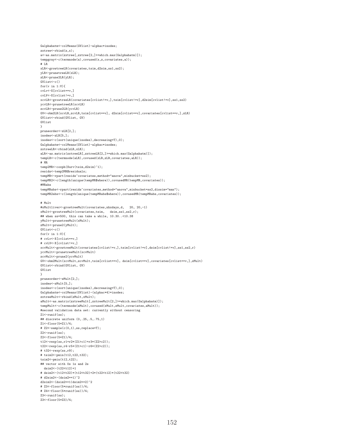Galphahatm<-colMeans(GVlist)-alphac\*inodes; zxtree<sup><-</sup>rbind(z,x); a<-as.matrix(zxtree[,zxtree[2,]>=which.max(Galphahatm)]); tempgray<-c(termnode(a),covused(x,z,covariates,a)); # LR xLR<-growtreeLR(covariates,tsim,d2sim,ss1,ss2); yLR<-prunetreeLR(xLR); zLR<-prune2LR(yLR);  $GVlist < -c()$ for(v in 1:V){ cvLv<-X[cvlist==v,] cvLV<-X[cvlist!=v,] xcvLR<-growtreeLR(covariates[cvlist!=v,],tsim[cvlist!=v],d2sim[cvlist!=v],ss1,ss2) ycvLR<-prunetreeLR(xcvLR) zcvLR<-prune2LR(ycvLR) GV<-obm2LR(xcvLR,zcvLR,tsim[cvlist==v], d2sim[cvlist==v],covariates[cvlist==v,],zLR) GVlist<-rbind(GVlist, GV) GVlist } pruneorder<-zLR[2,]; inodes<-zLR[5,]; inodes<-c(sort(unique(inodes),decreasing=T),0);  ${\tt Galphahatm--collheans(GVlist)-alphac*inodes};}$ zxtreeLR<-rbind(zLR,xLR); aLR<-as.matrix(zxtreeLR[,zxtreeLR[2,]>=which.max(Galphahatm)]); tempLR<-c(termnode(aLR),covused(xLR,zLR,covariates,aLR)); # MR temp2MR<-coxph(Surv(tsim,d2sim)~1); resids<-temp2MR\$residuals; tempMR<-rpart(resids~covariates,method="anova",minbucket=ss2); tempMR2<-c(length(unique(tempMR\$where)),covusedMR(tempMR,covariates)); #MRabs tempMRabs<-rpart(resids~covariates,method="anova",minbucket=ss2,dissim="man"); tempMR2abs<-c(length(unique(tempMRabs\$where)),covusedMR(tempMRabs,covariates)); # Mult #xMultliver<-growtreeMult(covariates,nhxdays,d, 20, 20,-1) xMult<-growtreeMult(covariates,tsim, dsim,ss1,ss2,r); ## when ss=500, this can take a while, 10.30..<10.38 yMult<-prunetreeMult(xMult); zMult<-prune2(yMult);  $GVlist<-c()$ for $(v$  in  $1:V)$  { # cvLv<-X[cvlist==v,] # cvLV<-X[cvlist!=v,]  $\verb|xcvMult<-groutreeMult(covariates[cvlist!=v,],tsim[cvlist!=v],dsim[cvlist!=v],ss1,ss2,r)|$ ycvMult<-prunetreeMult(xcvMult) zcvMult<-prune2(ycvMult) GV<-obm2Mult(xcvMult,zcvMult,tsim[cvlist==v], dsim[cvlist==v],covariates[cvlist==v,],zMult) GVlist<-rbind(GVlist, GV) GVlist } pruneorder<-zMult[2,]; inodes<-zMult[5,]; inodes<-c(sort(unique(inodes),decreasing=T),0); Galphahatm<-colMeans(GVlist)-(alphac\*4)\*inodes; zxtreeMult<-rbind(zMult,xMult); aMult<-as.matrix(zxtreeMult[,zxtreeMult[2,]>=which.max(Galphahatm)]); tempMult<-c(termnode(aMult),covused(xMult,zMult,covariates,aMult)); #second validation data set: currently without censoring Z1<-runif(ss); ## discrete uniform (0,.25,.5,.75,1) Z1<-floor(5\*Z1)/4; # Z2<-sample(c(0,1),ss,replace=T);  $Z2$  <  $-$  runif(ss); Z2<-floor(5\*Z1)/4; t12<-rexp(ss,r1+r2\*(Z1>c1)+r3\*(Z2>c2));  $t22 < -r exp(ss, r4-r5*(Z1>c1)-r6*(Z2>c2));$ # t32<-rexp(ss,r9); # tsim2<-pmin(t12,t22,t32); tsim2<-pmin(t12,t22); ## vector with 0s 1s and 2s dsim2<-(t22<t12)+1 # dsim2<-(t12<t22)\*(t12<t32)+2\*(t22<t12)\*(t22<t32) # d2sim2<-(dsim2==1)^2 d2sim2<-(dsim2==1|dsim2==2)^2 # Z3<-floor(5\*runif(ss))/4; # Z4<-floor(5\*runif(ss))/4;  $Z3$   $\leftarrow$  runif(ss) $\cdot$ Z3<-floor(5\*Z3)/4;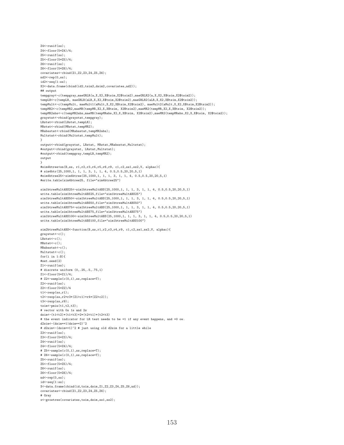```
Z4<-runif(ss);
Z4<-floor(5*Z4)/4;
Z5 < - runif(ss);
Z5<-floor(5*Z5)/4;
Z6 < - runif(ss):
Z6<-floor(5*Z6)/4;
covariates<-cbind(Z1,Z2,Z3,Z4,Z5,Z6);
nd2<-rep(0,ss);
id2 < -seq(1:ss);X2<-data.frame(cbind(id2,tsim2,dsim2,covariates,nd2));
## output
tempgray<-c(tempgray,maeGRLR(a,X,X2,X$tsim,X2$tsim2),maeGRLR2(a,X,X2,X$tsim,X2$tsim2));
tempLR<-c(tempLR, maeGRLR(aLR,X,X2,X$tsim,X2$tsim2),maeGRLR2(aLR,X,X2,X$tsim,X2$tsim2));
tempMult<-c(tempMult, maeMult1(aMult,X,X2,X$tsim,X2$tsim2), maeMult2(aMult,X,X2,X$tsim,X2$tsim2));
tempMR2<-c(tempMR2,maeMR(tempMR,X2,X,X$tsim, X2$tsim2),maeMR2(tempMR,X2,X,X$tsim, X2$tsim2));
tempMR2abs<-c(tempMR2abs,maeMR(tempMRabs,X2,X,X$tsim, X2$tsim2),maeMR2(tempMRabs,X2,X,X$tsim, X2$tsim2));
graystat<-rbind(graystat,tempgray);
LRstat<-rbind(LRstat,tempLR);
MRstat<-rbind(MRstat,tempMR2);
MRabsstat<-rbind(MRabsstat,tempMR2abs);
Multstat<-rbind(Multstat,tempMult);
}
output<-rbind(graystat, LRstat, MRstat,MRabsstat,Multstat);
#output<-rbind(graystat, LRstat,Multstat);
#output<-rbind(tempgray,tempLR,tempMR2);
output
}
#sim4btree<on(B,ss, r1,r2,r3,r4,r5,r6,r9, c1,c2,ss1,ss2,V, alphac){
# sim4btr(25,1000,1, 1, 1, 3, 1, 1, 4, 0.5,0.5,20,20,5,1)
#sim4btree25<-sim4btree(25,1000,1, 1, 1, 3, 1, 1, 4, 0.5,0.5,20,20,5,1)
#write.table(sim4btree25, file="sim4btree25")
sim1btreeMultABS25<-sim1btreeMultABS(25,1000,1, 1, 1, 3, 1, 1, 4, 0.5,0.5,20,20,5,1)
write.table(sim1btreeMultABS25,file="sim1btreeMultABS25")
sim1btreeMultABS50<-sim1btreeMultABS(25,1000,1, 1, 1, 3, 1, 1, 4, 0.5,0.5,20,20,5,1)
write.table(sim1btreeMultABS50,file="sim1btreeMultABS50")
sim1btreeMultABS75<-sim1btreeMultABS(25,1000,1, 1, 1, 3, 1, 1, 4, 0.5,0.5,20,20,5,1)
write.table(sim1btreeMultABS75,file="sim1btreeMultABS75")
sim1btreeMultABS100<-sim1btreeMultABS(25,1000,1, 1, 1, 3, 1, 1, 4, 0.5,0.5,20,20,5,1)
write.table(sim1btreeMultABS100,file="sim1btreeMultABS100")
sim2btreeMultABS<-function(B,ss,r1,r2,r3,r4,r9, c1,c2,ss1,ss2,V, alphac){
graystat<-c();
LRstat <- c();
MRstat<-c();
MRabsstat<-c();
Multstat<-c();
for(i in 1:B){
#set.seed(2)
Z1<-runif(ss);
# discrete uniform (0,.25,.5,.75,1)
Z1<-floor(5*Z1)/4;
# Z2<-sample(c(0,1),ss,replace=T);
Z2 < - runif(ss);
Z2<-floor(5*Z2)/4
t1<-rexp(ss,r1);
t2<-rexp(ss,r2+r3*(Z1>c1)+r4*(Z2>c2));
t3<-rexp(ss,r9);
t\sin<-pmin(t1,t2,t3);# vector with 0s 1s and 2s
dsim<-(t1<t2)*(t1<t3)+2*(t2<t1)*(t2<t3)
# the event indicator for LR test needs to be =1 if any event happens, and =0 ow.
d2sim<-(dsim==1|dsim==2)^2
# d2sim <- (dsim ==1)^2 # just using old d2sim for a little while
Z3<-runif(ss);
Z3<-floor(5*Z3)/4;
Z4<-runif(ss);
Z4<-floor(5*Z4)/4;
# Z5<-sample(c(0,1),ss,replace=T);
# Z6<-sample(c(0,1),ss,replace=T);
Z5<-runif(ss);
Z5<-floor(5*Z5)/4;
Z6 < - runif(ss);
Z6<-floor(5*Z6)/4;
nd < -ren(0, ss);
id < -seq(1:ss);X<-data.frame(cbind(id,tsim,dsim,Z1,Z2,Z3,Z4,Z5,Z6,nd));
covariates<-cbind(Z1,Z2,Z3,Z4,Z5,Z6);
# Gray
x<-growtree(covariates,tsim,dsim,ss1,ss2);
```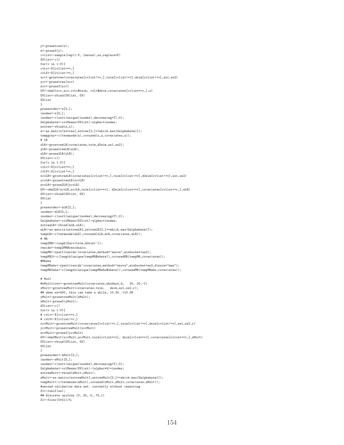y<-prunetree(x); z<-prune2(y); cvlist<-sample(rep(1:V, len=ss),ss,replace=F)  $GVlist<-c()$ for(v in  $1:V$ ){ cvLv<-X[cvlist==v,] cvLV<-X[cvlist!=v,] xcv<-growtree(covariates[cvlist!=v,],tsim[cvlist!=v],dsim[cvlist!=v],ss1,ss2) ycv<-prunetree(xcv) zcv<-prune2(ycv) GV<-obm2(xcv,zcv,cvLv\$tsim, cvLv\$dsim,covariates[cvlist==v,],z) GVlist<-rbind(GVlist, GV) GVlist } pruneorder<-z[2,];  $inc$ des $<-z[5,]$ ; inodes<-c(sort(unique(inodes),decreasing=T),0); Galphahatm<-colMeans(GVlist)-alphac\*inodes;  $zxtree < -rbind(z,x)$ ; a<-as.matrix(zxtree[,zxtree[2,]>=which.max(Galphahatm)]); tempgray<-c(termnode(a),covused(x,z,covariates,a)); # LR xLR<-growtreeLR(covariates,tsim,d2sim,ss1,ss2); yLR<-prunetreeLR(xLR); zLR<-prune2LR(yLR); GVlist<-c() for $(v$  in  $1:V)$  { cvLv<-X[cvlist==v,] cvLV<-X[cvlist!=v,] xcvLR<-growtreeLR(covariates[cvlist!=v,],tsim[cvlist!=v],d2sim[cvlist!=v],ss1,ss2) ycvLR<-prunetreeLR(xcvLR) zcvLR<-prune2LR(ycvLR) GV<-obm2LR(xcvLR,zcvLR,tsim[cvlist==v], d2sim[cvlist==v],covariates[cvlist==v,],zLR) GVlist<-rbind(GVlist, GV) GVlist } pruneorder<-zLR[2,]; inodes<-zLR[5,]; inodes<-c(sort(unique(inodes),decreasing=T),0); Galphahatm<-colMeans(GVlist)-alphac\*inodes; zxtreeLR<-rbind(zLR,xLR); aLR<-as.matrix(zxtreeLR[,zxtreeLR[2,]>=which.max(Galphahatm)]); tempLR<-c(termnode(aLR),covused(xLR,zLR,covariates,aLR)); # MR temp2MR<-coxph(Surv(tsim,d2sim)~1); resids<-temp2MR\$residuals; tempMR<-rpart(resids~covariates,method="anova",minbucket=ss2); tempMR2<-c(length(unique(tempMR\$where)),covusedMR(tempMR,covariates)); #MRabs tempMRabs<-rpart(resids~covariates,method="anova",minbucket=ss2,dissim="man"); tempMR2abs<-c(length(unique(tempMRabs\$where)),covusedMR(tempMRabs,covariates)); # Mult #xMultliver<-growtreeMult(covariates,nhxdays,d, 20, 20,-1) xMult<-growtreeMult(covariates,tsim, dsim,ss1,ss2,r); ## when ss=500, this can take a while, 10.30..<10.38 yMult<-prunetreeMult(xMult); zMult<-prune2(yMult);  $GVlist<-c()$ for( $v$  in 1:V){ # cvLv<-X[cvlist==v,] # cvLV<-X[cvlist!=v,] xcvMult<-growtreeMult(covariates[cvlist!=v,],tsim[cvlist!=v],dsim[cvlist!=v],ss1,ss2,r) ycvMult<-prunetreeMult(xcvMult) zcvMult<-prune2(ycvMult) GV<-obm2Mult(xcvMult,zcvMult,tsim[cvlist==v], dsim[cvlist==v],covariates[cvlist==v,],zMult) GVlist<-rbind(GVlist, GV) GVlist } pruneorder<-zMult[2,]; inodes<-zMult[5,]; inodes<-c(sort(unique(inodes),decreasing=T),0); Galphahatm<-colMeans(GVlist)-(alphac\*4)\*inodes; zxtreeMult<-rbind(zMult,xMult); aMult<-as.matrix(zxtreeMult[,zxtreeMult[2,]>=which.max(Galphahatm)]); tempMult<-c(termnode(aMult),covused(xMult,zMult,covariates,aMult)); #second validation data set: currently without censoring  $Z1$  <  $-$  runif(ss); ## discrete uniform (0,.25,.5,.75,1) Z1<-floor(5\*Z1)/4;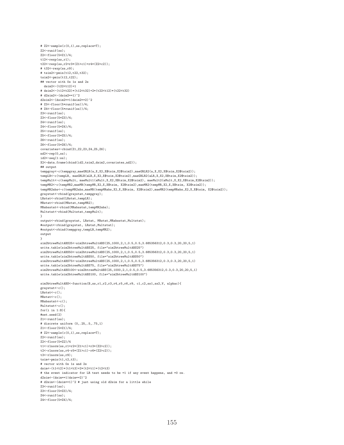```
# Z2<-sample(c(0,1),ss,replace=T);
Z2<-runif(ss);
Z2<-floor(5*Z1)/4;
t12<-rexp(ss,r1);
t22<-rexp(ss,r2+r3*(Z1>c1)+r4*(Z2>c2));
# t32<-rexp(ss,r9);
# tsim2<-pmin(t12,t22,t32);
tsim2<-pmin(t12,t22);
## vector with 0s 1s and 2s
 dsim2<-(t22<t12)+1
# dsim2<-(t12<t22)*(t12<t32)+2*(t22<t12)*(t22<t32)
# d2sim2<-(dsim2==1)^2
d2sim2<-(dsim2==1|dsim2==2)^2
# Z3<-floor(5*runif(ss))/4;
# Z4<-floor(5*runif(ss))/4;
Z3 < - runif(ss):
Z3<-floor(5*Z3)/4;
Z4 < - runif(ss);
Z4<-floor(5*Z4)/4;
Z5<-runif(ss);
Z5<-floor(5*Z5)/4;
Z6 < - runif(ss);
Z6<-floor(5*Z6)/4;
covariates<-cbind(Z1,Z2,Z3,Z4,Z5,Z6);
nd2 < -\text{rep}(0, \text{ss});
id2<-seq(1:ss);
X2<-data.frame(cbind(id2,tsim2,dsim2,covariates,nd2));
## output
tempgray<-c(tempgray,maeGRLR(a,X,X2,X$tsim,X2$tsim2),maeGRLR2(a,X,X2,X$tsim,X2$tsim2));
tempLR<-c(tempLR, maeGRLR(aLR,X,X2,X$tsim,X2$tsim2),maeGRLR2(aLR,X,X2,X$tsim,X2$tsim2));
tempMult<-c(tempMult, maeMult1(aMult,X,X2,X$tsim,X2$tsim2), maeMult2(aMult,X,X2,X$tsim,X2$tsim2));
tempMR2<-c(tempMR2,maeMR(tempMR,X2,X,X$tsim, X2$tsim2),maeMR2(tempMR,X2,X,X$tsim, X2$tsim2));
tempMR2abs<-c(tempMR2abs,maeMR(tempMRabs,X2,X,X$tsim, X2$tsim2),maeMR2(tempMRabs,X2,X,X$tsim, X2$tsim2));
graystat<-rbind(graystat,tempgray);
LRstat<-rbind(LRstat,tempLR);
MRstat<-rbind(MRstat,tempMR2);
MRabsstat<-rbind(MRabsstat,tempMR2abs);
Multstat<-rbind(Multstat,tempMult);
}
output<-rbind(graystat, LRstat, MRstat, MRabsstat, Multstat);
#output<-rbind(graystat, LRstat, Multstat);
#output<-rbind(tempgray,tempLR,tempMR2);
output
}
sim2btreeMultABS25<-sim2btreeMultABS(25,1000,2,1,0.5,0.5,3.685356312,0.3,0.3,20,20,5,1)
write.table(sim2btreeMultABS25, file="sim2btreeMultABS25")
sim2btreeMultABS50<-sim2btreeMultABS(25,1000,2,1,0.5,0.5,3.685356312,0.3,0.3,20,20,5,1)
write.table(sim2btreeMultABS50, file="sim2btreeMultABS50")
sim2btreeMultABS75<-sim2btreeMultABS(25,1000,2,1,0.5,0.5,3.685356312,0.3,0.3,20,20,5,1)
write.table(sim2btreeMultABS75, file="sim2btreeMultABS75")
sim2btreeMultABS100<-sim2btreeMultABS(25,1000,2,1,0.5,0.5,3.685356312,0.3,0.3,20,20,5,1)
write.table(sim2btreeMultABS100, file="sim2btreeMultABS100")
sim3btreeMultABS<-function(B,ss,r1,r2,r3,r4,r5,r6,r9, c1,c2,ss1,ss2,V, alphac){
graystat<-c();
LRstat<-c();
MRstat<-c();
MRabsstat<-c();
Multstat<-c();
for(i in 1:B){
#set.seed(2)
Z1<-runif(ss);
# discrete uniform (0,.25,.5,.75,1)
Z1<-floor(5*Z1)/4;
# Z2<-sample(c(0.1).ss.replace=T);
Z2 < - runif(ss);
Z2<-floor(5*Z2)/4
t1<-rlnorm(ss,r1+r2*(Z1>c1)+r3*(Z2>c2));
t2<-rlnorm(ss,r4-r5*(Z1>c1)-r6*(Z2>c2));
t3<-rlnorm(ss,r9);
t \sin \leftarrow -\min(t1, t2, t3);
# vector with 0s 1s and 2s
dsim<-(t1<t2)*(t1<t3)+2*(t2<t1)*(t2<t3)
# the event indicator for LR test needs to be =1 if any event happens, and =0 ow.
d2sim<-(dsim==1|dsim==2)^2# d2sim<-(dsim==1)^2 # just using old d2sim for a little while
Z3 < - runif(ss):
Z3<-floor(5*Z3)/4;
Z4 < \text{runif(ss)}.
Z4<-floor(5*Z4)/4;
```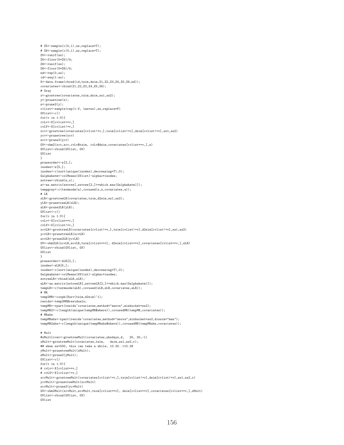```
# Z5<-sample(c(0,1),ss,replace=T);
# Z6<-sample(c(0,1),ss,replace=T);
Z5<-runit(s);
Z5<-floor(5*Z5)/4;
Z6 < -runit(ss);Z6<-floor(5*Z6)/4;
nd<-rep(0,ss);
id < -seq(1:ss);X<-data.frame(cbind(id,tsim,dsim,Z1,Z2,Z3,Z4,Z5,Z6,nd));
covariates<-cbind(Z1,Z2,Z3,Z4,Z5,Z6);
# Gray
x<-growtree(covariates,tsim,dsim,ss1,ss2);
y<-prunetree(x);
z <-prune 2(y);
cvlist<-sample(rep(1:V, len=ss),ss,replace=F)
GVlist<-c()
for(v in 1:V){
cvLv<-X[cvlist==v,]
cvLV<-X[cvlist!=v,]
xcv<-growtree(covariates[cvlist!=v,],tsim[cvlist!=v],dsim[cvlist!=v],ss1,ss2)
ycv<-prunetree(xcv)
zcv<-prune2(ycv)
GV<-obm2(xcv,zcv,cvLv$tsim, cvLv$dsim,covariates[cvlist==v,],z)
GVlist<-rbind(GVlist, GV)
GVlist
}
pruneorder<-z[2,];
inodes<-z[5,];
inodes<-c(sort(unique(inodes),decreasing=T),0);
Galphahatm<-colMeans(GVlist)-alphac*inodes;
zxtree<-rbind(z,x);
a<-as.matrix(zxtree[,zxtree[2,]>=which.max(Galphahatm)]);
tempgray<-c(termnode(a),covused(x,z,covariates,a));
# LR
xLR<-growtreeLR(covariates,tsim,d2sim,ss1,ss2);
yLR<-prunetreeLR(xLR);
zLR<-prune2LR(yLR);
GVlist<-c()
for(v in 1:V){
cvLv<-X[cvlist==v,]
cvLV<-X[cvlist!=v,]
xcvLR<-growtreeLR(covariates[cvlist!=v,],tsim[cvlist!=v],d2sim[cvlist!=v],ss1,ss2)
ycvLR<-prunetreeLR(xcvLR)
zcvLR<-prune2LR(ycvLR)
GV<-obm2LR(xcvLR,zcvLR,tsim[cvlist==v], d2sim[cvlist==v],covariates[cvlist==v,],zLR)
GVlist<-rbind(GVlist, GV)
GVlist
}
pruneorder<-zLR[2,];
.<br>inodes<-zLR[5,];
inodes<-c(sort(unique(inodes),decreasing=T),0);
Galphahatm<-colMeans(GVlist)-alphac*inodes;
zxtreeLR<-rbind(zLR,xLR);
aLR<-as.matrix(zxtreeLR[,zxtreeLR[2,]>=which.max(Galphahatm)]);
tempLR<-c(termnode(aLR),covused(xLR,zLR,covariates,aLR));
# MR
temp2MR<-coxph(Surv(tsim,d2sim)~1);
resids<-temp2MR$residuals;
tempMR<-rpart(resids~covariates,method="anova",minbucket=ss2);
tempMR2<-c(length(unique(tempMR$where)),covusedMR(tempMR,covariates));
# MRabs
tempMRabs<-rpart(resids"covariates,method="anova",minbucket=ss2,dissim="man");
tempMR2abs<-c(length(unique(tempMRabs$where)),covusedMR(tempMRabs,covariates));
# Mult
#xMultliver<-growtreeMult(covariates,nhxdays,d, 20, 20,-1)
xMult<-growtreeMult(covariates,tsim, dsim,ss1,ss2,r);
## when ss=500, this can take a while, 10.30..<10.38
yMult<-prunetreeMult(xMult);
zMult<-prune2(yMult);
GVlist<-c()
for(v in 1:V){
# cvLv<-X[cvlist==v,]
# cvLV<-X[cvlist!=v,]
xcvMult<-growtreeMult(covariates[cvlist!=v,],tsim[cvlist!=v],dsim[cvlist!=v],ss1,ss2,r)
ycvMult<-prunetreeMult(xcvMult)
zcvMult<-prune2(ycvMult)
GV<-obm2Mult(xcvMult,zcvMult,tsim[cvlist==v], dsim[cvlist==v],covariates[cvlist==v,],zMult)
GVlist<-rbind(GVlist, GV)
GVlist
```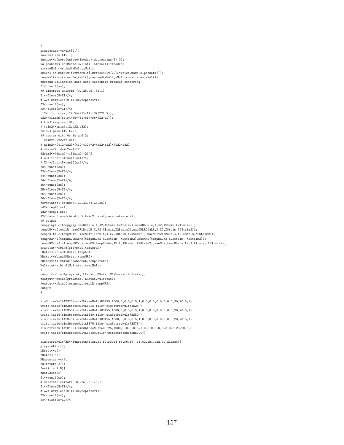} pruneorder<-zMult[2,]; .<br>inodes<-zMult[5,]; inodes<-c(sort(unique(inodes),decreasing=T),0); Galphahatm<-colMeans(GVlist)-(alphac\*4)\*inodes; zxtreeMult<-rbind(zMult,xMult); aMult<-as.matrix(zxtreeMult[,zxtreeMult[2,]>=which.max(Galphahatm)]); tempMult<-c(termnode(aMult),covused(xMult,zMult,covariates,aMult)); #second validation data set: currently without censoring  $Z1$  <  $-$  runif(ss); ## discrete uniform (0,.25,.5,.75,1) Z1<-floor(5\*Z1)/4; # Z2<-sample(c(0,1),ss,replace=T);  $Z2$  <  $-$  runif(ss); Z2<-floor(5\*Z1)/4; t12<-rlnorm(ss,r1+r2\*(Z1>c1)+r3\*(Z2>c2)); t22<-rlnorm(ss,r4-r5\*(Z1>c1)-r6\*(Z2>c2)); # t32<-rexp(ss,r9); # tsim2<-pmin(t12,t22,t32); tsim2<-pmin(t12,t22); ## vector with 0s 1s and 2s dsim2<-(t22<t12)+1 # dsim2<-(t12<t22)\*(t12<t32)+2\*(t22<t12)\*(t22<t32) # d2sim2<-(dsim2==1)^2 d2sim2<-(dsim2==1|dsim2==2)^2 # Z3<-floor(5\*runif(ss))/4; # Z4<-floor(5\*runif(ss))/4;  $Z3$   $\leftarrow$  runif(ss) $\cdot$ Z3<-floor(5\*Z3)/4;  $Z4$  <  $\text{runif(ss)}$ . Z4<-floor(5\*Z4)/4;  $Z5$  <  $-$  runif(ss): Z5<-floor(5\*Z5)/4;  $Z6 < -r$ unif(ss); Z6<-floor(5\*Z6)/4; covariates<-cbind(Z1,Z2,Z3,Z4,Z5,Z6); nd2<-rep(0,ss); id2<-seq(1:ss); X2<-data.frame(cbind(id2,tsim2,dsim2,covariates,nd2)); ## output tempgray <- c(tempgray,maeGRLR(a,X,X2,X\$tsim,X2\$tsim2),maeGRLR2(a,X,X2,X\$tsim,X2\$tsim2)); tempLR<-c(tempLR, maeGRLR(aLR,X,X2,X\$tsim,X2\$tsim2), maeGRLR2(aLR,X,X2,X\$tsim,X2\$tsim2)); tempMult<-c(tempMult, maeMult1(aMult,X,X2,X\$tsim,X2\$tsim2), maeMult2(aMult,X,X2,X\$tsim,X2\$tsim2)); tempMR2<-c(tempMR2,maeMR(tempMR,X2,X,X\$tsim, X2\$tsim2),maeMR2(tempMR,X2,X,X\$tsim, X2\$tsim2)); tempMR2abs<-c(tempMR2abs,maeMR(tempMRabs,X2,X,X\$tsim, X2\$tsim2),maeMR2(tempMRabs,X2,X,X\$tsim, X2\$tsim2)); graystat<-rbind(graystat,tempgray); LRstat<-rbind(LRstat,tempLR); MRstat<-rbind(MRstat,tempMR2); MRabsstat<-rbind(MRabsstat,tempMR2abs); Multstat<-rbind(Multstat,tempMult); } output<-rbind(graystat, LRstat, MRstat,MRabsstat,Multstat); #output<-rbind(graystat, LRstat, Multstat); #output<-rbind(tempgray,tempLR,tempMR2); output } sim3btreeMultABS25<-sim3btreeMultABS(25,1000,0,0.5,0.5,1,0.5,0.5,0,0.3,0.3,20,20,5,1) write.table(sim3btreeMultABS25,file="sim3btreeMultABS25") sim3btreeMultABS50<-sim3btreeMultABS(25,1000,0,0.5,0.5,1,0.5,0.5,0,0.3,0.3,20,20,5,1) write.table(sim3btreeMultABS50,file="sim3btreeMultABS50") sim3btreeMultABS75<-sim3btreeMultABS(25,1000,0,0.5,0.5,1,0.5,0.5,0,0.3,0.3,20,20,5,1) write.table(sim3btreeMultABS75,file="sim3btreeMultABS75") sim3btreeMultABS100<-sim3btreeMultABS(25,1000,0,0.5,0.5,1,0.5,0.5,0,0.3,0.3,20,20,5,1) write.table(sim3btreeMultABS100,file="sim3btreeMultABS100") sim4btreeMultABS<-function(B,ss,r1,r2,r3,r4,r5,r6,r9, c1,c2,ss1,ss2,V, alphac){ graystat<-c();  $LRstat<-c()$ ; MRstat <- c(); MRabsstat<-c(); Multstat<-c(); for(i in 1:B){ #set.seed(2)  $Z1$  <  $-$  runif(ss):

# discrete uniform (0,.25,.5,.75,1) Z1<-floor(5\*Z1)/4; # Z2<-sample(c(0,1),ss,replace=T);  $Z2$  -runif(ss)  $\cdot$ Z2<-floor(5\*Z2)/4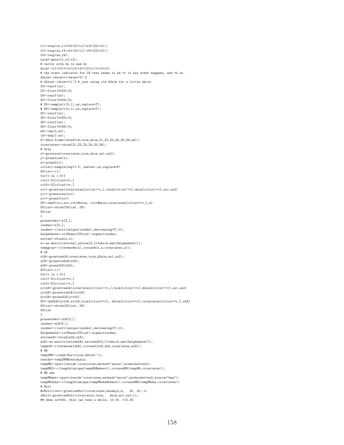```
t1<-rexp(ss,r1+r2*(Z1>c1)+r3*(Z2>c2));
t2<-rexp(ss,r4-r5*(Z1>c1)-r6*(Z2>c2));
t3<-rexp(ss,r9);
t \sin \left(-p \min(t1, t2, t3)\right);# vector with 0s 1s and 2s
dsim<-(t1<t2)*(t1<t3)+2*(t2<t1)*(t2<t3)
# the event indicator for LR test needs to be =1 if any event happens, and =0 ow.
d2sim<-(dsim==1|dsim==2)^2
# d2sim<-(dsim==1)^2 # just using old d2sim for a little while
Z3<-runif(ss);
Z3<-floor(5*Z3)/4;
Z4 < - runif(ss);
Z4<-floor(5*Z4)/4;
# Z5<-sample(c(0,1),ss,replace=T);
# Z6<-sample(c(0,1),ss,replace=T);
Z5 < - runif(ss);
Z5<-floor(5*Z5)/4;
Z6 < -runit(ss);Z6<-floor(5*Z6)/4;
nd<-rep(0,ss);
id \leq -seq(1:ss):
X<-data.frame(cbind(id,tsim,dsim,Z1,Z2,Z3,Z4,Z5,Z6,nd));
covariates<-cbind(Z1,Z2,Z3,Z4,Z5,Z6);
# Gray
x<-growtree(covariates,tsim,dsim,ss1,ss2);
y<-prunetree(x);
z<-prune2(y);
cvlist<-sample(rep(1:V, len=ss),ss,replace=F)
GVIist\leftarrow c()for(v in 1:V) {
cvLv<-X[cvlist==v,]
cvLV<-X[cvlist!=v,]
xcv<-growtree(covariates[cvlist!=v,],tsim[cvlist!=v],dsim[cvlist!=v],ss1,ss2)
ycv<-prunetree(xcv)
zcv<-prune2(ycv)
GV<-obm2(xcv,zcv,cvLv$tsim, cvLv$dsim,covariates[cvlist==v,],z)
GVlist<-rbind(GVlist, GV)
GVlist
}
pruneorder<-z[2,];
inodes<-z[5,];
inodes<-c(sort(unique(inodes),decreasing=T),0);
Galphahatm<-colMeans(GVlist)-alphac*inodes;
zxtree<-rbind(z,x);
a<-as.matrix(zxtree[,zxtree[2,]>=which.max(Galphahatm)]);
tempgray<-c(termnode(a),covused(x,z,covariates,a));
# LR
xLR<-growtreeLR(covariates,tsim,d2sim,ss1,ss2);
yLR<-prunetreeLR(xLR);
zLR<-prune2LR(yLR);
GVlist<-c()for(v in 1:V){
cvLv<-X[cvlist==v,]
cvLV<-X[cvlist!=v,]
xcvLR<-growtreeLR(covariates[cvlist!=v,],tsim[cvlist!=v],d2sim[cvlist!=v],ss1,ss2)
ycvLR<-prunetreeLR(xcvLR)
zcvLR<-prune2LR(ycvLR)
GV<-obm2LR(xcvLR,zcvLR,tsim[cvlist==v], d2sim[cvlist==v],covariates[cvlist==v,],zLR)
GVlist<-rbind(GVlist, GV)
GVlist
}
pruneorder<-zLR[2,];
.<br>inodes<-zLR[5,];
inodes<-c(sort(unique(inodes),decreasing=T),0);
Galphahatm<-colMeans(GVlist)-alphac*inodes;
zxtreeLR<-rbind(zLR,xLR);
aLR<-as.matrix(zxtreeLR[,zxtreeLR[2,]>=which.max(Galphahatm)]);
tempLR<-c(termnode(aLR),covused(xLR,zLR,covariates,aLR));
# MR
temp2MR<-coxph(Surv(tsim,d2sim)~1);
resids<-temp2MR$residuals;
tempMR<-rpart(resids~covariates,method="anova",minbucket=ss2);
tempMR2<-c(length(unique(tempMR$where)),covusedMR(tempMR,covariates));
# MR abs
tempMRabs<-rpart(resids~covariates,method="anova",minbucket=ss2,dissim="man");
tempMR2abs<-c(length(unique(tempMRabs$where)),covusedMR(tempMRabs,covariates))
# Mult
#xMultliver<-growtreeMult(covariates,nhxdays,d, 20, 20,-1)
xMult<-growtreeMult(covariates,tsim, dsim,ss1,ss2,r);
## when ss=500, this can take a while, 10.30..<10.38
```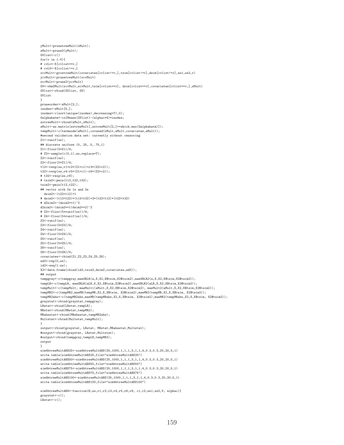```
yMult<-prunetreeMult(xMult);
zMult<-prune2(yMult);
GVlist < -c()for(v in 1:V){
# cvLv<-X[cvlist==v,]
# cvLV<-X[cvlist!=v,]
xcvMult<-growtreeMult(covariates[cvlist!=v,],tsim[cvlist!=v],dsim[cvlist!=v],ss1,ss2,r)
ycvMult<-prunetreeMult(xcvMult)
zcvMult<-prune2(ycvMult)
GV<-obm2Mult(xcvMult,zcvMult,tsim[cvlist==v], dsim[cvlist==v],covariates[cvlist==v,],zMult)
GVlist<-rbind(GVlist, GV)
GVlist
}
pruneorder<-zMult[2,];
inodes<-zMult[5,];
inodes<-c(sort(unique(inodes),decreasing=T),0);
Galphahatm<-colMeans(GVlist)-(alphac*4)*inodes;
zxtreeMult<-rbind(zMult,xMult);
aMult<-as.matrix(zxtreeMult[,zxtreeMult[2,]>=which.max(Galphahatm)]);
tempMult<-c(termnode(aMult),covused(xMult,zMult,covariates,aMult));
#second validation data set: currently without censoring
Z1 < - runif(ss);
## discrete uniform (0,.25,.5,.75,1)
Z1<-floor(5*Z1)/4;
# Z2<-sample(c(0.1).ss.replace=T);
Z2 < - runif(ss);
Z2<-floor(5*Z1)/4;
t12<-rexp(ss,r1+r2*(Z1>c1)+r3*(Z2>c2));
t22<-rexp(ss,r4-r5*(Z1>c1)-r6*(Z2>c2));
# t32<-rexp(ss,r9);
# tsim2<-pmin(t12,t22,t32);
tsim2<-pmin(t12,t22);
## vector with 0s 1s and 2s
 dsim2<-(t22<t12)+1
# dsim2<-(t12<t22)*(t12<t32)+2*(t22<t12)*(t22<t32)
# d2sim2<-(dsim2==1)^2
d2sim2<-(dsim2==1|dsim2==2)^2
# Z3<-floor(5*runif(ss))/4;
# Z4<-floor(5*runif(ss))/4;
Z3 < - runif(ss):
Z3<-floor(5*Z3)/4;
Z4<-runif(ss);
Z4<-floor(5*Z4)/4;
Z5<-runif(ss);
Z5<-floor(5*Z5)/4;
Z6<-runif(ss);
Z6<-floor(5*Z6)/4;
covariates<-cbind(Z1,Z2,Z3,Z4,Z5,Z6);
nd2<-rep(0,ss);
id2<-seq(1:ss);
X2<-data.frame(cbind(id2,tsim2,dsim2,covariates,nd2));
## output
tempgray <- c(tempgray,maeGRLR(a,X,X2,X$tsim,X2$tsim2),maeGRLR2(a,X,X2,X$tsim,X2$tsim2));
tempLR<-c(tempLR, maeGRLR(aLR,X,X2,X$tsim,X2$tsim2),maeGRLR2(aLR,X,X2,X$tsim,X2$tsim2));
tempMult<-c(tempMult, maeMult1(aMult,X,X2,X$tsim,X2$tsim2), maeMult2(aMult,X,X2,X$tsim,X2$tsim2));
tempMR2<-c(tempMR2,maeMR(tempMR,X2,X,X$tsim, X2$tsim2),maeMR2(tempMR,X2,X,X$tsim, X2$tsim2));
tempMR2abs<-c(tempMR2abs,maeMR(tempMRabs,X2,X,X$tsim, X2$tsim2),maeMR2(tempMRabs,X2,X,X$tsim, X2$tsim2));
graystat<-rbind(graystat,tempgray);
LRstat<-rbind(LRstat,tempLR);
MRstat<-rbind(MRstat,tempMR2);
MRabsstat<-rbind(MRabsstat,tempMR2abs);
Multstat<-rbind(Multstat,tempMult);
}
output<-rbind(graystat, LRstat, MRstat, MRabsstat, Multstat);
#output<-rbind(graystat, LRstat,Multstat);
#output<-rbind(tempgray,tempLR,tempMR2);
output
}
sim4btreeMultABS25<-sim4btreeMultABS(25,1000,1,1,1,3,1,1,4,0.3,0.3,20,20,5,1)
write.table(sim4btreeMultABS25,file="sim4btreeMultABS25")
sim4btreeMultABS50<-sim4btreeMultABS(25,1000,1,1,1,3,1,1,4,0.3,0.3,20,20,5,1)
write.table(sim4btreeMultABS50,file="sim4btreeMultABS50")
sim4btreeMultABS75<-sim4btreeMultABS(25,1000,1,1,1,3,1,1,4,0.3,0.3,20,20,5,1)
write.table(sim4btreeMultABS75,file="sim4btreeMultABS75")
sim4btreeMultABS100<-sim4btreeMultABS(25,1000,1,1,1,3,1,1,4,0,3,0,3,20,20,5,1)
write.table(sim4btreeMultABS100,file="sim4btreeMultABS100")
```
sim5btreeMultABS<-function(B,ss,r1,r2,r3,r4,r5,r6,r9, c1,c2,ss1,ss2,V, alphac){  $\texttt{graystat}\texttt{<-c}()$  ;  $LRstat<-c()$ :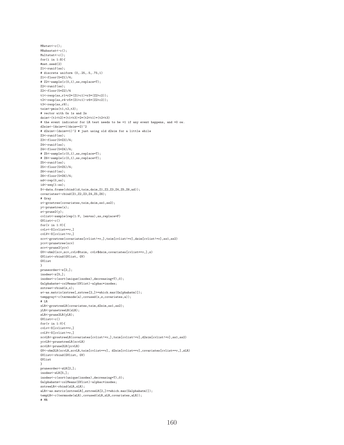```
MRstat <- c();
MRabsstat<-c();
Multstat<-c();
for(i in 1:B){
#set.seed(2)
Z1<-runif(ss);
# discrete uniform (0,.25,.5,.75,1)
Z1<-floor(5*Z1)/4;
# Z2<-sample(c(0,1),ss,replace=T);
Z2 < - runif(ss);
Z2<-floor(5*Z2)/4
t1<-rexp(ss,r1+r2*(Z1>c1)+r3*(Z2>c2));
t2<-rexp(ss,r4-r5*(Z1>c1)-r6*(Z2>c2));
t3 < -rev(ss,r9);
t \sin \left(-p \min(t1, t2, t3)\right);
# vector with 0s 1s and 2s
dsim<-(t1<t2)*(t1<t3)+2*(t2<t1)*(t2<t3)
# the event indicator for LR test needs to be =1 if any event happens, and =0 ow.
d2sim < -( dsim ==1 | dsim ==2) ^2
# d2sim<-(dsim==1)^2 # just using old d2sim for a little while
Z3 < - runif(ss):
Z3<-floor(5*Z3)/4;
Z4 < - runif(ss):
Z4<-floor(5*Z4)/4;
# Z5<-sample(c(0,1),ss,replace=T);
# Z6<-sample(c(0,1),ss,replace=T);
Z5<-runif(ss);
Z5<-floor(5*Z5)/4;
Z6 < - runif(ss):
Z6<-floor(5*Z6)/4;
nd<-rep(0,ss);
id < -seq(1:ss);X<-data.frame(cbind(id,tsim,dsim,Z1,Z2,Z3,Z4,Z5,Z6,nd));
covariates<-cbind(Z1,Z2,Z3,Z4,Z5,Z6);
# Gray
x<-growtree(covariates,tsim,dsim,ss1,ss2);
y<-prunetree(x); % \left\vert \left( \gamma \right) \right\ranglez<-prune2(y);
cvlist<-sample(rep(1:V, len=ss),ss,replace=F)
GVlist<-c()
for(v in 1:V){
cvLv<-X[cvlist==v,]
cvLV<-X[cvlist!=v,]
xcv<-growtree(covariates[cvlist!=v,],tsim[cvlist!=v],dsim[cvlist!=v],ss1,ss2)
ycv<-prunetree(xcv)
zcv<-prune2(ycv)
GV<-obm2(xcv,zcv,cvLv$tsim, cvLv$dsim,covariates[cvlist==v,],z)
GVlist<-rbind(GVlist, GV)
GVlist
}
pruneorder<-z[2,];
inodes<-z[5,];
inodes<-c(sort(unique(inodes),decreasing=T),0);
Galphahatm<-colMeans(GVlist)-alphac*inodes;
zxtree<-rbind(z,x);
a<-as.matrix(zxtree[,zxtree[2,]>=which.max(Galphahatm)]);
tempgray<-c(termnode(a),covused(x,z,covariates,a));
# LR
xLR<-growtreeLR(covariates,tsim,d2sim,ss1,ss2);
yLR<-prunetreeLR(xLR);
zLR<-prune2LR(yLR);
GVlist<-c()for(v in 1:V){
cvLv<-X[cvlist==v,]
cvLV<-X[cvlist!=v,]
xcvLR<-growtreeLR(covariates[cvlist!=v,],tsim[cvlist!=v],d2sim[cvlist!=v],ss1,ss2)
ycvLR<-prunetreeLR(xcvLR)
zcvLR<-prune2LR(ycvLR)
GV<-obm2LR(xcvLR,zcvLR,tsim[cvlist==v], d2sim[cvlist==v],covariates[cvlist==v,],zLR)
GVlist<-rbind(GVlist, GV)
GVlist
}
pruneorder<-zLR[2,];
inodes<-zLR[5,];
inodes<-c(sort(unique(inodes),decreasing=T),0);
Galphahatm<-colMeans(GVlist)-alphac*inodes;
zxtreeLR<-rbind(zLR,xLR);
aLR<-as.matrix(zxtreeLR[,zxtreeLR[2,]>=which.max(Galphahatm)]);
tempLR<-c(termnode(aLR),covused(xLR,zLR,covariates,aLR));
# MR
```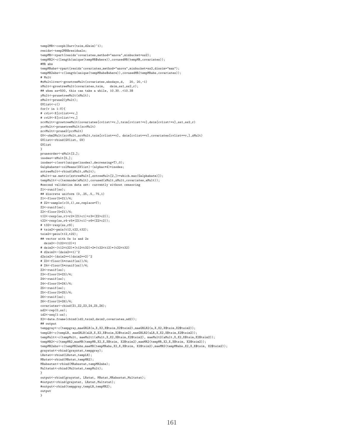```
temp2MR<-coxph(Surv(tsim,d2sim)~1);
resids<-temp2MR$residuals;
tempMR<-rpart(resids~covariates,method="anova",minbucket=ss2);
tempMR2<-c(length(unique(tempMR$where)),covusedMR(tempMR,covariates));
#MR abs
tempMRabs<-rpart(resids"covariates,method="anova",minbucket=ss2,dissim="man");
tempMR2abs<-c(length(unique(tempMRabs$where)),covusedMR(tempMRabs,covariates));
# Mult
#xMultliver<-growtreeMult(covariates,nhxdays,d, 20, 20,-1)
xMult<-growtreeMult(covariates,tsim, dsim,ss1,ss2,r);
## when ss=500, this can take a while, 10.30..<10.38
yMult<-prunetreeMult(xMult);
.<br>zMult<-prune2(yMult);
GVlist<-c()for(v in 1:V){
# cvLv<-X[cvlist==v,]
# cvLV<-X[cvlist!=v,]
xcvMult<-growtreeMult(covariates[cvlist!=v,],tsim[cvlist!=v],dsim[cvlist!=v],ss1,ss2,r)
ycvMult<-prunetreeMult(xcvMult)
zcvMult<-prune2(ycvMult)
GV<-obm2Mult(xcvMult,zcvMult,tsim[cvlist==v], dsim[cvlist==v],covariates[cvlist==v,],zMult)
GVlist<-rbind(GVlist, GV)
GVlist
}
pruneorder<-zMult[2,];
inodes<-zMult[5,];
inodes<-c(sort(unique(inodes),decreasing=T),0);
Galphahatm<-colMeans(GVlist)-(alphac*4)*inodes;
zxtreeMult<-rbind(zMult,xMult);
aMult<-as.matrix(zxtreeMult[,zxtreeMult[2,]>=which.max(Galphahatm)]);
tempMult<-c(termnode(aMult),covused(xMult,zMult,covariates,aMult));
#second validation data set: currently without censoring
Z1 < - runif(ss);
## discrete uniform (0,.25,.5,.75,1)
Z1<-floor(5*Z1)/4;
# Z2<-sample(c(0,1),ss,replace=T);
Z2<-runif(ss);
Z2<-floor(5*Z1)/4;
t12<-rexp(ss,r1+r2*(Z1>c1)+r3*(Z2>c2));
t22<-rexp(ss,r4-r5*(Z1>c1)-r6*(Z2>c2));
# t32<-rexp(ss,r9);
# tsim2<-pmin(t12,t22,t32);
tsim2<-pmin(t12,t22);
## vector with 0s 1s and 2s
  dsim2<-(t22<t12)+1
# dsim2<-(t12<t22)*(t12<t32)+2*(t22<t12)*(t22<t32)
# d2sim2<-(dsim2==1)^2
d2sim2<-(dsim2==1|dsim2==2)^2
# Z3<-floor(5*runif(ss))/4;
# Z4<-floor(5*runif(ss))/4;
Z3<-runif(ss);
Z3<-floor(5*Z3)/4;
Z4<-runif(ss);
Z4<-floor(5*Z4)/4;
Z5<-runif(ss);
Z5<-floor(5*Z5)/4;
Z6<-runif(ss);
Z6<-floor(5*Z6)/4;
covariates<-cbind(Z1,Z2,Z3,Z4,Z5,Z6);
nd2<-rep(0,ss);
id2 < -seq(1:ss);X2<-data.frame(cbind(id2,tsim2,dsim2,covariates,nd2));
## output
tempgray<-c(tempgray,maeGRLR(a,X,X2,X$tsim,X2$tsim2),maeGRLR2(a,X,X2,X$tsim,X2$tsim2));
tempLR<-c(tempLR, maeGRLR(aLR,X,X2,X$tsim,X2$tsim2),maeGRLR2(aLR,X,X2,X$tsim,X2$tsim2));
tempMult<-c(tempMult, maeMult1(aMult,X,X2,X$tsim,X2$tsim2), maeMult2(aMult,X,X2,X$tsim,X2$tsim2));
tempMR2<-c(tempMR2,maeMR(tempMR,X2,X,X$tsim, X2$tsim2),maeMR2(tempMR,X2,X,X$tsim, X2$tsim2));
tempMR2abs<-c(tempMR2abs,maeMR(tempMRabs,X2,X,X$tsim, X2$tsim2),maeMR2(tempMRabs,X2,X,X$tsim, X2$tsim2));
graystat<-rbind(graystat,tempgray);
LRstat<-rbind(LRstat,tempLR);
MRstat<-rbind(MRstat,tempMR2);
MRabsstat<-rbind(MRabsstat,tempMR2abs);
Multstat<-rbind(Multstat,tempMult);
}
output<-rbind(graystat, LRstat, MRstat, MRabsstat, Multstat);
#output<-rbind(graystat, LRstat,Multstat);
#output<-rbind(tempgray,tempLR,tempMR2);
output
}
```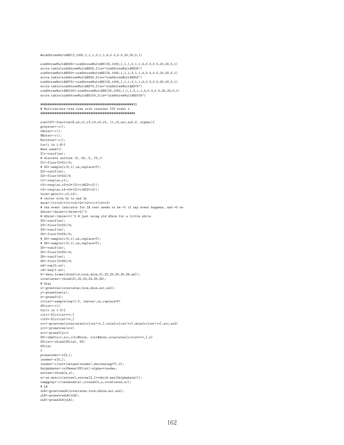## #sim5btreeMultABS(2,1000,1,1,1,3,1,1,4,0.3,0.5,20,20,5,1)

```
sim5btreeMultABS25<-sim5btreeMultABS(25,1000,1,1,1,3,1,1,4,0.3,0.5,20,20,5,1)
write.table(sim5btreeMultABS25,file="sim5btreeMultABS25")
sim5btreeMultABS50<-sim5btreeMultABS(25,1000,1,1,1,3,1,1,4,0.3,0.5,20,20,5,1)
write.table(sim5btreeMultABS50,file="sim5btreeMultABS50")
sim5btreeMultABS75<-sim5btreeMultABS(25,1000,1,1,1,3,1,1,4,0.3,0.5,20,20,5,1)
write.table(sim5btreeMultABS75,file="sim5btreeMultABS75")
sim5btreeMultABS100<-sim5btreeMultABS(25,1000,1,1,1,3,1,1,4,0.3,0.5,20,20,5,1)
write.table(sim5btreeMultABS100,file="sim5btreeMultABS100")
```
#### ####################################################33 # Multivariate tree sims with constant CIF event 1 #####################################################

```
sim1CIF<-function(B,ss,r1,r2,r3,r4,r5, c1,c2,ss1,ss2,V, alphac){
graystat<-c();
LRstat<-c();
MRstat<-c();
Multstat<-c();
for(i in 1:B){
#set.seed(1)
Z1 < - runif(ss) :
# discrete uniform (0,.25,.5,.75,1)
Z1<-floor(5*Z1)/4;
# Z2<-sample(c(0,1),ss,replace=T);
Z2 < - runif(ss):
Z2<-floor(5*Z2)/4
t1<-rexp(ss,r1);
t2<-rexp(ss,r2+r3*(Z1>c1&Z2>c2));
t3<-rexp(ss,r4-r5*(Z1>c1&Z2>c2));
\texttt{tsim<-pmin(t1,t2,t3)};
# vector with 0s 1s and 2s
dsim<-(t1<t2)*(t1<t3)+2*(t2<t1)*(t2<t3)
# the event indicator for LR test needs to be =1 if any event happens, and =0 ow.
d2sim<-(dsim==1|dsim==2)^2
# d2sim <- (dsim ==1)^2 # just using old d2sim for a little while
Z3 < - runif(ss);
Z3<-floor(5*Z3)/4;
Z4<-runif(ss);
Z4<-floor(5*Z4)/4;
# Z5<-sample(c(0,1),ss,replace=T);
# Z6<-sample(c(0,1),ss,replace=T);
Z5<-runif(ss);
Z5<-floor(5*Z5)/4;
Z6<-runif(ss);
Z6<-floor(5*Z6)/4;
nd<-rep(0,ss);
id < -seq(1:ss);X<-data.frame(cbind(id,tsim,dsim,Z1,Z2,Z3,Z4,Z5,Z6,nd));
covariates<-cbind(Z1,Z2,Z3,Z4,Z5,Z6);
# Gray
x<-growtree(covariates,tsim,dsim,ss1,ss2);
y<-prunetree(x);
z<-prune2(y);
cvlist<-sample(rep(1:V, len=ss),ss,replace=F)
GVlist<-c()for(v in 1:V){
cvLv<-X[cvlist==v,]
cvLV<-X[cvlist!=v,]
xcv<-growtree(covariates[cvlist!=v,],tsim[cvlist!=v],dsim[cvlist!=v],ss1,ss2)
ycv<-prunetree(xcv)
zcv<-prune2(ycv)
GV<-obm2(xcv,zcv,cvLv$tsim, cvLv$dsim,covariates[cvlist==v,],z)
GVlist<-rbind(GVlist, GV)
GVlist
}
pruneorder<-z[2,];
inodes<-z[5,];
inodes<-c(sort(unique(inodes),decreasing=T),0);
Galphahatm<-colMeans(GVlist)-alphac*inodes;
zxtree<-rbind(z,x);
a<-as.matrix(zxtree[,zxtree[2,]>=which.max(Galphahatm)]);
tempgray<-c(termnode(a),covused(x,z,covariates,a));
# LR
xLR<-growtreeLR(covariates,tsim,d2sim,ss1,ss2);
yLR<-prunetreeLR(xLR);
.<br>zLR<-prune2LR(yLR):
```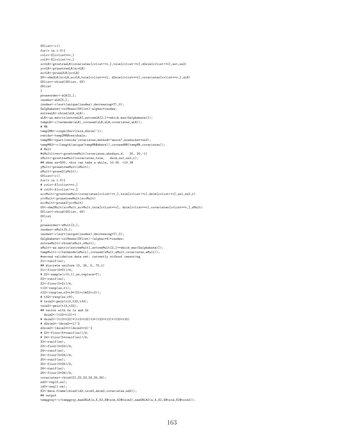GVlist<-c() for(v in 1:V){ cvLv<-X[cvlist==v,] cvLV<-X[cvlist!=v,] xcvLR<-growtreeLR(covariates[cvlist!=v,],tsim[cvlist!=v],d2sim[cvlist!=v],ss1,ss2) ycvLR<-prunetreeLR(xcvLR) zcvLR<-prune2LR(ycvLR) GV<-obm2LR(xcvLR,zcvLR,tsim[cvlist==v], d2sim[cvlist==v],covariates[cvlist==v,],zLR) GVlist<-rbind(GVlist, GV) GVlist } pruneorder<-zLR[2,]; .<br>inodes<-zLR[5,]; inodes<-c(sort(unique(inodes),decreasing=T),0); Galphahatm<-colMeans(GVlist)-alphac\*inodes; zxtreeLR<-rbind(zLR,xLR); aLR<-as.matrix(zxtreeLR[,zxtreeLR[2,]>=which.max(Galphahatm)]); tempLR<-c(termnode(aLR),covused(xLR,zLR,covariates,aLR)); # MR temp2MR<-coxph(Surv(tsim,d2sim)~1); resids<-temp2MR\$residuals; tempMR<-rpart(resids~covariates,method="anova",minbucket=ss2); tempMR2<-c(length(unique(tempMR\$where)),covusedMR(tempMR,covariates)); # Mult #xMultliver<-growtreeMult(covariates,nhxdays,d, 20, 20,-1) xMult<-growtreeMult(covariates,tsim, dsim,ss1,ss2,r); ## when ss=500, this can take a while, 10.30..<10.38 yMult<-prunetreeMult(xMult); zMult<-prune2(yMult); GVlist<-c() for(v in 1:V){ # cvLv<-X[cvlist==v,] # cvLV<-X[cvlist!=v,] xcvMult<-growtreeMult(covariates[cvlist!=v,],tsim[cvlist!=v],dsim[cvlist!=v],ss1,ss2,r) ycvMult<-prunetreeMult(xcvMult) zcvMult<-prune2(ycvMult)  $\texttt{GV<-obm2Mult}(xcvMult,zcvMult,tsim[cvlist=v]\,,\;dsim[cvlist=v]\,,covariates[cvlist=v,\,],zMult)$ GVlist<-rbind(GVlist, GV) GVlist } pruneorder<-zMult[2,]; inodes<-zMult[5,]; inodes<-c(sort(unique(inodes),decreasing=T),0); Galphahatm<-colMeans(GVlist)-(alphac\*4)\*inodes; zxtreeMult<-rbind(zMult,xMult); aMult<-as.matrix(zxtreeMult[,zxtreeMult[2,]>=which.max(Galphahatm)]); tempMult<-c(termnode(aMult),covused(xMult,zMult,covariates,aMult)); #second validation data set: currently without censoring  $Z1$  <  $-$  runif(ss); ## discrete uniform (0,.25,.5,.75,1) Z1<-floor(5\*Z1)/4; # Z2<-sample(c(0,1),ss,replace=T); Z2<-runif(ss); Z2<-floor(5\*Z1)/4; t12<-rexp(ss,r1); t22<-rexp(ss,r2+r3\*(Z1>c1&Z2>c2)); # t32<-rexp(ss,r9); # tsim2<-pmin(t12,t22,t32);  $t\sin2<-pmin(t12,t22);$ ## vector with 0s 1s and 2s dsim2<-(t22<t12)+1 # dsim2<-(t12<t22)\*(t12<t32)+2\*(t22<t12)\*(t22<t32) # d2sim2<-(dsim2==1)^2 d2sim2<-(dsim2==1|dsim2==2)^2 # Z3<-floor(5\*runif(ss))/4; # Z4<-floor(5\*runif(ss))/4;  $Z3$  <  $-$  runif(ss); Z3<-floor(5\*Z3)/4;  $Z4$  <  $-$  runif(ss); Z4<-floor(5\*Z4)/4; Z5<-runif(ss); Z5<-floor(5\*Z5)/4;  $Z6$  <  $-$  runif(ss); Z6<-floor(5\*Z6)/4; covariates<-cbind(Z1,Z2,Z3,Z4,Z5,Z6);  $nd2 < -\text{rep}(0, \text{ss})$ ; id2<-seq(1:ss); X2<-data.frame(cbind(id2,tsim2,dsim2,covariates,nd2)); ## output tempgray <- c(tempgray,maeGRLR(a,X,X2,X\$tsim,X2\$tsim2), maeGRLR2(a,X,X2,X\$tsim,X2\$tsim2));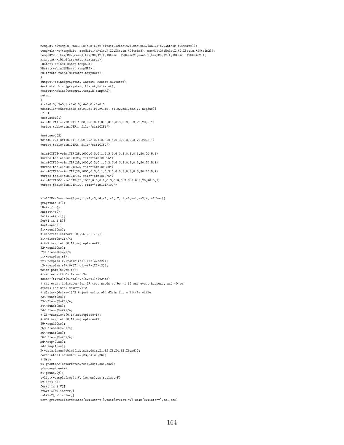tempLR<-c(tempLR, maeGRLR(aLR,X,X2,X\$tsim,X2\$tsim2),maeGRLR2(aLR,X,X2,X\$tsim,X2\$tsim2)); tempMult<-c(tempMult, maeMult1(aMult,X,X2,X\$tsim,X2\$tsim2), maeMult2(aMult,X,X2,X\$tsim,X2\$tsim2)); tempMR2<-c(tempMR2,maeMR(tempMR,X2,X,X\$tsim, X2\$tsim2),maeMR2(tempMR,X2,X,X\$tsim, X2\$tsim2)); graystat<-rbind(graystat,tempgray); LRstat<-rbind(LRstat,tempLR); MRstat<-rbind(MRstat,tempMR2); Multstat<-rbind(Multstat,tempMult); } output<-rbind(graystat, LRstat, MRstat, Multstat); #output<-rbind(graystat, LRstat, Multstat); #output<-rbind(tempgray,tempLR,tempMR2); output } # r1=0.3,r2=0.1 r3=0.3,r4=0.6,r5=0.3 #sim1CIF<-function(B,ss,r1,r2,r3,r4,r5, c1,c2,ss1,ss2,V, alphac){  $r$  <  $-1$ #set.seed(1) #sim1CIF1<-sim1CIF(1,1000,0.3,0.1,0.3,0.6,0.3,0.3,0.3,20,20,5,1) #write.table(sim1CIF1, file="sim1CIF1") #set.seed(2) #sim1CIF2<-sim1CIF(1,1000,0.3,0.1,0.3,0.6,0.3,0.3,0.3,20,20,5,1) #write.table(sim1CIF2, file="sim1CIF2") #sim1CIF25<-sim1CIF(25,1000,0.3,0.1,0.3,0.6,0.3,0.3,0.3,20,20,5,1) #write.table(sim1CIF25, file="sim1CIF25") #sim1CIF50<-sim1CIF(25,1000,0.3,0.1,0.3,0.6,0.3,0.3,0.3,20,20,5,1) #write.table(sim1CIF50, file="sim1CIF50") #sim1CIF75<-sim1CIF(25,1000,0.3,0.1,0.3,0.6,0.3,0.3,0.3,20,20,5,1) #write.table(sim1CIF75, file="sim1CIF75") #sim1CIF100<-sim1CIF(25,1000,0.3,0.1,0.3,0.6,0.3,0.3,0.3,20,20,5,1) #write.table(sim1CIF100, file="sim1CIF100") sim2CIF<-function(B,ss,r1,r2,r3,r4,r5, r6,r7,c1,c2,ss1,ss2,V, alphac){ graystat<-c(); LRstat<-c(); MRstat <- c(); Multstat<-c(); for $(i \text{ in } 1:B)$ { #set.seed(1) Z1<-runif(ss); # discrete uniform (0,.25,.5,.75,1) Z1<-floor(5\*Z1)/4; # Z2<-sample(c(0,1),ss,replace=T); Z2<-runif(ss); Z2<-floor(5\*Z2)/4 t1<-rexp(ss,r1); t2<-rexp(ss,r2+r3\*(Z1>c1)+r4\*(Z2>c2)); t3<-rexp(ss,r5-r6\*(Z1>c1)-r7\*(Z2>c2));  $t\sin<-pmin(t1,t2,t3);$ # vector with 0s 1s and 2s  $\verb+dsim<-(t1$ # the event indicator for LR test needs to be =1 if any event happens, and =0 ow. d2sim <-  $(dsim==1|dsim==2)^2$ # d2sim <- (dsim ==1)^2 # just using old d2sim for a little while Z3 <- runif(ss); Z3<-floor(5\*Z3)/4; Z4<-runif(ss); Z4<-floor(5\*Z4)/4; # Z5<-sample(c(0,1),ss,replace=T); # Z6<-sample(c(0,1),ss,replace=T);  $Z5$  <  $-$  runif(ss); Z5<-floor(5\*Z5)/4; Z6<-runif(ss); Z6<-floor(5\*Z6)/4; nd<-rep(0,ss);  $id \le -seq(1:ss)$ ; X<-data.frame(cbind(id,tsim,dsim,Z1,Z2,Z3,Z4,Z5,Z6,nd)); covariates<-cbind(Z1,Z2,Z3,Z4,Z5,Z6); # Gray x<-growtree(covariates,tsim,dsim,ss1,ss2); y<-prunetree(x); z<-prune2(y); cvlist<-sample(rep(1:V, len=ss),ss,replace=F) GVlist<-c() for $(v$  in  $1:V)$  { cvLv<-X[cvlist==v,] cvLV<-X[cvlist!=v,] xcv<-growtree(covariates[cvlist!=v,],tsim[cvlist!=v],dsim[cvlist!=v],ss1,ss2)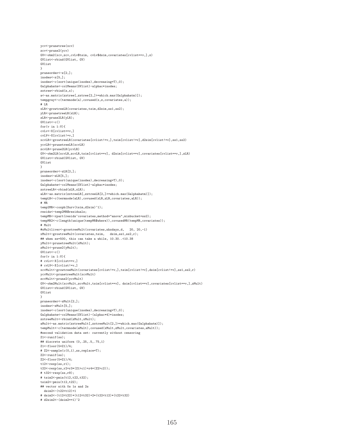```
ycv<-prunetree(xcv)
zcv<-prune2(ycv)
GV<-obm2(xcv,zcv,cvLv$tsim, cvLv$dsim,covariates[cvlist==v,],z)
GVlist<-rbind(GVlist, GV)
GVlist
}
pruneorder<-z[2,];
inodes < z[5,];
inodes<-c(sort(unique(inodes),decreasing=T),0);
Galphahatm<-colMeans(GVlist)-alphac*inodes;
zxtree<-rbind(z,x);
a<-as.matrix(zxtree[,zxtree[2,]>=which.max(Galphahatm)]);
tempgray<-c(termnode(a),covused(x,z,covariates,a));
# LR
xLR<-growtreeLR(covariates,tsim,d2sim,ss1,ss2);
yLR<-prunetreeLR(xLR);
zLR<-prune2LR(yLR);
GVlist<-c()
for(v in 1:V){
cvLv<-X[cvlist==v,]
cvLV<-X[cvlist!=v,]
xcvLR<-growtreeLR(covariates[cvlist!=v,],tsim[cvlist!=v],d2sim[cvlist!=v],ss1,ss2)
ycvLR<-prunetreeLR(xcvLR)
zcvLR<-prune2LR(ycvLR)
GV<-obm2LR(xcvLR,zcvLR,tsim[cvlist==v], d2sim[cvlist==v],covariates[cvlist==v,],zLR)
GVlist<-rbind(GVlist, GV)
GVlist
}
pruneorder<-zLR[2,];
inodes<-zLR[5,];
inodes<-c(sort(unique(inodes),decreasing=T),0);
Galphahatm<-colMeans(GVlist)-alphac*inodes;
zxtreeLR<-rbind(zLR,xLR);
aLR<-as.matrix(zxtreeLR[,zxtreeLR[2,]>=which.max(Galphahatm)]);
tempLR<-c(termnode(aLR),covused(xLR,zLR,covariates,aLR));
# MR
temp2MR<-coxph(Surv(tsim,d2sim)~1);
resids<-temp2MR$residuals;
tempMR<-rpart(resids~covariates,method="anova",minbucket=ss2);
tempMR2<-c(length(unique(tempMR$where)),covusedMR(tempMR,covariates));
# Mult
#xMultliver<-growtreeMult(covariates,nhxdays,d, 20, 20,-1)
xMult<-growtreeMult(covariates,tsim, dsim,ss1,ss2,r);
## when ss=500, this can take a while, 10.30..<10.38
yMult<-prunetreeMult(xMult);
zMult<-prune2(yMult);
GVlist<-c()
for(v in 1:V){
# cvLv<-X[cvlist==v,]
# cvLV<-X[cvlist!=v,]
xcvMult<-growtreeMult(covariates[cvlist!=v,],tsim[cvlist!=v],dsim[cvlist!=v],ss1,ss2,r)
ycvMult<-prunetreeMult(xcvMult)
zcvMult<-prune2(ycvMult)
GV<-obm2Mult(xcvMult,zcvMult,tsim[cvlist==v], dsim[cvlist==v],covariates[cvlist==v,],zMult)
GVlist<-rbind(GVlist, GV)
GVlist
}
pruneorder<-zMult[2,];
inodes<-zMult[5,];
inodes<-c(sort(unique(inodes),decreasing=T),0);
Galphahatm<-colMeans(GVlist)-(alphac*4)*inodes;
zxtreeMult<-rbind(zMult,xMult);
aMult<-as.matrix(zxtreeMult[,zxtreeMult[2,]>=which.max(Galphahatm)]);
tempMult<-c(termnode(aMult),covused(xMult,zMult,covariates,aMult));
#second validation data set: currently without censoring
Z1 < - runif(ss);
## discrete uniform (0,.25,.5,.75,1)
Z1<-floor(5*Z1)/4;
# Z2<-sample(c(0,1),ss,replace=T);
Z2 < - runif(ss);
Z2<-floor(5*Z1)/4;
t12 < - rexp(ss, r1):
t22<-rexp(ss,r2+r3*(Z1>c1)+r4*(Z2>c2));
# t32<-rexp(ss,r9);
# tsim2<-pmin(t12,t22,t32);
t \sin2 < -\text{pmin}(t12,t22);
## vector with 0s 1s and 2s
 dsim2<-(t22<t12)+1
# dsim2<-(t12<t22)*(t12<t32)+2*(t22<t12)*(t22<t32)
# d2sim2<-(dsim2==1)^2
```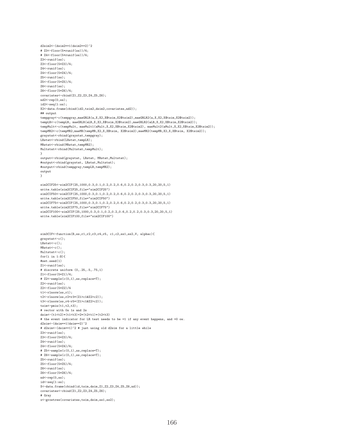```
d2sim2<-(dsim2==1|dsim2==2)^2
# Z3<-floor(5*runif(ss))/4;
# Z4<-floor(5*runif(ss))/4;
Z3<-runif(ss);
Z3<-floor(5*Z3)/4;
Z4<-runif(ss);
Z4<-floor(5*Z4)/4;
Z5<-runif(ss);
Z5<-floor(5*Z5)/4;
Z6 < - runif(ss);
Z6<-floor(5*Z6)/4;
covariates<-cbind(Z1,Z2,Z3,Z4,Z5,Z6);
nd2<-rep(0,ss);
id2 < - seq(1:ss);
X2<-data.frame(cbind(id2,tsim2,dsim2,covariates,nd2));
## output
tempgray <-c(tempgray,maeGRLR(a,X,X2,X$tsim,X2$tsim2),maeGRLR2(a,X,X2,X$tsim,X2$tsim2));
tempLR<-c(tempLR, maeGRLR(aLR,X,X2,X$tsim,X2$tsim2), maeGRLR2(aLR,X,X2,X$tsim,X2$tsim2));
tempMult<-c(tempMult, maeMult1(aMult,X,X2,X$tsim,X2$tsim2), maeMult2(aMult,X,X2,X$tsim,X2$tsim2));
tempMR2<-c(tempMR2,maeMR(tempMR,X2,X,X$tsim, X2$tsim2),maeMR2(tempMR,X2,X,X$tsim, X2$tsim2));
graystat<-rbind(graystat,tempgray);
LRstat<-rbind(LRstat,tempLR);
MRstat<-rbind(MRstat,tempMR2);
Multstat<-rbind(Multstat,tempMult);
}
output<-rbind(graystat, LRstat, MRstat,Multstat);
#output<-rbind(graystat, LRstat,Multstat);
#output<-rbind(tempgray,tempLR,tempMR2);
output
}
sim2CIF25<-sim2CIF(25,1000,0.3,0.1,0.2,0.2,0.6,0.2,0.2,0.3,0.3,20,20,5,1)
write.table(sim2CIF25,file="sim2CIF25")
sim2CIF50<-sim2CIF(25,1000,0.3,0.1,0.2,0.2,0.6,0.2,0.2,0.3,0.3,20,20,5,1)
write.table(sim2CIF50,file="sim2CIF50")
sim2CIF75<-sim2CIF(25,1000,0.3,0.1,0.2,0.2,0.6,0.2,0.2,0.3,0.3,20,20,5,1)
write.table(sim2CIF75,file="sim2CIF75")
sim2CIF100<-sim2CIF(25,1000,0.3,0.1,0.2,0.2,0.6,0.2,0.2,0.3,0.3,20,20,5,1)
write.table(sim2CIF100,file="sim2CIF100")
sim3CIF<-function(B,ss,r1,r2,r3,r4,r5, c1,c2,ss1,ss2,V, alphac){
graystat<-c();
LRstat<-c();
MRstat <- c();
Multstat<-c();
for(i in 1:B){
#set.seed(1)
Z1<-runif(ss);
# discrete uniform (0,.25,.5,.75,1)
Z1<-floor(5*Z1)/4;
# Z2<-sample(c(0,1),ss,replace=T);
Z2 < - runif(ss);
Z2<-floor(5*Z2)/4
t1<-rlnorm(ss,r1);
t2<-rlnorm(ss,r2+r3*(Z1>c1&Z2>c2));
t3<-rlnorm(ss,r4-r5*(Z1>c1&Z2>c2));
t\sin<-pmin(t1,t2,t3);# vector with 0s 1s and 2s
dsim<-(t1<t2)*(t1<t3)+2*(t2<t1)*(t2<t3)
# the event indicator for LR test needs to be =1 if any event happens, and =0 ow.
d2sim < -( dsim ==1 | dsim ==2) ^2
# d2sim <- (dsim ==1)^2 # just using old d2sim for a little while
Z3<-runif(ss);
Z3<-floor(5*Z3)/4;
Z4<-runif(ss);
Z4<-floor(5*Z4)/4;
# Z5<-sample(c(0,1),ss,replace=T);
# Z6<-sample(c(0.1).ss.replace=T);
Z5<-runif(ss);
Z5<-floor(5*Z5)/4;
Z6 < - runif(ss);
Z6<-floor(5*Z6)/4;
nd < -ren(0, ss);
id < -seq(1:ss);X<-data.frame(cbind(id,tsim,dsim,Z1,Z2,Z3,Z4,Z5,Z6,nd));
covariates<-cbind(Z1,Z2,Z3,Z4,Z5,Z6);
# Gray
x<-growtree(covariates,tsim,dsim,ss1,ss2);
```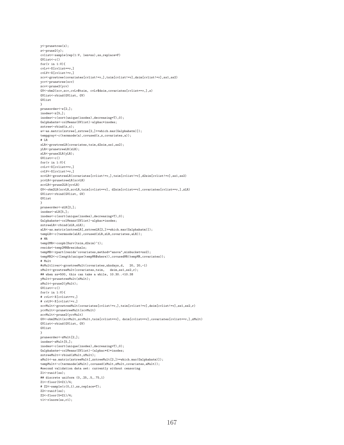```
y<-prunetree(x);
z<-prune2(y);
cvlist<-sample(rep(1:V, len=ss),ss,replace=F)
GVlist<-c()for(v in 1:V){
cvLv<-X[cvlist==v,]
cvLV<-X[cvlist!=v,]
xcv<-growtree(covariates[cvlist!=v,],tsim[cvlist!=v],dsim[cvlist!=v],ss1,ss2)
ycv<-prunetree(xcv)
zcv<-prune2(ycv)
GV<-obm2(xcv,zcv,cvLv$tsim, cvLv$dsim,covariates[cvlist==v,],z)
GVlist<-rbind(GVlist, GV)
GVlist
}
pruneorder<-z[2,];
incdes<-z[5,];
inodes<-c(sort(unique(inodes),decreasing=T),0);
Galphahatm<-colMeans(GVlist)-alphac*inodes;
zxtree < -rbind(z,x);
a<-as.matrix(zxtree[,zxtree[2,]>=which.max(Galphahatm)]);
tempgray<-c(termnode(a),covused(x,z,covariates,a));
# LR
xLR<-growtreeLR(covariates,tsim,d2sim,ss1,ss2);
yLR<-prunetreeLR(xLR);
zLR<-prune2LR(yLR);
GVlist<-c()
for(v in 1:V) {
cvLv<-X[cvlist==v,]
cvLV<-X[cvlist!=v,]
xcvLR<-growtreeLR(covariates[cvlist!=v,],tsim[cvlist!=v],d2sim[cvlist!=v],ss1,ss2)
ycvLR<-prunetreeLR(xcvLR)
zcvLR<-prune2LR(ycvLR)
GV<-obm2LR(xcvLR,zcvLR,tsim[cvlist==v], d2sim[cvlist==v],covariates[cvlist==v,],zLR)
GVlist<-rbind(GVlist, GV)
GVlist
}
pruneorder<-zLR[2,];
inodes<-zLR[5,];
inodes<-c(sort(unique(inodes),decreasing=T),0);
Galphahatm<-colMeans(GVlist)-alphac*inodes;
zxtreeLR<-rbind(zLR,xLR);
aLR<-as.matrix(zxtreeLR[,zxtreeLR[2,]>=which.max(Galphahatm)]);
tempLR<-c(termnode(aLR),covused(xLR,zLR,covariates,aLR));
# MR
temp2MR<-coxph(Surv(tsim,d2sim)~1);
resids<-temp2MR$residuals;
tempMR<-rpart(resids~covariates,method="anova",minbucket=ss2);
tempMR2<-c(length(unique(tempMR$where)),covusedMR(tempMR,covariates));
# Mult
#xMultliver<-growtreeMult(covariates,nhxdays,d, 20, 20,-1)
xMult<-growtreeMult(covariates,tsim, dsim,ss1,ss2,r);
## when ss=500, this can take a while, 10.30..<10.38
yMult<-prunetreeMult(xMult);
zMult<-prune2(yMult);
GVlist<-c()for(v in 1:V){
# cvLv<-X[cvlist==v,]
# cvLV<-X[cvlist!=v,]
xcvMult<-growtreeMult(covariates[cvlist!=v,],tsim[cvlist!=v],dsim[cvlist!=v],ss1,ss2,r)
ycvMult<-prunetreeMult(xcvMult)
zcvMult<-prune2(ycvMult)
GV<-obm2Mult(xcvMult,zcvMult,tsim[cvlist==v], dsim[cvlist==v],covariates[cvlist==v,],zMult)
GVlist<-rbind(GVlist, GV)
GVlist
}
pruneorder<-zMult[2,];
inodes<-zMult[5,];
inodes<-c(sort(unique(inodes),decreasing=T),0);
Galphahatm<-colMeans(GVlist)-(alphac*4)*inodes;
zxtreeMult<-rbind(zMult,xMult);
aMult<-as.matrix(zxtreeMult[.zxtreeMult[2,]>=which.max(Galphahatm)]);
tempMult<-c(termnode(aMult),covused(xMult,zMult,covariates,aMult));
#second validation data set: currently without censoring
Z1 < - runif(ss);
## discrete uniform (0,.25,.5,.75,1)
Z1<-floor(5*Z1)/4;
# Z2<-sample(c(0,1),ss,replace=T);
Z2 < - runif(ss);
Z2 < f loor (5*Z1) /4;
t1 < -rlnorm(s_5, r1):
```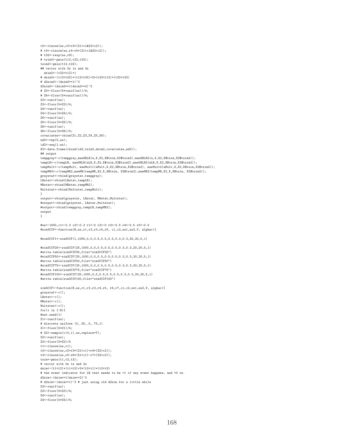```
t2<-rlnorm(ss,r2+r3*(Z1>c1&Z2>c2));
# t3<-rlnorm(ss,r4-r5*(Z1>c1&Z2>c2));
# t32<-rexp(ss,r9);
# tsim2<-pmin(t12,t22,t32);
tsim2<-pmin(t12,t22);
## vector with 0s 1s and 2s
dsim2<-(t22<t12)+1
# dsim2<-(t12<t22)*(t12<t32)+2*(t22<t12)*(t22<t32)
# d2sim2<-(dsim2==1)^2
d2sim2<-(dsim2==1|dsim2==2)^2
# Z3<-floor(5*runif(ss))/4;
# Z4<-floor(5*runif(ss))/4;
Z3<-runif(ss);
Z3<-floor(5*Z3)/4;
Z4 < - runif(ss);
Z4<-floor(5*Z4)/4;
Z5<-runif(ss);
Z5<-floor(5*Z5)/4;
Z6 < - runif(ss);
Z6<-floor(5*Z6)/4;
covariates<-cbind(Z1,Z2,Z3,Z4,Z5,Z6);
nd2 < -rep(0, ss);id2<-seq(1:ss);
X2<-data.frame(cbind(id2,tsim2,dsim2,covariates,nd2));
## output
tempgray<-c(tempgray,maeGRLR(a,X,X2,X$tsim,X2$tsim2),maeGRLR2(a,X,X2,X$tsim,X2$tsim2));
tempLR<-c(tempLR, maeGRLR(aLR,X,X2,X$tsim,X2$tsim2),maeGRLR2(aLR,X,X2,X$tsim,X2$tsim2));
tempMult<-c(tempMult, maeMult1(aMult,X,X2,X$tsim,X2$tsim2), maeMult2(aMult,X,X2,X$tsim,X2$tsim2));
tempMR2<-c(tempMR2,maeMR(tempMR,X2,X,X$tsim, X2$tsim2),maeMR2(tempMR,X2,X,X$tsim, X2$tsim2));
graystat<-rbind(graystat,tempgray);
LRstat<-rbind(LRstat,tempLR);
MRstat<-rbind(MRstat,tempMR2);
Multstat<-rbind(Multstat,tempMult);
}
output<-rbind(graystat, LRstat, MRstat,Multstat);
#output<-rbind(graystat, LRstat, Multstat);
#output<-rbind(tempgray,tempLR,tempMR2);
output
}
#ss<-1000,c1<-0.3 c2<-0.3 r1<-0 r2<-0 r3<-0.5 r4<-0.5 r5<-0.5
#sim3CIF<-function(B,ss,r1,r2,r3,r4,r5, c1,c2,ss1,ss2,V, alphac){
#sim3CIF1<-sim3CIF(1,1000,0,0,0.5,0.5,0.5,0.3,0.3,20,20,5,1)
#sim3CIF25<-sim3CIF(25,1000,0,0,0.5,0.5,0.5,0.3,0.3,20,20,5,1)
#write.table(sim3CIF25,file="sim3CIF25")
#sim3CIF50<-sim3CIF(25,1000,0,0,0.5,0.5,0.5,0.3,0.3,20,20,5,1)
#write.table(sim3CIF50,file="sim3CIF50")
#sim3CIF75<-sim3CIF(25,1000,0,0,0.5,0.5,0.5,0.3,0.3,20,20,5,1)
#write.table(sim3CIF75,file="sim3CIF75")
#sim3CIF100<-sim3CIF(25,1000,0,0,0.5,0.5,0.5,0.3,0.3,20,20,5,1)
#write.table(sim3CIF100,file="sim3CIF100")
sim4CIF<-function(B,ss,r1,r2,r3,r4,r5, r6,r7,c1,c2,ss1,ss2,V, alphac){
graystat<-c();
LRstat <- c();
MRstat <- c();
Multstat<-c();
for(i in 1:B){
#set.seed(1)
Z1<-runif(ss);
# discrete uniform (0,.25,.5,.75,1)
Z1<-floor(5*Z1)/4;
# Z2<-sample(c(0.1).ss.replace=T);
Z2 < - runif(ss);
Z2<-floor(5*Z2)/4
t1<-rlnorm(ss,r1);
t2<-rlnorm(ss,r2+r3*(Z1>c1)+r4*(Z2>c2));
t3<-rlnorm(ss,r5-r6*(Z1>c1)-r7*(Z2>c2));
t \sin \left(-p \min(t1, t2, t3)\right);
# vector with 0s 1s and 2s
dsim<-(t1<t2)*(t1<t3)+2*(t2<t1)*(t2<t3)
# the event indicator for LR test needs to be =1 if any event happens, and =0 ow.
d2sim<-(dsim==1|dsim==2)^2# d2sim<-(dsim==1)^2 # just using old d2sim for a little while
Z3 < - runif(ss);
Z3<-floor(5*Z3)/4;
Z4 < \text{runif(ss)}.
Z4<-floor(5*Z4)/4;
```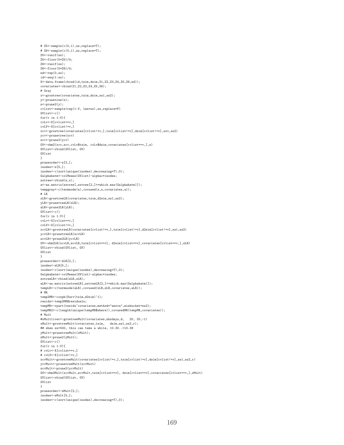```
# Z5<-sample(c(0,1),ss,replace=T);
# Z6<-sample(c(0,1),ss,replace=T);
Z5<-runit(s);
Z5<-floor(5*Z5)/4;
Z6<-runif(ss);
Z6<-floor(5*Z6)/4;
nd<-rep(0,ss);
id < -seq(1:ss);X<-data.frame(cbind(id,tsim,dsim,Z1,Z2,Z3,Z4,Z5,Z6,nd));
covariates<-cbind(Z1,Z2,Z3,Z4,Z5,Z6);
# Gray
x<-growtree(covariates,tsim,dsim,ss1,ss2);
y<-prunetree(x);
z <-prune 2(y);
cvlist<-sample(rep(1:V, len=ss),ss,replace=F)
GVlist<-c()
for(v in 1:V){
cvLv<-X[cvlist==v,]
cvLV<-X[cvlist!=v,]
xcv<-growtree(covariates[cvlist!=v,],tsim[cvlist!=v],dsim[cvlist!=v],ss1,ss2)
ycv<-prunetree(xcv)
zcv<-prune2(ycv)
GV<-obm2(xcv,zcv,cvLv$tsim, cvLv$dsim,covariates[cvlist==v,],z)
GVlist<-rbind(GVlist, GV)
GVlist
}
pruneorder<-z[2,];
inodes<-z[5,];
inodes<-c(sort(unique(inodes),decreasing=T),0);
Galphahatm<-colMeans(GVlist)-alphac*inodes;
zxtree<-rbind(z,x);
a<-as.matrix(zxtree[,zxtree[2,]>=which.max(Galphahatm)]);
tempgray<-c(termnode(a),covused(x,z,covariates,a));
# LR
xLR<-growtreeLR(covariates,tsim,d2sim,ss1,ss2);
yLR<-prunetreeLR(xLR);
zLR<-prune2LR(yLR);
GVlist<-c()
for(v in 1:V){
cvLv<-X[cvlist==v,]
cvLV<-X[cvlist!=v,]
xcvLR<-growtreeLR(covariates[cvlist!=v,],tsim[cvlist!=v],d2sim[cvlist!=v],ss1,ss2)
ycvLR<-prunetreeLR(xcvLR)
zcvLR<-prune2LR(ycvLR)
GV<-obm2LR(xcvLR,zcvLR,tsim[cvlist==v], d2sim[cvlist==v],covariates[cvlist==v,],zLR)
GVlist<-rbind(GVlist, GV)
GVlist
}
pruneorder<-zLR[2,];
.<br>inodes<-zLR[5,];
inodes<-c(sort(unique(inodes),decreasing=T),0);
Galphahatm<-colMeans(GVlist)-alphac*inodes;
zxtreeLR<-rbind(zLR,xLR);
aLR<-as.matrix(zxtreeLR[,zxtreeLR[2,]>=which.max(Galphahatm)]);
tempLR<-c(termnode(aLR),covused(xLR,zLR,covariates,aLR));
# MR
temp2MR<-coxph(Surv(tsim,d2sim)~1);
resids<-temp2MR$residuals;
tempMR<-rpart(resids~covariates,method="anova",minbucket=ss2);
tempMR2<-c(length(unique(tempMR$where)),covusedMR(tempMR,covariates));
# Mult
#xMultliver<-growtreeMult(covariates,nhxdays,d, 20, 20,-1)
xMult<-growtreeMult(covariates,tsim, dsim,ss1,ss2,r);
## when ss=500, this can take a while, 10.30..<10.38
yMult<-prunetreeMult(xMult);
zMult<-prune2(yMult);
GVlist<-c()for(v in 1:V){
# cvLv<-X[cvlist==v,]
# cvLV<-X[cvlist!=v,]
xcvMult<-growtreeMult(covariates[cvlist!=v,],tsim[cvlist!=v],dsim[cvlist!=v],ss1,ss2,r)
ycvMult<-prunetreeMult(xcvMult)
zcvMult<-prune2(ycvMult)
GV<-obm2Mult(xcvMult,zcvMult,tsim[cvlist==v], dsim[cvlist==v],covariates[cvlist==v,],zMult)
GVlist<-rbind(GVlist, GV)
GVlist
}
pruneorder<-zMult[2,];
inodes<-zMult[5,];
inodes<-c(sort(unique(inodes),decreasing=T),0);
```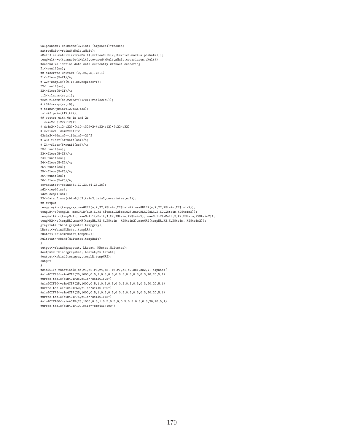```
Galphahatm <- colMeans(GVlist)-(alphac*4)*inodes;
zxtreeMult<-rbind(zMult,xMult);
aMult<-as.matrix(zxtreeMult[,zxtreeMult[2,]>=which.max(Galphahatm)]);
tempMult<-c(termnode(aMult),covused(xMult,zMult,covariates,aMult));
#second validation data set: currently without censoring
Z1<-runif(ss);
## discrete uniform (0,.25,.5,.75,1)
Z1<-floor(5*Z1)/4;
# Z2<-sample(c(0,1),ss,replace=T);
Z2 < - runif(ss);
Z2<-floor(5*Z1)/4;
t12<-rlnorm(ss,r1);
t22<-rlnorm(ss,r2+r3*(Z1>c1)+r4*(Z2>c2));
# t32<-rexp(ss,r9);
# tsim2<-pmin(t12,t22,t32);
t \sin2 < -p \min(t12, t22);
## vector with 0s 1s and 2s
 dsim2<-(t22<t12)+1
# dsim2<-(t12<t22)*(t12<t32)+2*(t22<t12)*(t22<t32)
# d2sim2<-(dsim2==1)^2
d2sim2 < -(dsim2 = =1 | dsim2 = =2) ^2
# Z3<-floor(5*runif(ss))/4;
# Z4<-floor(5*runif(ss))/4;
Z3 < - runif(ss):
Z3 \leftarrow f \text{loor}(5*73)/4;
Z4 < - runif(ss);
Z4<-floor(5*Z4)/4;
Z5<-runif(ss);
Z5<-floor(5*Z5)/4;
Z6 < - runif(ss);
Z6<-floor(5*Z6)/4;
covariates<-cbind(Z1,Z2,Z3,Z4,Z5,Z6);
nd2<-rep(0,ss);
id2<-seq(1:ss);
X2<-data.frame(cbind(id2,tsim2,dsim2,covariates,nd2));
## output
tempgray<-c(tempgray,maeGRLR(a,X,X2,X$tsim,X2$tsim2),maeGRLR2(a,X,X2,X$tsim,X2$tsim2));
tempLR<-c(tempLR, maeGRLR(aLR,X,X2,X$tsim,X2$tsim2),maeGRLR2(aLR,X,X2,X$tsim,X2$tsim2));
tempMult<-c(tempMult, maeMult1(aMult,X,X2,X$tsim,X2$tsim2), maeMult2(aMult,X,X2,X$tsim,X2$tsim2));
tempMR2<-c(tempMR2,maeMR(tempMR,X2,X,X$tsim, X2$tsim2),maeMR2(tempMR,X2,X,X$tsim, X2$tsim2));
graystat<-rbind(graystat,tempgray);
LRstat<-rbind(LRstat,tempLR);
MRstat<-rbind(MRstat,tempMR2);
Multstat<-rbind(Multstat,tempMult);
}
output<-rbind(graystat, LRstat, MRstat, Multstat);
#output<-rbind(graystat, LRstat, Multstat);
#output<-rbind(tempgray,tempLR,tempMR2);
output
}
#sim4CIF<-function(B,ss,r1,r2,r3,r4,r5, r6,r7,c1,c2,ss1,ss2,V, alphac){
#sim4CIF25<-sim4CIF(25,1000,0.5,1,0.5,0.5,0,0.5,0.5,0.3,0.3,20,20,5,1)
#write.table(sim4CIF25,file="sim4CIF25")
#sim4CIF50<-sim4CIF(25,1000,0.5,1,0.5,0.5,0,0.5,0.5,0.3,0.3,20,20,5,1)
#write.table(sim4CIF50,file="sim4CIF50")
#sim4CIF75<-sim4CIF(25,1000,0.5,1,0.5,0.5,0,0.5,0.5,0.3,0.3,20,20,5,1)
#write.table(sim4CIF75,file="sim4CIF75")
```

```
#sim4CIF100<-sim4CIF(25,1000,0.5,1,0.5,0.5,0,0.5,0.5,0.3,0.3,20,20,5,1)
#write.table(sim4CIF100,file="sim4CIF100")
```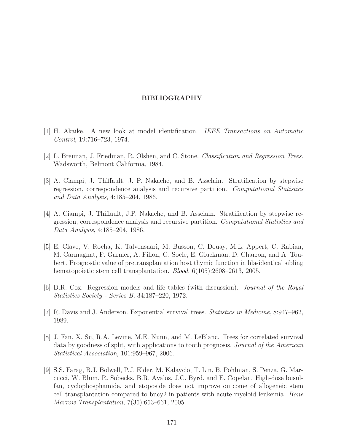# BIBLIOGRAPHY

- [1] H. Akaike. A new look at model identification. IEEE Transactions on Automatic Control, 19:716–723, 1974.
- [2] L. Breiman, J. Friedman, R. Olshen, and C. Stone. Classification and Regression Trees. Wadsworth, Belmont California, 1984.
- [3] A. Ciampi, J. Thiffault, J. P. Nakache, and B. Asselain. Stratification by stepwise regression, correspondence analysis and recursive partition. Computational Statistics and Data Analysis, 4:185–204, 1986.
- [4] A. Ciampi, J. Thiffault, J.P. Nakache, and B. Asselain. Stratification by stepwise regression, correspondence analysis and recursive partition. Computational Statistics and Data Analysis, 4:185–204, 1986.
- [5] E. Clave, V. Rocha, K. Talvensaari, M. Busson, C. Douay, M.L. Appert, C. Rabian, M. Carmagnat, F. Garnier, A. Filion, G. Socle, E. Gluckman, D. Charron, and A. Toubert. Prognostic value of pretransplantation host thymic function in hla-identical sibling hematopoietic stem cell transplantation. Blood, 6(105):2608–2613, 2005.
- [6] D.R. Cox. Regression models and life tables (with discussion). Journal of the Royal Statistics Society - Series B, 34:187–220, 1972.
- [7] R. Davis and J. Anderson. Exponential survival trees. Statistics in Medicine, 8:947–962, 1989.
- [8] J. Fan, X. Su, R.A. Levine, M.E. Nunn, and M. LeBlanc. Trees for correlated survival data by goodness of split, with applications to tooth prognosis. Journal of the American Statistical Association, 101:959–967, 2006.
- [9] S.S. Farag, B.J. Bolwell, P.J. Elder, M. Kalaycio, T. Lin, B. Pohlman, S. Penza, G. Marcucci, W. Blum, R. Sobecks, B.R. Avalos, J.C. Byrd, and E. Copelan. High-dose busulfan, cyclophosphamide, and etoposide does not improve outcome of allogeneic stem cell transplantation compared to bucy2 in patients with acute myeloid leukemia. Bone Marrow Transplantation, 7(35):653–661, 2005.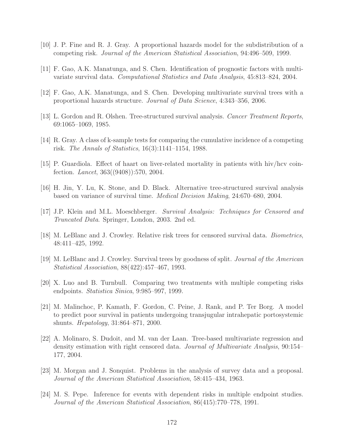- [10] J. P. Fine and R. J. Gray. A proportional hazards model for the subdistribution of a competing risk. Journal of the American Statistical Association, 94:496–509, 1999.
- [11] F. Gao, A.K. Manatunga, and S. Chen. Identification of prognostic factors with multivariate survival data. Computational Statistics and Data Analysis, 45:813–824, 2004.
- [12] F. Gao, A.K. Manatunga, and S. Chen. Developing multivariate survival trees with a proportional hazards structure. Journal of Data Science, 4:343–356, 2006.
- [13] L. Gordon and R. Olshen. Tree-structured survival analysis. Cancer Treatment Reports, 69:1065–1069, 1985.
- [14] R. Gray. A class of k-sample tests for comparing the cumulative incidence of a competing risk. The Annals of Statistics, 16(3):1141–1154, 1988.
- [15] P. Guardiola. Effect of haart on liver-related mortality in patients with hiv/hcv coinfection. Lancet, 363((9408)):570, 2004.
- [16] H. Jin, Y. Lu, K. Stone, and D. Black. Alternative tree-structured survival analysis based on variance of survival time. Medical Decision Making, 24:670–680, 2004.
- [17] J.P. Klein and M.L. Moeschberger. Survival Analysis: Techniques for Censored and Truncated Data. Springer, London, 2003. 2nd ed.
- [18] M. LeBlanc and J. Crowley. Relative risk trees for censored survival data. Biometrics, 48:411–425, 1992.
- [19] M. LeBlanc and J. Crowley. Survival trees by goodness of split. Journal of the American Statistical Association, 88(422):457–467, 1993.
- [20] X. Luo and B. Turnbull. Comparing two treatments with multiple competing risks endpoints. Statistica Sinica, 9:985–997, 1999.
- [21] M. Malinchoc, P. Kamath, F. Gordon, C. Peine, J. Rank, and P. Ter Borg. A model to predict poor survival in patients undergoing transjugular intrahepatic portosystemic shunts. Hepatology, 31:864–871, 2000.
- [22] A. Molinaro, S. Dudoit, and M. van der Laan. Tree-based multivariate regression and density estimation with right censored data. Journal of Multivariate Analysis, 90:154– 177, 2004.
- [23] M. Morgan and J. Sonquist. Problems in the analysis of survey data and a proposal. Journal of the American Statistical Association, 58:415–434, 1963.
- [24] M. S. Pepe. Inference for events with dependent risks in multiple endpoint studies. Journal of the American Statistical Association, 86(415):770–778, 1991.